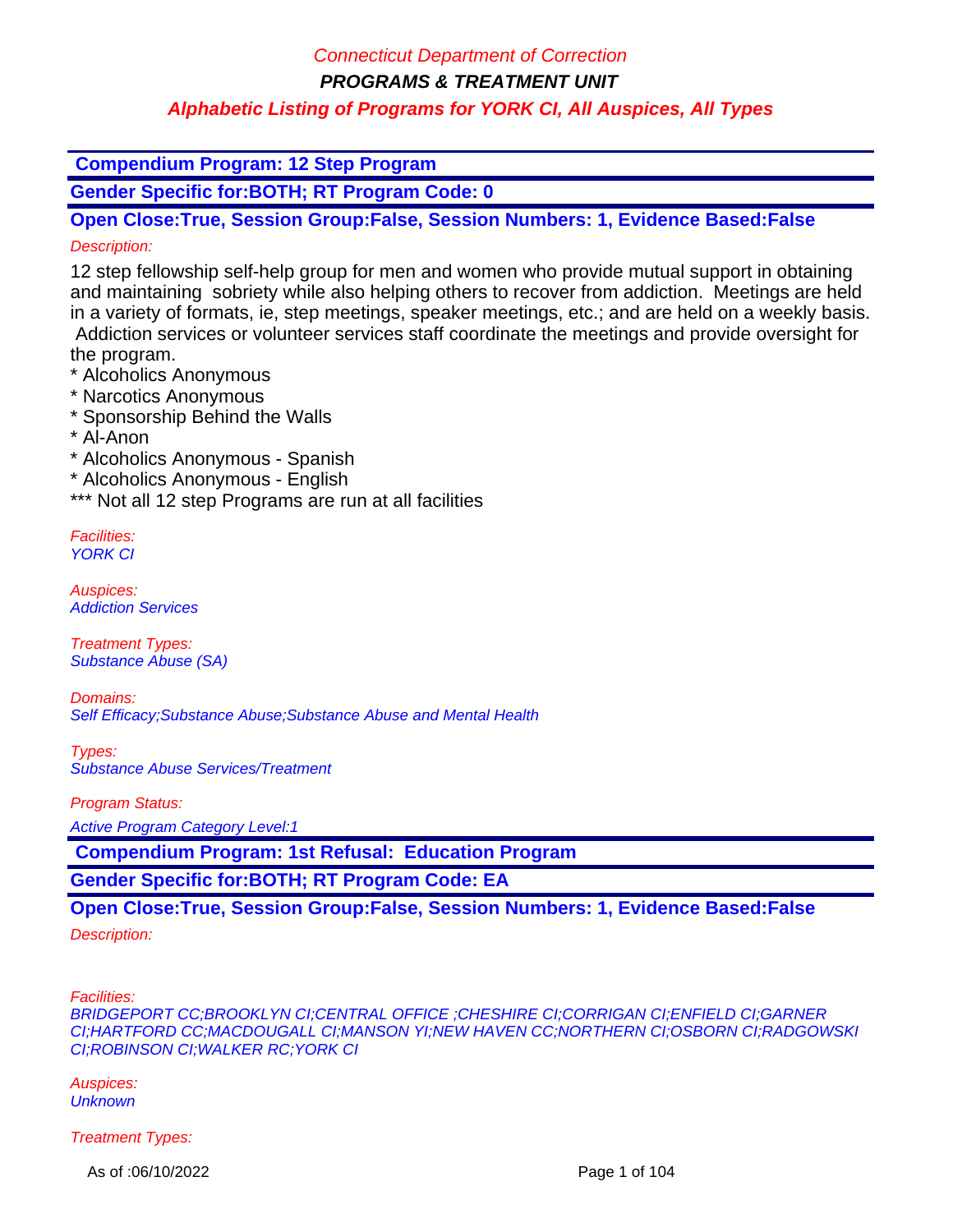### Connecticut Department of Correction

**PROGRAMS & TREATMENT UNIT**

## **Alphabetic Listing of Programs for YORK CI, All Auspices, All Types**

 **Compendium Program: 12 Step Program**

**Gender Specific for:BOTH; RT Program Code: 0**

**Open Close:True, Session Group:False, Session Numbers: 1, Evidence Based:False** Description:

12 step fellowship self-help group for men and women who provide mutual support in obtaining and maintaining sobriety while also helping others to recover from addiction. Meetings are held in a variety of formats, ie, step meetings, speaker meetings, etc.; and are held on a weekly basis. Addiction services or volunteer services staff coordinate the meetings and provide oversight for the program.

\* Alcoholics Anonymous

- \* Narcotics Anonymous
- \* Sponsorship Behind the Walls
- \* Al-Anon

\* Alcoholics Anonymous - Spanish

\* Alcoholics Anonymous - English

\*\*\* Not all 12 step Programs are run at all facilities

Facilities: YORK CI

Auspices: Addiction Services

Treatment Types: Substance Abuse (SA)

Domains: Self Efficacy;Substance Abuse;Substance Abuse and Mental Health

Types: Substance Abuse Services/Treatment

Program Status:

Active Program Category Level:1

 **Compendium Program: 1st Refusal: Education Program**

**Gender Specific for:BOTH; RT Program Code: EA**

### **Open Close:True, Session Group:False, Session Numbers: 1, Evidence Based:False**

Description:

Facilities:

BRIDGEPORT CC;BROOKLYN CI;CENTRAL OFFICE ;CHESHIRE CI;CORRIGAN CI;ENFIELD CI;GARNER CI;HARTFORD CC;MACDOUGALL CI;MANSON YI;NEW HAVEN CC;NORTHERN CI;OSBORN CI;RADGOWSKI CI;ROBINSON CI;WALKER RC;YORK CI

Auspices: **Unknown** 

Treatment Types:

As of :06/10/2022 **Page 1 of 104**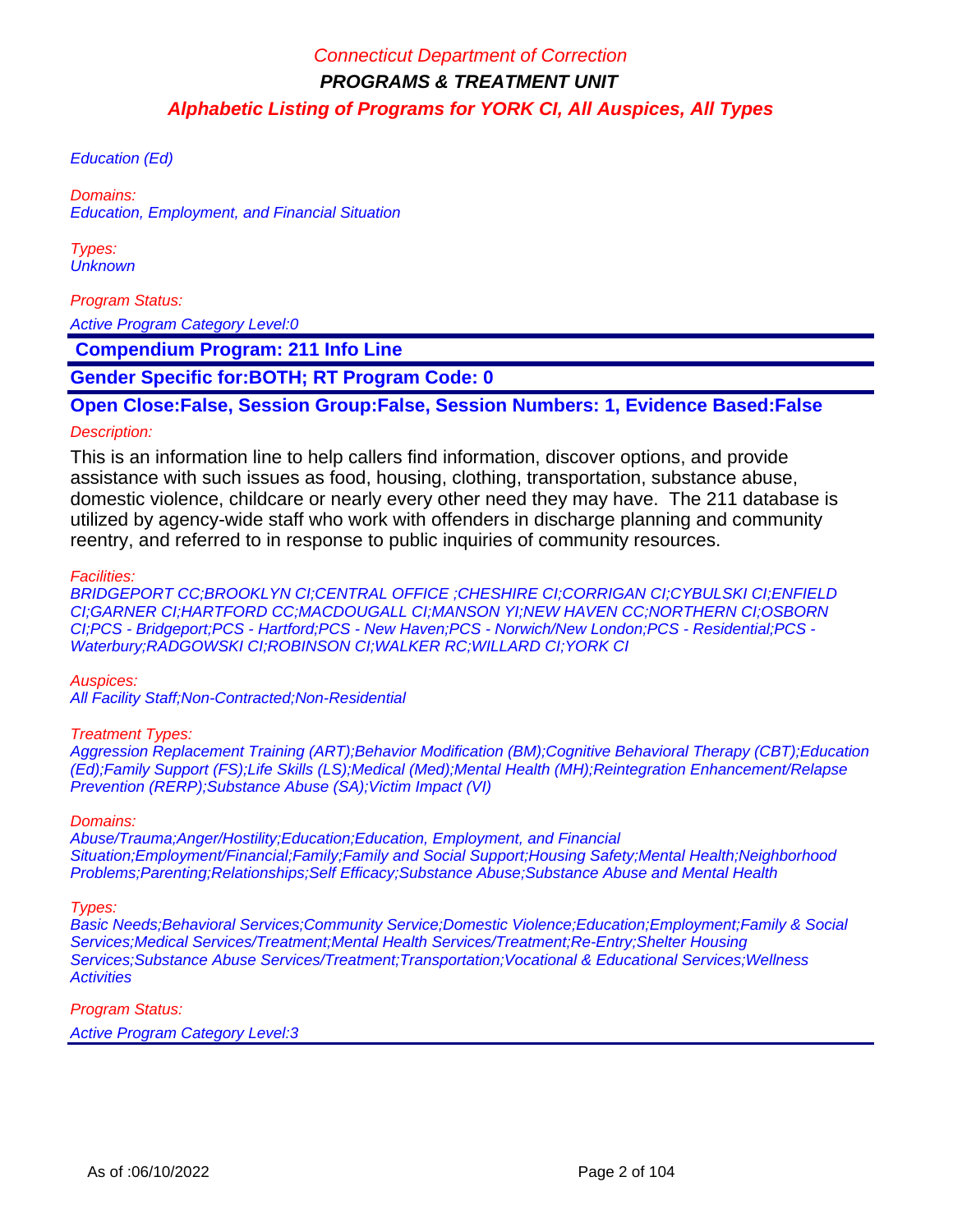Education (Ed)

Domains: Education, Employment, and Financial Situation

Types: **Unknown** 

Program Status:

Active Program Category Level:0

 **Compendium Program: 211 Info Line**

**Gender Specific for:BOTH; RT Program Code: 0**

**Open Close:False, Session Group:False, Session Numbers: 1, Evidence Based:False**

#### Description:

This is an information line to help callers find information, discover options, and provide assistance with such issues as food, housing, clothing, transportation, substance abuse, domestic violence, childcare or nearly every other need they may have. The 211 database is utilized by agency-wide staff who work with offenders in discharge planning and community reentry, and referred to in response to public inquiries of community resources.

Facilities:

BRIDGEPORT CC;BROOKLYN CI;CENTRAL OFFICE ;CHESHIRE CI;CORRIGAN CI;CYBULSKI CI;ENFIELD CI;GARNER CI;HARTFORD CC;MACDOUGALL CI;MANSON YI;NEW HAVEN CC;NORTHERN CI;OSBORN CI;PCS - Bridgeport;PCS - Hartford;PCS - New Haven;PCS - Norwich/New London;PCS - Residential;PCS - Waterbury;RADGOWSKI CI;ROBINSON CI;WALKER RC;WILLARD CI;YORK CI

Auspices:

All Facility Staff;Non-Contracted;Non-Residential

#### Treatment Types:

Aggression Replacement Training (ART);Behavior Modification (BM);Cognitive Behavioral Therapy (CBT);Education (Ed);Family Support (FS);Life Skills (LS);Medical (Med);Mental Health (MH);Reintegration Enhancement/Relapse Prevention (RERP);Substance Abuse (SA);Victim Impact (VI)

#### Domains:

Abuse/Trauma;Anger/Hostility;Education;Education, Employment, and Financial Situation;Employment/Financial;Family;Family and Social Support;Housing Safety;Mental Health;Neighborhood Problems;Parenting;Relationships;Self Efficacy;Substance Abuse;Substance Abuse and Mental Health

Types:

Basic Needs;Behavioral Services;Community Service;Domestic Violence;Education;Employment;Family & Social Services;Medical Services/Treatment;Mental Health Services/Treatment;Re-Entry;Shelter Housing Services;Substance Abuse Services/Treatment;Transportation;Vocational & Educational Services;Wellness **Activities** 

Program Status:

Active Program Category Level:3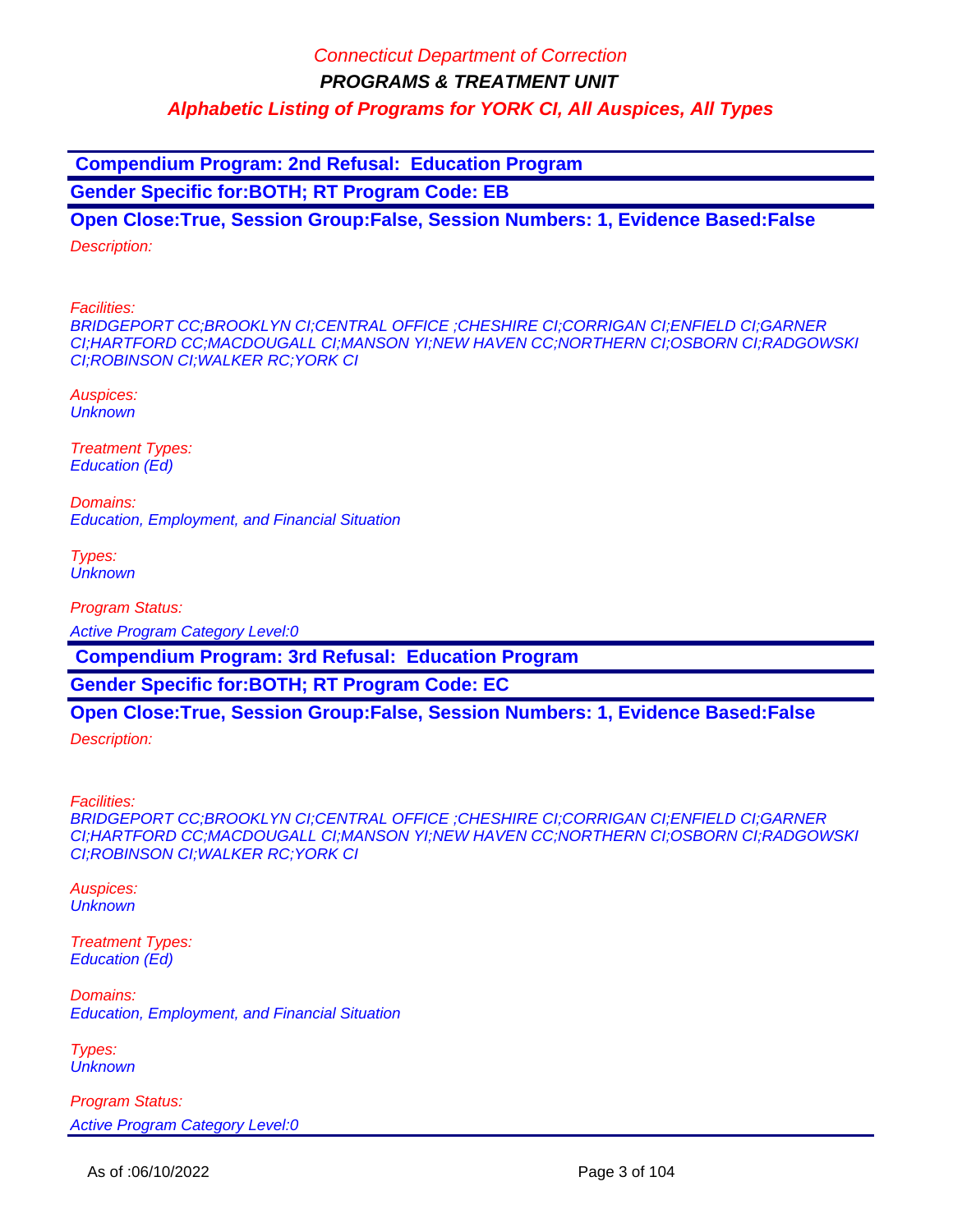**Compendium Program: 2nd Refusal: Education Program**

**Gender Specific for:BOTH; RT Program Code: EB**

**Open Close:True, Session Group:False, Session Numbers: 1, Evidence Based:False** Description:

Facilities:

BRIDGEPORT CC;BROOKLYN CI;CENTRAL OFFICE ;CHESHIRE CI;CORRIGAN CI;ENFIELD CI;GARNER CI;HARTFORD CC;MACDOUGALL CI;MANSON YI;NEW HAVEN CC;NORTHERN CI;OSBORN CI;RADGOWSKI CI;ROBINSON CI;WALKER RC;YORK CI

Auspices: **Unknown** 

Treatment Types: Education (Ed)

Domains: Education, Employment, and Financial Situation

Types: **Unknown** 

Program Status:

Active Program Category Level:0

 **Compendium Program: 3rd Refusal: Education Program**

**Gender Specific for:BOTH; RT Program Code: EC**

### **Open Close:True, Session Group:False, Session Numbers: 1, Evidence Based:False**

Description:

Facilities:

BRIDGEPORT CC;BROOKLYN CI;CENTRAL OFFICE ;CHESHIRE CI;CORRIGAN CI;ENFIELD CI;GARNER CI;HARTFORD CC;MACDOUGALL CI;MANSON YI;NEW HAVEN CC;NORTHERN CI;OSBORN CI;RADGOWSKI CI;ROBINSON CI;WALKER RC;YORK CI

Auspices: **Unknown** 

Treatment Types: Education (Ed)

Domains: Education, Employment, and Financial Situation

Types: **Unknown** 

Program Status: Active Program Category Level:0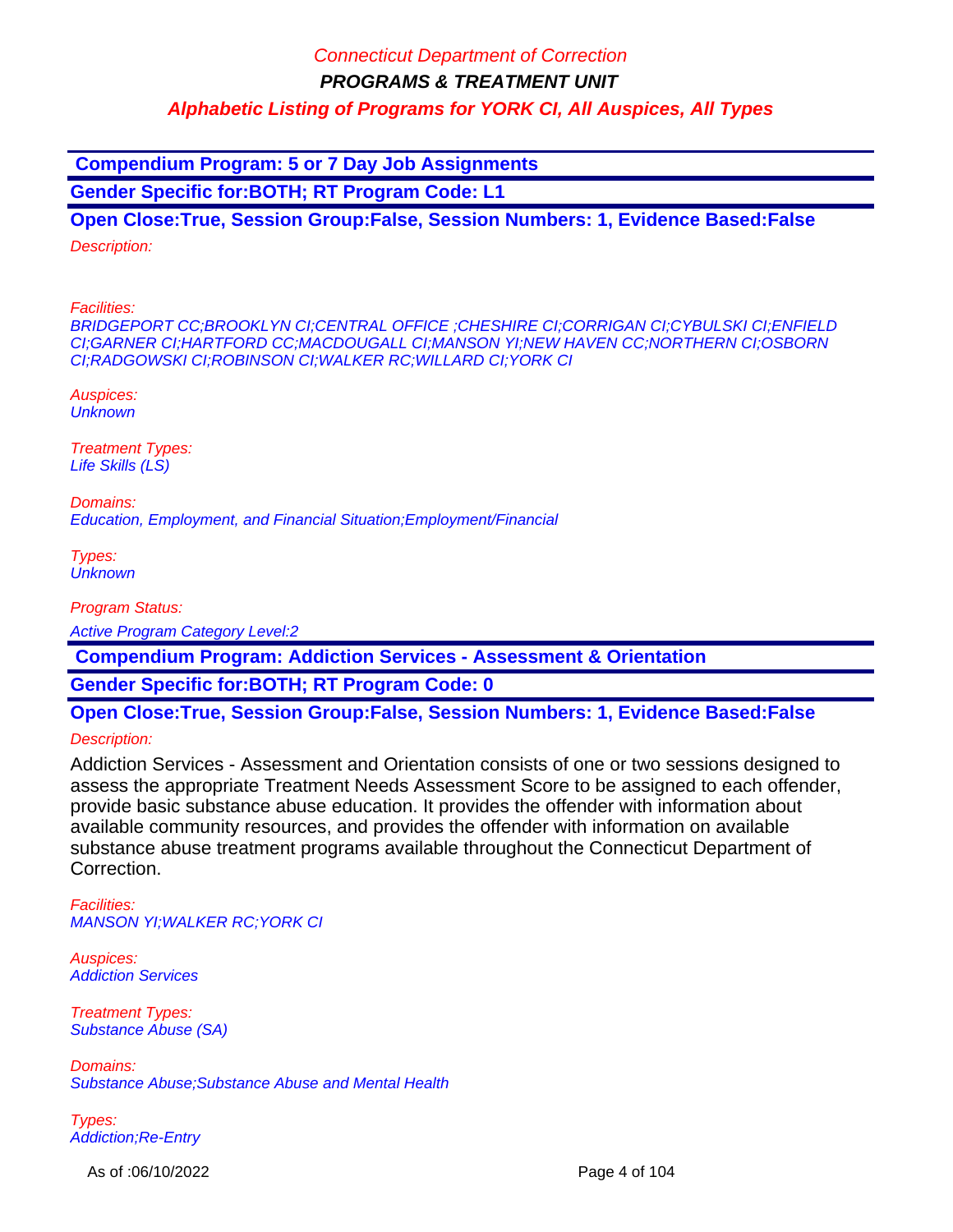**Compendium Program: 5 or 7 Day Job Assignments**

**Gender Specific for:BOTH; RT Program Code: L1**

**Open Close:True, Session Group:False, Session Numbers: 1, Evidence Based:False** Description:

Facilities:

BRIDGEPORT CC;BROOKLYN CI;CENTRAL OFFICE ;CHESHIRE CI;CORRIGAN CI;CYBULSKI CI;ENFIELD CI;GARNER CI;HARTFORD CC;MACDOUGALL CI;MANSON YI;NEW HAVEN CC;NORTHERN CI;OSBORN CI;RADGOWSKI CI;ROBINSON CI;WALKER RC;WILLARD CI;YORK CI

Auspices: **Unknown** 

Treatment Types: Life Skills (LS)

Domains: Education, Employment, and Financial Situation;Employment/Financial

Types: **Unknown** 

Program Status:

Active Program Category Level:2

 **Compendium Program: Addiction Services - Assessment & Orientation**

**Gender Specific for:BOTH; RT Program Code: 0**

**Open Close:True, Session Group:False, Session Numbers: 1, Evidence Based:False**

Description:

Addiction Services - Assessment and Orientation consists of one or two sessions designed to assess the appropriate Treatment Needs Assessment Score to be assigned to each offender, provide basic substance abuse education. It provides the offender with information about available community resources, and provides the offender with information on available substance abuse treatment programs available throughout the Connecticut Department of Correction.

Facilities: MANSON YI;WALKER RC;YORK CI

Auspices: Addiction Services

Treatment Types: Substance Abuse (SA)

Domains: Substance Abuse;Substance Abuse and Mental Health

Types: Addiction;Re-Entry

As of :06/10/2022 **Page 4 of 104**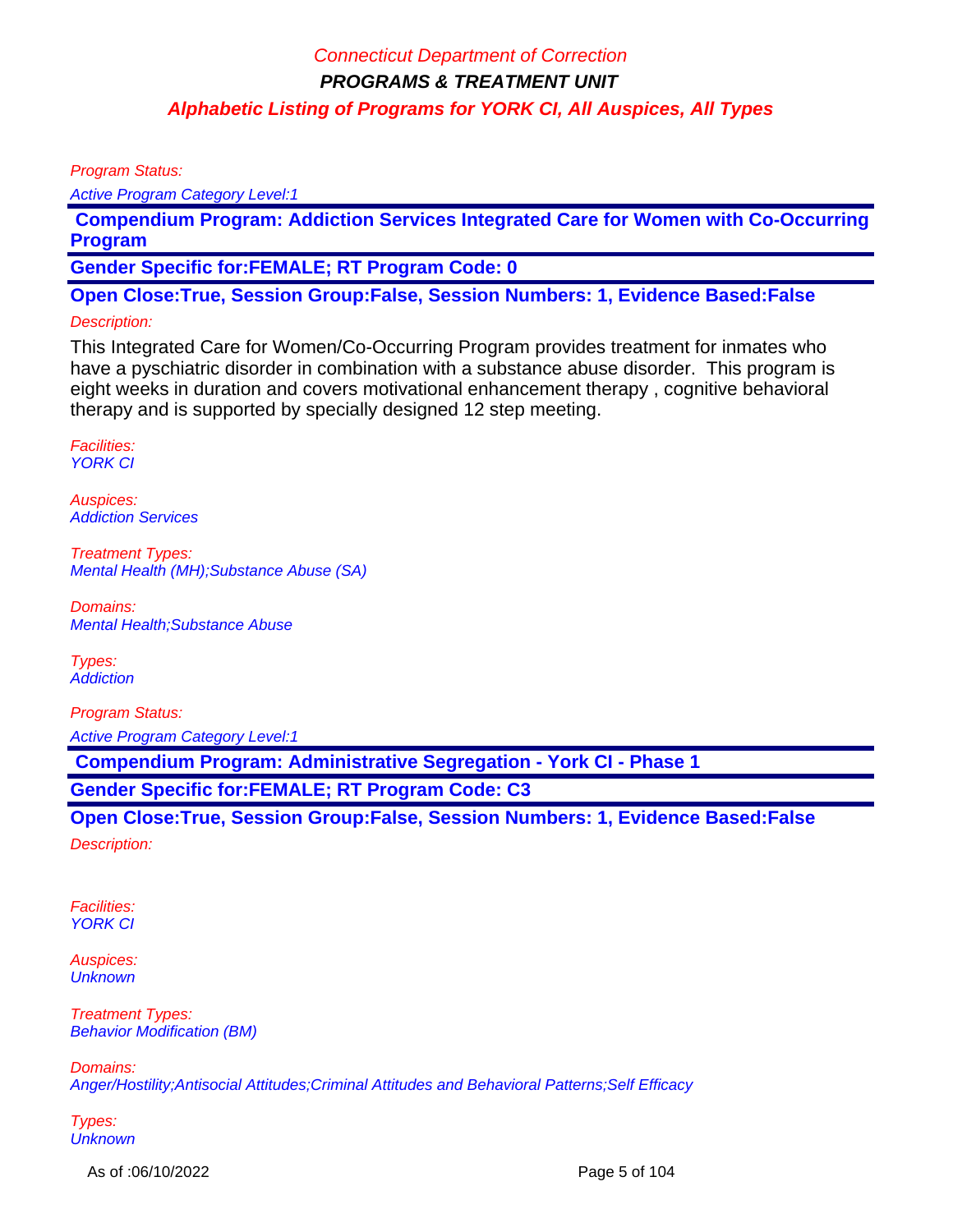Program Status:

Active Program Category Level:1

 **Compendium Program: Addiction Services Integrated Care for Women with Co-Occurring Program** 

**Gender Specific for:FEMALE; RT Program Code: 0**

**Open Close:True, Session Group:False, Session Numbers: 1, Evidence Based:False**

### Description:

This Integrated Care for Women/Co-Occurring Program provides treatment for inmates who have a pyschiatric disorder in combination with a substance abuse disorder. This program is eight weeks in duration and covers motivational enhancement therapy , cognitive behavioral therapy and is supported by specially designed 12 step meeting.

Facilities: YORK CI

Auspices: Addiction Services

Treatment Types: Mental Health (MH);Substance Abuse (SA)

Domains: Mental Health;Substance Abuse

Types: **Addiction** 

Program Status: Active Program Category Level:1

 **Compendium Program: Administrative Segregation - York CI - Phase 1**

**Gender Specific for:FEMALE; RT Program Code: C3**

**Open Close:True, Session Group:False, Session Numbers: 1, Evidence Based:False**

Description:

Facilities: YORK CI

Auspices: **Unknown** 

Treatment Types: Behavior Modification (BM)

Domains:

Anger/Hostility;Antisocial Attitudes;Criminal Attitudes and Behavioral Patterns;Self Efficacy

Types: **Unknown** 

As of :06/10/2022 **Page 5 of 104**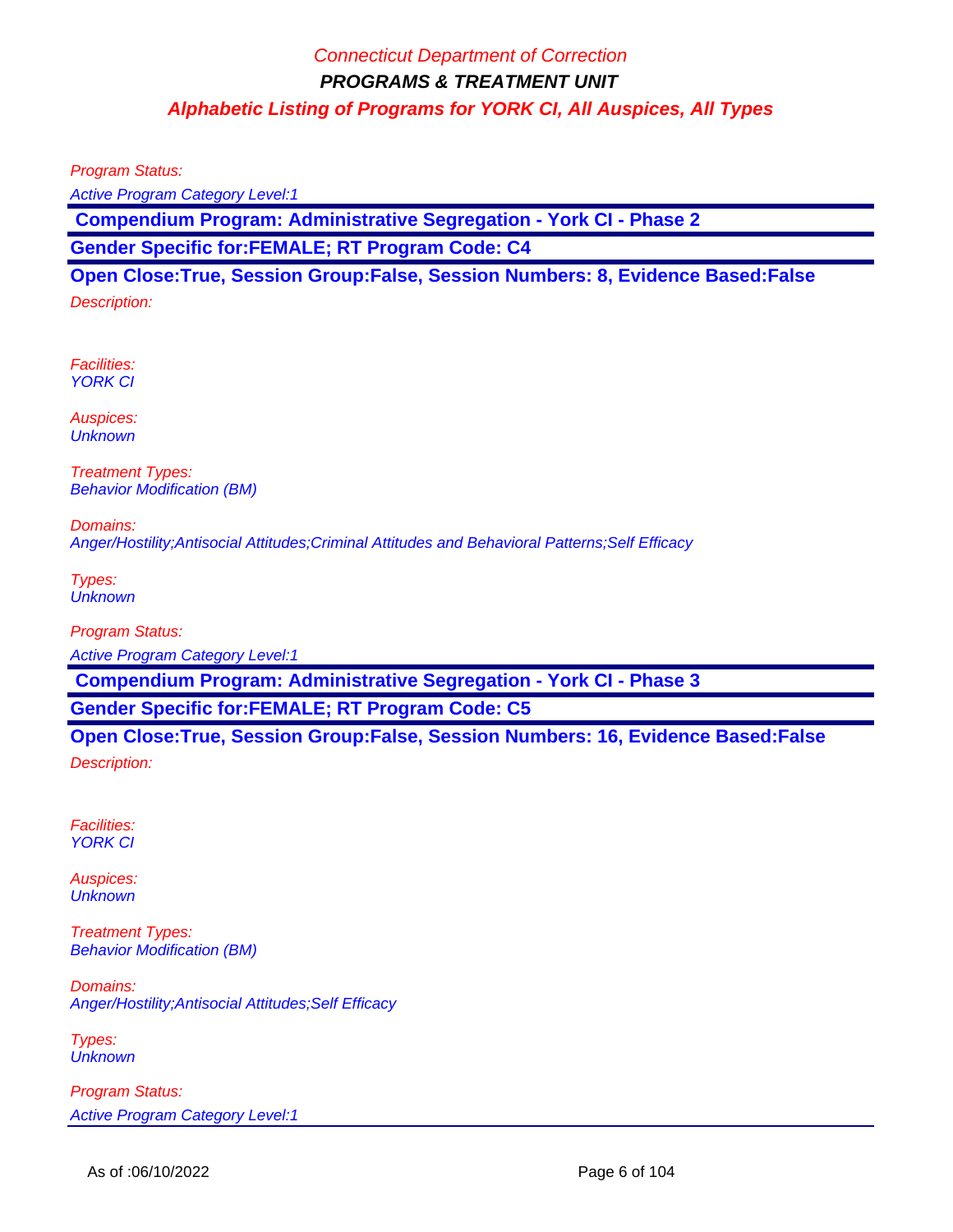Program Status:

Active Program Category Level:1

 **Compendium Program: Administrative Segregation - York CI - Phase 2**

**Gender Specific for:FEMALE; RT Program Code: C4**

**Open Close:True, Session Group:False, Session Numbers: 8, Evidence Based:False** Description:

Facilities: YORK CI

Auspices: **Unknown** 

Treatment Types: Behavior Modification (BM)

Domains: Anger/Hostility;Antisocial Attitudes;Criminal Attitudes and Behavioral Patterns;Self Efficacy

Types: **Unknown** 

Program Status:

Active Program Category Level:1

 **Compendium Program: Administrative Segregation - York CI - Phase 3**

**Gender Specific for:FEMALE; RT Program Code: C5**

**Open Close:True, Session Group:False, Session Numbers: 16, Evidence Based:False** Description:

Facilities: **YORK CI** 

Auspices: **Unknown** 

Treatment Types: Behavior Modification (BM)

Domains: Anger/Hostility;Antisocial Attitudes;Self Efficacy

Types: **Unknown** 

Program Status: Active Program Category Level:1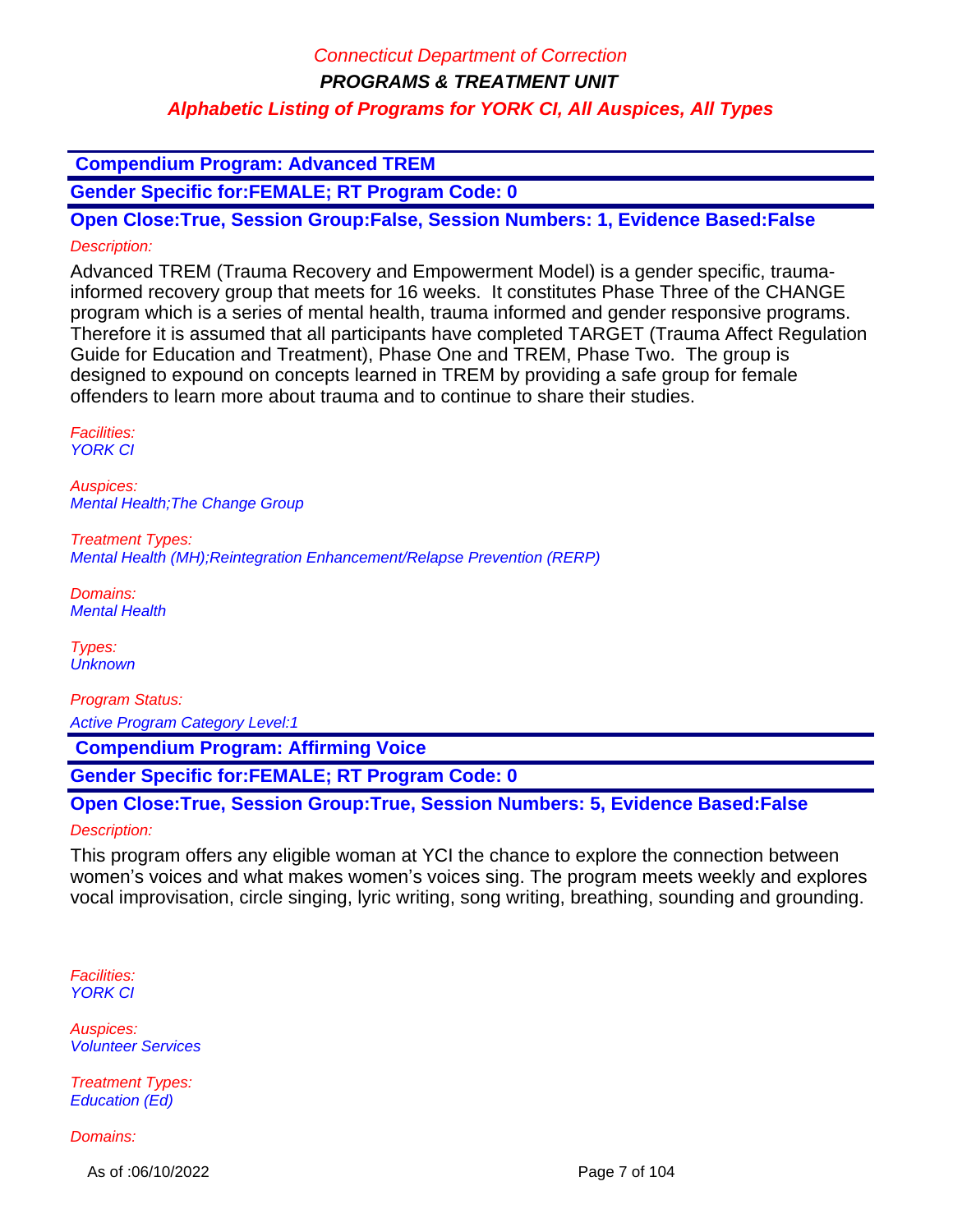### **Compendium Program: Advanced TREM**

**Gender Specific for:FEMALE; RT Program Code: 0**

**Open Close:True, Session Group:False, Session Numbers: 1, Evidence Based:False** Description:

Advanced TREM (Trauma Recovery and Empowerment Model) is a gender specific, traumainformed recovery group that meets for 16 weeks. It constitutes Phase Three of the CHANGE program which is a series of mental health, trauma informed and gender responsive programs. Therefore it is assumed that all participants have completed TARGET (Trauma Affect Regulation Guide for Education and Treatment), Phase One and TREM, Phase Two. The group is designed to expound on concepts learned in TREM by providing a safe group for female offenders to learn more about trauma and to continue to share their studies.

Facilities: **YORK CI** 

Auspices: Mental Health;The Change Group

Treatment Types: Mental Health (MH);Reintegration Enhancement/Relapse Prevention (RERP)

Domains: Mental Health

Types: **Unknown** 

Program Status:

Active Program Category Level:1

 **Compendium Program: Affirming Voice**

**Gender Specific for:FEMALE; RT Program Code: 0**

**Open Close:True, Session Group:True, Session Numbers: 5, Evidence Based:False** Description:

This program offers any eligible woman at YCI the chance to explore the connection between women's voices and what makes women's voices sing. The program meets weekly and explores vocal improvisation, circle singing, lyric writing, song writing, breathing, sounding and grounding.

Facilities: YORK CI

Auspices: Volunteer Services

Treatment Types: Education (Ed)

Domains:

As of :06/10/2022 **Page 7 of 104**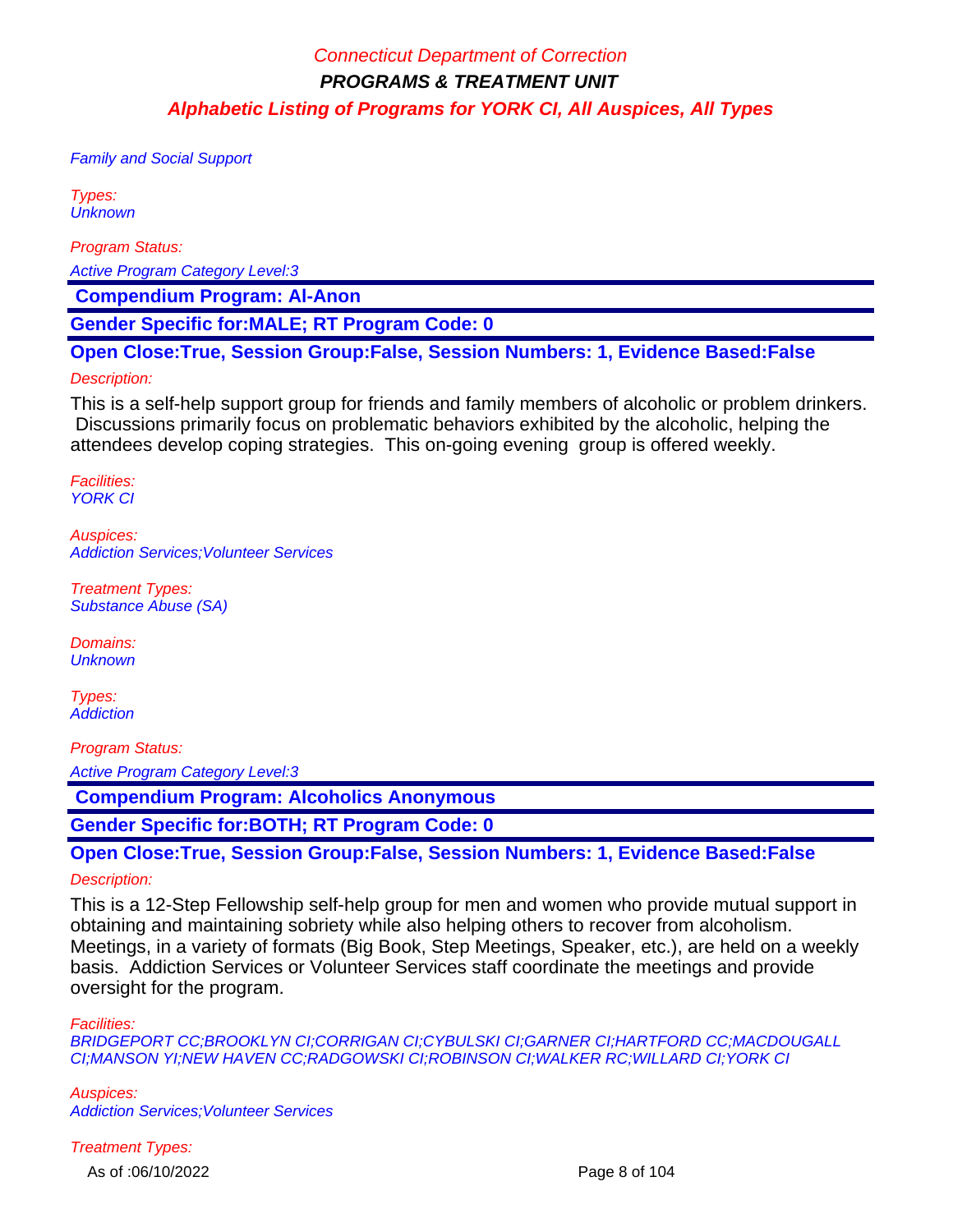Family and Social Support

Types: **Unknown** 

Program Status:

Active Program Category Level:3

 **Compendium Program: Al-Anon**

**Gender Specific for:MALE; RT Program Code: 0**

**Open Close:True, Session Group:False, Session Numbers: 1, Evidence Based:False**

#### Description:

This is a self-help support group for friends and family members of alcoholic or problem drinkers. Discussions primarily focus on problematic behaviors exhibited by the alcoholic, helping the attendees develop coping strategies. This on-going evening group is offered weekly.

Facilities: YORK CI

Auspices: Addiction Services;Volunteer Services

Treatment Types: Substance Abuse (SA)

Domains: **Unknown** 

Types: **Addiction** 

Program Status:

Active Program Category Level:3

 **Compendium Program: Alcoholics Anonymous**

**Gender Specific for:BOTH; RT Program Code: 0**

**Open Close:True, Session Group:False, Session Numbers: 1, Evidence Based:False** Description:

This is a 12-Step Fellowship self-help group for men and women who provide mutual support in obtaining and maintaining sobriety while also helping others to recover from alcoholism. Meetings, in a variety of formats (Big Book, Step Meetings, Speaker, etc.), are held on a weekly basis. Addiction Services or Volunteer Services staff coordinate the meetings and provide oversight for the program.

Facilities:

BRIDGEPORT CC;BROOKLYN CI;CORRIGAN CI;CYBULSKI CI;GARNER CI;HARTFORD CC;MACDOUGALL CI;MANSON YI;NEW HAVEN CC;RADGOWSKI CI;ROBINSON CI;WALKER RC;WILLARD CI;YORK CI

Auspices: Addiction Services;Volunteer Services

Treatment Types:

As of :06/10/2022 **Page 8 of 104**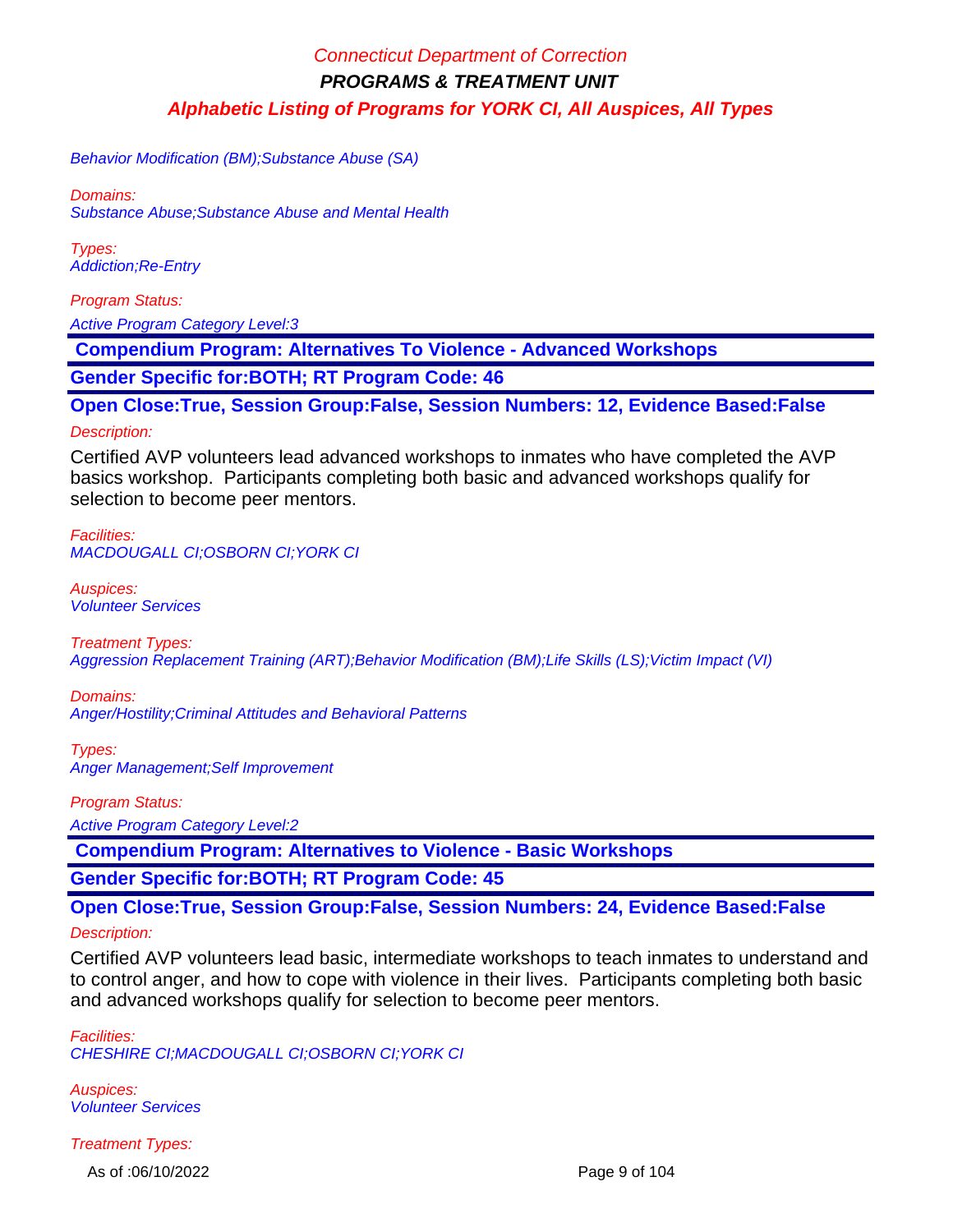Behavior Modification (BM);Substance Abuse (SA)

Domains: Substance Abuse;Substance Abuse and Mental Health

Types: Addiction;Re-Entry

Program Status: Active Program Category Level:3

 **Compendium Program: Alternatives To Violence - Advanced Workshops**

**Gender Specific for:BOTH; RT Program Code: 46**

**Open Close:True, Session Group:False, Session Numbers: 12, Evidence Based:False**

#### Description:

Certified AVP volunteers lead advanced workshops to inmates who have completed the AVP basics workshop. Participants completing both basic and advanced workshops qualify for selection to become peer mentors.

Facilities: MACDOUGALL CI;OSBORN CI;YORK CI

Auspices: Volunteer Services

Treatment Types: Aggression Replacement Training (ART);Behavior Modification (BM);Life Skills (LS);Victim Impact (VI)

Domains: Anger/Hostility;Criminal Attitudes and Behavioral Patterns

Types: Anger Management;Self Improvement

Program Status:

Active Program Category Level:2

 **Compendium Program: Alternatives to Violence - Basic Workshops**

**Gender Specific for:BOTH; RT Program Code: 45**

**Open Close:True, Session Group:False, Session Numbers: 24, Evidence Based:False**

#### Description:

Certified AVP volunteers lead basic, intermediate workshops to teach inmates to understand and to control anger, and how to cope with violence in their lives. Participants completing both basic and advanced workshops qualify for selection to become peer mentors.

Facilities: CHESHIRE CI;MACDOUGALL CI;OSBORN CI;YORK CI

Auspices: Volunteer Services

Treatment Types:

As of :06/10/2022 **Page 9 of 104**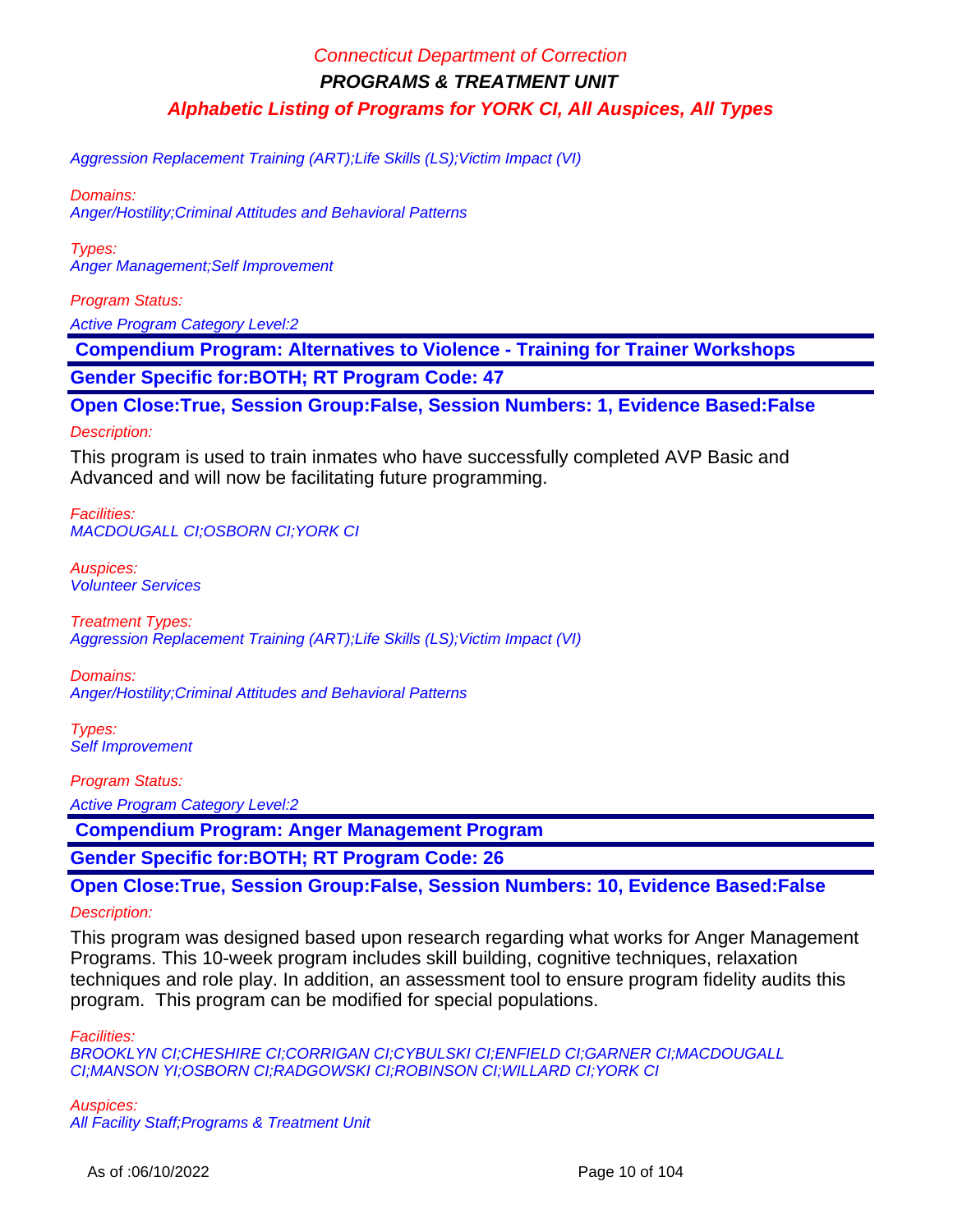Aggression Replacement Training (ART);Life Skills (LS);Victim Impact (VI)

Domains: Anger/Hostility;Criminal Attitudes and Behavioral Patterns

Types: Anger Management;Self Improvement

Program Status:

Active Program Category Level:2

 **Compendium Program: Alternatives to Violence - Training for Trainer Workshops**

**Gender Specific for:BOTH; RT Program Code: 47**

**Open Close:True, Session Group:False, Session Numbers: 1, Evidence Based:False**

Description:

This program is used to train inmates who have successfully completed AVP Basic and Advanced and will now be facilitating future programming.

Facilities: MACDOUGALL CI;OSBORN CI;YORK CI

Auspices: Volunteer Services

Treatment Types: Aggression Replacement Training (ART);Life Skills (LS); Victim Impact (VI)

Domains: Anger/Hostility;Criminal Attitudes and Behavioral Patterns

Types: Self Improvement

Program Status:

Active Program Category Level:2

 **Compendium Program: Anger Management Program**

**Gender Specific for:BOTH; RT Program Code: 26**

**Open Close:True, Session Group:False, Session Numbers: 10, Evidence Based:False**

#### Description:

This program was designed based upon research regarding what works for Anger Management Programs. This 10-week program includes skill building, cognitive techniques, relaxation techniques and role play. In addition, an assessment tool to ensure program fidelity audits this program. This program can be modified for special populations.

Facilities:

BROOKLYN CI;CHESHIRE CI;CORRIGAN CI;CYBULSKI CI;ENFIELD CI;GARNER CI;MACDOUGALL CI;MANSON YI;OSBORN CI;RADGOWSKI CI;ROBINSON CI;WILLARD CI;YORK CI

Auspices: All Facility Staff;Programs & Treatment Unit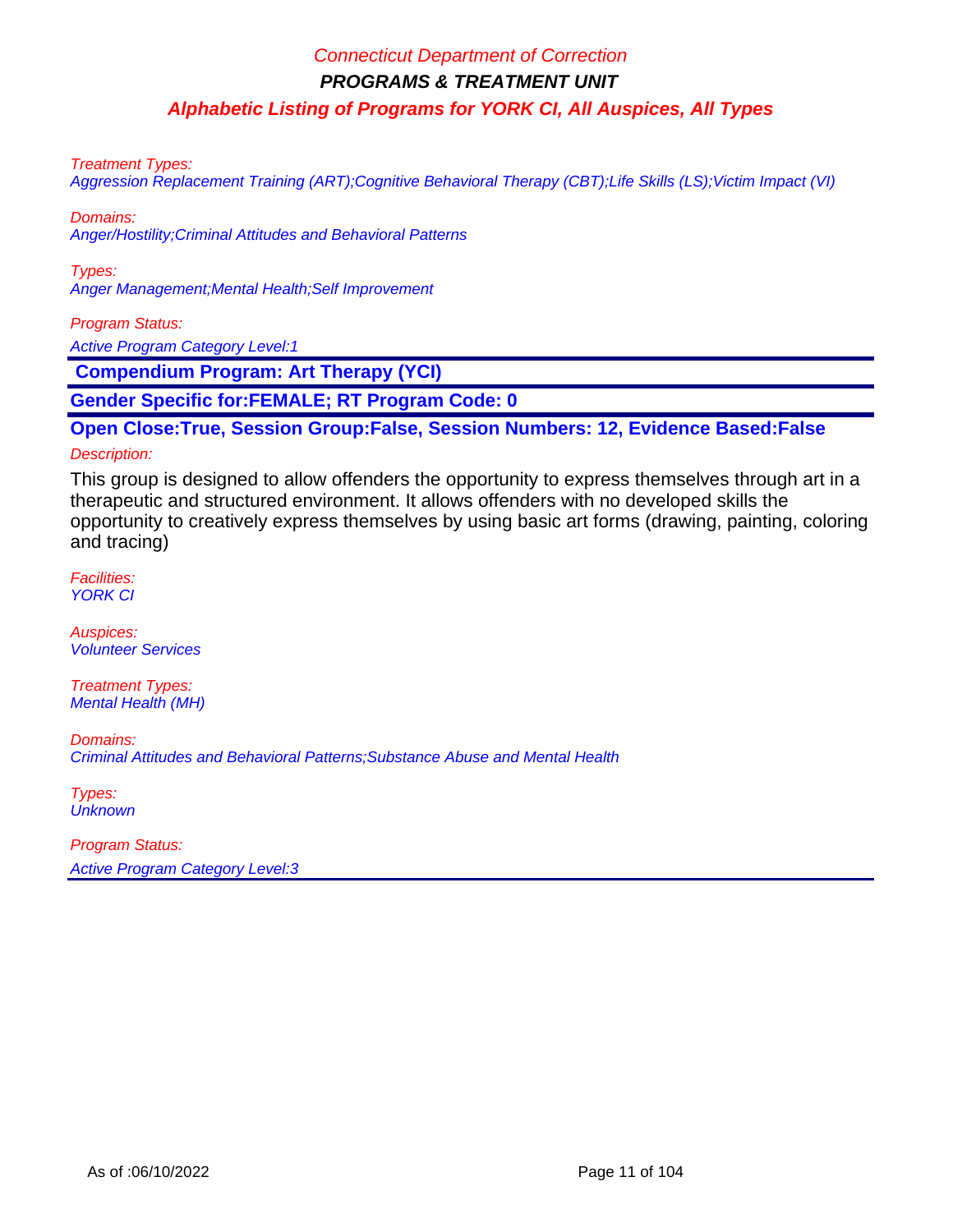Treatment Types:

Aggression Replacement Training (ART);Cognitive Behavioral Therapy (CBT);Life Skills (LS);Victim Impact (VI)

Domains:

Anger/Hostility;Criminal Attitudes and Behavioral Patterns

Types: Anger Management;Mental Health;Self Improvement

Program Status:

Active Program Category Level:1

 **Compendium Program: Art Therapy (YCI)**

**Gender Specific for:FEMALE; RT Program Code: 0**

**Open Close:True, Session Group:False, Session Numbers: 12, Evidence Based:False**

#### Description:

This group is designed to allow offenders the opportunity to express themselves through art in a therapeutic and structured environment. It allows offenders with no developed skills the opportunity to creatively express themselves by using basic art forms (drawing, painting, coloring and tracing)

Facilities: YORK CI

Auspices: Volunteer Services

Treatment Types: Mental Health (MH)

Domains: Criminal Attitudes and Behavioral Patterns;Substance Abuse and Mental Health

Types: **Unknown** 

Program Status: Active Program Category Level:3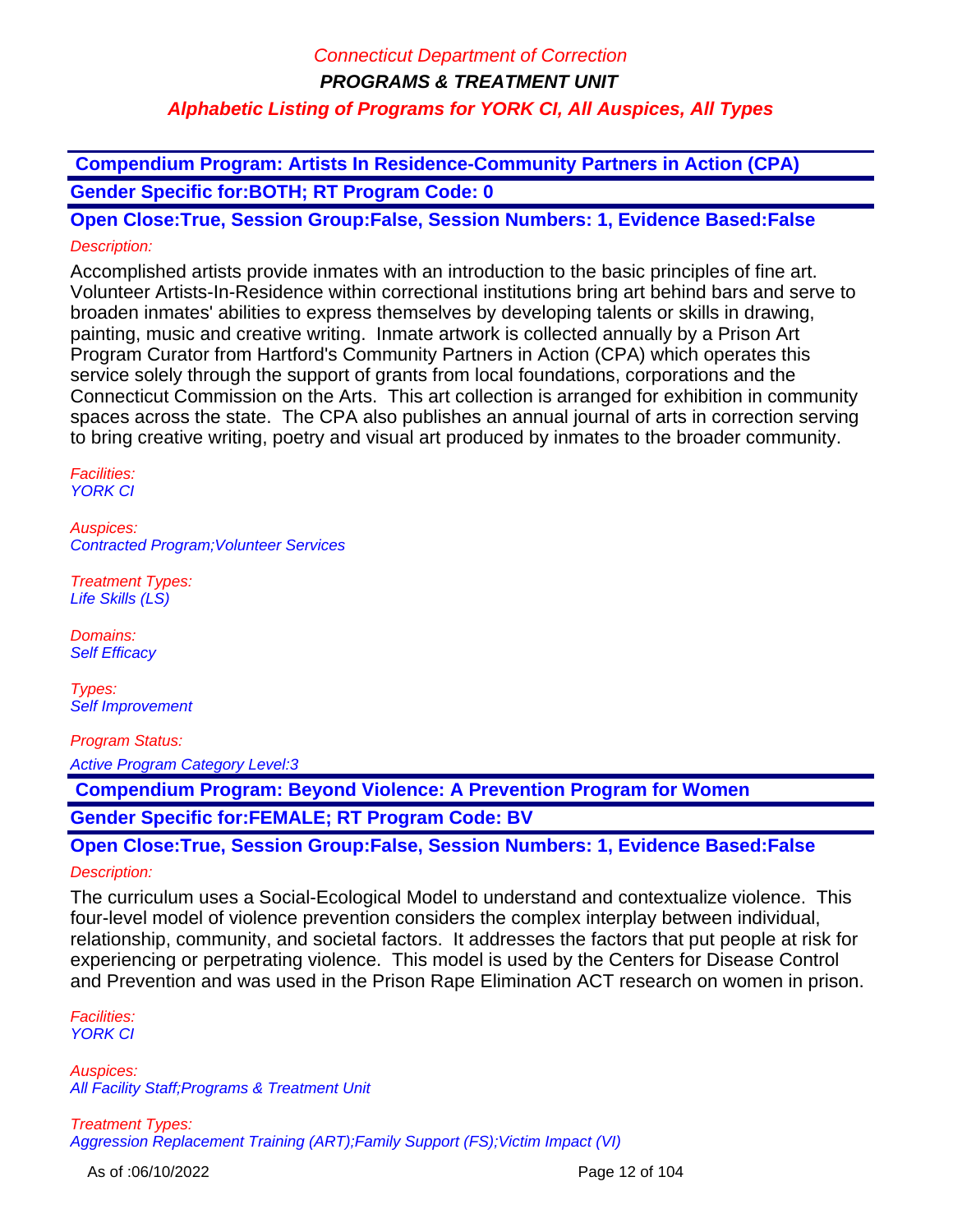**Compendium Program: Artists In Residence-Community Partners in Action (CPA) Gender Specific for:BOTH; RT Program Code: 0**

**Open Close:True, Session Group:False, Session Numbers: 1, Evidence Based:False** Description:

Accomplished artists provide inmates with an introduction to the basic principles of fine art. Volunteer Artists-In-Residence within correctional institutions bring art behind bars and serve to broaden inmates' abilities to express themselves by developing talents or skills in drawing, painting, music and creative writing. Inmate artwork is collected annually by a Prison Art Program Curator from Hartford's Community Partners in Action (CPA) which operates this service solely through the support of grants from local foundations, corporations and the Connecticut Commission on the Arts. This art collection is arranged for exhibition in community spaces across the state. The CPA also publishes an annual journal of arts in correction serving to bring creative writing, poetry and visual art produced by inmates to the broader community.

Facilities: YORK CI

Auspices: Contracted Program;Volunteer Services

Treatment Types: Life Skills (LS)

Domains: Self Efficacy

Types: Self Improvement

Program Status: Active Program Category Level:3

 **Compendium Program: Beyond Violence: A Prevention Program for Women**

**Gender Specific for:FEMALE; RT Program Code: BV**

**Open Close:True, Session Group:False, Session Numbers: 1, Evidence Based:False** Description:

The curriculum uses a Social-Ecological Model to understand and contextualize violence. This four-level model of violence prevention considers the complex interplay between individual, relationship, community, and societal factors. It addresses the factors that put people at risk for experiencing or perpetrating violence. This model is used by the Centers for Disease Control and Prevention and was used in the Prison Rape Elimination ACT research on women in prison.

Facilities: YORK CI

Auspices: All Facility Staff;Programs & Treatment Unit

Treatment Types: Aggression Replacement Training (ART);Family Support (FS);Victim Impact (VI)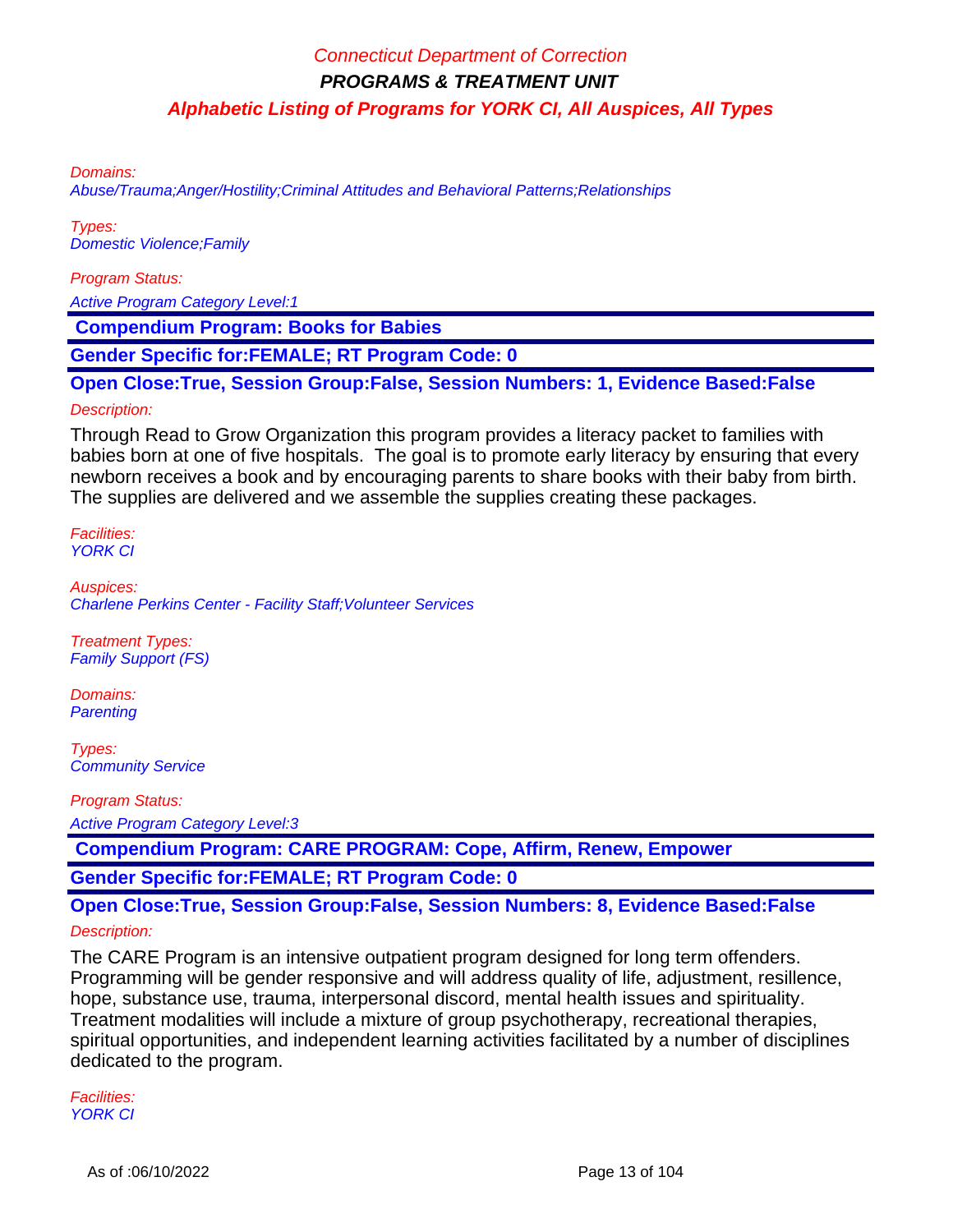Domains:

Abuse/Trauma;Anger/Hostility;Criminal Attitudes and Behavioral Patterns;Relationships

Types: Domestic Violence;Family

Program Status:

Active Program Category Level:1

 **Compendium Program: Books for Babies**

**Gender Specific for:FEMALE; RT Program Code: 0**

**Open Close:True, Session Group:False, Session Numbers: 1, Evidence Based:False**

#### Description:

Through Read to Grow Organization this program provides a literacy packet to families with babies born at one of five hospitals. The goal is to promote early literacy by ensuring that every newborn receives a book and by encouraging parents to share books with their baby from birth. The supplies are delivered and we assemble the supplies creating these packages.

Facilities: YORK CI

Auspices: Charlene Perkins Center - Facility Staff;Volunteer Services

Treatment Types: Family Support (FS)

Domains: **Parenting** 

Types: Community Service

Program Status:

Active Program Category Level:3

 **Compendium Program: CARE PROGRAM: Cope, Affirm, Renew, Empower**

**Gender Specific for:FEMALE; RT Program Code: 0**

**Open Close:True, Session Group:False, Session Numbers: 8, Evidence Based:False** Description:

The CARE Program is an intensive outpatient program designed for long term offenders. Programming will be gender responsive and will address quality of life, adjustment, resillence, hope, substance use, trauma, interpersonal discord, mental health issues and spirituality. Treatment modalities will include a mixture of group psychotherapy, recreational therapies, spiritual opportunities, and independent learning activities facilitated by a number of disciplines dedicated to the program.

Facilities: YORK CI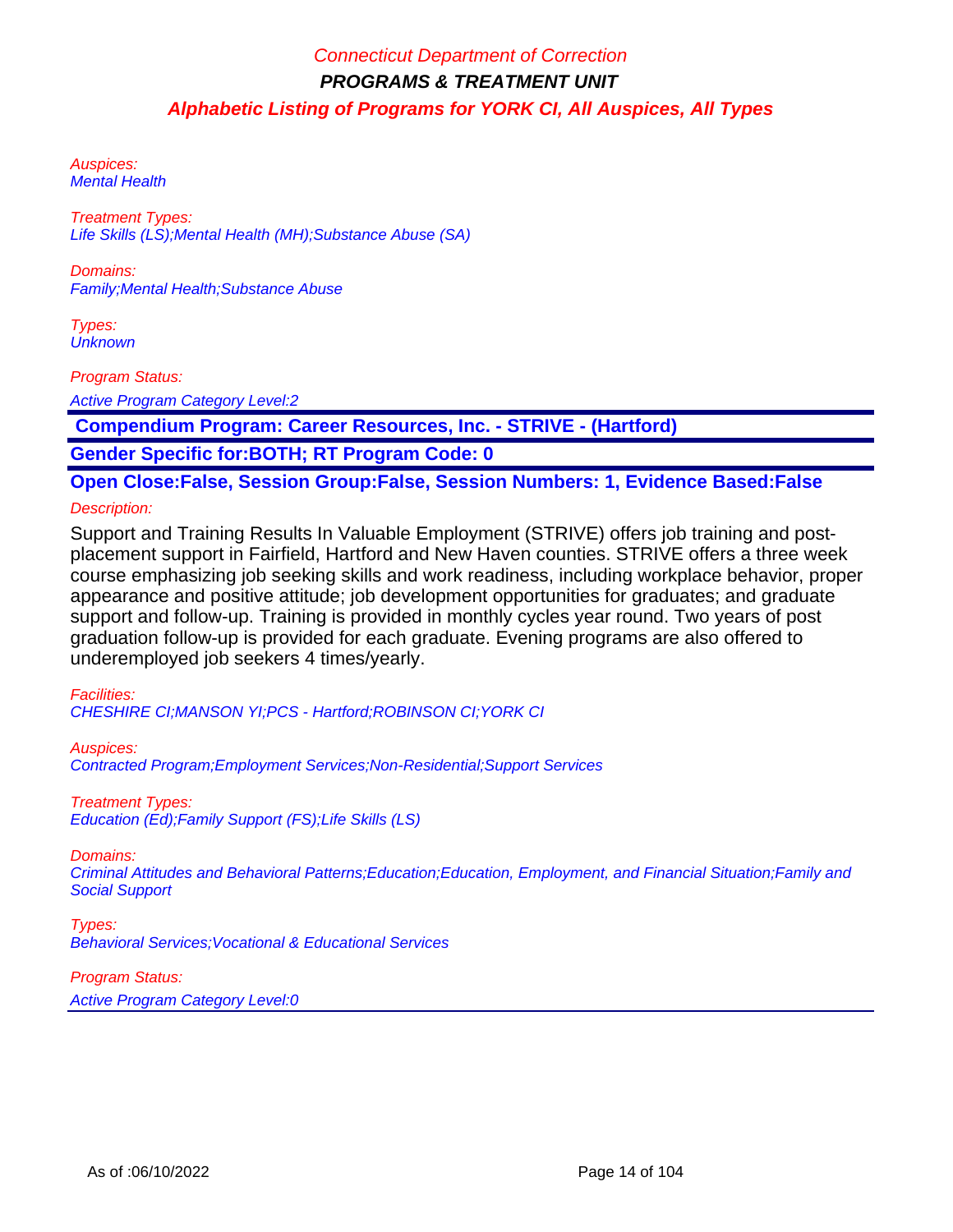Auspices: Mental Health

Treatment Types: Life Skills (LS);Mental Health (MH);Substance Abuse (SA)

Domains: Family;Mental Health;Substance Abuse

Types: **Unknown** 

Program Status:

Active Program Category Level:2

 **Compendium Program: Career Resources, Inc. - STRIVE - (Hartford)**

**Gender Specific for:BOTH; RT Program Code: 0**

**Open Close:False, Session Group:False, Session Numbers: 1, Evidence Based:False**

#### Description:

Support and Training Results In Valuable Employment (STRIVE) offers job training and postplacement support in Fairfield, Hartford and New Haven counties. STRIVE offers a three week course emphasizing job seeking skills and work readiness, including workplace behavior, proper appearance and positive attitude; job development opportunities for graduates; and graduate support and follow-up. Training is provided in monthly cycles year round. Two years of post graduation follow-up is provided for each graduate. Evening programs are also offered to underemployed job seekers 4 times/yearly.

Facilities:

CHESHIRE CI;MANSON YI;PCS - Hartford;ROBINSON CI;YORK CI

Auspices:

Contracted Program;Employment Services;Non-Residential;Support Services

Treatment Types: Education (Ed);Family Support (FS);Life Skills (LS)

#### Domains:

Criminal Attitudes and Behavioral Patterns;Education;Education, Employment, and Financial Situation;Family and Social Support

#### Types:

Behavioral Services;Vocational & Educational Services

#### Program Status:

Active Program Category Level:0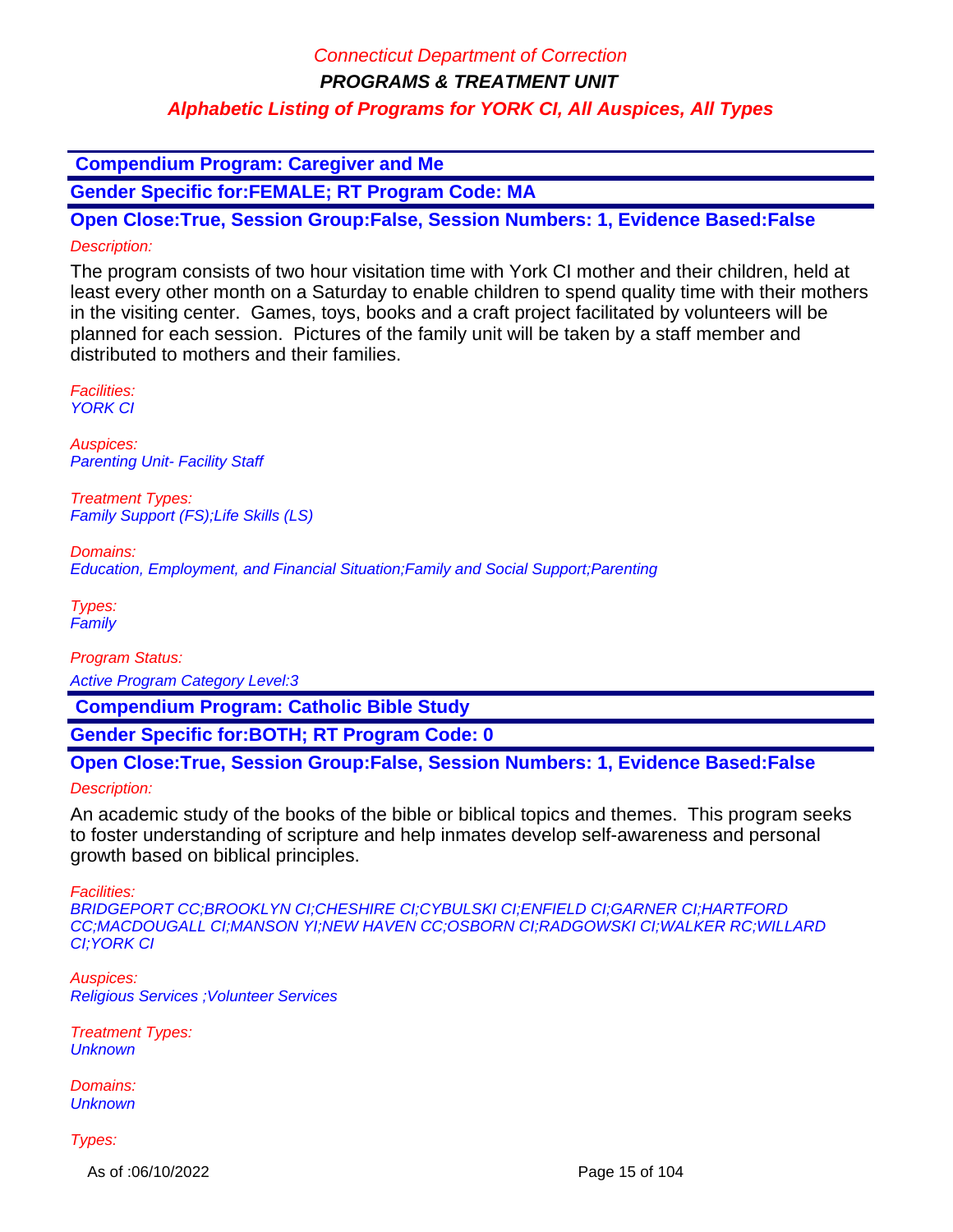## Connecticut Department of Correction

**PROGRAMS & TREATMENT UNIT**

### **Alphabetic Listing of Programs for YORK CI, All Auspices, All Types**

 **Compendium Program: Caregiver and Me**

**Gender Specific for:FEMALE; RT Program Code: MA**

**Open Close:True, Session Group:False, Session Numbers: 1, Evidence Based:False** Description:

The program consists of two hour visitation time with York CI mother and their children, held at least every other month on a Saturday to enable children to spend quality time with their mothers in the visiting center. Games, toys, books and a craft project facilitated by volunteers will be planned for each session. Pictures of the family unit will be taken by a staff member and distributed to mothers and their families.

Facilities: YORK CI

Auspices: **Parenting Unit- Facility Staff** 

Treatment Types: Family Support (FS);Life Skills (LS)

Domains: Education, Employment, and Financial Situation;Family and Social Support;Parenting

Types: **Family** 

Program Status: Active Program Category Level:3

 **Compendium Program: Catholic Bible Study**

**Gender Specific for:BOTH; RT Program Code: 0**

**Open Close:True, Session Group:False, Session Numbers: 1, Evidence Based:False**

Description:

An academic study of the books of the bible or biblical topics and themes. This program seeks to foster understanding of scripture and help inmates develop self-awareness and personal growth based on biblical principles.

Facilities:

BRIDGEPORT CC;BROOKLYN CI;CHESHIRE CI;CYBULSKI CI;ENFIELD CI;GARNER CI;HARTFORD CC;MACDOUGALL CI;MANSON YI;NEW HAVEN CC;OSBORN CI;RADGOWSKI CI;WALKER RC;WILLARD CI;YORK CI

Auspices: Religious Services ;Volunteer Services

Treatment Types: **Unknown** 

Domains: **Unknown** 

Types:

As of :06/10/2022 Page 15 of 104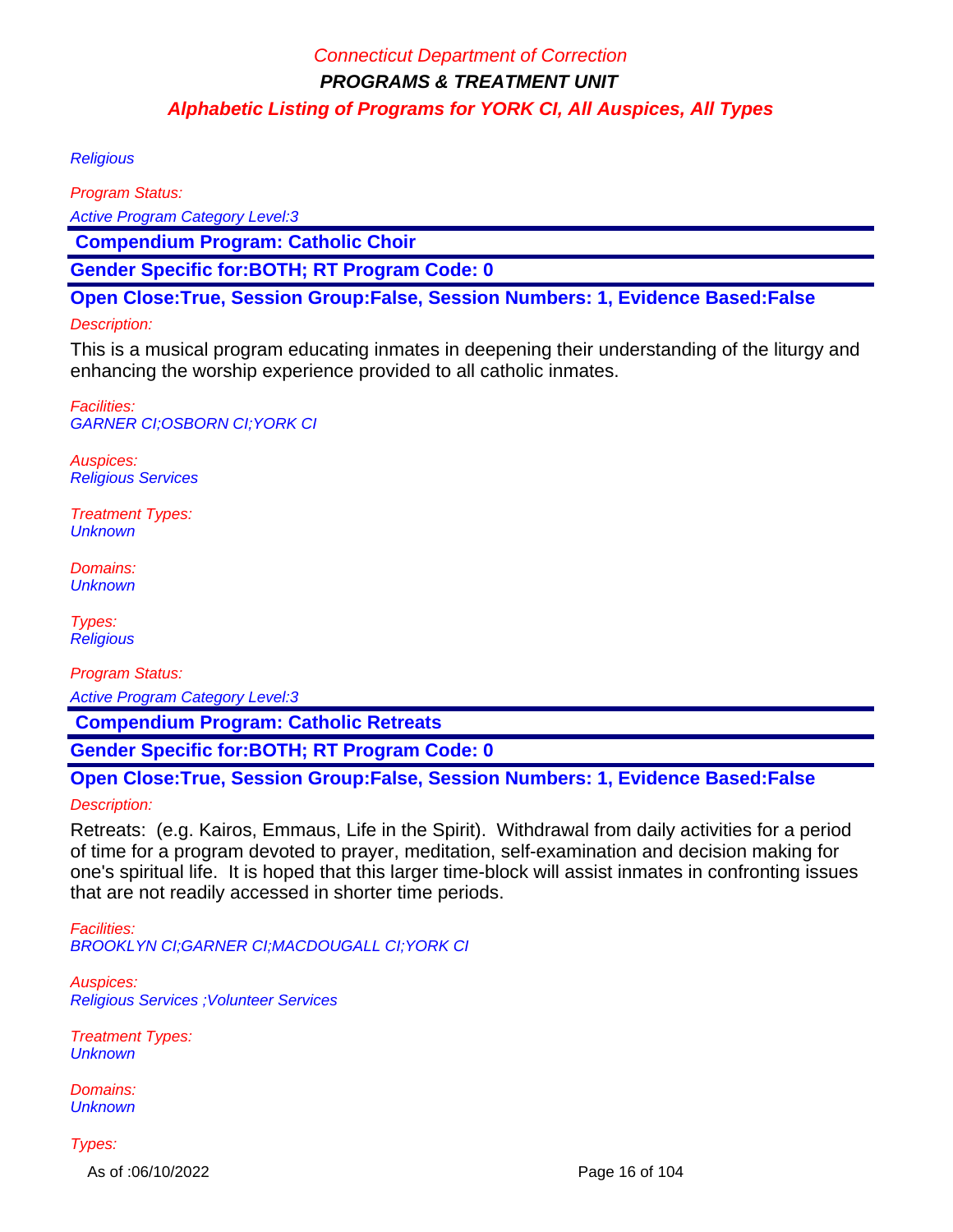#### **Religious**

Program Status: Active Program Category Level:3  **Compendium Program: Catholic Choir Gender Specific for:BOTH; RT Program Code: 0**

**Open Close:True, Session Group:False, Session Numbers: 1, Evidence Based:False**

### Description:

This is a musical program educating inmates in deepening their understanding of the liturgy and enhancing the worship experience provided to all catholic inmates.

Facilities: GARNER CI;OSBORN CI;YORK CI

Auspices: Religious Services

Treatment Types: **Unknown** 

Domains: **Unknown** 

Types: **Religious** 

Program Status:

Active Program Category Level:3

 **Compendium Program: Catholic Retreats**

**Gender Specific for:BOTH; RT Program Code: 0**

**Open Close:True, Session Group:False, Session Numbers: 1, Evidence Based:False** Description:

Retreats: (e.g. Kairos, Emmaus, Life in the Spirit). Withdrawal from daily activities for a period of time for a program devoted to prayer, meditation, self-examination and decision making for one's spiritual life. It is hoped that this larger time-block will assist inmates in confronting issues that are not readily accessed in shorter time periods.

Facilities: BROOKLYN CI;GARNER CI;MACDOUGALL CI;YORK CI

Auspices: Religious Services ;Volunteer Services

Treatment Types: **Unknown** 

Domains: **Unknown** 

Types:

As of :06/10/2022 Page 16 of 104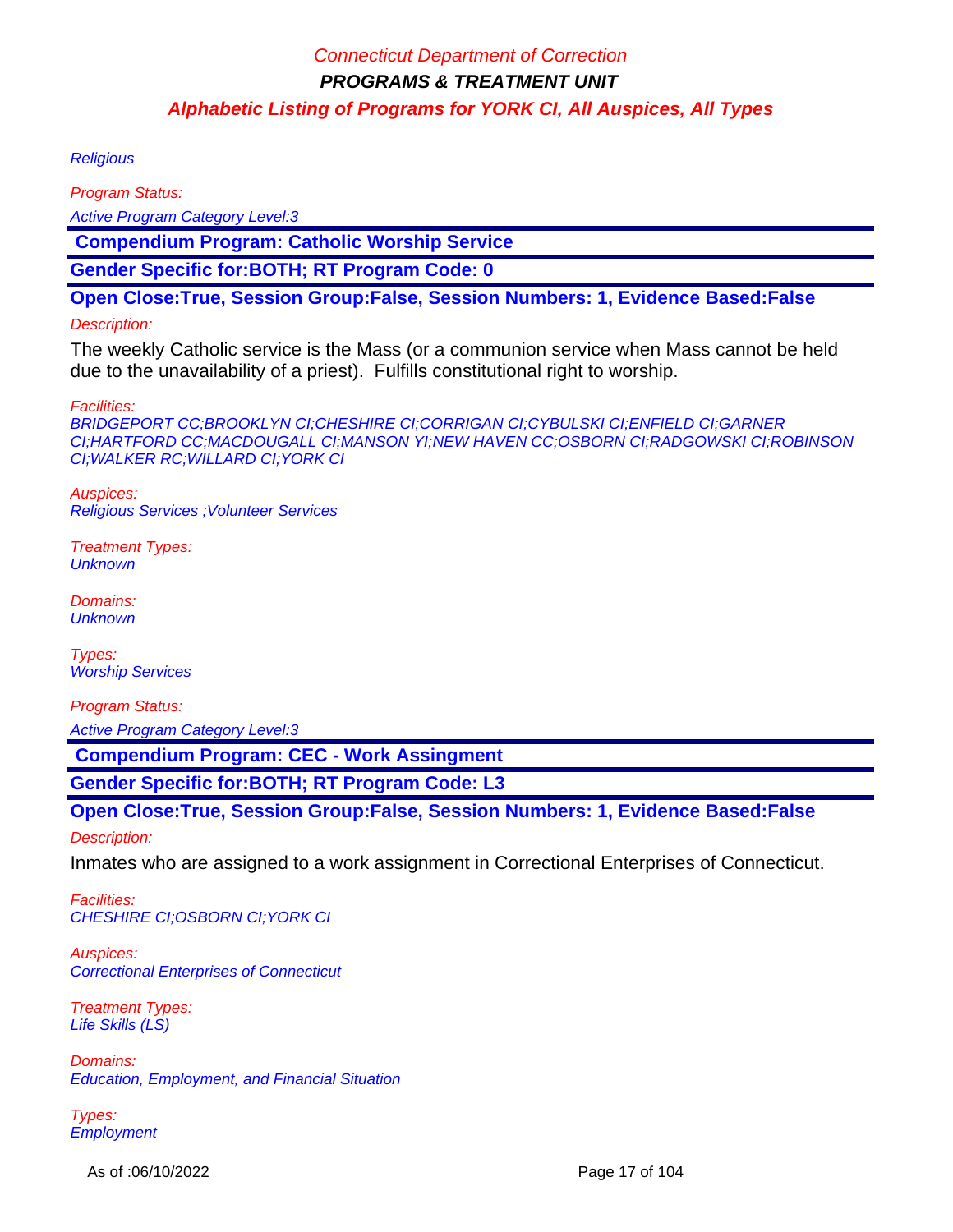#### **Religious**

Program Status:

Active Program Category Level:3

 **Compendium Program: Catholic Worship Service**

**Gender Specific for:BOTH; RT Program Code: 0**

**Open Close:True, Session Group:False, Session Numbers: 1, Evidence Based:False**

### Description:

The weekly Catholic service is the Mass (or a communion service when Mass cannot be held due to the unavailability of a priest). Fulfills constitutional right to worship.

#### Facilities:

BRIDGEPORT CC;BROOKLYN CI;CHESHIRE CI;CORRIGAN CI;CYBULSKI CI;ENFIELD CI;GARNER CI;HARTFORD CC;MACDOUGALL CI;MANSON YI;NEW HAVEN CC;OSBORN CI;RADGOWSKI CI;ROBINSON CI;WALKER RC;WILLARD CI;YORK CI

Auspices: Religious Services ;Volunteer Services

Treatment Types: **Unknown** 

Domains: **Unknown** 

Types: Worship Services

Program Status: Active Program Category Level:3

 **Compendium Program: CEC - Work Assingment**

**Gender Specific for:BOTH; RT Program Code: L3**

### **Open Close:True, Session Group:False, Session Numbers: 1, Evidence Based:False**

Description:

Inmates who are assigned to a work assignment in Correctional Enterprises of Connecticut.

Facilities: CHESHIRE CI;OSBORN CI;YORK CI

Auspices: Correctional Enterprises of Connecticut

Treatment Types: Life Skills (LS)

Domains: Education, Employment, and Financial Situation

Types: **Employment** 

As of :06/10/2022 Page 17 of 104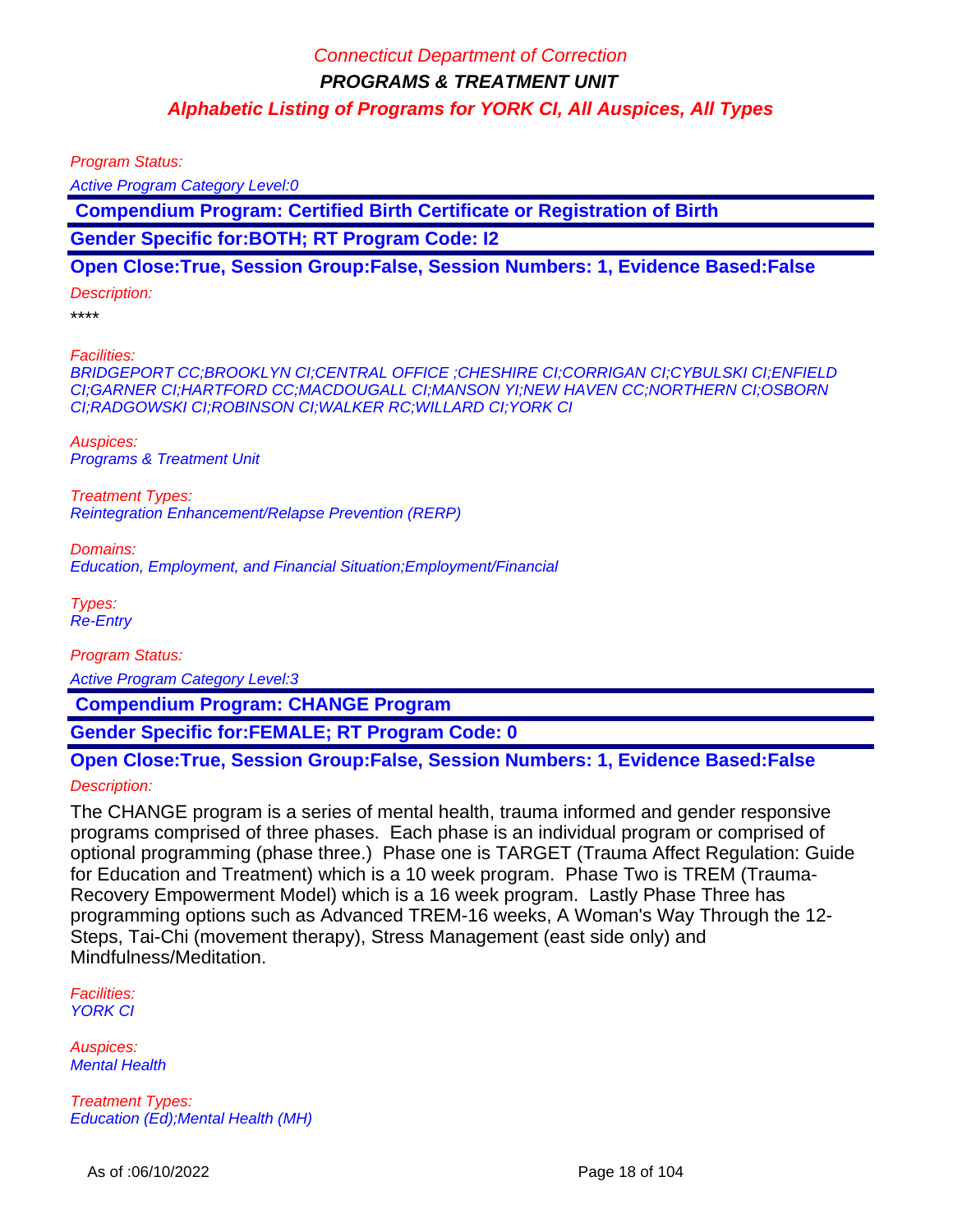Program Status:

Active Program Category Level:0

 **Compendium Program: Certified Birth Certificate or Registration of Birth**

**Gender Specific for:BOTH; RT Program Code: I2**

#### **Open Close:True, Session Group:False, Session Numbers: 1, Evidence Based:False**

#### Description:

\*\*\*\*

Facilities:

BRIDGEPORT CC;BROOKLYN CI;CENTRAL OFFICE ;CHESHIRE CI;CORRIGAN CI;CYBULSKI CI;ENFIELD CI;GARNER CI;HARTFORD CC;MACDOUGALL CI;MANSON YI;NEW HAVEN CC;NORTHERN CI;OSBORN CI;RADGOWSKI CI;ROBINSON CI;WALKER RC;WILLARD CI;YORK CI

Auspices: Programs & Treatment Unit

Treatment Types: Reintegration Enhancement/Relapse Prevention (RERP)

Domains:

Education, Employment, and Financial Situation;Employment/Financial

Types: Re-Entry

Program Status:

Active Program Category Level:3

 **Compendium Program: CHANGE Program**

**Gender Specific for:FEMALE; RT Program Code: 0**

### **Open Close:True, Session Group:False, Session Numbers: 1, Evidence Based:False**

#### Description:

The CHANGE program is a series of mental health, trauma informed and gender responsive programs comprised of three phases. Each phase is an individual program or comprised of optional programming (phase three.) Phase one is TARGET (Trauma Affect Regulation: Guide for Education and Treatment) which is a 10 week program. Phase Two is TREM (Trauma-Recovery Empowerment Model) which is a 16 week program. Lastly Phase Three has programming options such as Advanced TREM-16 weeks, A Woman's Way Through the 12- Steps, Tai-Chi (movement therapy), Stress Management (east side only) and Mindfulness/Meditation.

Facilities: YORK CI

Auspices: Mental Health

Treatment Types: Education (Ed);Mental Health (MH)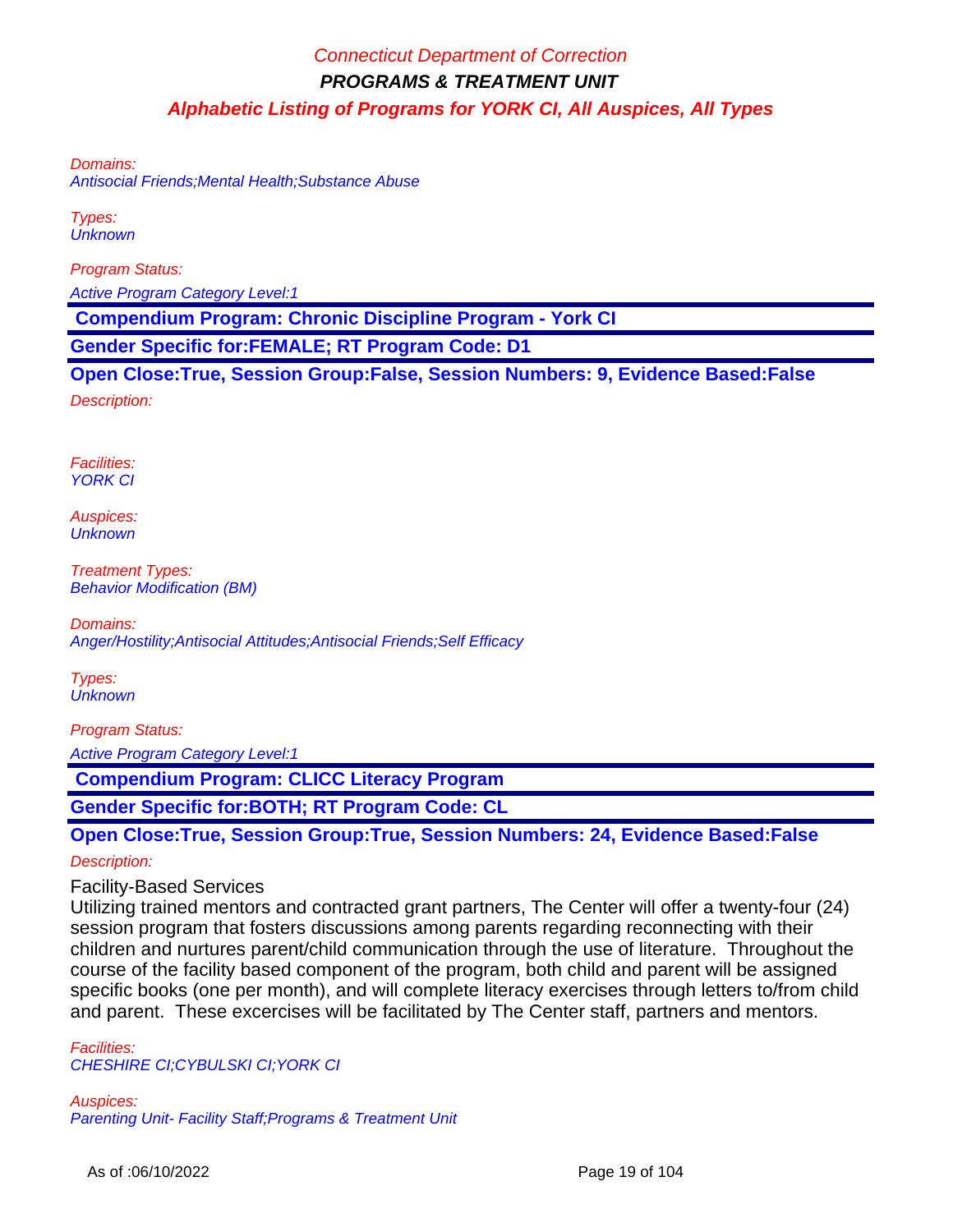Domains:

Antisocial Friends;Mental Health;Substance Abuse

Types: **Unknown** 

Program Status:

Active Program Category Level:1

 **Compendium Program: Chronic Discipline Program - York CI**

**Gender Specific for:FEMALE; RT Program Code: D1**

**Open Close:True, Session Group:False, Session Numbers: 9, Evidence Based:False**

Description:

Facilities: YORK CI

Auspices: **Unknown** 

Treatment Types: Behavior Modification (BM)

Domains: Anger/Hostility;Antisocial Attitudes;Antisocial Friends;Self Efficacy

Types: **Unknown** 

Program Status: Active Program Category Level:1

 **Compendium Program: CLICC Literacy Program**

**Gender Specific for:BOTH; RT Program Code: CL**

**Open Close:True, Session Group:True, Session Numbers: 24, Evidence Based:False**

Description:

Facility-Based Services

Utilizing trained mentors and contracted grant partners, The Center will offer a twenty-four (24) session program that fosters discussions among parents regarding reconnecting with their children and nurtures parent/child communication through the use of literature. Throughout the course of the facility based component of the program, both child and parent will be assigned specific books (one per month), and will complete literacy exercises through letters to/from child and parent. These excercises will be facilitated by The Center staff, partners and mentors.

Facilities: CHESHIRE CI;CYBULSKI CI;YORK CI

Auspices: Parenting Unit- Facility Staff;Programs & Treatment Unit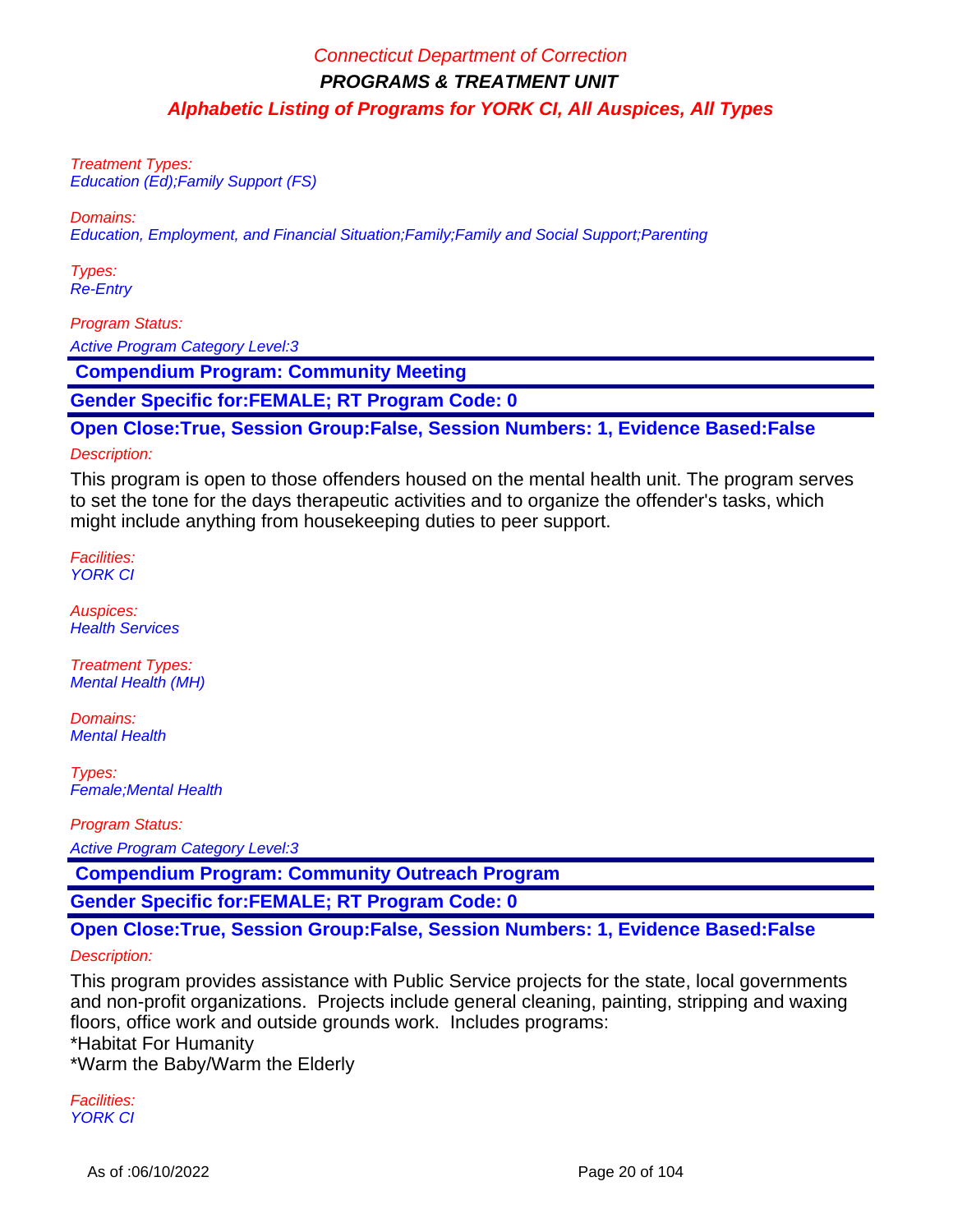Treatment Types: Education (Ed);Family Support (FS)

Domains:

Education, Employment, and Financial Situation;Family;Family and Social Support;Parenting

Types: Re-Entry

Program Status:

Active Program Category Level:3

 **Compendium Program: Community Meeting**

**Gender Specific for:FEMALE; RT Program Code: 0**

**Open Close:True, Session Group:False, Session Numbers: 1, Evidence Based:False**

#### Description:

This program is open to those offenders housed on the mental health unit. The program serves to set the tone for the days therapeutic activities and to organize the offender's tasks, which might include anything from housekeeping duties to peer support.

Facilities: YORK CI

Auspices: Health Services

Treatment Types: Mental Health (MH)

Domains: **Mental Health** 

Types: Female;Mental Health

Program Status:

Active Program Category Level:3

 **Compendium Program: Community Outreach Program**

**Gender Specific for:FEMALE; RT Program Code: 0**

**Open Close:True, Session Group:False, Session Numbers: 1, Evidence Based:False**

#### Description:

This program provides assistance with Public Service projects for the state, local governments and non-profit organizations. Projects include general cleaning, painting, stripping and waxing floors, office work and outside grounds work. Includes programs: \*Habitat For Humanity

\*Warm the Baby/Warm the Elderly

Facilities: YORK CI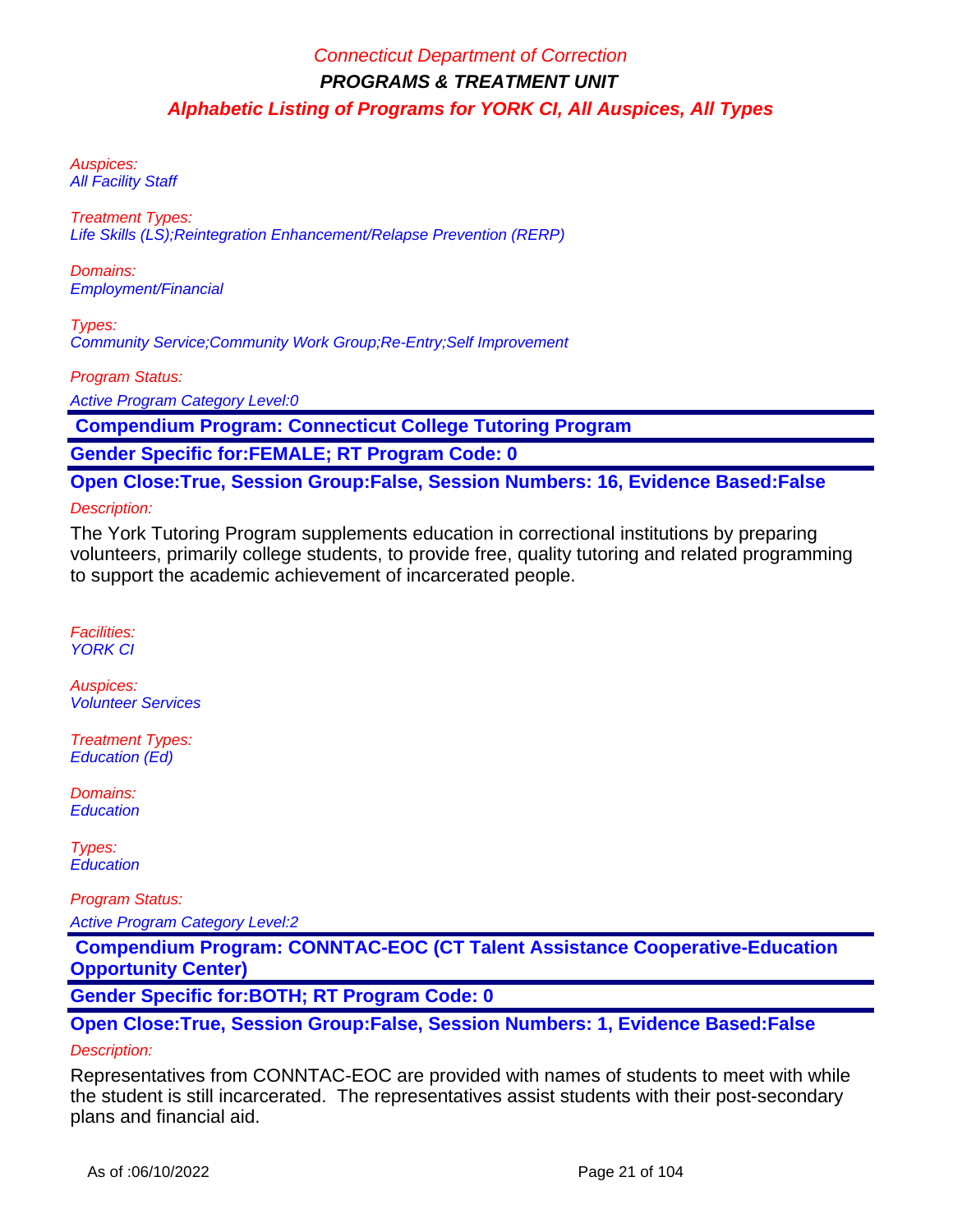Auspices: **All Facility Staff** 

Treatment Types: Life Skills (LS);Reintegration Enhancement/Relapse Prevention (RERP)

Domains: Employment/Financial

Types: Community Service;Community Work Group;Re-Entry;Self Improvement

Program Status:

Active Program Category Level:0

 **Compendium Program: Connecticut College Tutoring Program**

**Gender Specific for:FEMALE; RT Program Code: 0**

**Open Close:True, Session Group:False, Session Numbers: 16, Evidence Based:False**

### Description:

The York Tutoring Program supplements education in correctional institutions by preparing volunteers, primarily college students, to provide free, quality tutoring and related programming to support the academic achievement of incarcerated people.

Facilities: YORK CI

Auspices: Volunteer Services

Treatment Types: Education (Ed)

Domains: **Education** 

Types: **Education** 

Program Status:

Active Program Category Level:2

 **Compendium Program: CONNTAC-EOC (CT Talent Assistance Cooperative-Education Opportunity Center)**

**Gender Specific for:BOTH; RT Program Code: 0**

**Open Close:True, Session Group:False, Session Numbers: 1, Evidence Based:False**

### Description:

Representatives from CONNTAC-EOC are provided with names of students to meet with while the student is still incarcerated. The representatives assist students with their post-secondary plans and financial aid.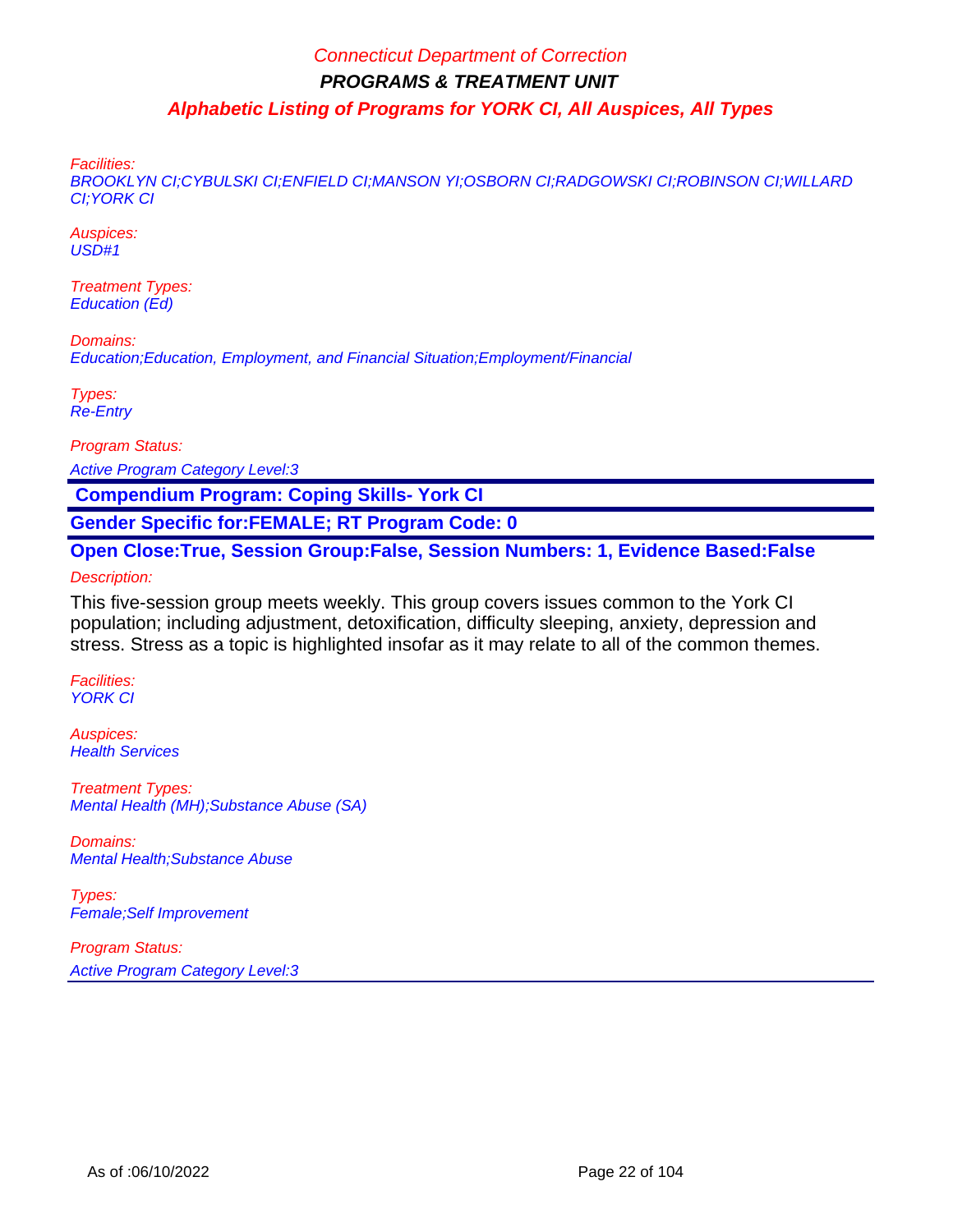Facilities:

BROOKLYN CI;CYBULSKI CI;ENFIELD CI;MANSON YI;OSBORN CI;RADGOWSKI CI;ROBINSON CI;WILLARD CI;YORK CI

Auspices: USD#1

Treatment Types: Education (Ed)

Domains: Education;Education, Employment, and Financial Situation;Employment/Financial

Types: Re-Entry

Program Status:

Active Program Category Level:3

 **Compendium Program: Coping Skills- York CI**

**Gender Specific for:FEMALE; RT Program Code: 0**

**Open Close:True, Session Group:False, Session Numbers: 1, Evidence Based:False** Description:

This five-session group meets weekly. This group covers issues common to the York CI population; including adjustment, detoxification, difficulty sleeping, anxiety, depression and stress. Stress as a topic is highlighted insofar as it may relate to all of the common themes.

Facilities: YORK CI

Auspices: **Health Services** 

Treatment Types: Mental Health (MH);Substance Abuse (SA)

Domains: Mental Health;Substance Abuse

Types: Female;Self Improvement

Program Status: Active Program Category Level:3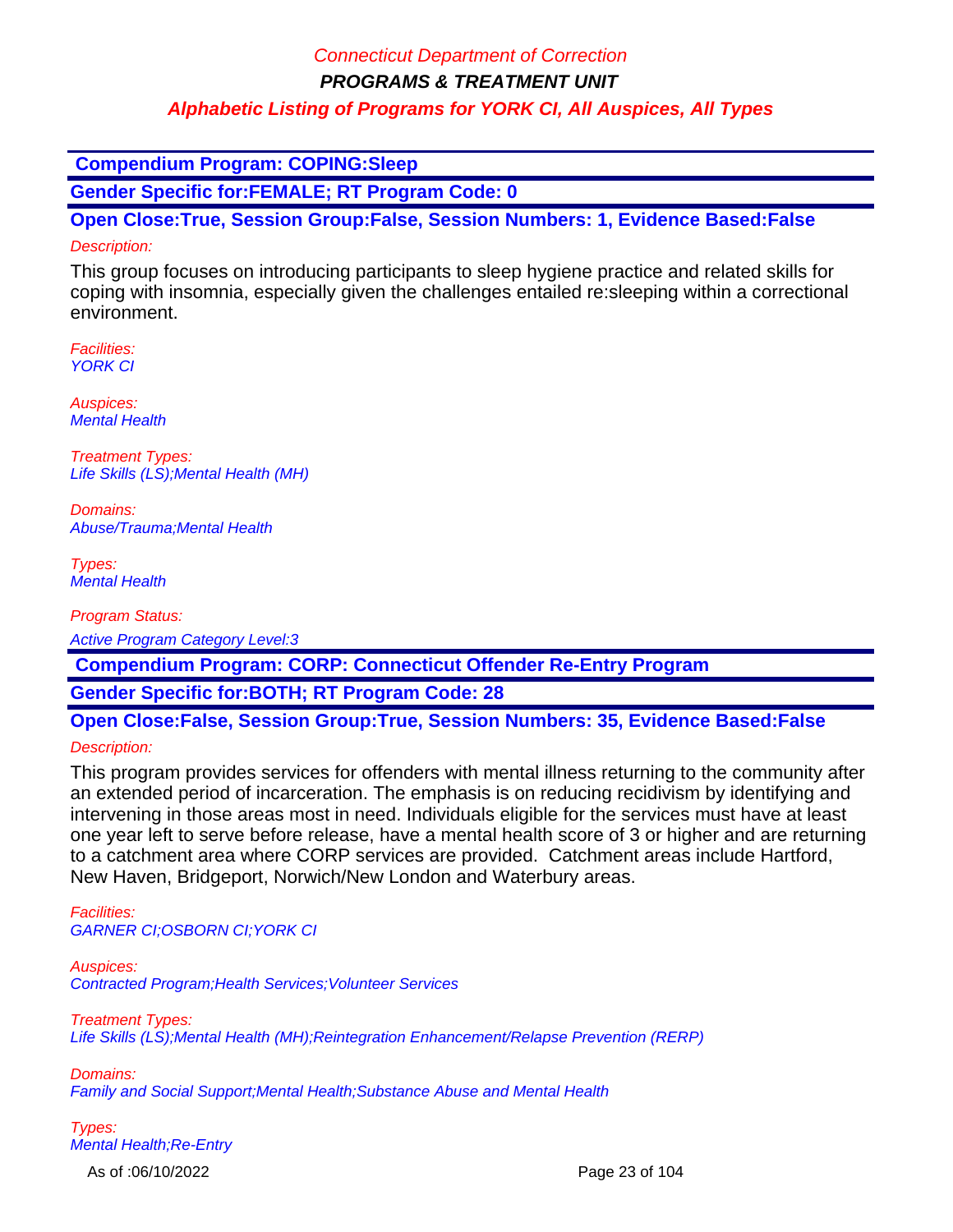## Connecticut Department of Correction

**PROGRAMS & TREATMENT UNIT**

## **Alphabetic Listing of Programs for YORK CI, All Auspices, All Types**

 **Compendium Program: COPING:Sleep**

**Gender Specific for:FEMALE; RT Program Code: 0**

**Open Close:True, Session Group:False, Session Numbers: 1, Evidence Based:False**

### Description:

This group focuses on introducing participants to sleep hygiene practice and related skills for coping with insomnia, especially given the challenges entailed re:sleeping within a correctional environment.

Facilities: YORK CI

Auspices: Mental Health

Treatment Types: Life Skills (LS);Mental Health (MH)

Domains: Abuse/Trauma;Mental Health

Types: Mental Health

Program Status:

Active Program Category Level:3

 **Compendium Program: CORP: Connecticut Offender Re-Entry Program**

**Gender Specific for:BOTH; RT Program Code: 28**

**Open Close:False, Session Group:True, Session Numbers: 35, Evidence Based:False**

Description:

This program provides services for offenders with mental illness returning to the community after an extended period of incarceration. The emphasis is on reducing recidivism by identifying and intervening in those areas most in need. Individuals eligible for the services must have at least one year left to serve before release, have a mental health score of 3 or higher and are returning to a catchment area where CORP services are provided. Catchment areas include Hartford, New Haven, Bridgeport, Norwich/New London and Waterbury areas.

Facilities: GARNER CI;OSBORN CI;YORK CI

Auspices: Contracted Program;Health Services;Volunteer Services

Treatment Types: Life Skills (LS);Mental Health (MH);Reintegration Enhancement/Relapse Prevention (RERP)

Domains: Family and Social Support;Mental Health;Substance Abuse and Mental Health

Types: Mental Health;Re-Entry

As of :06/10/2022 Page 23 of 104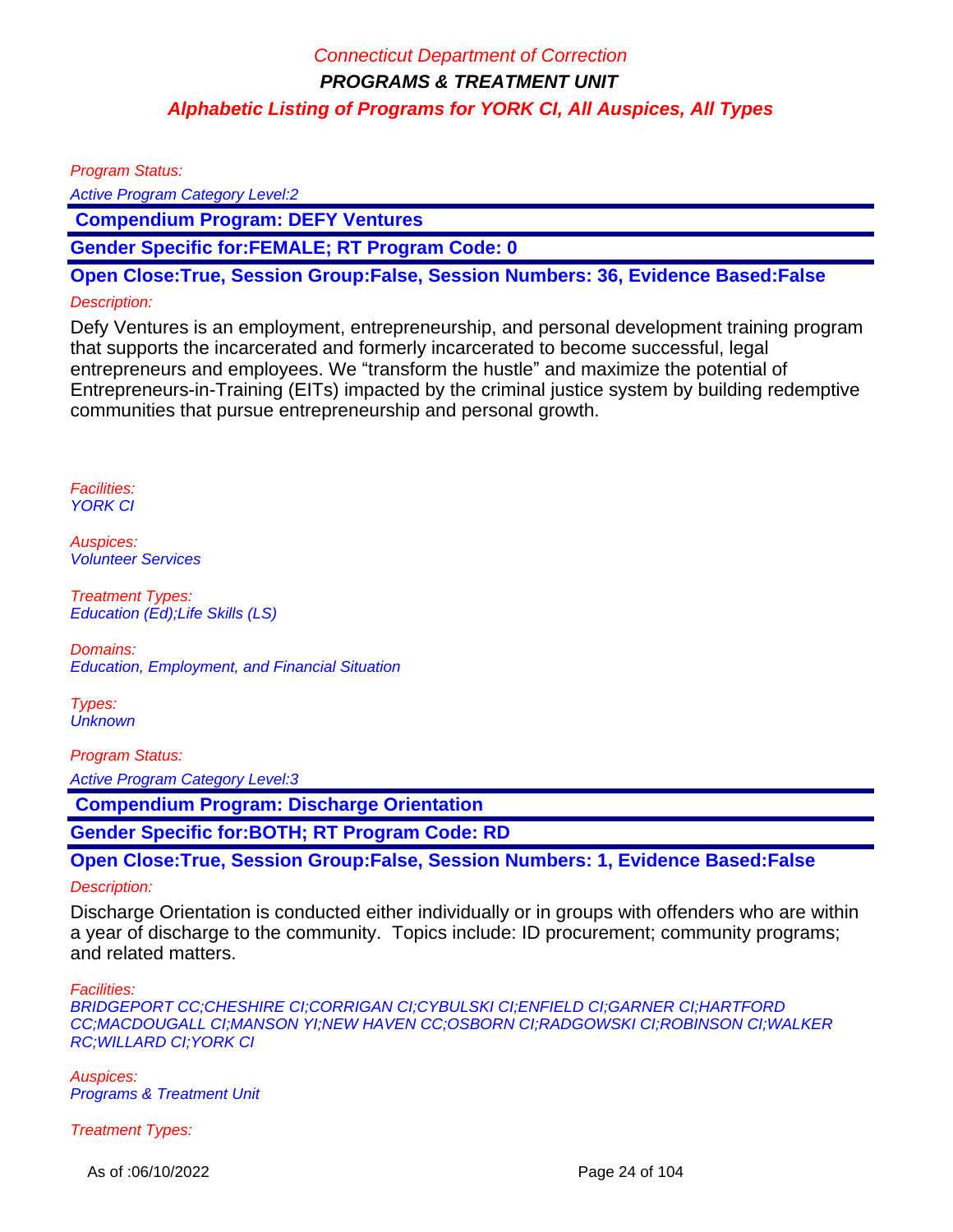Program Status:

Active Program Category Level:2

 **Compendium Program: DEFY Ventures**

**Gender Specific for:FEMALE; RT Program Code: 0**

**Open Close:True, Session Group:False, Session Numbers: 36, Evidence Based:False**

### Description:

Defy Ventures is an employment, entrepreneurship, and personal development training program that supports the incarcerated and formerly incarcerated to become successful, legal entrepreneurs and employees. We "transform the hustle" and maximize the potential of Entrepreneurs-in-Training (EITs) impacted by the criminal justice system by building redemptive communities that pursue entrepreneurship and personal growth.

Facilities: YORK CI

Auspices: Volunteer Services

Treatment Types: Education (Ed);Life Skills (LS)

Domains: Education, Employment, and Financial Situation

Types: **Unknown** 

Program Status:

Active Program Category Level:3

 **Compendium Program: Discharge Orientation**

**Gender Specific for:BOTH; RT Program Code: RD**

**Open Close:True, Session Group:False, Session Numbers: 1, Evidence Based:False**

### Description:

Discharge Orientation is conducted either individually or in groups with offenders who are within a year of discharge to the community. Topics include: ID procurement; community programs; and related matters.

Facilities:

BRIDGEPORT CC;CHESHIRE CI;CORRIGAN CI;CYBULSKI CI;ENFIELD CI;GARNER CI;HARTFORD CC;MACDOUGALL CI;MANSON YI;NEW HAVEN CC;OSBORN CI;RADGOWSKI CI;ROBINSON CI;WALKER RC;WILLARD CI;YORK CI

Auspices: Programs & Treatment Unit

Treatment Types:

As of :06/10/2022 Page 24 of 104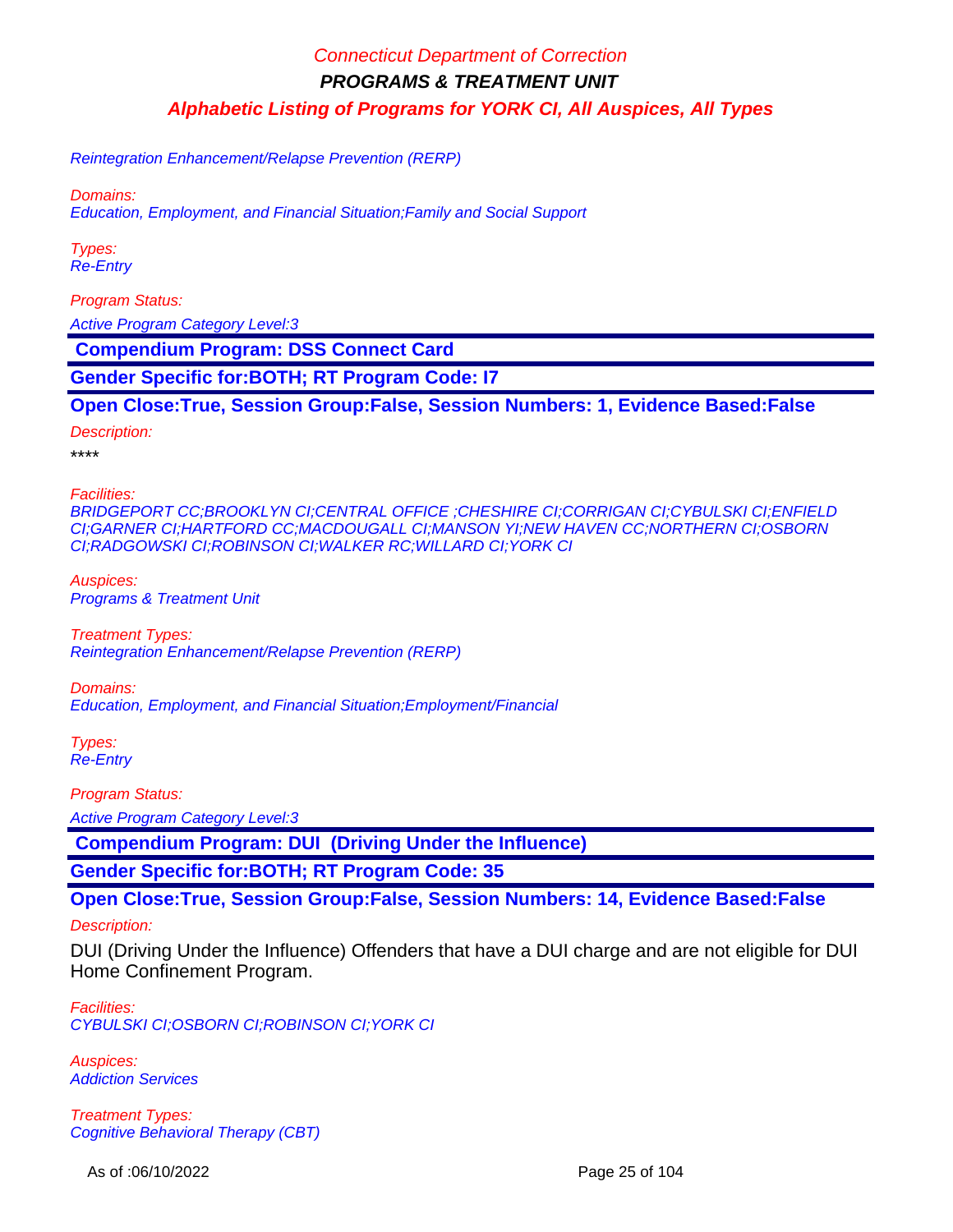Reintegration Enhancement/Relapse Prevention (RERP)

Domains:

Education, Employment, and Financial Situation;Family and Social Support

Types: Re-Entry

Program Status:

Active Program Category Level:3

 **Compendium Program: DSS Connect Card**

**Gender Specific for:BOTH; RT Program Code: I7**

**Open Close:True, Session Group:False, Session Numbers: 1, Evidence Based:False**

Description:

\*\*\*\*

Facilities:

BRIDGEPORT CC;BROOKLYN CI;CENTRAL OFFICE ;CHESHIRE CI;CORRIGAN CI;CYBULSKI CI;ENFIELD CI;GARNER CI;HARTFORD CC;MACDOUGALL CI;MANSON YI;NEW HAVEN CC;NORTHERN CI;OSBORN CI;RADGOWSKI CI;ROBINSON CI;WALKER RC;WILLARD CI;YORK CI

Auspices: Programs & Treatment Unit

Treatment Types: Reintegration Enhancement/Relapse Prevention (RERP)

Domains: Education, Employment, and Financial Situation;Employment/Financial

Types: Re-Entry

Program Status:

Active Program Category Level:3

 **Compendium Program: DUI (Driving Under the Influence)**

**Gender Specific for:BOTH; RT Program Code: 35**

**Open Close:True, Session Group:False, Session Numbers: 14, Evidence Based:False**

Description:

DUI (Driving Under the Influence) Offenders that have a DUI charge and are not eligible for DUI Home Confinement Program.

Facilities: CYBULSKI CI;OSBORN CI;ROBINSON CI;YORK CI

Auspices: Addiction Services

Treatment Types: Cognitive Behavioral Therapy (CBT)

As of :06/10/2022 Page 25 of 104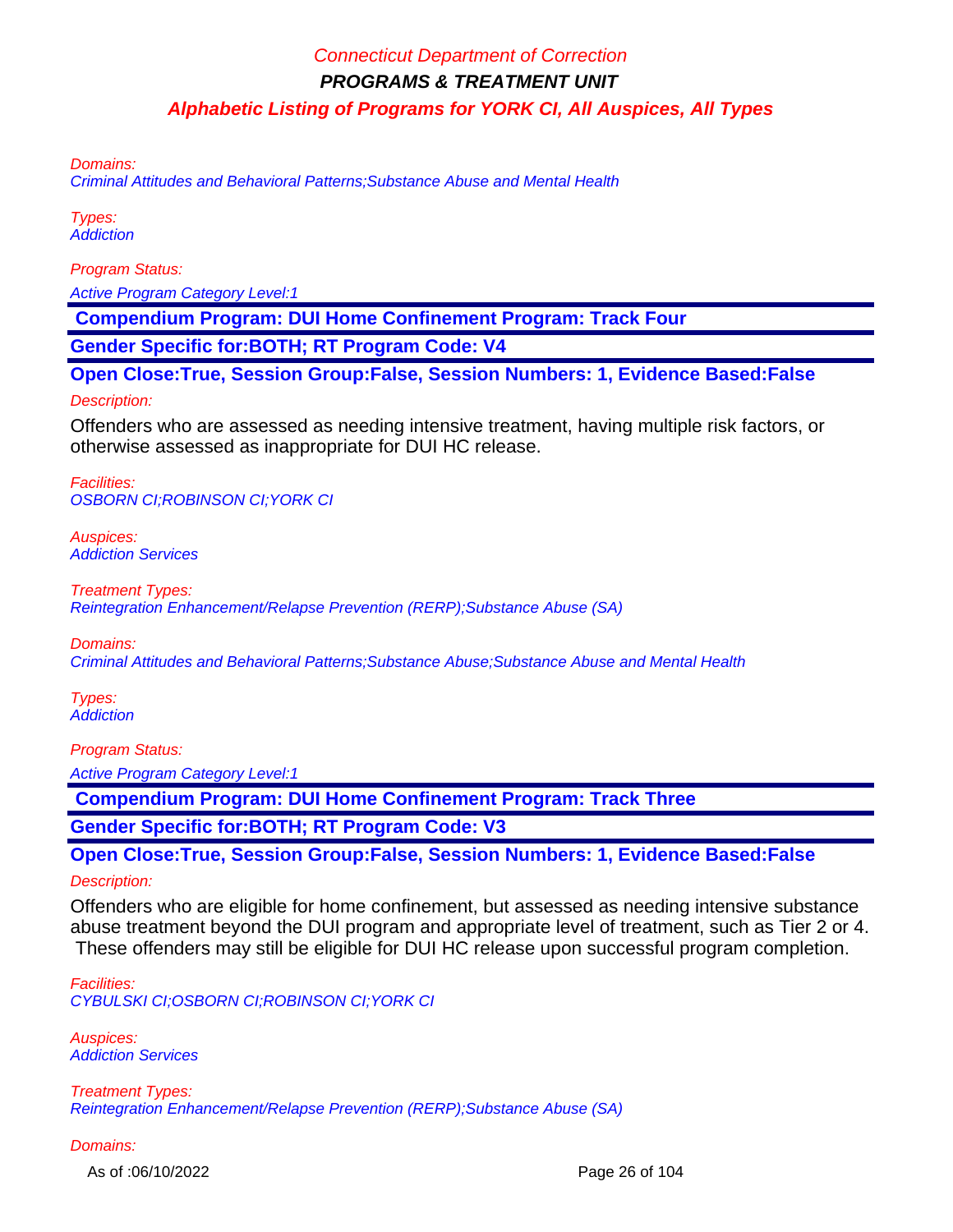Domains:

Criminal Attitudes and Behavioral Patterns;Substance Abuse and Mental Health

Types: **Addiction** 

Program Status:

Active Program Category Level:1

 **Compendium Program: DUI Home Confinement Program: Track Four**

**Gender Specific for:BOTH; RT Program Code: V4**

**Open Close:True, Session Group:False, Session Numbers: 1, Evidence Based:False**

Description:

Offenders who are assessed as needing intensive treatment, having multiple risk factors, or otherwise assessed as inappropriate for DUI HC release.

Facilities: OSBORN CI;ROBINSON CI;YORK CI

Auspices: Addiction Services

Treatment Types: Reintegration Enhancement/Relapse Prevention (RERP);Substance Abuse (SA)

Domains:

Criminal Attitudes and Behavioral Patterns;Substance Abuse;Substance Abuse and Mental Health

Types: **Addiction** 

Program Status:

Active Program Category Level:1

 **Compendium Program: DUI Home Confinement Program: Track Three**

**Gender Specific for:BOTH; RT Program Code: V3**

**Open Close:True, Session Group:False, Session Numbers: 1, Evidence Based:False**

Description:

Offenders who are eligible for home confinement, but assessed as needing intensive substance abuse treatment beyond the DUI program and appropriate level of treatment, such as Tier 2 or 4. These offenders may still be eligible for DUI HC release upon successful program completion.

Facilities: CYBULSKI CI;OSBORN CI;ROBINSON CI;YORK CI

Auspices: Addiction Services

Treatment Types: Reintegration Enhancement/Relapse Prevention (RERP);Substance Abuse (SA)

Domains:

As of :06/10/2022 Page 26 of 104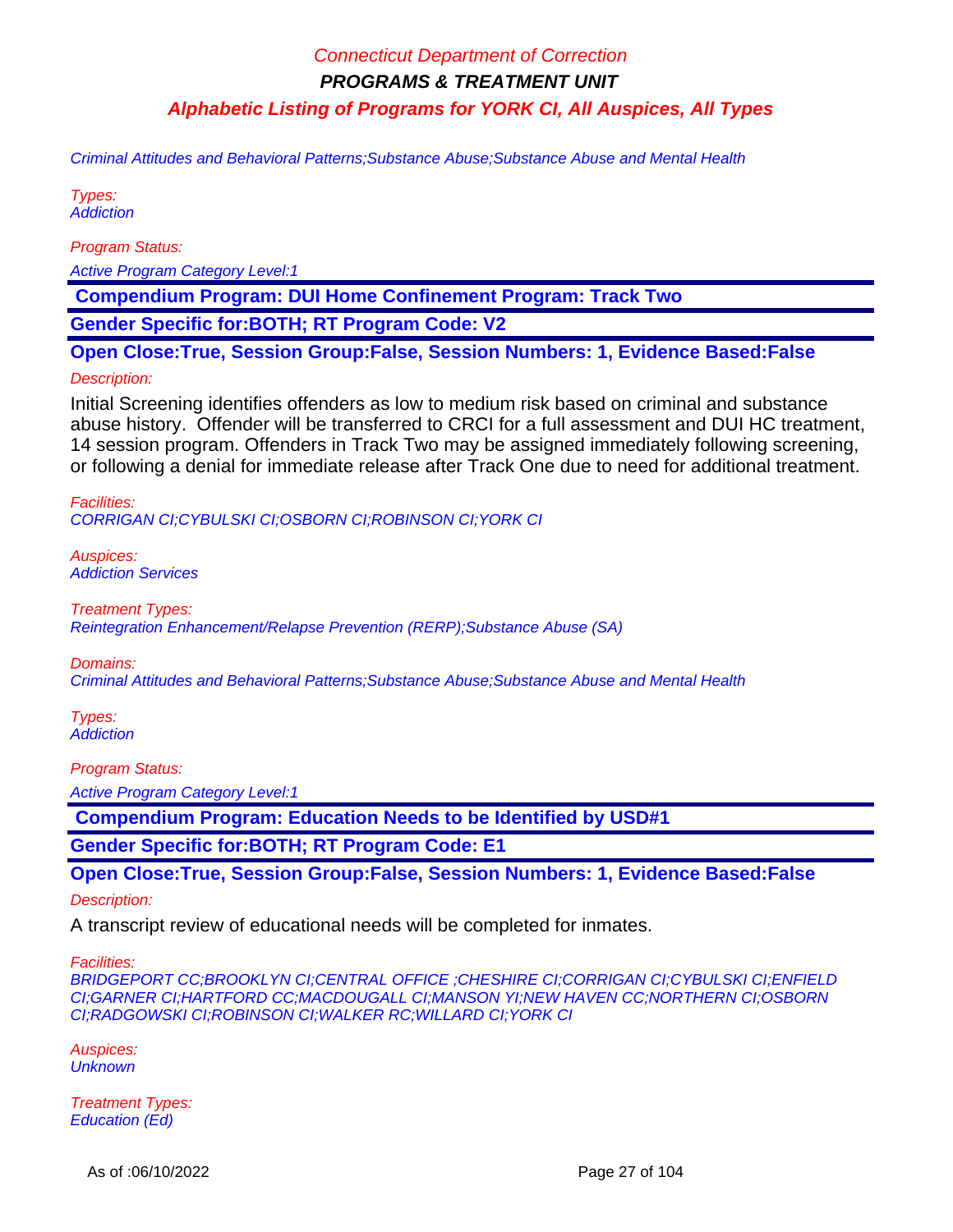Criminal Attitudes and Behavioral Patterns;Substance Abuse;Substance Abuse and Mental Health

Types: **Addiction** 

Program Status:

Active Program Category Level:1

 **Compendium Program: DUI Home Confinement Program: Track Two**

**Gender Specific for:BOTH; RT Program Code: V2**

**Open Close:True, Session Group:False, Session Numbers: 1, Evidence Based:False**

#### Description:

Initial Screening identifies offenders as low to medium risk based on criminal and substance abuse history. Offender will be transferred to CRCI for a full assessment and DUI HC treatment, 14 session program. Offenders in Track Two may be assigned immediately following screening, or following a denial for immediate release after Track One due to need for additional treatment.

Facilities: CORRIGAN CI;CYBULSKI CI;OSBORN CI;ROBINSON CI;YORK CI

Auspices: Addiction Services

Treatment Types: Reintegration Enhancement/Relapse Prevention (RERP);Substance Abuse (SA)

Domains:

Criminal Attitudes and Behavioral Patterns;Substance Abuse;Substance Abuse and Mental Health

Types: **Addiction** 

Program Status:

Active Program Category Level:1

 **Compendium Program: Education Needs to be Identified by USD#1**

**Gender Specific for:BOTH; RT Program Code: E1**

**Open Close:True, Session Group:False, Session Numbers: 1, Evidence Based:False**

Description:

A transcript review of educational needs will be completed for inmates.

Facilities:

BRIDGEPORT CC;BROOKLYN CI;CENTRAL OFFICE ;CHESHIRE CI;CORRIGAN CI;CYBULSKI CI;ENFIELD CI;GARNER CI;HARTFORD CC;MACDOUGALL CI;MANSON YI;NEW HAVEN CC;NORTHERN CI;OSBORN CI;RADGOWSKI CI;ROBINSON CI;WALKER RC;WILLARD CI;YORK CI

Auspices: **Unknown** 

Treatment Types: Education (Ed)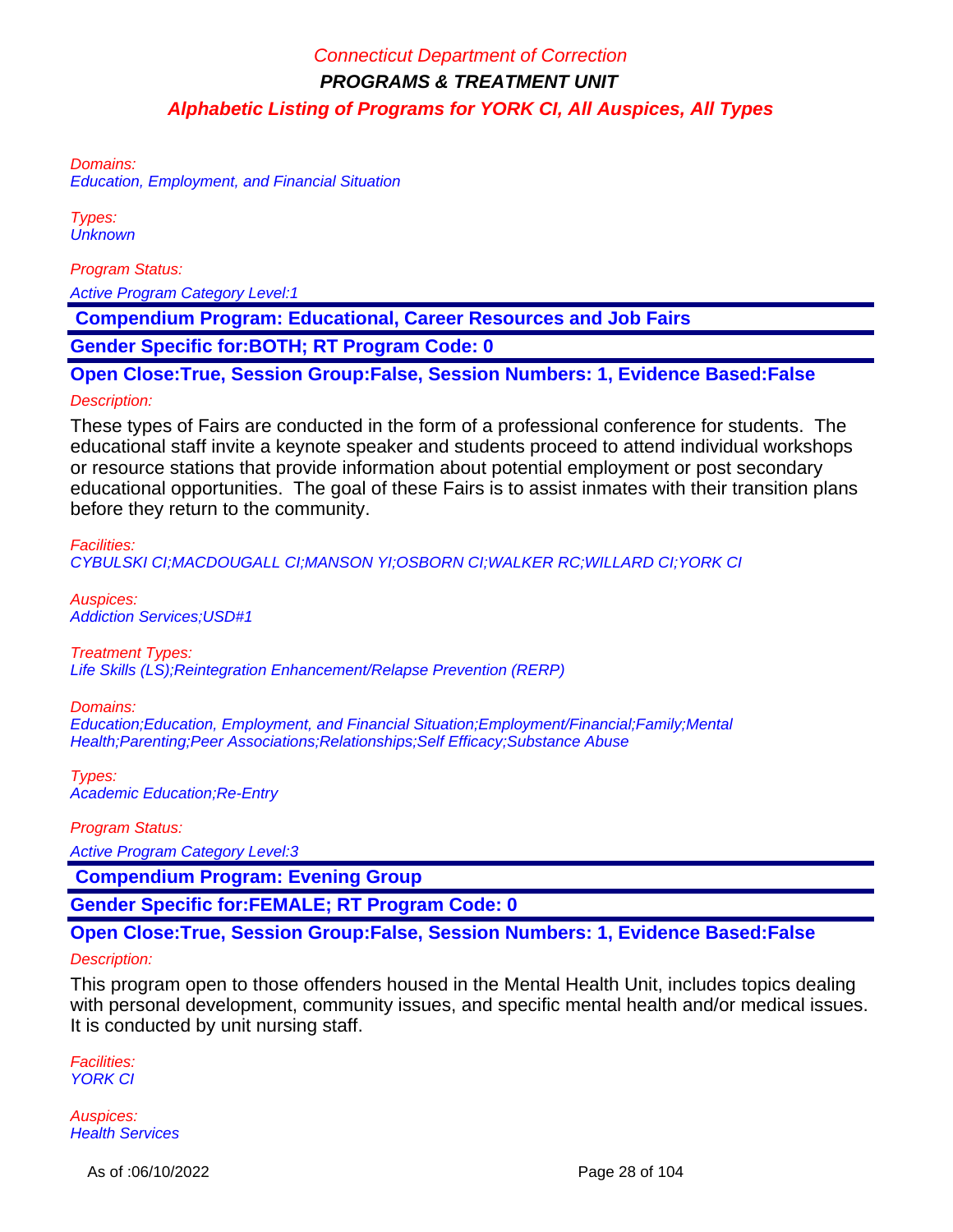Domains:

Education, Employment, and Financial Situation

Types: **Unknown** 

Program Status:

Active Program Category Level:1

 **Compendium Program: Educational, Career Resources and Job Fairs**

**Gender Specific for:BOTH; RT Program Code: 0**

**Open Close:True, Session Group:False, Session Numbers: 1, Evidence Based:False**

#### Description:

These types of Fairs are conducted in the form of a professional conference for students. The educational staff invite a keynote speaker and students proceed to attend individual workshops or resource stations that provide information about potential employment or post secondary educational opportunities. The goal of these Fairs is to assist inmates with their transition plans before they return to the community.

#### Facilities:

CYBULSKI CI;MACDOUGALL CI;MANSON YI;OSBORN CI;WALKER RC;WILLARD CI;YORK CI

Auspices: Addiction Services;USD#1

Treatment Types: Life Skills (LS);Reintegration Enhancement/Relapse Prevention (RERP)

#### Domains:

Education;Education, Employment, and Financial Situation;Employment/Financial;Family;Mental Health;Parenting;Peer Associations;Relationships;Self Efficacy;Substance Abuse

Types: Academic Education;Re-Entry

Program Status:

Active Program Category Level:3

 **Compendium Program: Evening Group**

**Gender Specific for:FEMALE; RT Program Code: 0**

**Open Close:True, Session Group:False, Session Numbers: 1, Evidence Based:False**

#### Description:

This program open to those offenders housed in the Mental Health Unit, includes topics dealing with personal development, community issues, and specific mental health and/or medical issues. It is conducted by unit nursing staff.

Facilities: YORK CI

Auspices: **Health Services**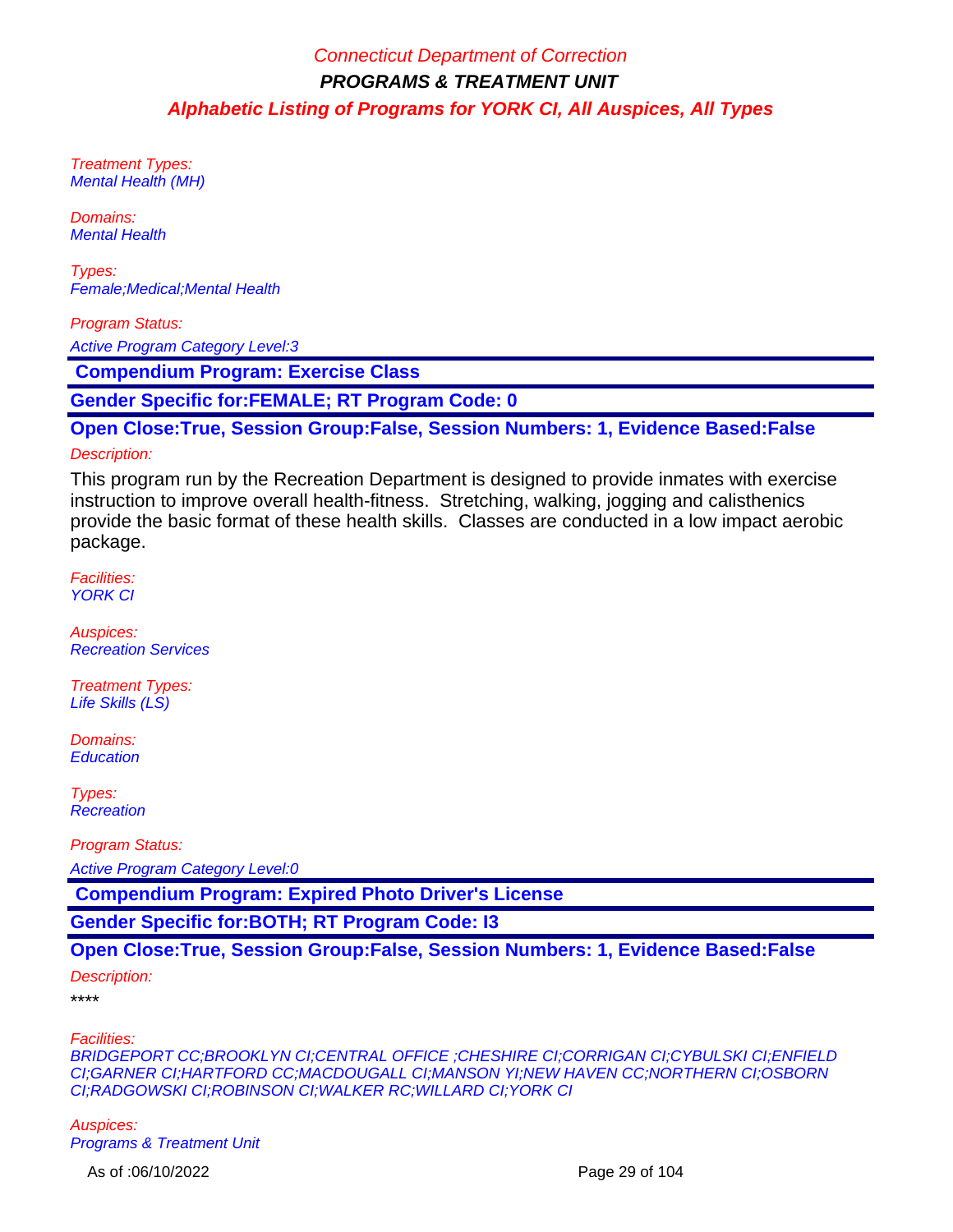Treatment Types: Mental Health (MH)

Domains: Mental Health

Types: Female;Medical;Mental Health

Program Status:

Active Program Category Level:3

 **Compendium Program: Exercise Class**

**Gender Specific for:FEMALE; RT Program Code: 0**

**Open Close:True, Session Group:False, Session Numbers: 1, Evidence Based:False**

#### Description:

This program run by the Recreation Department is designed to provide inmates with exercise instruction to improve overall health-fitness. Stretching, walking, jogging and calisthenics provide the basic format of these health skills. Classes are conducted in a low impact aerobic package.

Facilities: YORK CI

Auspices: Recreation Services

Treatment Types: Life Skills (LS)

Domains: **Education** 

Types: **Recreation** 

Program Status:

Active Program Category Level:0

 **Compendium Program: Expired Photo Driver's License**

**Gender Specific for:BOTH; RT Program Code: I3**

### **Open Close:True, Session Group:False, Session Numbers: 1, Evidence Based:False**

Description:

\*\*\*\*

#### Facilities:

BRIDGEPORT CC;BROOKLYN CI;CENTRAL OFFICE ;CHESHIRE CI;CORRIGAN CI;CYBULSKI CI;ENFIELD CI;GARNER CI;HARTFORD CC;MACDOUGALL CI;MANSON YI;NEW HAVEN CC;NORTHERN CI;OSBORN CI;RADGOWSKI CI;ROBINSON CI;WALKER RC;WILLARD CI;YORK CI

Auspices: Programs & Treatment Unit

As of :06/10/2022 Page 29 of 104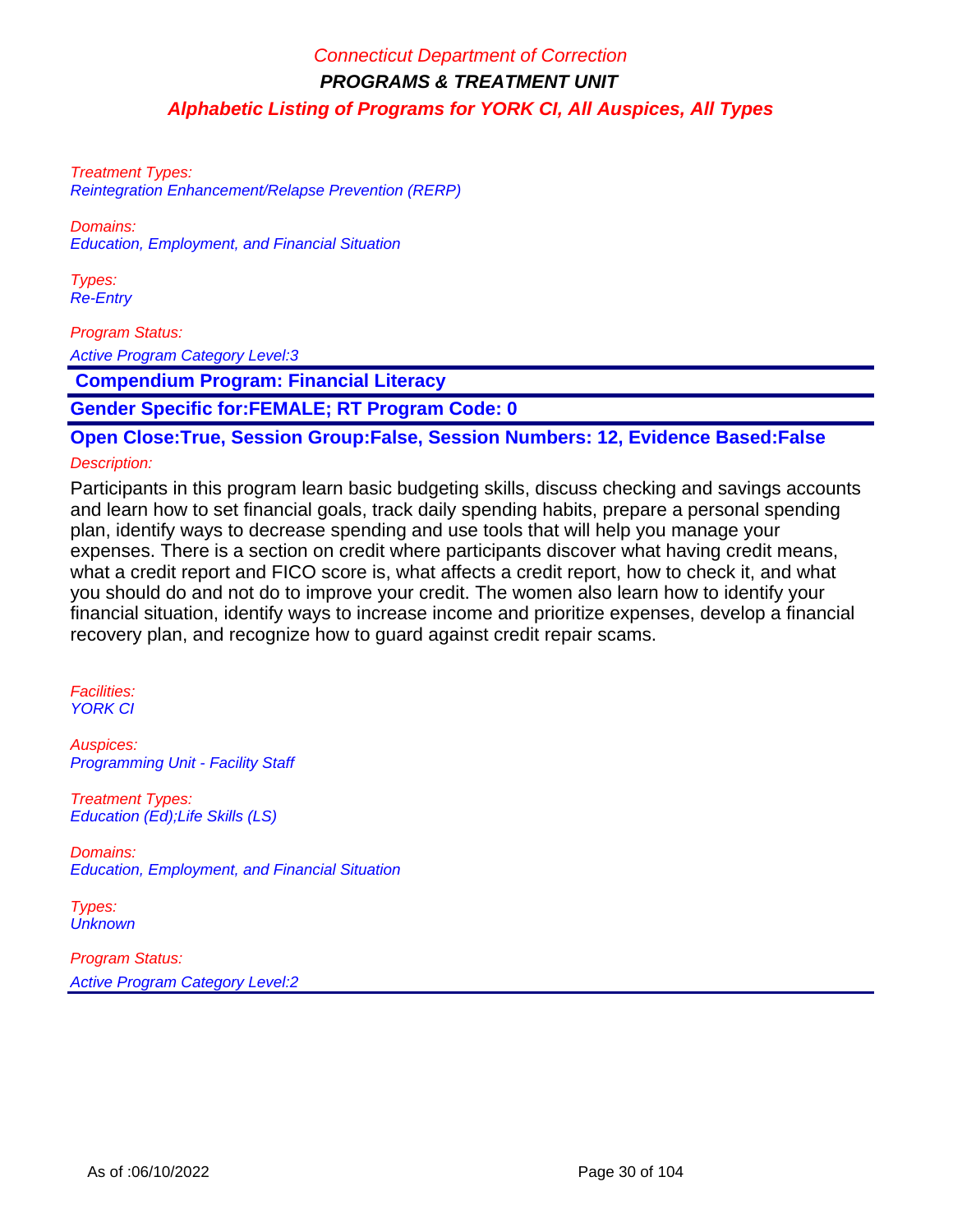Treatment Types: Reintegration Enhancement/Relapse Prevention (RERP)

Domains: Education, Employment, and Financial Situation

Types: Re-Entry

Program Status:

Active Program Category Level:3

 **Compendium Program: Financial Literacy**

**Gender Specific for:FEMALE; RT Program Code: 0**

**Open Close:True, Session Group:False, Session Numbers: 12, Evidence Based:False**

### Description:

Participants in this program learn basic budgeting skills, discuss checking and savings accounts and learn how to set financial goals, track daily spending habits, prepare a personal spending plan, identify ways to decrease spending and use tools that will help you manage your expenses. There is a section on credit where participants discover what having credit means, what a credit report and FICO score is, what affects a credit report, how to check it, and what you should do and not do to improve your credit. The women also learn how to identify your financial situation, identify ways to increase income and prioritize expenses, develop a financial recovery plan, and recognize how to guard against credit repair scams.

Facilities: YORK CI

Auspices: Programming Unit - Facility Staff

Treatment Types: Education (Ed);Life Skills (LS)

Domains: Education, Employment, and Financial Situation

Types: **Unknown** 

Program Status: Active Program Category Level:2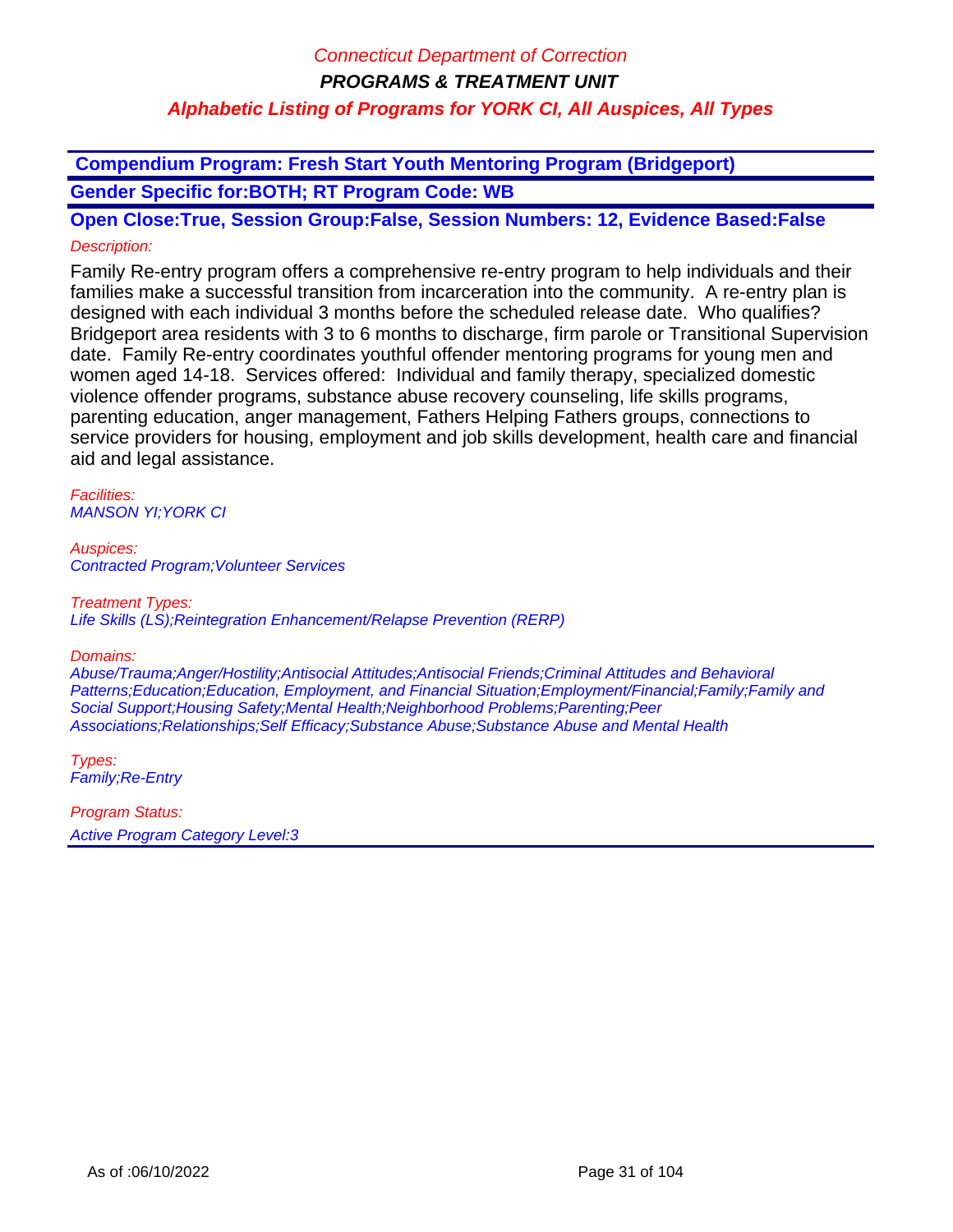**Compendium Program: Fresh Start Youth Mentoring Program (Bridgeport) Gender Specific for:BOTH; RT Program Code: WB**

**Open Close:True, Session Group:False, Session Numbers: 12, Evidence Based:False** Description:

Family Re-entry program offers a comprehensive re-entry program to help individuals and their families make a successful transition from incarceration into the community. A re-entry plan is designed with each individual 3 months before the scheduled release date. Who qualifies? Bridgeport area residents with 3 to 6 months to discharge, firm parole or Transitional Supervision date. Family Re-entry coordinates youthful offender mentoring programs for young men and women aged 14-18. Services offered: Individual and family therapy, specialized domestic violence offender programs, substance abuse recovery counseling, life skills programs, parenting education, anger management, Fathers Helping Fathers groups, connections to service providers for housing, employment and job skills development, health care and financial aid and legal assistance.

Facilities: MANSON YI;YORK CI

Auspices: Contracted Program;Volunteer Services

### Treatment Types:

Life Skills (LS);Reintegration Enhancement/Relapse Prevention (RERP)

#### Domains:

Abuse/Trauma;Anger/Hostility;Antisocial Attitudes;Antisocial Friends;Criminal Attitudes and Behavioral Patterns;Education;Education, Employment, and Financial Situation;Employment/Financial;Family;Family and Social Support;Housing Safety;Mental Health;Neighborhood Problems;Parenting;Peer Associations;Relationships;Self Efficacy;Substance Abuse;Substance Abuse and Mental Health

Types: Family;Re-Entry

Program Status: Active Program Category Level:3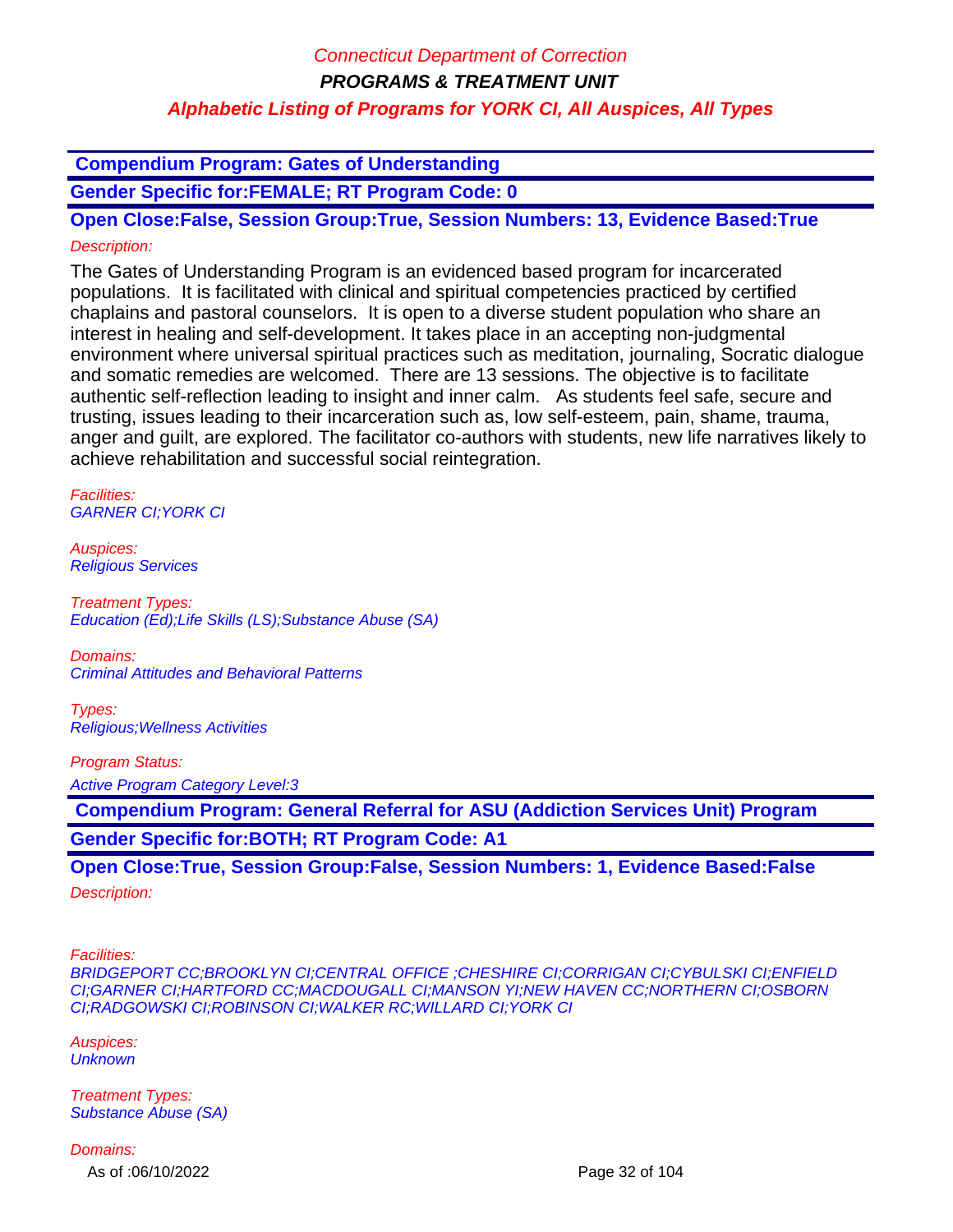**Compendium Program: Gates of Understanding**

**Gender Specific for:FEMALE; RT Program Code: 0**

**Open Close:False, Session Group:True, Session Numbers: 13, Evidence Based:True** Description:

The Gates of Understanding Program is an evidenced based program for incarcerated populations. It is facilitated with clinical and spiritual competencies practiced by certified chaplains and pastoral counselors. It is open to a diverse student population who share an interest in healing and self-development. It takes place in an accepting non-judgmental environment where universal spiritual practices such as meditation, journaling, Socratic dialogue and somatic remedies are welcomed. There are 13 sessions. The objective is to facilitate authentic self-reflection leading to insight and inner calm. As students feel safe, secure and trusting, issues leading to their incarceration such as, low self-esteem, pain, shame, trauma, anger and guilt, are explored. The facilitator co-authors with students, new life narratives likely to achieve rehabilitation and successful social reintegration.

Facilities: GARNER CI;YORK CI

Auspices: Religious Services

Treatment Types: Education (Ed);Life Skills (LS);Substance Abuse (SA)

Domains: Criminal Attitudes and Behavioral Patterns

Types: Religious;Wellness Activities

Program Status:

Active Program Category Level:3

 **Compendium Program: General Referral for ASU (Addiction Services Unit) Program Gender Specific for:BOTH; RT Program Code: A1**

**Open Close:True, Session Group:False, Session Numbers: 1, Evidence Based:False**

Description:

Facilities:

BRIDGEPORT CC;BROOKLYN CI;CENTRAL OFFICE ;CHESHIRE CI;CORRIGAN CI;CYBULSKI CI;ENFIELD CI;GARNER CI;HARTFORD CC;MACDOUGALL CI;MANSON YI;NEW HAVEN CC;NORTHERN CI;OSBORN CI;RADGOWSKI CI;ROBINSON CI;WALKER RC;WILLARD CI;YORK CI

Auspices: **Unknown** 

Treatment Types: Substance Abuse (SA)

Domains:

As of :06/10/2022 Page 32 of 104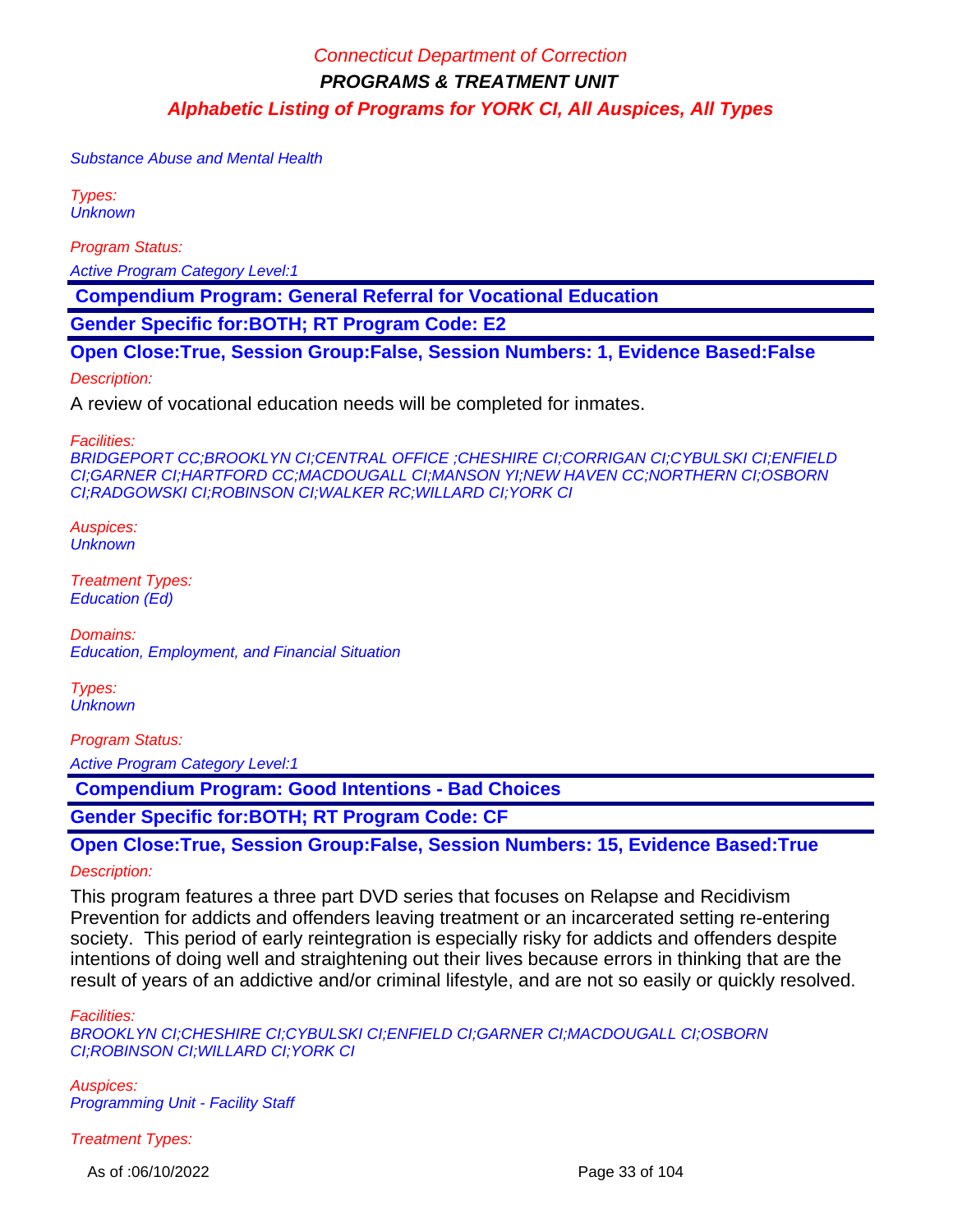Substance Abuse and Mental Health

Types: **Unknown** 

Program Status:

Active Program Category Level:1

 **Compendium Program: General Referral for Vocational Education**

**Gender Specific for:BOTH; RT Program Code: E2**

**Open Close:True, Session Group:False, Session Numbers: 1, Evidence Based:False**

Description:

A review of vocational education needs will be completed for inmates.

Facilities:

BRIDGEPORT CC;BROOKLYN CI;CENTRAL OFFICE ;CHESHIRE CI;CORRIGAN CI;CYBULSKI CI;ENFIELD CI;GARNER CI;HARTFORD CC;MACDOUGALL CI;MANSON YI;NEW HAVEN CC;NORTHERN CI;OSBORN CI;RADGOWSKI CI;ROBINSON CI;WALKER RC;WILLARD CI;YORK CI

Auspices: **Unknown** 

Treatment Types: Education (Ed)

Domains: Education, Employment, and Financial Situation

Types: **Unknown** 

Program Status:

Active Program Category Level:1

 **Compendium Program: Good Intentions - Bad Choices**

**Gender Specific for:BOTH; RT Program Code: CF**

**Open Close:True, Session Group:False, Session Numbers: 15, Evidence Based:True** Description:

This program features a three part DVD series that focuses on Relapse and Recidivism Prevention for addicts and offenders leaving treatment or an incarcerated setting re-entering society. This period of early reintegration is especially risky for addicts and offenders despite intentions of doing well and straightening out their lives because errors in thinking that are the result of years of an addictive and/or criminal lifestyle, and are not so easily or quickly resolved.

#### Facilities:

BROOKLYN CI;CHESHIRE CI;CYBULSKI CI;ENFIELD CI;GARNER CI;MACDOUGALL CI;OSBORN CI;ROBINSON CI;WILLARD CI;YORK CI

Auspices: Programming Unit - Facility Staff

Treatment Types:

As of :06/10/2022 Page 33 of 104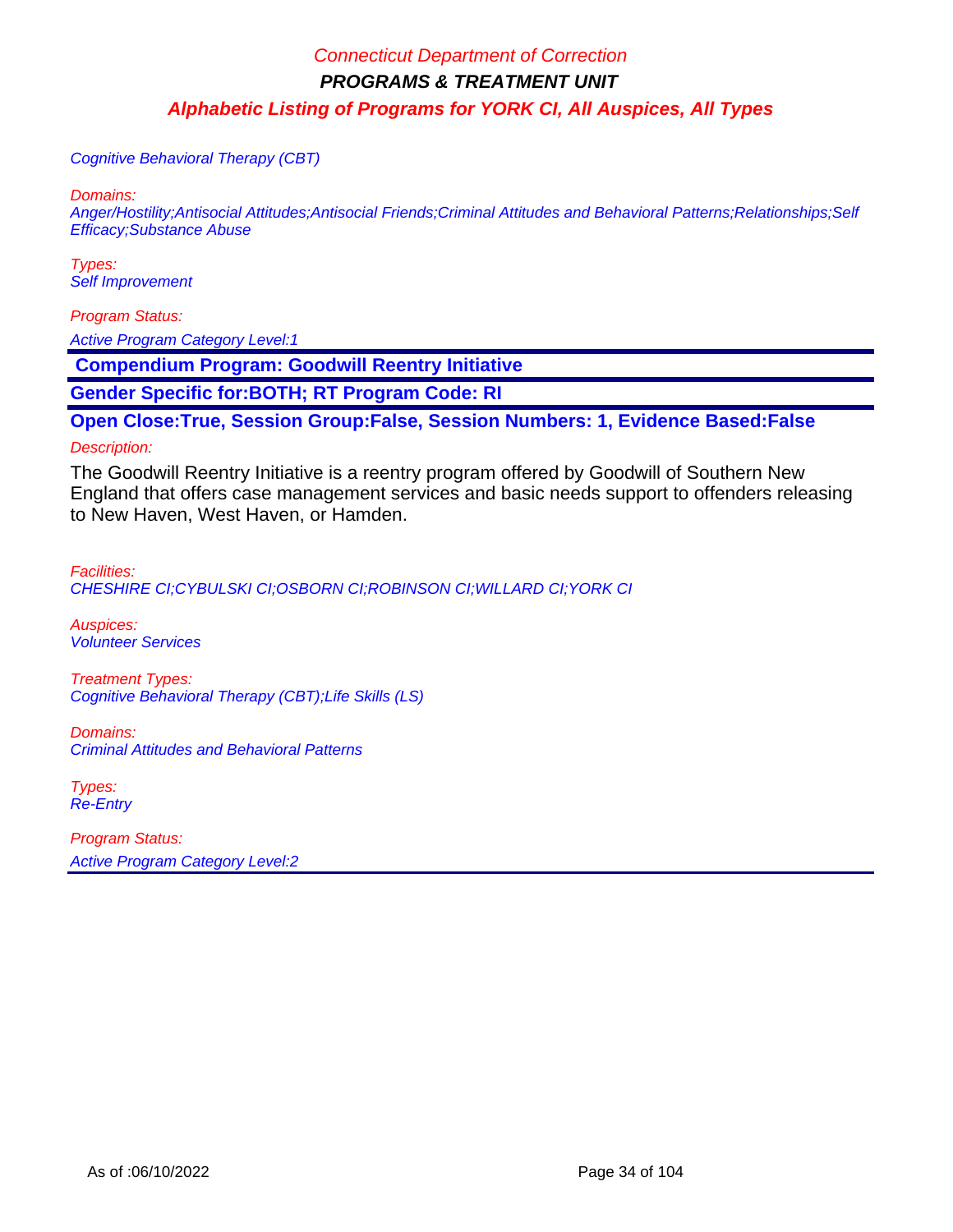Cognitive Behavioral Therapy (CBT)

Domains:

Anger/Hostility;Antisocial Attitudes;Antisocial Friends;Criminal Attitudes and Behavioral Patterns;Relationships;Self Efficacy;Substance Abuse

Types: Self Improvement

Program Status: Active Program Category Level:1

 **Compendium Program: Goodwill Reentry Initiative**

**Gender Specific for:BOTH; RT Program Code: RI**

**Open Close:True, Session Group:False, Session Numbers: 1, Evidence Based:False**

#### Description:

The Goodwill Reentry Initiative is a reentry program offered by Goodwill of Southern New England that offers case management services and basic needs support to offenders releasing to New Haven, West Haven, or Hamden.

Facilities: CHESHIRE CI;CYBULSKI CI;OSBORN CI;ROBINSON CI;WILLARD CI;YORK CI

Auspices: Volunteer Services

Treatment Types: Cognitive Behavioral Therapy (CBT);Life Skills (LS)

Domains: Criminal Attitudes and Behavioral Patterns

Types: Re-Entry

Program Status: Active Program Category Level:2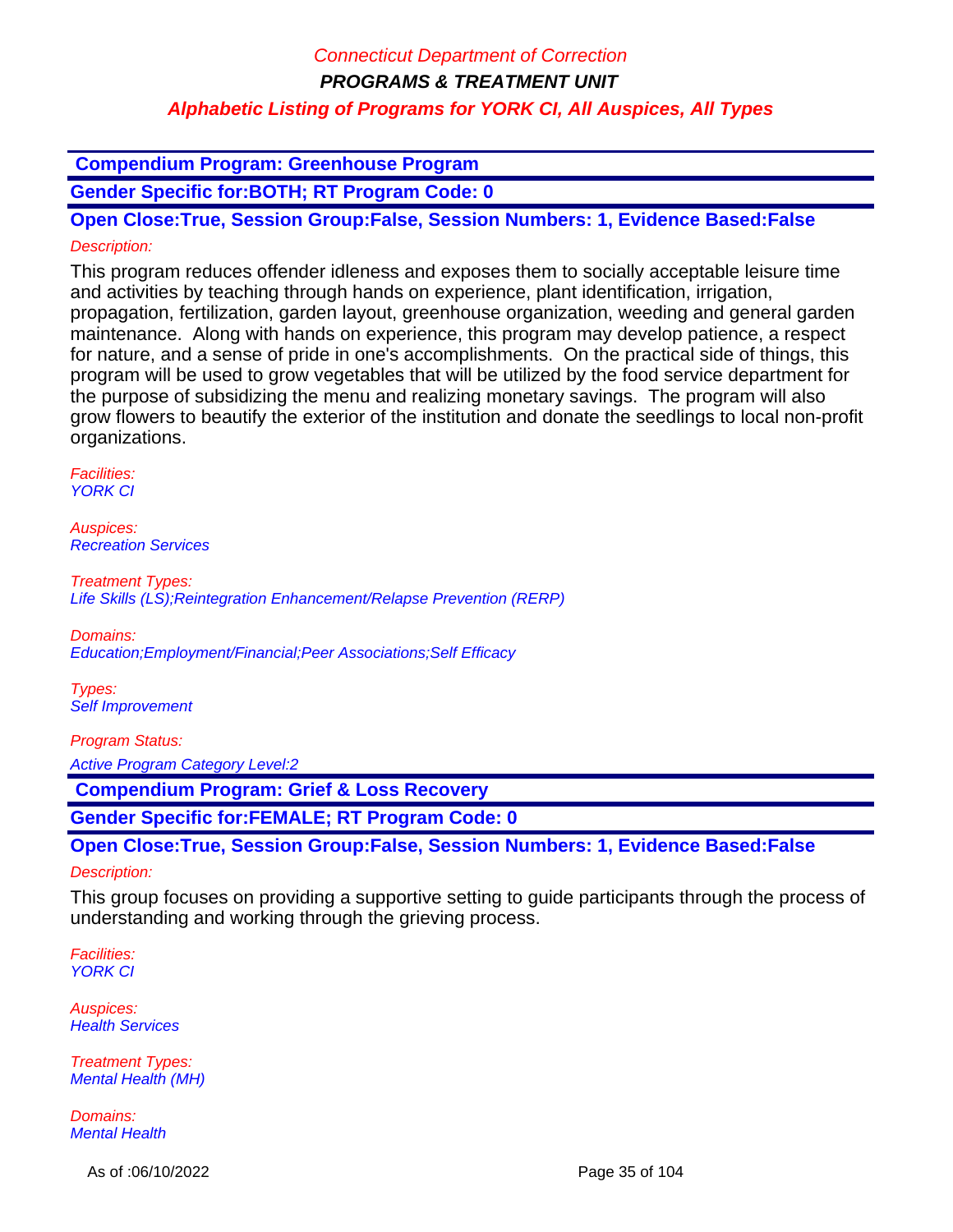**Compendium Program: Greenhouse Program**

**Gender Specific for:BOTH; RT Program Code: 0**

**Open Close:True, Session Group:False, Session Numbers: 1, Evidence Based:False** Description:

This program reduces offender idleness and exposes them to socially acceptable leisure time and activities by teaching through hands on experience, plant identification, irrigation, propagation, fertilization, garden layout, greenhouse organization, weeding and general garden maintenance. Along with hands on experience, this program may develop patience, a respect for nature, and a sense of pride in one's accomplishments. On the practical side of things, this program will be used to grow vegetables that will be utilized by the food service department for the purpose of subsidizing the menu and realizing monetary savings. The program will also grow flowers to beautify the exterior of the institution and donate the seedlings to local non-profit organizations.

Facilities: **YORK CI** 

Auspices: Recreation Services

Treatment Types: Life Skills (LS);Reintegration Enhancement/Relapse Prevention (RERP)

Domains: Education;Employment/Financial;Peer Associations;Self Efficacy

Types: Self Improvement

Program Status: Active Program Category Level:2

 **Compendium Program: Grief & Loss Recovery**

**Gender Specific for:FEMALE; RT Program Code: 0**

**Open Close:True, Session Group:False, Session Numbers: 1, Evidence Based:False**

Description:

This group focuses on providing a supportive setting to guide participants through the process of understanding and working through the grieving process.

Facilities: YORK CI

Auspices: **Health Services** 

Treatment Types: Mental Health (MH)

Domains: Mental Health

As of :06/10/2022 Page 35 of 104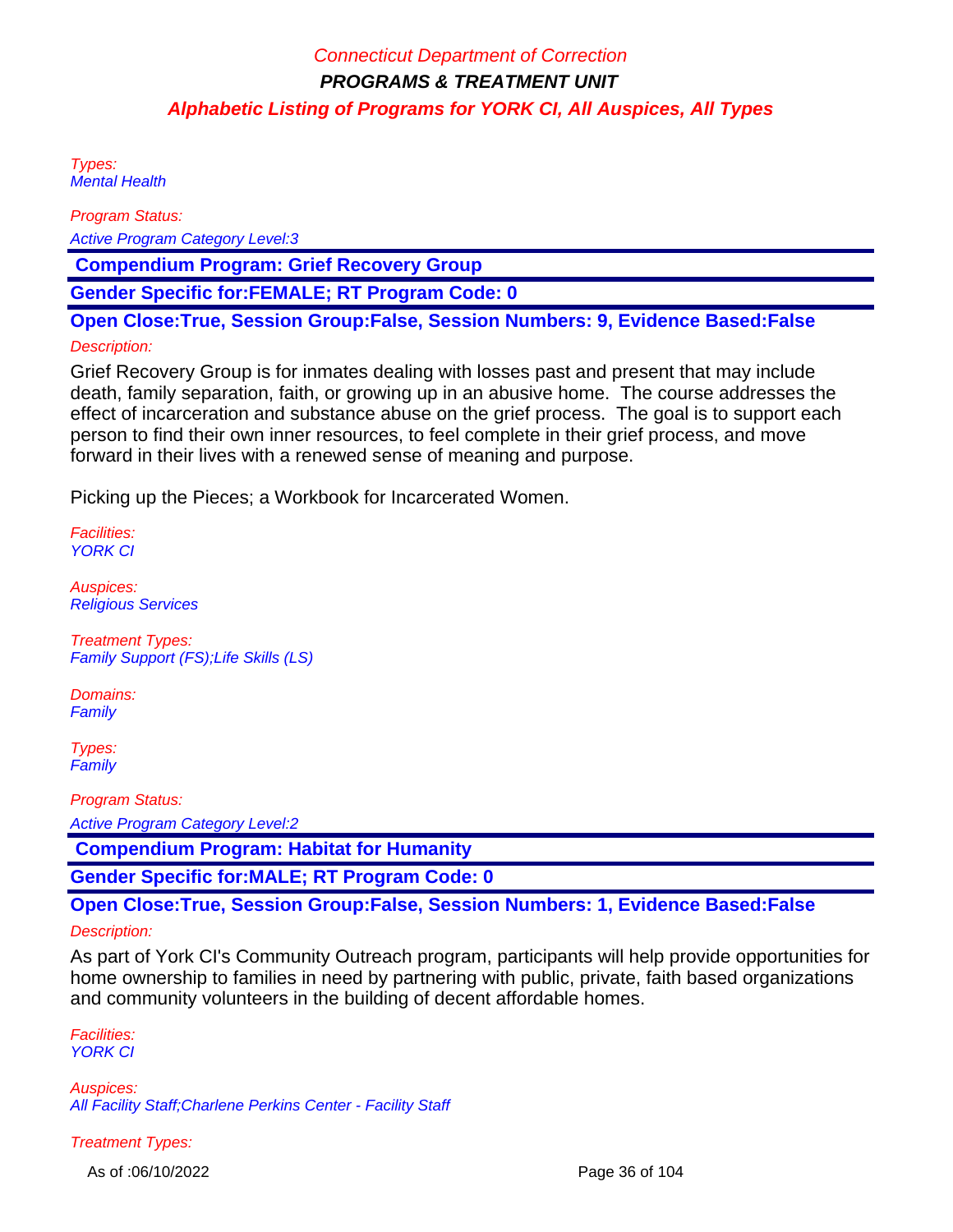Types: Mental Health

Program Status:

Active Program Category Level:3

 **Compendium Program: Grief Recovery Group**

**Gender Specific for:FEMALE; RT Program Code: 0**

**Open Close:True, Session Group:False, Session Numbers: 9, Evidence Based:False**

### Description:

Grief Recovery Group is for inmates dealing with losses past and present that may include death, family separation, faith, or growing up in an abusive home. The course addresses the effect of incarceration and substance abuse on the grief process. The goal is to support each person to find their own inner resources, to feel complete in their grief process, and move forward in their lives with a renewed sense of meaning and purpose.

Picking up the Pieces; a Workbook for Incarcerated Women.

Facilities: YORK CI

Auspices: Religious Services

Treatment Types: Family Support (FS);Life Skills (LS)

Domains: **Family** 

Types: **Family** 

Program Status:

Active Program Category Level:2

 **Compendium Program: Habitat for Humanity**

**Gender Specific for:MALE; RT Program Code: 0**

**Open Close:True, Session Group:False, Session Numbers: 1, Evidence Based:False**

#### Description:

As part of York CI's Community Outreach program, participants will help provide opportunities for home ownership to families in need by partnering with public, private, faith based organizations and community volunteers in the building of decent affordable homes.

Facilities: YORK CI

Auspices: All Facility Staff;Charlene Perkins Center - Facility Staff

Treatment Types:

As of :06/10/2022 Page 36 of 104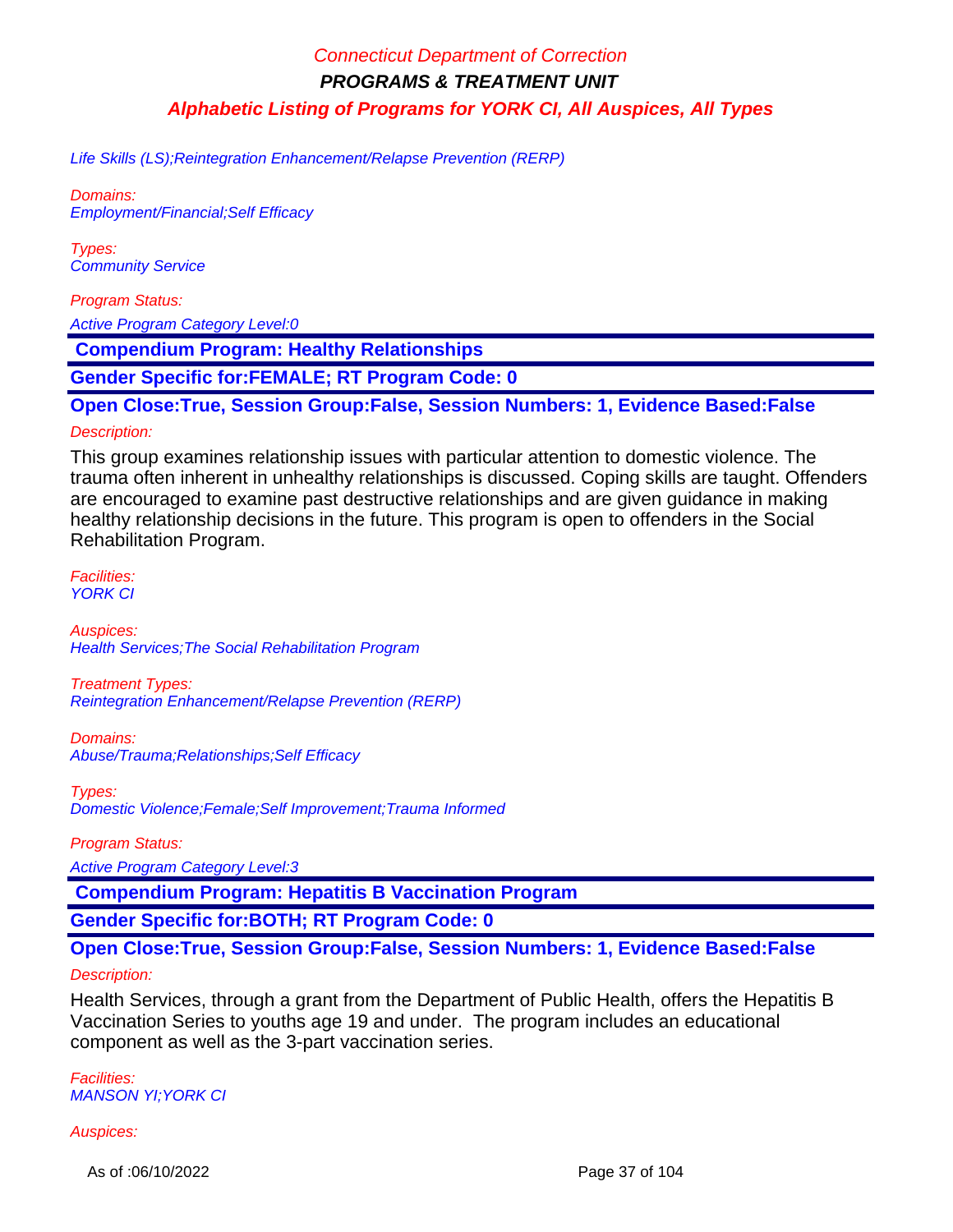Life Skills (LS);Reintegration Enhancement/Relapse Prevention (RERP)

Domains: Employment/Financial;Self Efficacy

Types: Community Service

Program Status:

Active Program Category Level:0

 **Compendium Program: Healthy Relationships**

**Gender Specific for:FEMALE; RT Program Code: 0**

**Open Close:True, Session Group:False, Session Numbers: 1, Evidence Based:False**

#### Description:

This group examines relationship issues with particular attention to domestic violence. The trauma often inherent in unhealthy relationships is discussed. Coping skills are taught. Offenders are encouraged to examine past destructive relationships and are given guidance in making healthy relationship decisions in the future. This program is open to offenders in the Social Rehabilitation Program.

Facilities: **YORK CI** 

Auspices: Health Services;The Social Rehabilitation Program

Treatment Types: Reintegration Enhancement/Relapse Prevention (RERP)

Domains: Abuse/Trauma;Relationships;Self Efficacy

Types: Domestic Violence;Female;Self Improvement;Trauma Informed

Program Status:

Active Program Category Level:3

 **Compendium Program: Hepatitis B Vaccination Program**

**Gender Specific for:BOTH; RT Program Code: 0**

**Open Close:True, Session Group:False, Session Numbers: 1, Evidence Based:False**

### Description:

Health Services, through a grant from the Department of Public Health, offers the Hepatitis B Vaccination Series to youths age 19 and under. The program includes an educational component as well as the 3-part vaccination series.

Facilities: MANSON YI;YORK CI

#### Auspices:

As of :06/10/2022 Page 37 of 104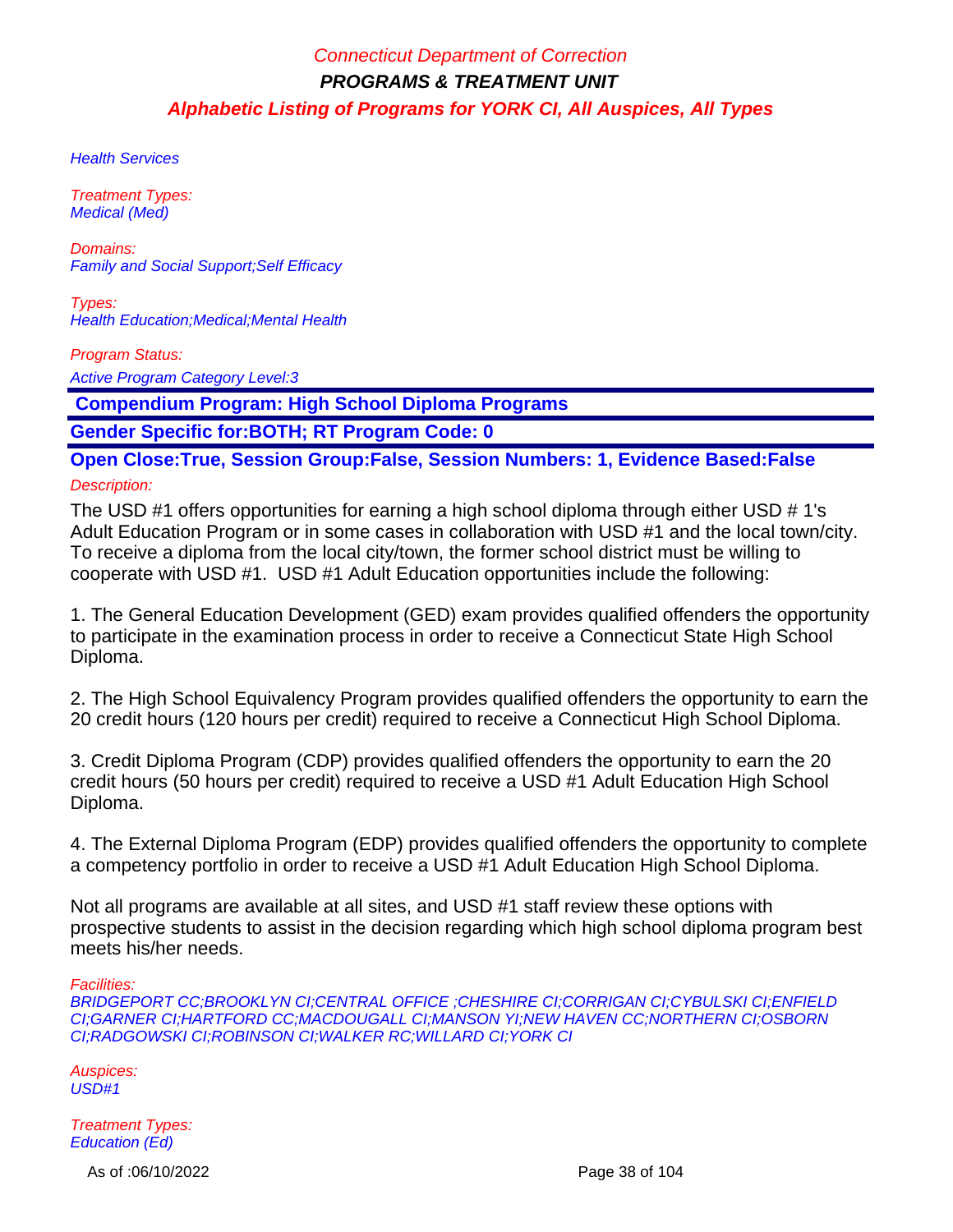**Health Services** 

Treatment Types: Medical (Med)

Domains: Family and Social Support;Self Efficacy

Types: Health Education;Medical;Mental Health

Program Status:

Active Program Category Level:3

 **Compendium Program: High School Diploma Programs**

**Gender Specific for:BOTH; RT Program Code: 0**

**Open Close:True, Session Group:False, Session Numbers: 1, Evidence Based:False**

Description:

The USD #1 offers opportunities for earning a high school diploma through either USD # 1's Adult Education Program or in some cases in collaboration with USD #1 and the local town/city. To receive a diploma from the local city/town, the former school district must be willing to cooperate with USD #1. USD #1 Adult Education opportunities include the following:

1. The General Education Development (GED) exam provides qualified offenders the opportunity to participate in the examination process in order to receive a Connecticut State High School Diploma.

2. The High School Equivalency Program provides qualified offenders the opportunity to earn the 20 credit hours (120 hours per credit) required to receive a Connecticut High School Diploma.

3. Credit Diploma Program (CDP) provides qualified offenders the opportunity to earn the 20 credit hours (50 hours per credit) required to receive a USD #1 Adult Education High School Diploma.

4. The External Diploma Program (EDP) provides qualified offenders the opportunity to complete a competency portfolio in order to receive a USD #1 Adult Education High School Diploma.

Not all programs are available at all sites, and USD #1 staff review these options with prospective students to assist in the decision regarding which high school diploma program best meets his/her needs.

Facilities:

BRIDGEPORT CC;BROOKLYN CI;CENTRAL OFFICE ;CHESHIRE CI;CORRIGAN CI;CYBULSKI CI;ENFIELD CI;GARNER CI;HARTFORD CC;MACDOUGALL CI;MANSON YI;NEW HAVEN CC;NORTHERN CI;OSBORN CI;RADGOWSKI CI;ROBINSON CI;WALKER RC;WILLARD CI;YORK CI

Auspices: USD#1

Treatment Types: Education (Ed)

As of :06/10/2022 Page 38 of 104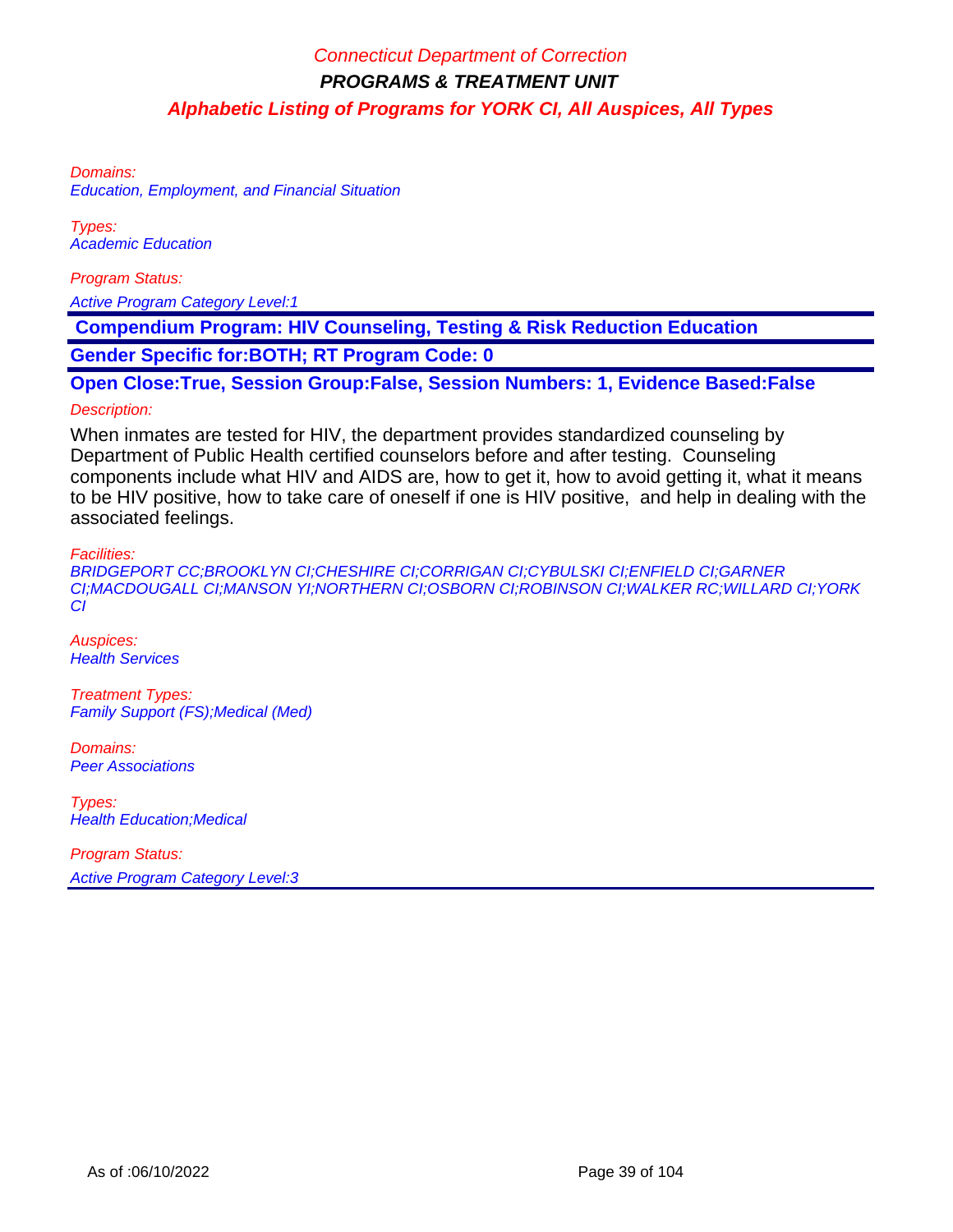Domains: Education, Employment, and Financial Situation

Types: Academic Education

Program Status:

Active Program Category Level:1

 **Compendium Program: HIV Counseling, Testing & Risk Reduction Education**

**Gender Specific for:BOTH; RT Program Code: 0**

**Open Close:True, Session Group:False, Session Numbers: 1, Evidence Based:False** Description:

### When inmates are tested for HIV, the department provides standardized counseling by Department of Public Health certified counselors before and after testing. Counseling components include what HIV and AIDS are, how to get it, how to avoid getting it, what it means to be HIV positive, how to take care of oneself if one is HIV positive, and help in dealing with the associated feelings.

Facilities:

BRIDGEPORT CC;BROOKLYN CI;CHESHIRE CI;CORRIGAN CI;CYBULSKI CI;ENFIELD CI;GARNER CI;MACDOUGALL CI;MANSON YI;NORTHERN CI;OSBORN CI;ROBINSON CI;WALKER RC;WILLARD CI;YORK CI

Auspices: **Health Services** 

Treatment Types: Family Support (FS);Medical (Med)

Domains: Peer Associations

Types: Health Education;Medical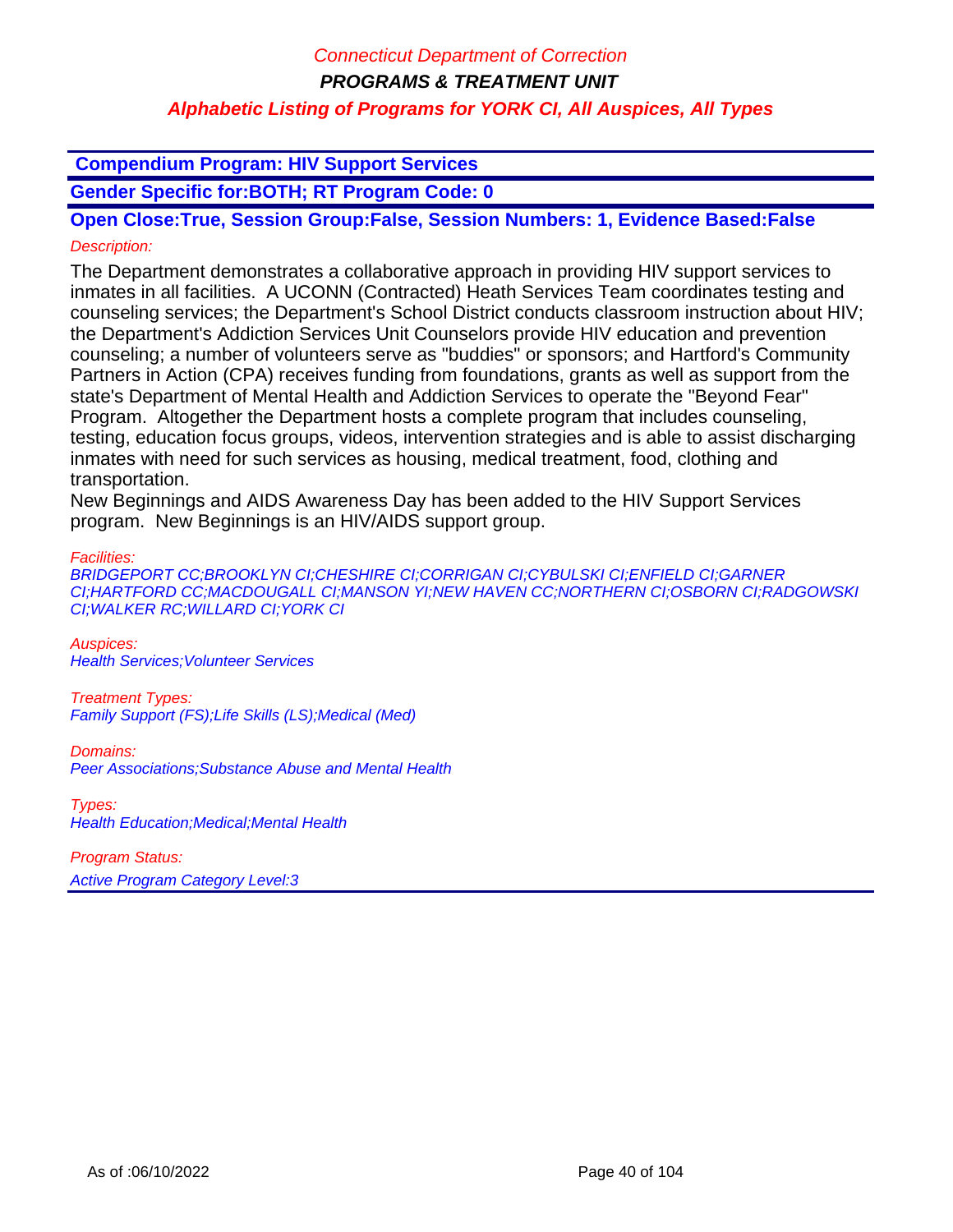### **Compendium Program: HIV Support Services**

**Gender Specific for:BOTH; RT Program Code: 0**

**Open Close:True, Session Group:False, Session Numbers: 1, Evidence Based:False** Description:

The Department demonstrates a collaborative approach in providing HIV support services to inmates in all facilities. A UCONN (Contracted) Heath Services Team coordinates testing and counseling services; the Department's School District conducts classroom instruction about HIV; the Department's Addiction Services Unit Counselors provide HIV education and prevention counseling; a number of volunteers serve as "buddies" or sponsors; and Hartford's Community Partners in Action (CPA) receives funding from foundations, grants as well as support from the state's Department of Mental Health and Addiction Services to operate the "Beyond Fear" Program. Altogether the Department hosts a complete program that includes counseling, testing, education focus groups, videos, intervention strategies and is able to assist discharging inmates with need for such services as housing, medical treatment, food, clothing and transportation.

New Beginnings and AIDS Awareness Day has been added to the HIV Support Services program. New Beginnings is an HIV/AIDS support group.

Facilities:

BRIDGEPORT CC;BROOKLYN CI;CHESHIRE CI;CORRIGAN CI;CYBULSKI CI;ENFIELD CI;GARNER CI;HARTFORD CC;MACDOUGALL CI;MANSON YI;NEW HAVEN CC;NORTHERN CI;OSBORN CI;RADGOWSKI CI;WALKER RC;WILLARD CI;YORK CI

Auspices: Health Services;Volunteer Services

Treatment Types: Family Support (FS);Life Skills (LS);Medical (Med)

Domains: Peer Associations;Substance Abuse and Mental Health

Types: Health Education;Medical;Mental Health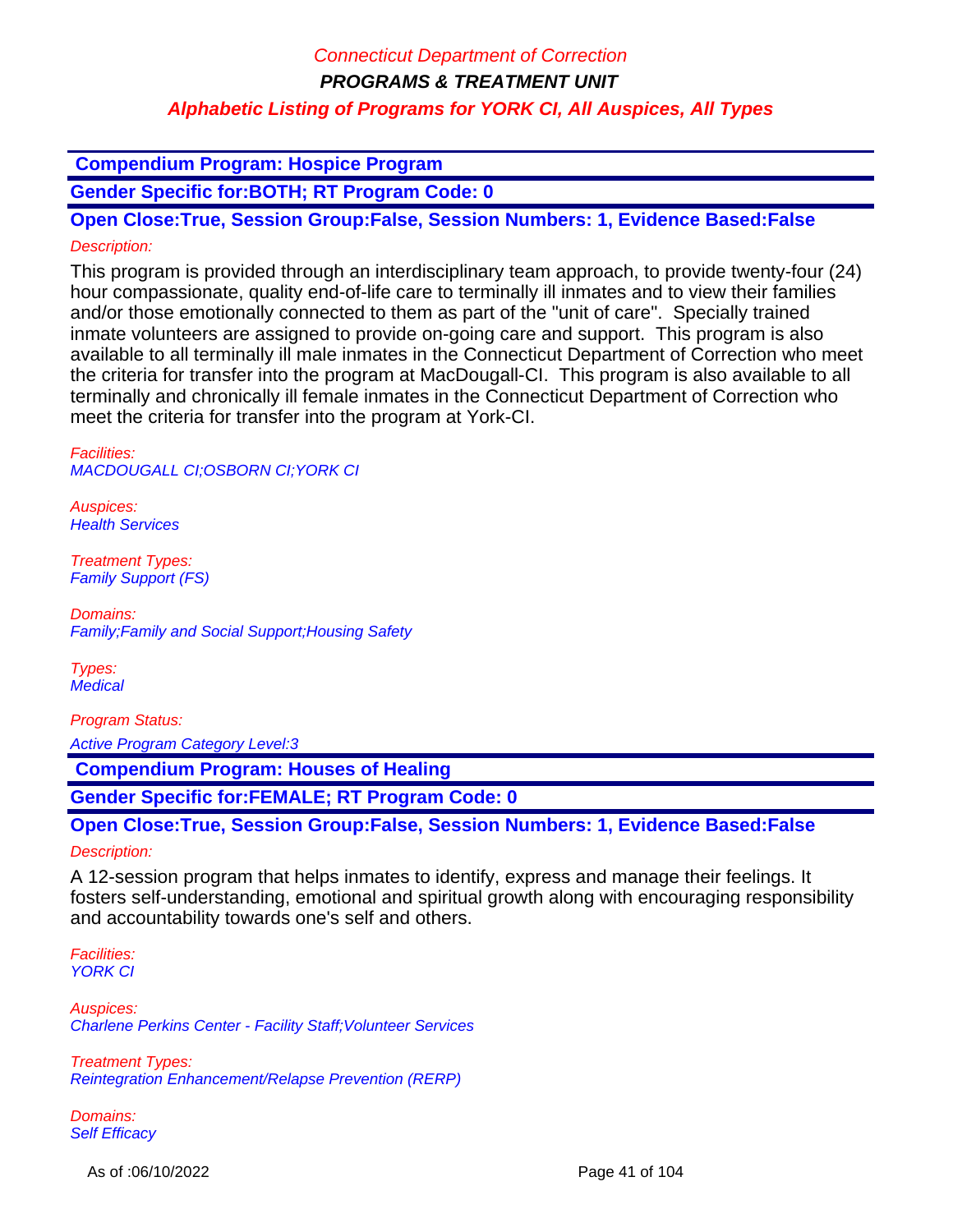**Compendium Program: Hospice Program**

**Gender Specific for:BOTH; RT Program Code: 0**

**Open Close:True, Session Group:False, Session Numbers: 1, Evidence Based:False** Description:

This program is provided through an interdisciplinary team approach, to provide twenty-four (24) hour compassionate, quality end-of-life care to terminally ill inmates and to view their families and/or those emotionally connected to them as part of the "unit of care". Specially trained inmate volunteers are assigned to provide on-going care and support. This program is also available to all terminally ill male inmates in the Connecticut Department of Correction who meet the criteria for transfer into the program at MacDougall-CI. This program is also available to all terminally and chronically ill female inmates in the Connecticut Department of Correction who meet the criteria for transfer into the program at York-CI.

Facilities: MACDOUGALL CI;OSBORN CI;YORK CI

Auspices: **Health Services** 

Treatment Types: Family Support (FS)

Domains: Family;Family and Social Support;Housing Safety

Types: **Medical** 

Program Status:

Active Program Category Level:3

 **Compendium Program: Houses of Healing**

**Gender Specific for:FEMALE; RT Program Code: 0**

**Open Close:True, Session Group:False, Session Numbers: 1, Evidence Based:False** Description:

A 12-session program that helps inmates to identify, express and manage their feelings. It fosters self-understanding, emotional and spiritual growth along with encouraging responsibility and accountability towards one's self and others.

Facilities: YORK CI

Auspices: Charlene Perkins Center - Facility Staff;Volunteer Services

Treatment Types: Reintegration Enhancement/Relapse Prevention (RERP)

Domains: Self Efficacy

As of :06/10/2022 Page 41 of 104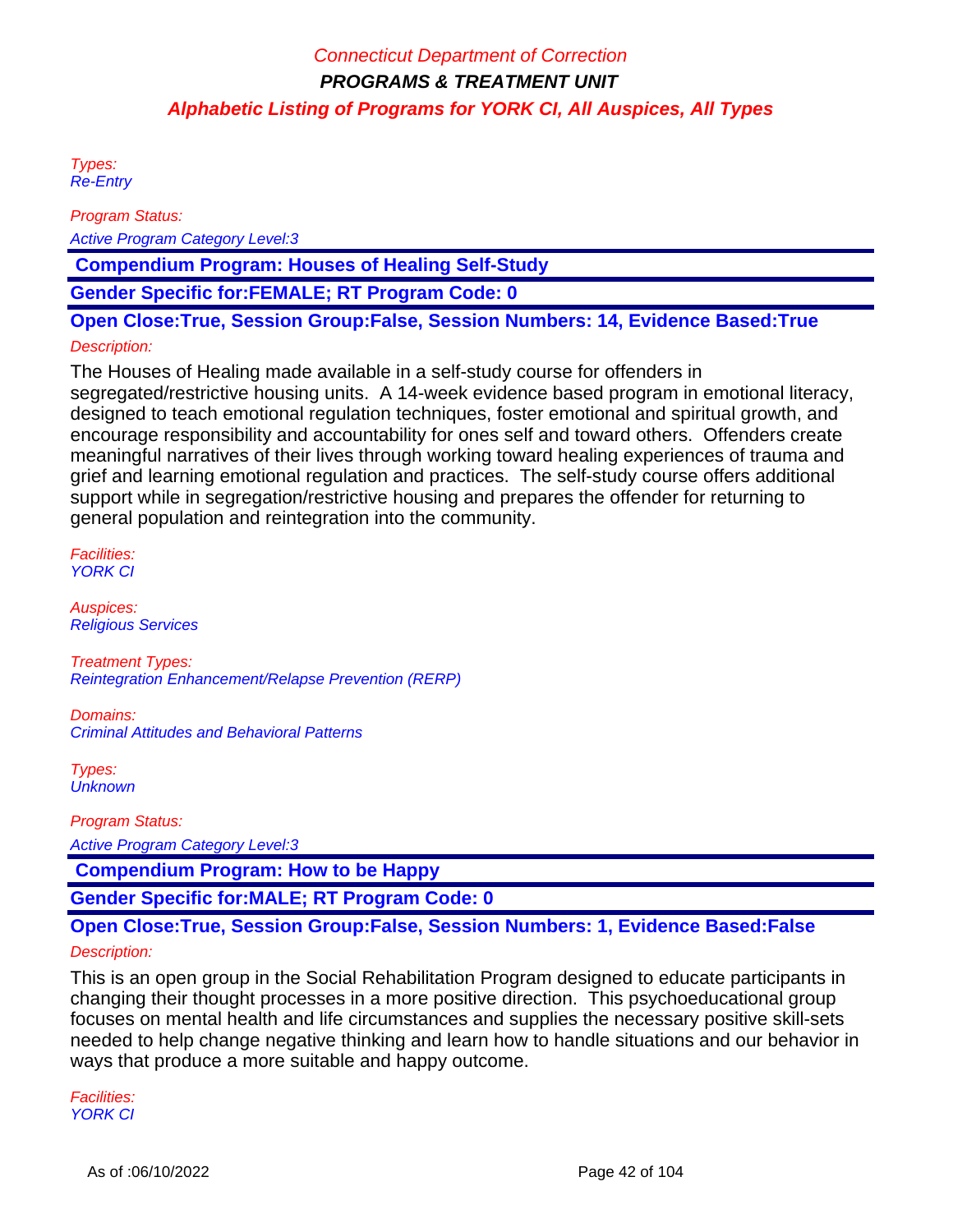Types: Re-Entry

Program Status:

Active Program Category Level:3

 **Compendium Program: Houses of Healing Self-Study**

**Gender Specific for:FEMALE; RT Program Code: 0**

**Open Close:True, Session Group:False, Session Numbers: 14, Evidence Based:True**

### Description:

The Houses of Healing made available in a self-study course for offenders in segregated/restrictive housing units. A 14-week evidence based program in emotional literacy, designed to teach emotional regulation techniques, foster emotional and spiritual growth, and encourage responsibility and accountability for ones self and toward others. Offenders create meaningful narratives of their lives through working toward healing experiences of trauma and grief and learning emotional regulation and practices. The self-study course offers additional support while in segregation/restrictive housing and prepares the offender for returning to general population and reintegration into the community.

Facilities: YORK CI

Auspices: Religious Services

Treatment Types: Reintegration Enhancement/Relapse Prevention (RERP)

Domains: Criminal Attitudes and Behavioral Patterns

Types: **Unknown** 

Program Status:

Active Program Category Level:3

 **Compendium Program: How to be Happy**

**Gender Specific for:MALE; RT Program Code: 0**

### **Open Close:True, Session Group:False, Session Numbers: 1, Evidence Based:False**

#### Description:

This is an open group in the Social Rehabilitation Program designed to educate participants in changing their thought processes in a more positive direction. This psychoeducational group focuses on mental health and life circumstances and supplies the necessary positive skill-sets needed to help change negative thinking and learn how to handle situations and our behavior in ways that produce a more suitable and happy outcome.

Facilities: YORK CI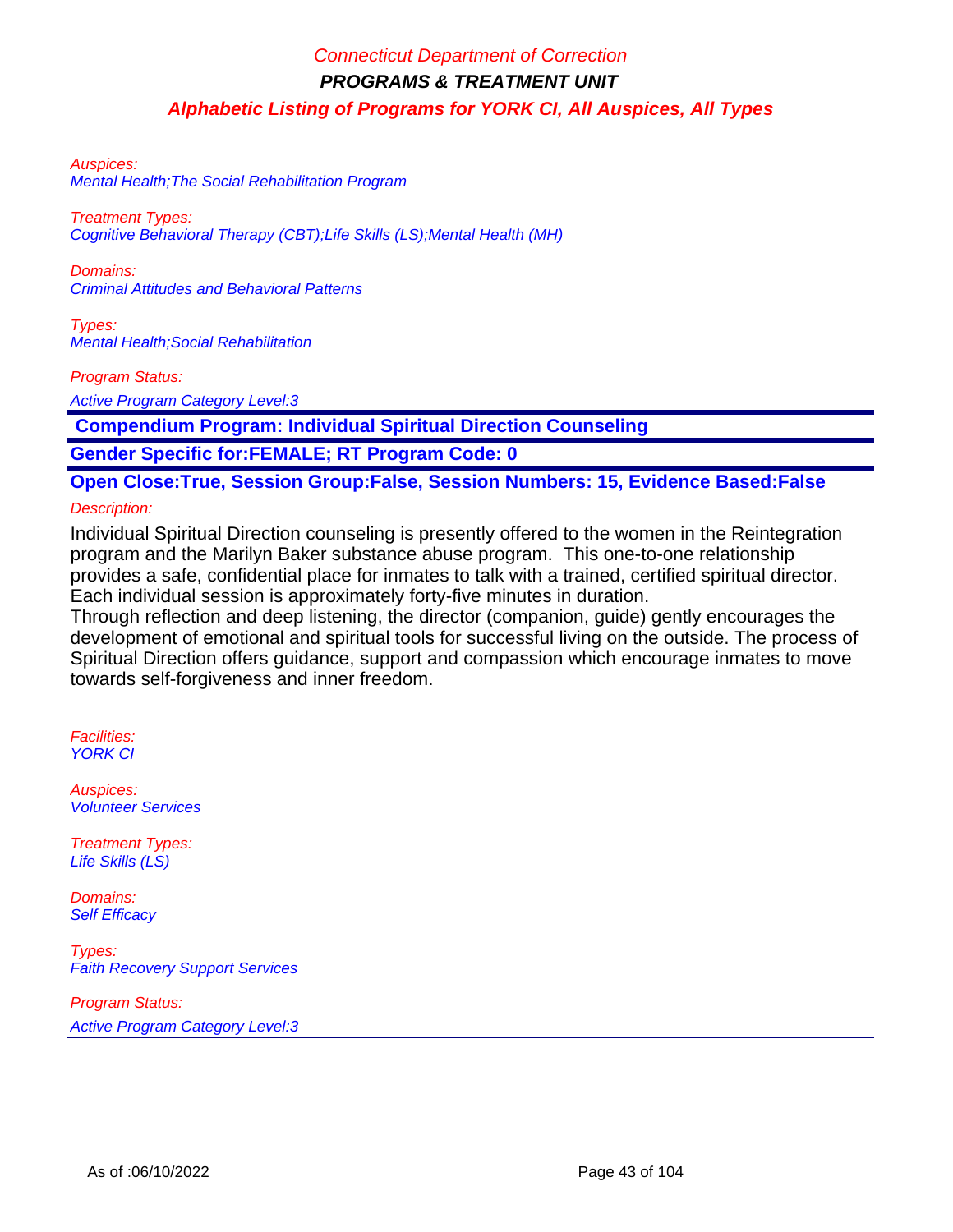#### Auspices:

Mental Health;The Social Rehabilitation Program

Treatment Types: Cognitive Behavioral Therapy (CBT);Life Skills (LS);Mental Health (MH)

Domains: Criminal Attitudes and Behavioral Patterns

Types: Mental Health;Social Rehabilitation

Program Status:

Active Program Category Level:3

 **Compendium Program: Individual Spiritual Direction Counseling**

**Gender Specific for:FEMALE; RT Program Code: 0**

# **Open Close:True, Session Group:False, Session Numbers: 15, Evidence Based:False**

#### Description:

Individual Spiritual Direction counseling is presently offered to the women in the Reintegration program and the Marilyn Baker substance abuse program. This one-to-one relationship provides a safe, confidential place for inmates to talk with a trained, certified spiritual director. Each individual session is approximately forty-five minutes in duration.

Through reflection and deep listening, the director (companion, guide) gently encourages the development of emotional and spiritual tools for successful living on the outside. The process of Spiritual Direction offers guidance, support and compassion which encourage inmates to move towards self-forgiveness and inner freedom.

Facilities: YORK CI

Auspices: Volunteer Services

Treatment Types: Life Skills (LS)

Domains: **Self Efficacy** 

Types: Faith Recovery Support Services

Program Status:

Active Program Category Level:3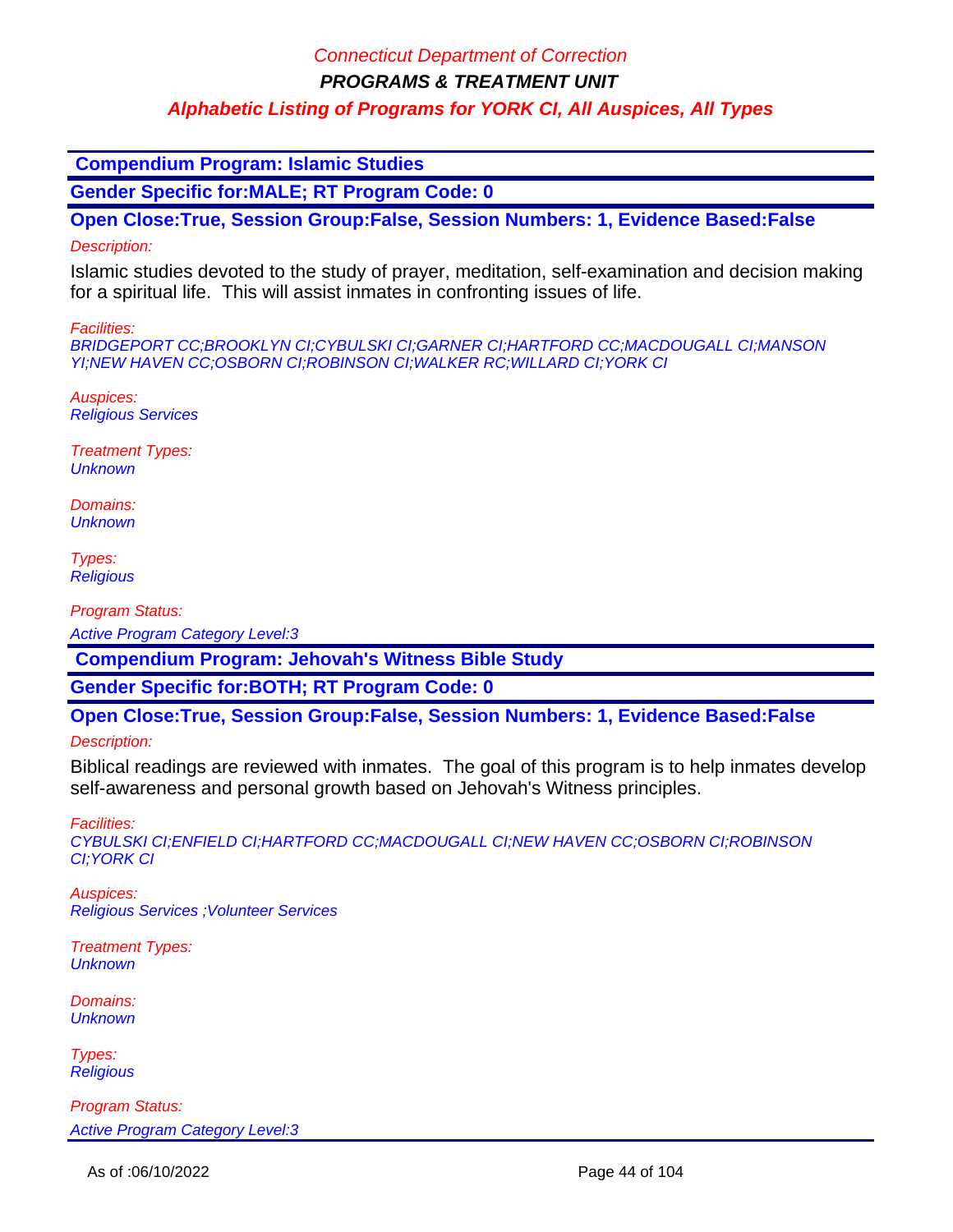### Connecticut Department of Correction

**PROGRAMS & TREATMENT UNIT**

### **Alphabetic Listing of Programs for YORK CI, All Auspices, All Types**

 **Compendium Program: Islamic Studies**

**Gender Specific for:MALE; RT Program Code: 0**

**Open Close:True, Session Group:False, Session Numbers: 1, Evidence Based:False**

#### Description:

Islamic studies devoted to the study of prayer, meditation, self-examination and decision making for a spiritual life. This will assist inmates in confronting issues of life.

Facilities:

BRIDGEPORT CC;BROOKLYN CI;CYBULSKI CI;GARNER CI;HARTFORD CC;MACDOUGALL CI;MANSON YI;NEW HAVEN CC;OSBORN CI;ROBINSON CI;WALKER RC;WILLARD CI;YORK CI

Auspices: Religious Services

Treatment Types: **Unknown** 

Domains: **Unknown** 

Types: **Religious** 

Program Status:

Active Program Category Level:3

 **Compendium Program: Jehovah's Witness Bible Study**

**Gender Specific for:BOTH; RT Program Code: 0**

**Open Close:True, Session Group:False, Session Numbers: 1, Evidence Based:False**

Description:

Biblical readings are reviewed with inmates. The goal of this program is to help inmates develop self-awareness and personal growth based on Jehovah's Witness principles.

Facilities:

CYBULSKI CI;ENFIELD CI;HARTFORD CC;MACDOUGALL CI;NEW HAVEN CC;OSBORN CI;ROBINSON CI;YORK CI

Auspices: Religious Services ;Volunteer Services

Treatment Types: **Unknown** 

Domains: **Unknown** 

Types: **Religious**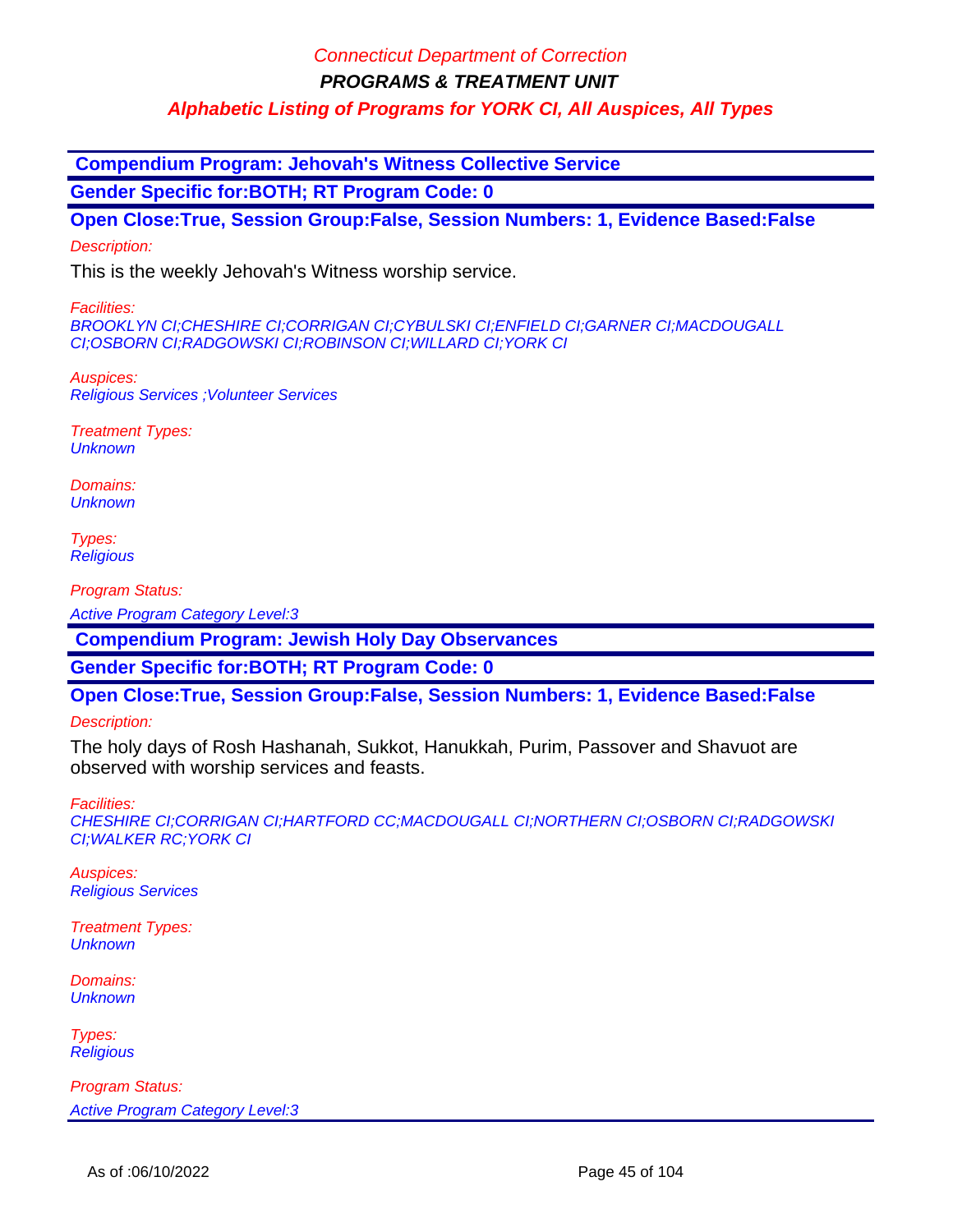### Connecticut Department of Correction

**PROGRAMS & TREATMENT UNIT**

**Alphabetic Listing of Programs for YORK CI, All Auspices, All Types**

 **Compendium Program: Jehovah's Witness Collective Service**

**Gender Specific for:BOTH; RT Program Code: 0**

**Open Close:True, Session Group:False, Session Numbers: 1, Evidence Based:False**

Description:

This is the weekly Jehovah's Witness worship service.

Facilities:

BROOKLYN CI;CHESHIRE CI;CORRIGAN CI;CYBULSKI CI;ENFIELD CI;GARNER CI;MACDOUGALL CI;OSBORN CI;RADGOWSKI CI;ROBINSON CI;WILLARD CI;YORK CI

Auspices: Religious Services ;Volunteer Services

Treatment Types: **Unknown** 

Domains: **Unknown** 

Types: **Religious** 

Program Status:

Active Program Category Level:3

 **Compendium Program: Jewish Holy Day Observances**

**Gender Specific for:BOTH; RT Program Code: 0**

**Open Close:True, Session Group:False, Session Numbers: 1, Evidence Based:False**

Description:

The holy days of Rosh Hashanah, Sukkot, Hanukkah, Purim, Passover and Shavuot are observed with worship services and feasts.

Facilities:

CHESHIRE CI;CORRIGAN CI;HARTFORD CC;MACDOUGALL CI;NORTHERN CI;OSBORN CI;RADGOWSKI CI;WALKER RC;YORK CI

Auspices: Religious Services

Treatment Types: **Unknown** 

Domains: **Unknown** 

Types: **Religious**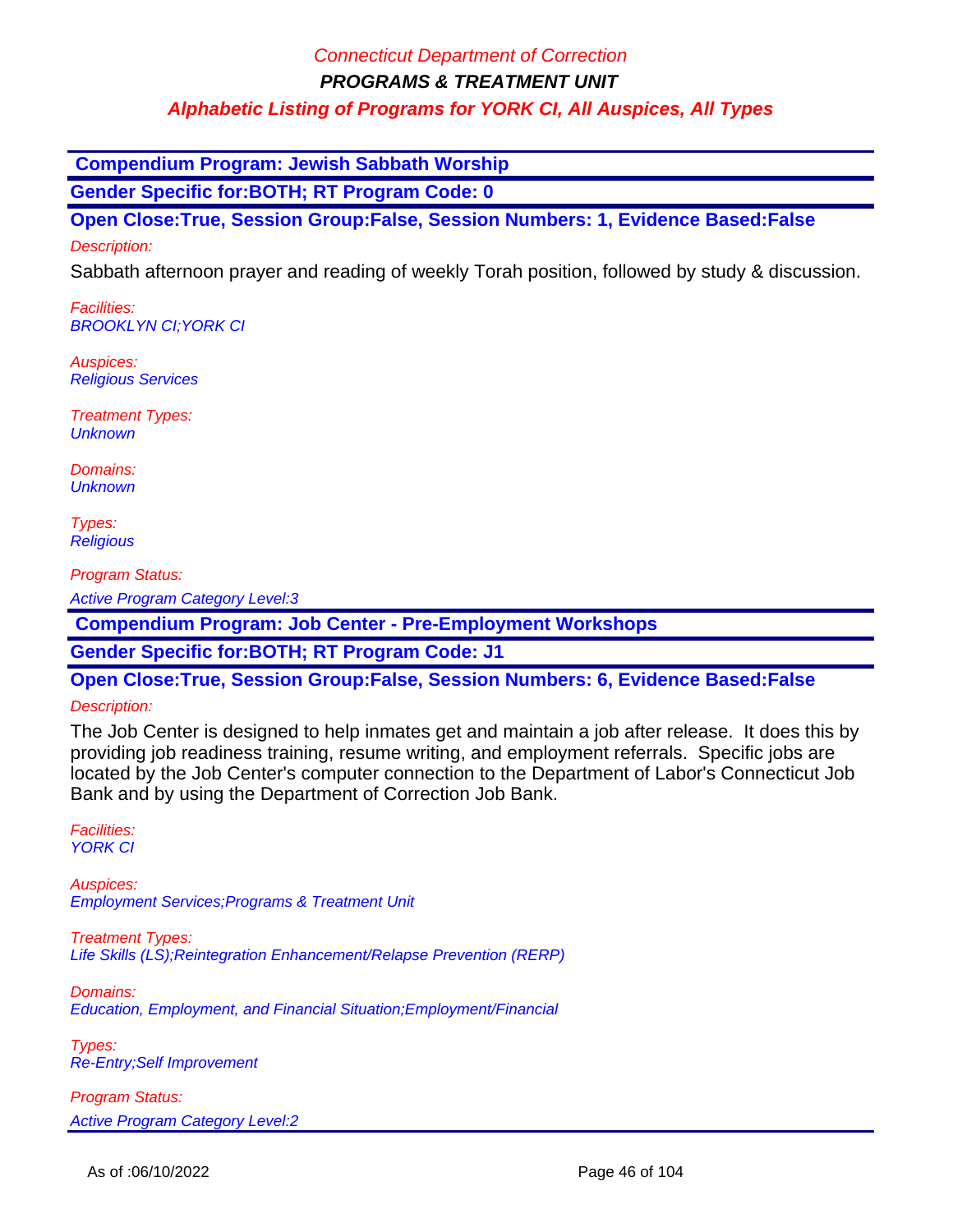**Compendium Program: Jewish Sabbath Worship**

**Gender Specific for:BOTH; RT Program Code: 0**

**Open Close:True, Session Group:False, Session Numbers: 1, Evidence Based:False**

Description:

Sabbath afternoon prayer and reading of weekly Torah position, followed by study & discussion.

Facilities: BROOKLYN CI;YORK CI

Auspices: Religious Services

Treatment Types: **Unknown** 

Domains: **Unknown** 

Types: **Religious** 

Program Status:

Active Program Category Level:3

 **Compendium Program: Job Center - Pre-Employment Workshops**

**Gender Specific for:BOTH; RT Program Code: J1**

**Open Close:True, Session Group:False, Session Numbers: 6, Evidence Based:False**

#### Description:

The Job Center is designed to help inmates get and maintain a job after release. It does this by providing job readiness training, resume writing, and employment referrals. Specific jobs are located by the Job Center's computer connection to the Department of Labor's Connecticut Job Bank and by using the Department of Correction Job Bank.

Facilities: YORK CI

Auspices: Employment Services;Programs & Treatment Unit

Treatment Types: Life Skills (LS);Reintegration Enhancement/Relapse Prevention (RERP)

Domains: Education, Employment, and Financial Situation;Employment/Financial

Types: Re-Entry;Self Improvement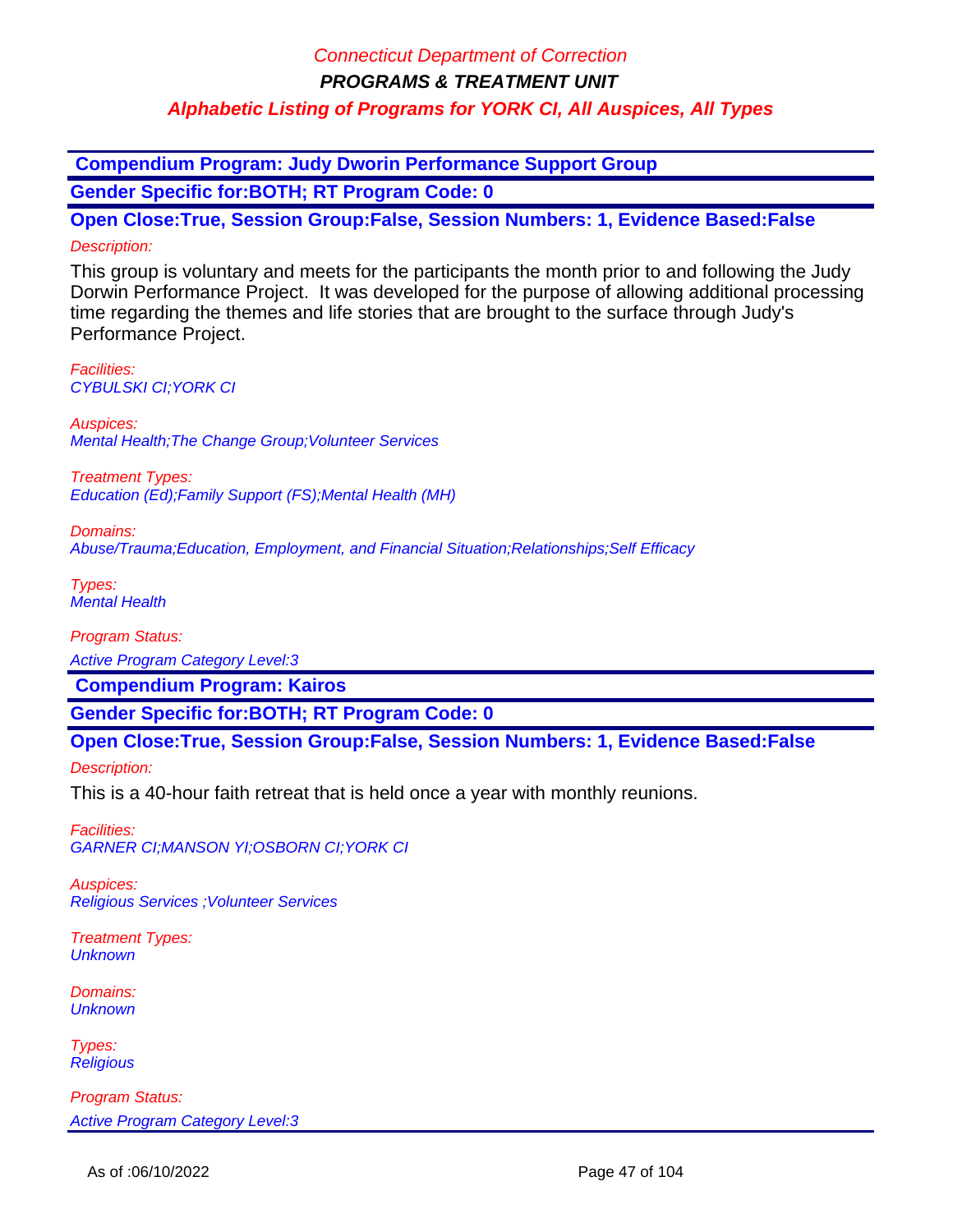**Compendium Program: Judy Dworin Performance Support Group Gender Specific for:BOTH; RT Program Code: 0**

**Open Close:True, Session Group:False, Session Numbers: 1, Evidence Based:False** Description:

This group is voluntary and meets for the participants the month prior to and following the Judy Dorwin Performance Project. It was developed for the purpose of allowing additional processing time regarding the themes and life stories that are brought to the surface through Judy's Performance Project.

Facilities: CYBULSKI CI;YORK CI

Auspices: Mental Health;The Change Group;Volunteer Services

Treatment Types: Education (Ed);Family Support (FS);Mental Health (MH)

Domains: Abuse/Trauma;Education, Employment, and Financial Situation;Relationships;Self Efficacy

Types: Mental Health

Program Status:

Active Program Category Level:3

 **Compendium Program: Kairos**

**Gender Specific for:BOTH; RT Program Code: 0**

**Open Close:True, Session Group:False, Session Numbers: 1, Evidence Based:False**

Description:

This is a 40-hour faith retreat that is held once a year with monthly reunions.

Facilities: GARNER CI;MANSON YI;OSBORN CI;YORK CI

Auspices: Religious Services ;Volunteer Services

Treatment Types: **Unknown** 

Domains: **Unknown** 

Types: **Religious**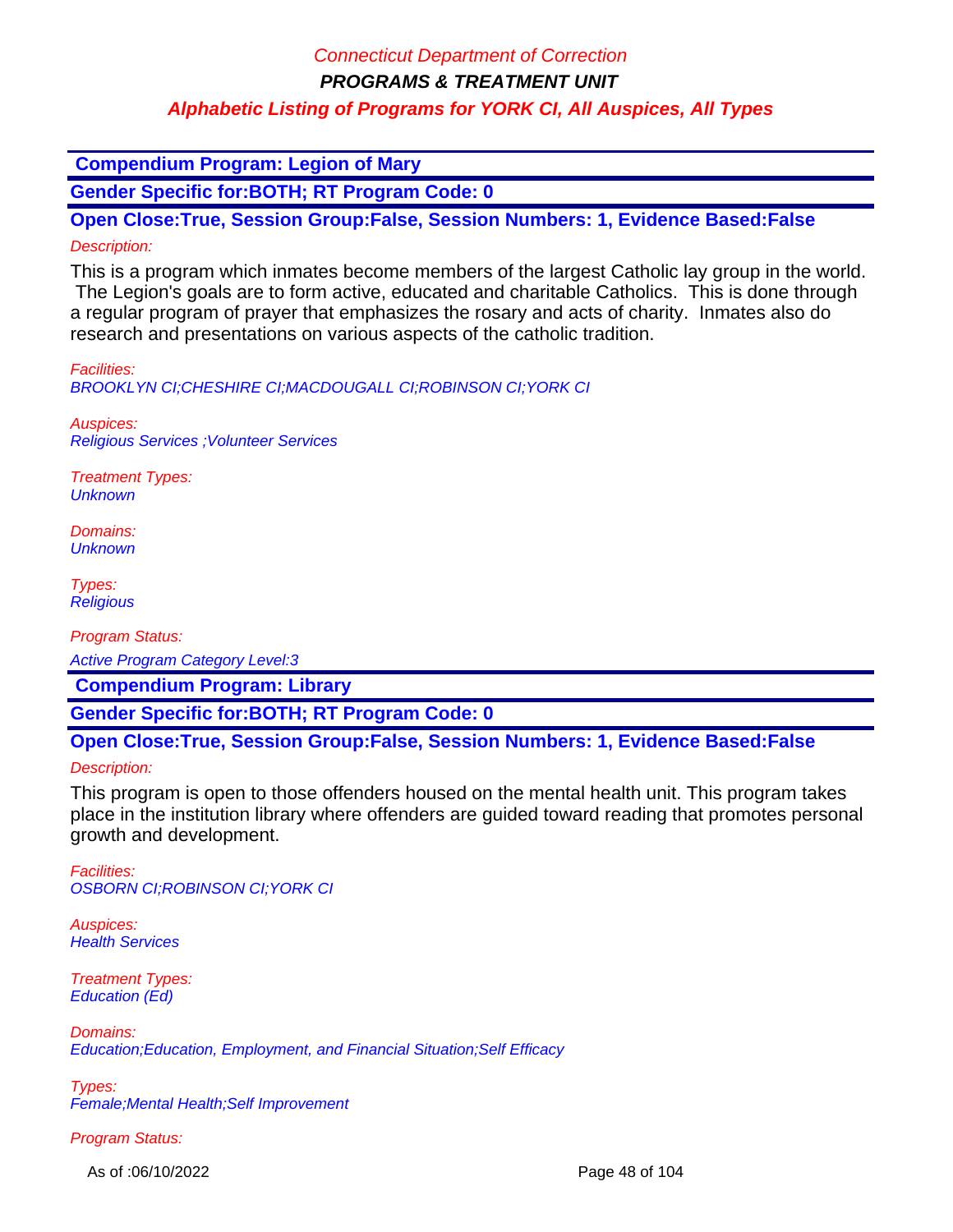### Connecticut Department of Correction

**PROGRAMS & TREATMENT UNIT**

### **Alphabetic Listing of Programs for YORK CI, All Auspices, All Types**

 **Compendium Program: Legion of Mary**

**Gender Specific for:BOTH; RT Program Code: 0**

**Open Close:True, Session Group:False, Session Numbers: 1, Evidence Based:False** Description:

This is a program which inmates become members of the largest Catholic lay group in the world. The Legion's goals are to form active, educated and charitable Catholics. This is done through a regular program of prayer that emphasizes the rosary and acts of charity. Inmates also do research and presentations on various aspects of the catholic tradition.

Facilities:

BROOKLYN CI;CHESHIRE CI;MACDOUGALL CI;ROBINSON CI;YORK CI

Auspices: Religious Services ;Volunteer Services

Treatment Types: **Unknown** 

Domains: **Unknown** 

Types: **Religious** 

Program Status:

Active Program Category Level:3

 **Compendium Program: Library**

**Gender Specific for:BOTH; RT Program Code: 0**

**Open Close:True, Session Group:False, Session Numbers: 1, Evidence Based:False**

Description:

This program is open to those offenders housed on the mental health unit. This program takes place in the institution library where offenders are guided toward reading that promotes personal growth and development.

Facilities: OSBORN CI;ROBINSON CI;YORK CI

Auspices: **Health Services** 

Treatment Types: Education (Ed)

Domains: Education;Education, Employment, and Financial Situation;Self Efficacy

Types: Female;Mental Health;Self Improvement

Program Status:

As of :06/10/2022 Page 48 of 104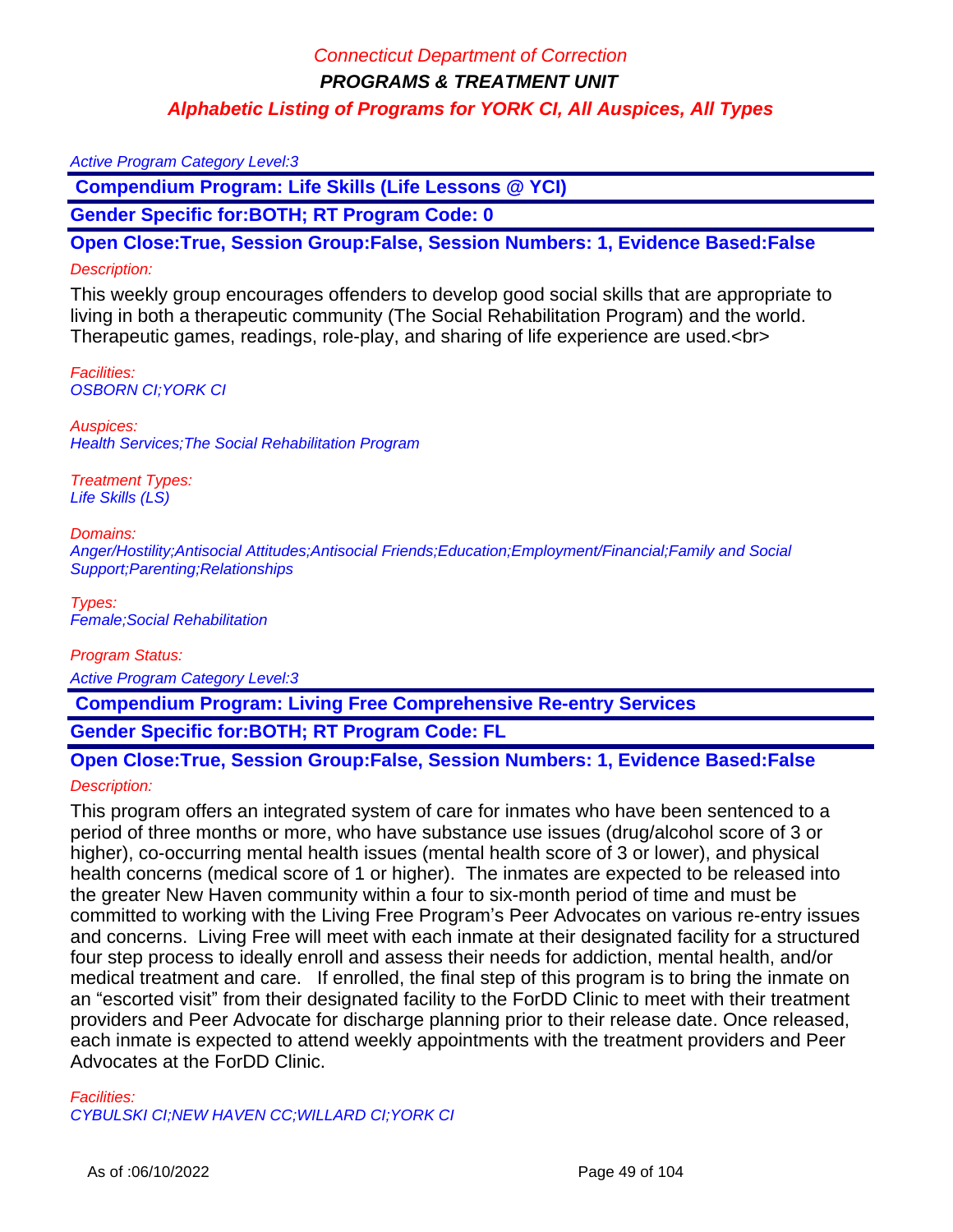#### Active Program Category Level:3

 **Compendium Program: Life Skills (Life Lessons @ YCI)**

**Gender Specific for:BOTH; RT Program Code: 0**

**Open Close:True, Session Group:False, Session Numbers: 1, Evidence Based:False**

#### Description:

This weekly group encourages offenders to develop good social skills that are appropriate to living in both a therapeutic community (The Social Rehabilitation Program) and the world. Therapeutic games, readings, role-play, and sharing of life experience are used.<br>

Facilities: OSBORN CI;YORK CI

Auspices: Health Services;The Social Rehabilitation Program

Treatment Types: Life Skills (LS)

#### Domains:

Anger/Hostility;Antisocial Attitudes;Antisocial Friends;Education;Employment/Financial;Family and Social Support;Parenting;Relationships

Types: Female;Social Rehabilitation

Program Status:

Active Program Category Level:3

 **Compendium Program: Living Free Comprehensive Re-entry Services**

**Gender Specific for:BOTH; RT Program Code: FL**

### **Open Close:True, Session Group:False, Session Numbers: 1, Evidence Based:False** Description:

This program offers an integrated system of care for inmates who have been sentenced to a period of three months or more, who have substance use issues (drug/alcohol score of 3 or higher), co-occurring mental health issues (mental health score of 3 or lower), and physical health concerns (medical score of 1 or higher). The inmates are expected to be released into the greater New Haven community within a four to six-month period of time and must be committed to working with the Living Free Program's Peer Advocates on various re-entry issues and concerns. Living Free will meet with each inmate at their designated facility for a structured four step process to ideally enroll and assess their needs for addiction, mental health, and/or medical treatment and care. If enrolled, the final step of this program is to bring the inmate on an "escorted visit" from their designated facility to the ForDD Clinic to meet with their treatment providers and Peer Advocate for discharge planning prior to their release date. Once released, each inmate is expected to attend weekly appointments with the treatment providers and Peer Advocates at the ForDD Clinic.

Facilities:

CYBULSKI CI;NEW HAVEN CC;WILLARD CI;YORK CI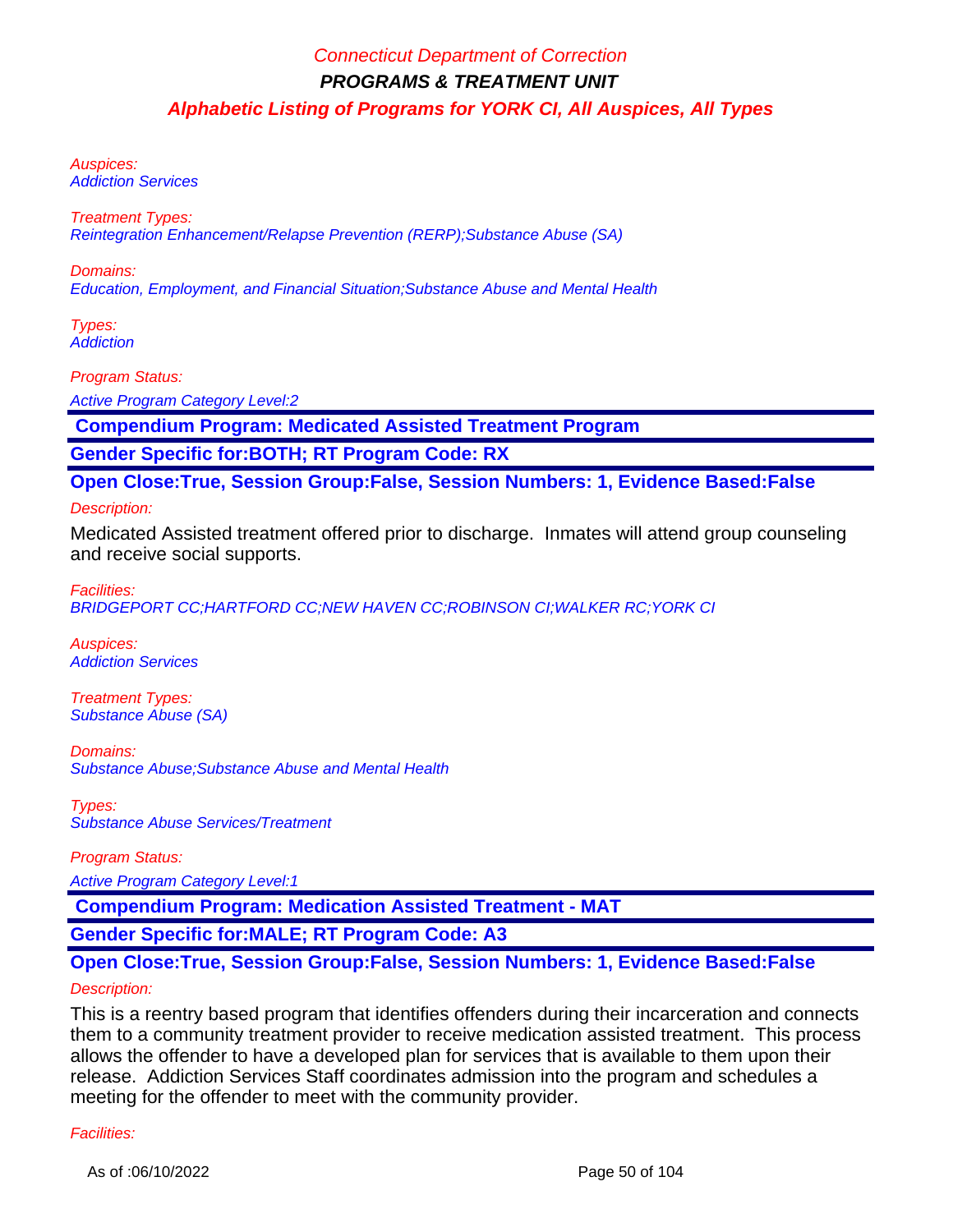Auspices: Addiction Services

Treatment Types: Reintegration Enhancement/Relapse Prevention (RERP);Substance Abuse (SA)

Domains: Education, Employment, and Financial Situation;Substance Abuse and Mental Health

Types: **Addiction** 

Program Status:

Active Program Category Level:2

 **Compendium Program: Medicated Assisted Treatment Program**

**Gender Specific for:BOTH; RT Program Code: RX**

**Open Close:True, Session Group:False, Session Numbers: 1, Evidence Based:False**

#### Description:

Medicated Assisted treatment offered prior to discharge. Inmates will attend group counseling and receive social supports.

Facilities:

BRIDGEPORT CC;HARTFORD CC;NEW HAVEN CC;ROBINSON CI;WALKER RC;YORK CI

Auspices: Addiction Services

Treatment Types: Substance Abuse (SA)

Domains: Substance Abuse;Substance Abuse and Mental Health

Types: Substance Abuse Services/Treatment

Program Status:

Active Program Category Level:1

 **Compendium Program: Medication Assisted Treatment - MAT**

**Gender Specific for:MALE; RT Program Code: A3**

### **Open Close:True, Session Group:False, Session Numbers: 1, Evidence Based:False**

#### Description:

This is a reentry based program that identifies offenders during their incarceration and connects them to a community treatment provider to receive medication assisted treatment. This process allows the offender to have a developed plan for services that is available to them upon their release. Addiction Services Staff coordinates admission into the program and schedules a meeting for the offender to meet with the community provider.

#### Facilities: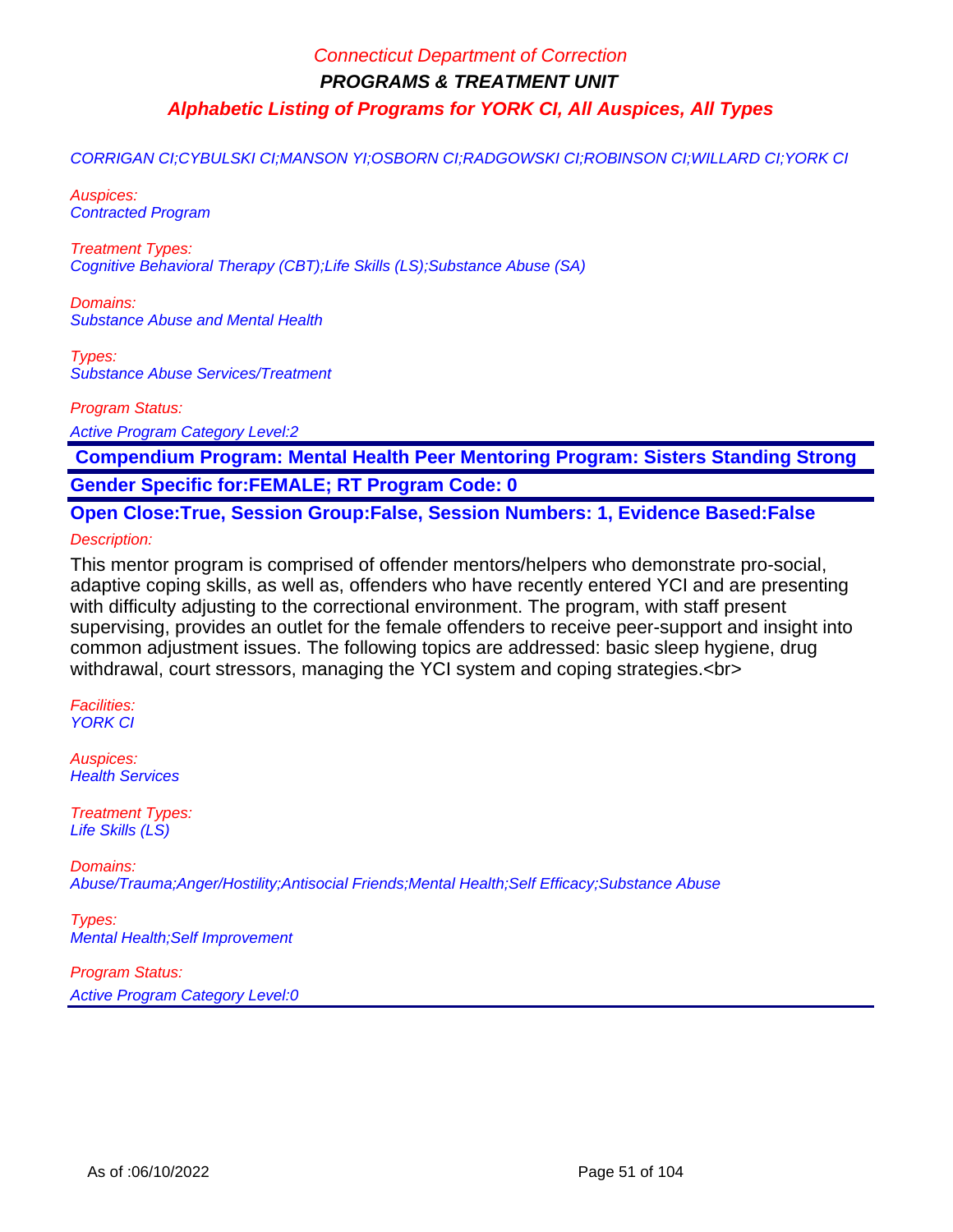CORRIGAN CI;CYBULSKI CI;MANSON YI;OSBORN CI;RADGOWSKI CI;ROBINSON CI;WILLARD CI;YORK CI

Auspices: Contracted Program

Treatment Types: Cognitive Behavioral Therapy (CBT);Life Skills (LS);Substance Abuse (SA)

Domains: Substance Abuse and Mental Health

Types: Substance Abuse Services/Treatment

Program Status:

Active Program Category Level:2

 **Compendium Program: Mental Health Peer Mentoring Program: Sisters Standing Strong Gender Specific for:FEMALE; RT Program Code: 0**

**Open Close:True, Session Group:False, Session Numbers: 1, Evidence Based:False**

Description:

This mentor program is comprised of offender mentors/helpers who demonstrate pro-social, adaptive coping skills, as well as, offenders who have recently entered YCI and are presenting with difficulty adjusting to the correctional environment. The program, with staff present supervising, provides an outlet for the female offenders to receive peer-support and insight into common adjustment issues. The following topics are addressed: basic sleep hygiene, drug withdrawal, court stressors, managing the YCI system and coping strategies.<br>

Facilities: YORK CI

Auspices: **Health Services** 

Treatment Types: Life Skills (LS)

Domains: Abuse/Trauma;Anger/Hostility;Antisocial Friends;Mental Health;Self Efficacy;Substance Abuse

Types: Mental Health;Self Improvement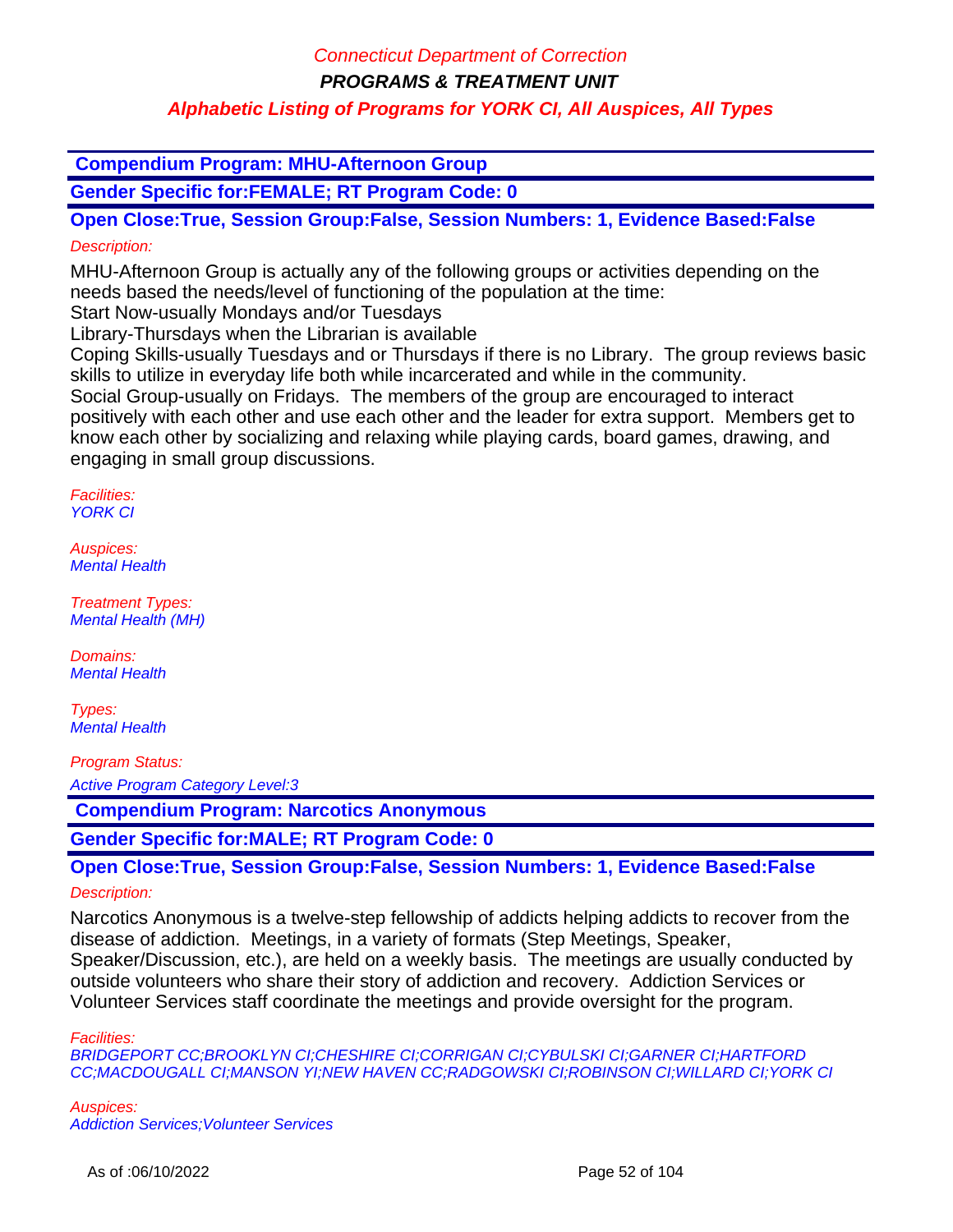### Connecticut Department of Correction

**PROGRAMS & TREATMENT UNIT**

### **Alphabetic Listing of Programs for YORK CI, All Auspices, All Types**

 **Compendium Program: MHU-Afternoon Group**

**Gender Specific for:FEMALE; RT Program Code: 0**

**Open Close:True, Session Group:False, Session Numbers: 1, Evidence Based:False** Description:

MHU-Afternoon Group is actually any of the following groups or activities depending on the needs based the needs/level of functioning of the population at the time:

Start Now-usually Mondays and/or Tuesdays

Library-Thursdays when the Librarian is available

Coping Skills-usually Tuesdays and or Thursdays if there is no Library. The group reviews basic skills to utilize in everyday life both while incarcerated and while in the community.

Social Group-usually on Fridays. The members of the group are encouraged to interact positively with each other and use each other and the leader for extra support. Members get to know each other by socializing and relaxing while playing cards, board games, drawing, and engaging in small group discussions.

Facilities: YORK CI

Auspices: Mental Health

Treatment Types: Mental Health (MH)

Domains: Mental Health

Types: Mental Health

Program Status:

Active Program Category Level:3

 **Compendium Program: Narcotics Anonymous**

**Gender Specific for:MALE; RT Program Code: 0**

**Open Close:True, Session Group:False, Session Numbers: 1, Evidence Based:False**

#### Description:

Narcotics Anonymous is a twelve-step fellowship of addicts helping addicts to recover from the disease of addiction. Meetings, in a variety of formats (Step Meetings, Speaker, Speaker/Discussion, etc.), are held on a weekly basis. The meetings are usually conducted by outside volunteers who share their story of addiction and recovery. Addiction Services or Volunteer Services staff coordinate the meetings and provide oversight for the program.

Facilities:

BRIDGEPORT CC;BROOKLYN CI;CHESHIRE CI;CORRIGAN CI;CYBULSKI CI;GARNER CI;HARTFORD CC;MACDOUGALL CI;MANSON YI;NEW HAVEN CC;RADGOWSKI CI;ROBINSON CI;WILLARD CI;YORK CI

Auspices: Addiction Services;Volunteer Services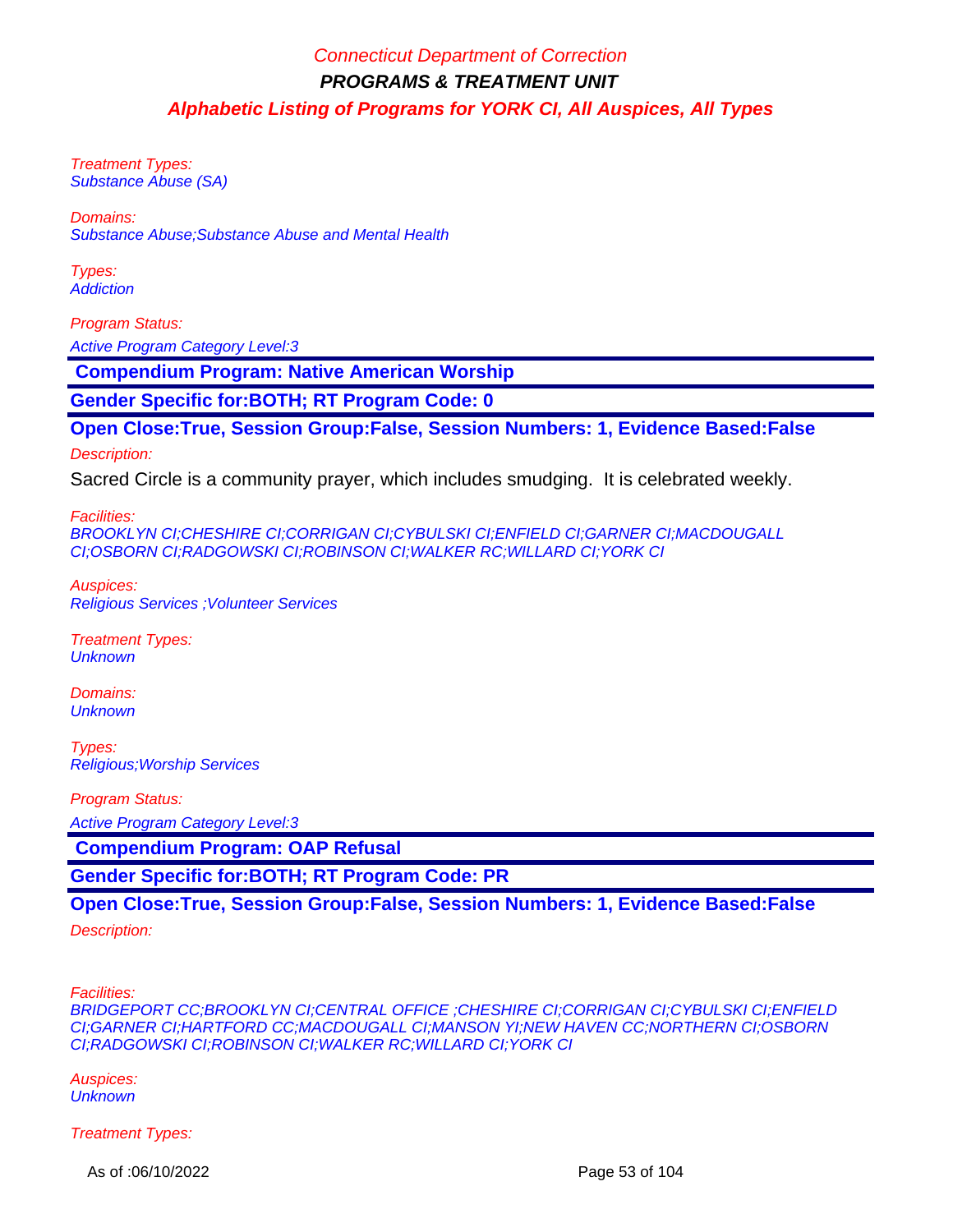Treatment Types: Substance Abuse (SA)

Domains:

Substance Abuse;Substance Abuse and Mental Health

Types: **Addiction** 

Program Status: Active Program Category Level:3

 **Compendium Program: Native American Worship**

**Gender Specific for:BOTH; RT Program Code: 0**

### **Open Close:True, Session Group:False, Session Numbers: 1, Evidence Based:False**

Description:

Sacred Circle is a community prayer, which includes smudging. It is celebrated weekly.

Facilities:

BROOKLYN CI;CHESHIRE CI;CORRIGAN CI;CYBULSKI CI;ENFIELD CI;GARNER CI;MACDOUGALL CI;OSBORN CI;RADGOWSKI CI;ROBINSON CI;WALKER RC;WILLARD CI;YORK CI

Auspices: Religious Services ;Volunteer Services

Treatment Types: **Unknown** 

Domains: **Unknown** 

Types: Religious;Worship Services

Program Status:

Active Program Category Level:3

 **Compendium Program: OAP Refusal**

**Gender Specific for:BOTH; RT Program Code: PR**

**Open Close:True, Session Group:False, Session Numbers: 1, Evidence Based:False**

Description:

Facilities:

BRIDGEPORT CC;BROOKLYN CI;CENTRAL OFFICE ;CHESHIRE CI;CORRIGAN CI;CYBULSKI CI;ENFIELD CI;GARNER CI;HARTFORD CC;MACDOUGALL CI;MANSON YI;NEW HAVEN CC;NORTHERN CI;OSBORN CI;RADGOWSKI CI;ROBINSON CI;WALKER RC;WILLARD CI;YORK CI

Auspices: **Unknown** 

Treatment Types:

As of :06/10/2022 Page 53 of 104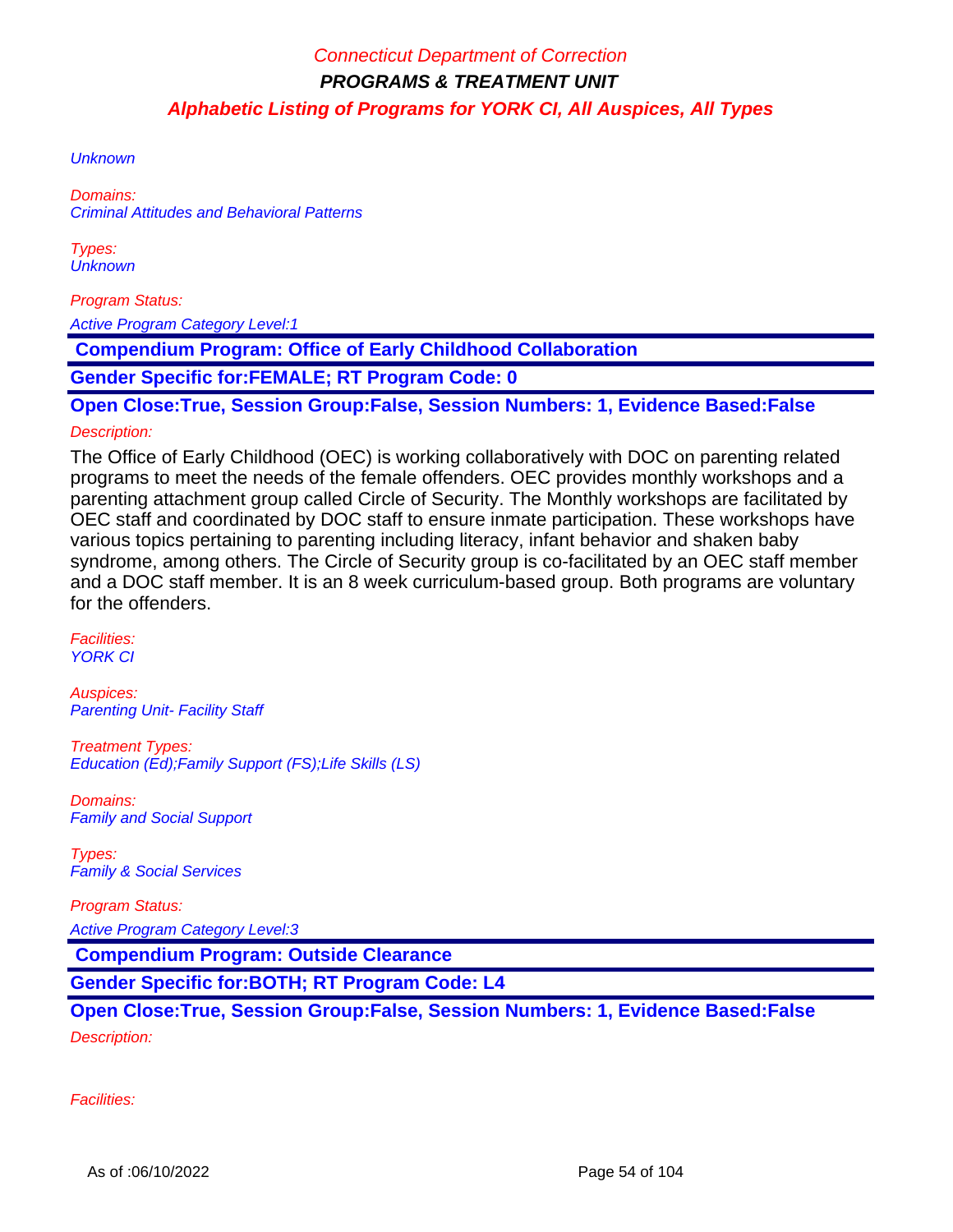**Unknown** 

Domains: Criminal Attitudes and Behavioral Patterns

Types: **Unknown** 

Program Status:

Active Program Category Level:1

 **Compendium Program: Office of Early Childhood Collaboration** 

**Gender Specific for:FEMALE; RT Program Code: 0**

**Open Close:True, Session Group:False, Session Numbers: 1, Evidence Based:False**

### Description:

The Office of Early Childhood (OEC) is working collaboratively with DOC on parenting related programs to meet the needs of the female offenders. OEC provides monthly workshops and a parenting attachment group called Circle of Security. The Monthly workshops are facilitated by OEC staff and coordinated by DOC staff to ensure inmate participation. These workshops have various topics pertaining to parenting including literacy, infant behavior and shaken baby syndrome, among others. The Circle of Security group is co-facilitated by an OEC staff member and a DOC staff member. It is an 8 week curriculum-based group. Both programs are voluntary for the offenders.

Facilities: YORK CI

Auspices: **Parenting Unit- Facility Staff** 

Treatment Types: Education (Ed);Family Support (FS);Life Skills (LS)

Domains: Family and Social Support

Types: Family & Social Services

Program Status:

Active Program Category Level:3

 **Compendium Program: Outside Clearance**

**Gender Specific for:BOTH; RT Program Code: L4**

**Open Close:True, Session Group:False, Session Numbers: 1, Evidence Based:False** Description:

Facilities: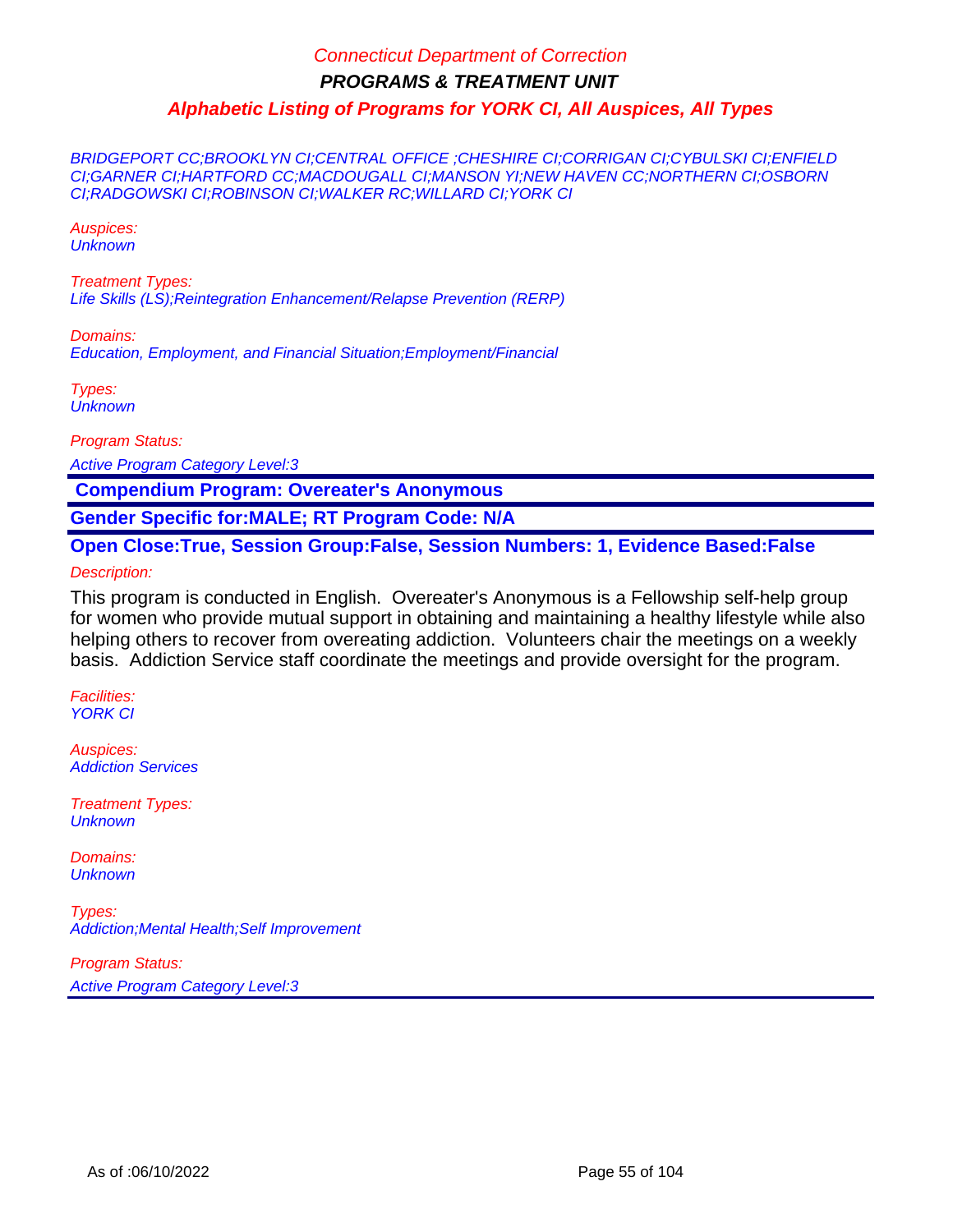BRIDGEPORT CC;BROOKLYN CI;CENTRAL OFFICE ;CHESHIRE CI;CORRIGAN CI;CYBULSKI CI;ENFIELD CI;GARNER CI;HARTFORD CC;MACDOUGALL CI;MANSON YI;NEW HAVEN CC;NORTHERN CI;OSBORN CI;RADGOWSKI CI;ROBINSON CI;WALKER RC;WILLARD CI;YORK CI

Auspices: **Unknown** 

Treatment Types: Life Skills (LS);Reintegration Enhancement/Relapse Prevention (RERP)

Domains: Education, Employment, and Financial Situation;Employment/Financial

Types: **Unknown** 

Program Status:

Active Program Category Level:3

 **Compendium Program: Overeater's Anonymous**

**Gender Specific for:MALE; RT Program Code: N/A**

**Open Close:True, Session Group:False, Session Numbers: 1, Evidence Based:False**

Description:

This program is conducted in English. Overeater's Anonymous is a Fellowship self-help group for women who provide mutual support in obtaining and maintaining a healthy lifestyle while also helping others to recover from overeating addiction. Volunteers chair the meetings on a weekly basis. Addiction Service staff coordinate the meetings and provide oversight for the program.

Facilities: YORK CI

Auspices: Addiction Services

Treatment Types: **Unknown** 

Domains: **Unknown** 

Types: Addiction;Mental Health;Self Improvement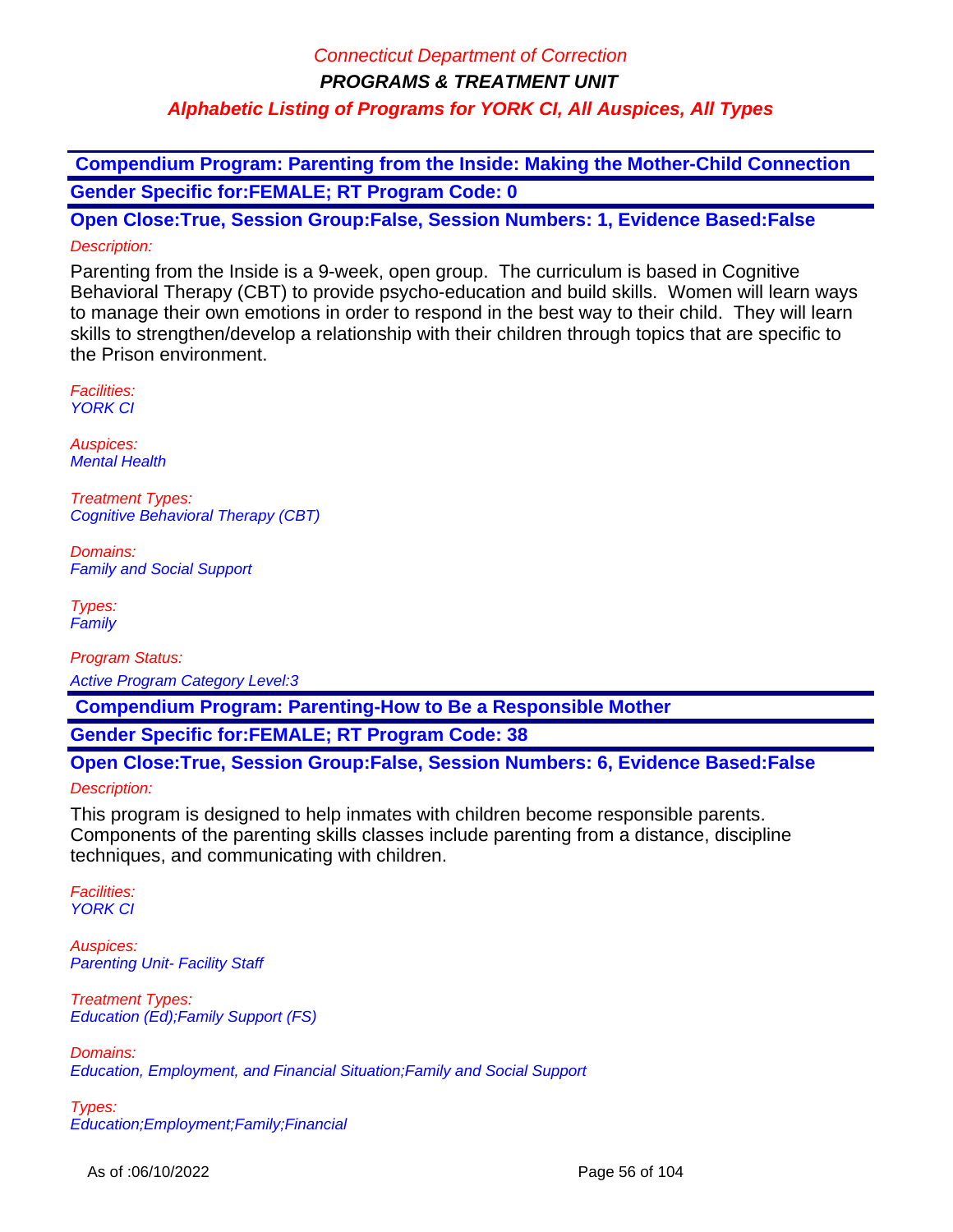**Compendium Program: Parenting from the Inside: Making the Mother-Child Connection Gender Specific for:FEMALE; RT Program Code: 0**

**Open Close:True, Session Group:False, Session Numbers: 1, Evidence Based:False** Description:

Parenting from the Inside is a 9-week, open group. The curriculum is based in Cognitive Behavioral Therapy (CBT) to provide psycho-education and build skills. Women will learn ways to manage their own emotions in order to respond in the best way to their child. They will learn skills to strengthen/develop a relationship with their children through topics that are specific to the Prison environment.

Facilities: YORK CI

Auspices: Mental Health

Treatment Types: Cognitive Behavioral Therapy (CBT)

Domains: Family and Social Support

Types: **Family** 

Program Status: Active Program Category Level:3

 **Compendium Program: Parenting-How to Be a Responsible Mother**

**Gender Specific for:FEMALE; RT Program Code: 38**

**Open Close:True, Session Group:False, Session Numbers: 6, Evidence Based:False**

#### Description:

This program is designed to help inmates with children become responsible parents. Components of the parenting skills classes include parenting from a distance, discipline techniques, and communicating with children.

Facilities: YORK CI

Auspices: **Parenting Unit- Facility Staff** 

Treatment Types: Education (Ed);Family Support (FS)

Domains: Education, Employment, and Financial Situation;Family and Social Support

Types: Education;Employment;Family;Financial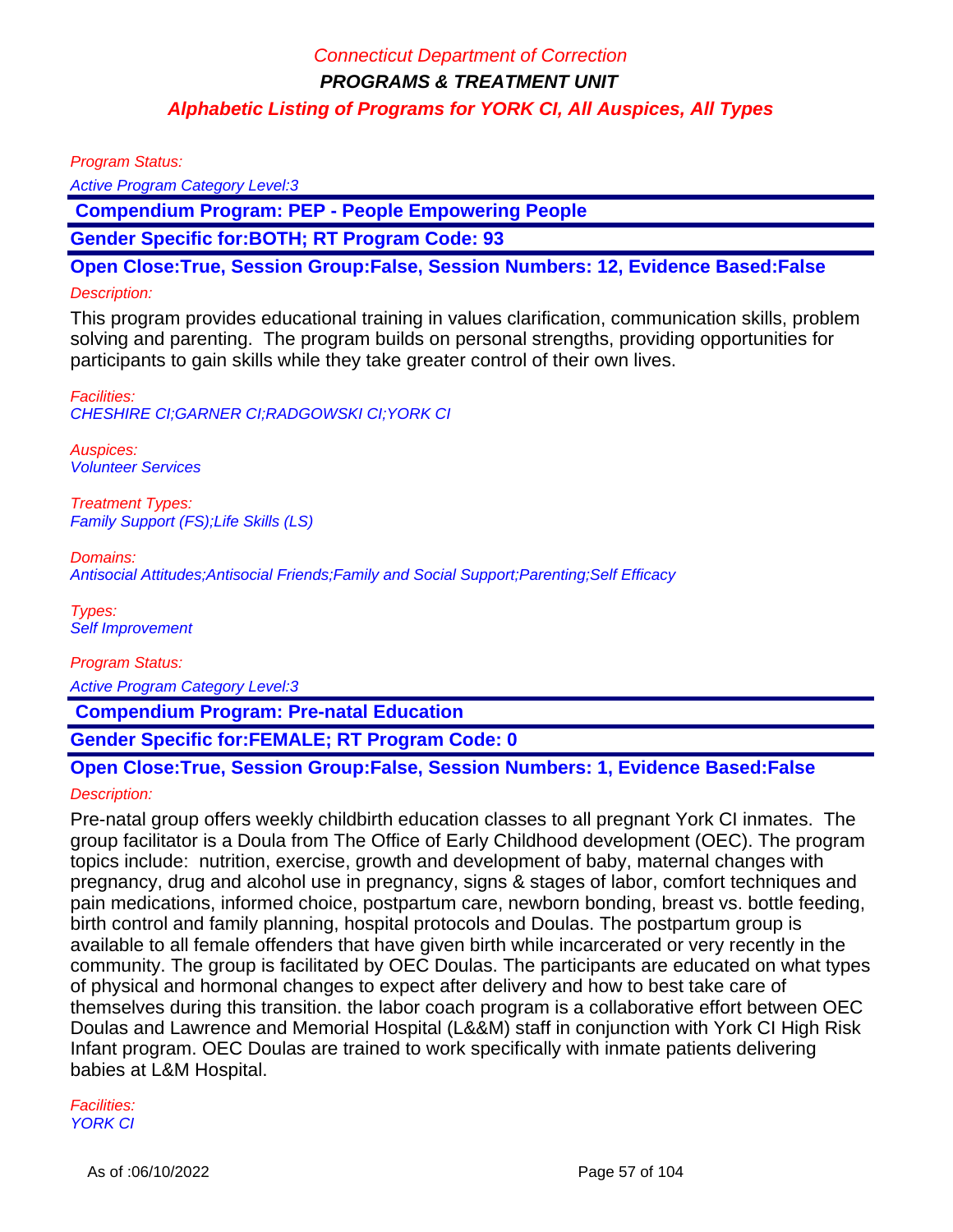Program Status:

Active Program Category Level:3

 **Compendium Program: PEP - People Empowering People**

**Gender Specific for:BOTH; RT Program Code: 93**

**Open Close:True, Session Group:False, Session Numbers: 12, Evidence Based:False**

#### Description:

This program provides educational training in values clarification, communication skills, problem solving and parenting. The program builds on personal strengths, providing opportunities for participants to gain skills while they take greater control of their own lives.

Facilities: CHESHIRE CI;GARNER CI;RADGOWSKI CI;YORK CI

Auspices: Volunteer Services

Treatment Types: Family Support (FS);Life Skills (LS)

Domains:

Antisocial Attitudes;Antisocial Friends;Family and Social Support;Parenting;Self Efficacy

Types: Self Improvement

Program Status: Active Program Category Level:3

 **Compendium Program: Pre-natal Education**

**Gender Specific for:FEMALE; RT Program Code: 0**

# **Open Close:True, Session Group:False, Session Numbers: 1, Evidence Based:False**

Description:

Pre-natal group offers weekly childbirth education classes to all pregnant York CI inmates. The group facilitator is a Doula from The Office of Early Childhood development (OEC). The program topics include: nutrition, exercise, growth and development of baby, maternal changes with pregnancy, drug and alcohol use in pregnancy, signs & stages of labor, comfort techniques and pain medications, informed choice, postpartum care, newborn bonding, breast vs. bottle feeding, birth control and family planning, hospital protocols and Doulas. The postpartum group is available to all female offenders that have given birth while incarcerated or very recently in the community. The group is facilitated by OEC Doulas. The participants are educated on what types of physical and hormonal changes to expect after delivery and how to best take care of themselves during this transition. the labor coach program is a collaborative effort between OEC Doulas and Lawrence and Memorial Hospital (L&&M) staff in conjunction with York CI High Risk Infant program. OEC Doulas are trained to work specifically with inmate patients delivering babies at L&M Hospital.

Facilities: YORK CI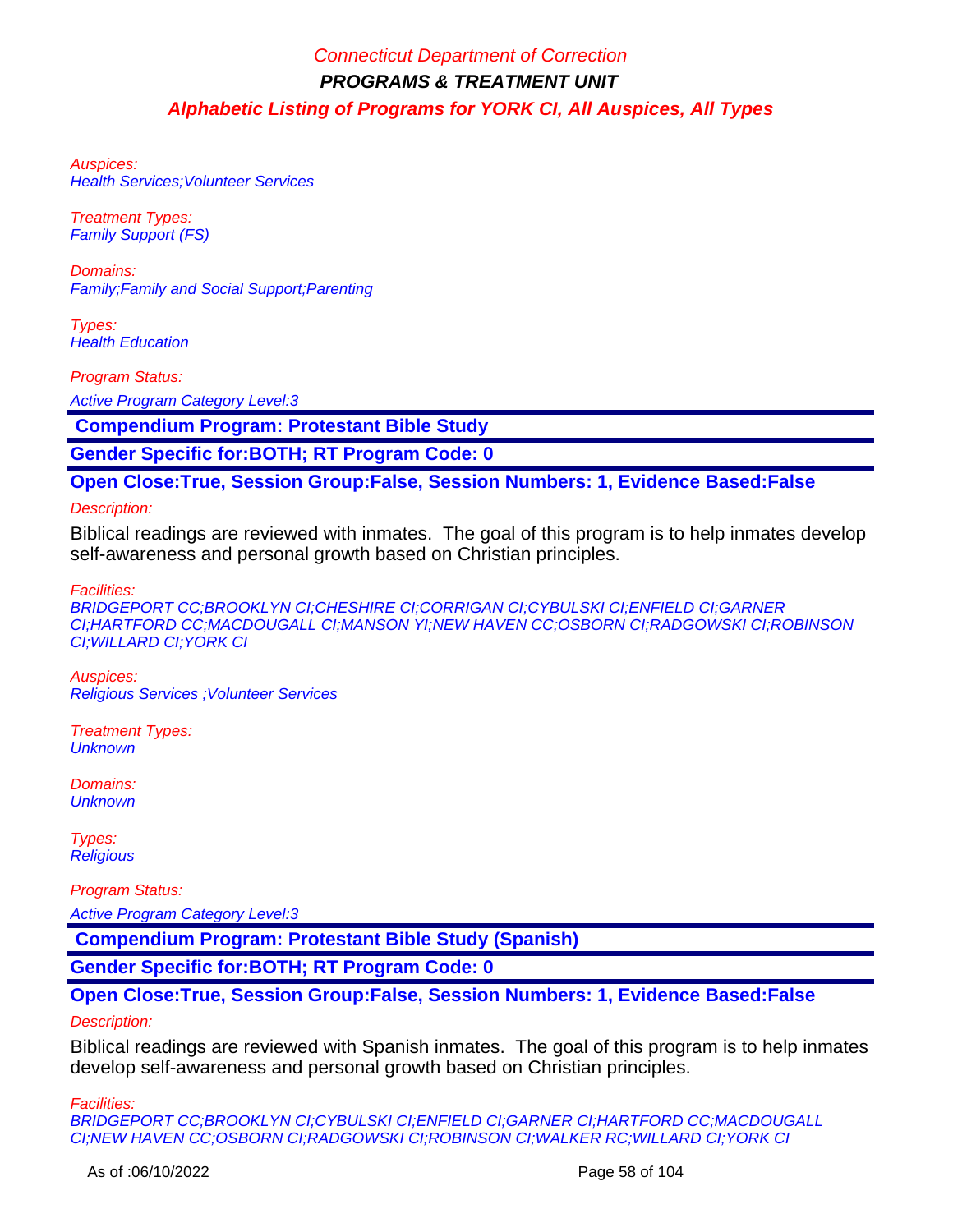Auspices: Health Services;Volunteer Services

Treatment Types: Family Support (FS)

Domains: Family;Family and Social Support;Parenting

Types: **Health Education** 

Program Status:

Active Program Category Level:3

 **Compendium Program: Protestant Bible Study**

**Gender Specific for:BOTH; RT Program Code: 0**

**Open Close:True, Session Group:False, Session Numbers: 1, Evidence Based:False**

Description:

Biblical readings are reviewed with inmates. The goal of this program is to help inmates develop self-awareness and personal growth based on Christian principles.

Facilities:

BRIDGEPORT CC;BROOKLYN CI;CHESHIRE CI;CORRIGAN CI;CYBULSKI CI;ENFIELD CI;GARNER CI;HARTFORD CC;MACDOUGALL CI;MANSON YI;NEW HAVEN CC;OSBORN CI;RADGOWSKI CI;ROBINSON CI;WILLARD CI;YORK CI

Auspices: Religious Services ;Volunteer Services

Treatment Types: **Unknown** 

Domains: **Unknown** 

Types: **Religious** 

Program Status: Active Program Category Level:3

 **Compendium Program: Protestant Bible Study (Spanish)**

**Gender Specific for:BOTH; RT Program Code: 0**

**Open Close:True, Session Group:False, Session Numbers: 1, Evidence Based:False**

Description:

Biblical readings are reviewed with Spanish inmates. The goal of this program is to help inmates develop self-awareness and personal growth based on Christian principles.

Facilities:

BRIDGEPORT CC;BROOKLYN CI;CYBULSKI CI;ENFIELD CI;GARNER CI;HARTFORD CC;MACDOUGALL CI;NEW HAVEN CC;OSBORN CI;RADGOWSKI CI;ROBINSON CI;WALKER RC;WILLARD CI;YORK CI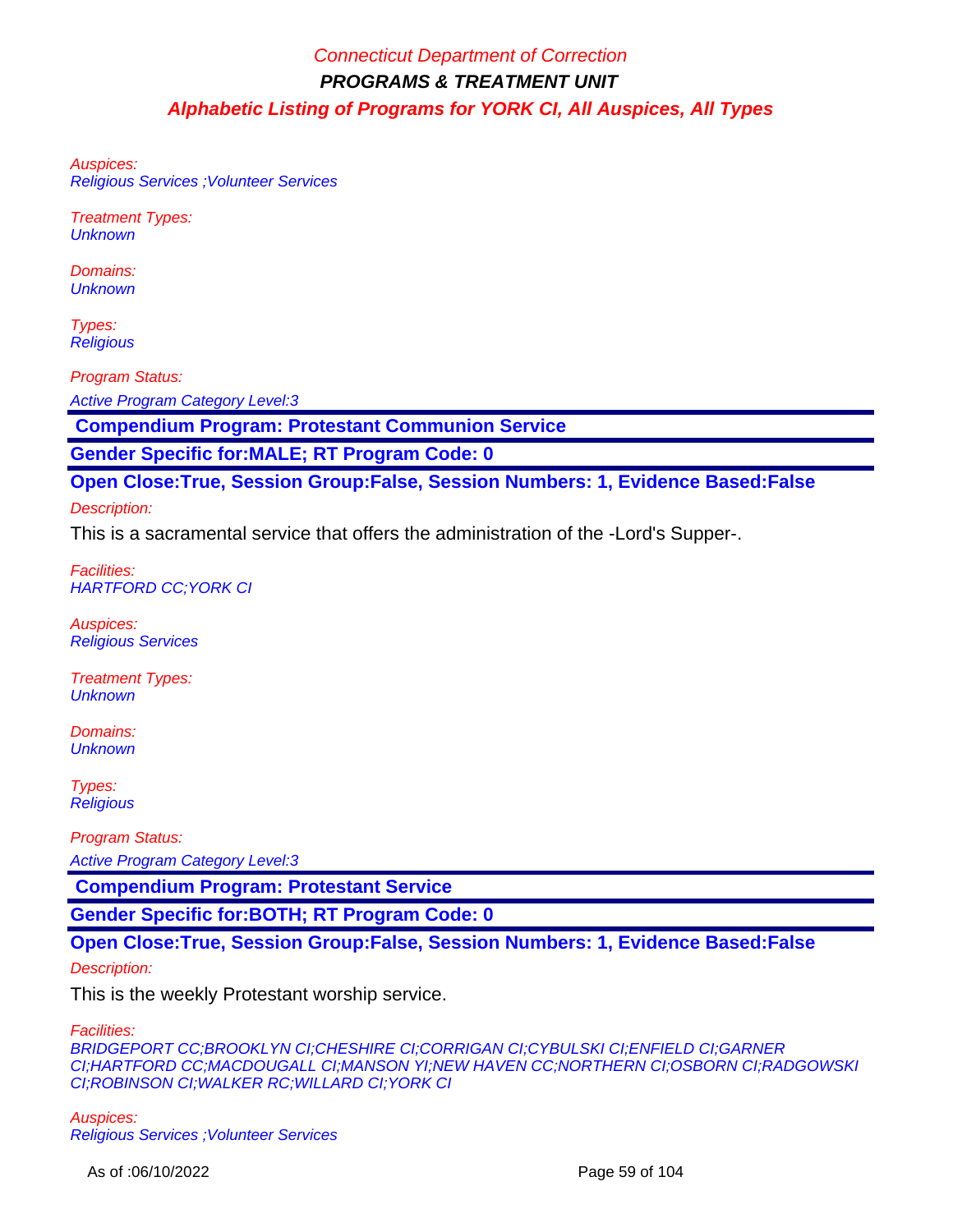Auspices: Religious Services ;Volunteer Services

Treatment Types: **Unknown** 

Domains: **Unknown** 

Types: **Religious** 

Program Status:

Active Program Category Level:3

 **Compendium Program: Protestant Communion Service**

**Gender Specific for:MALE; RT Program Code: 0**

**Open Close:True, Session Group:False, Session Numbers: 1, Evidence Based:False**

#### Description:

This is a sacramental service that offers the administration of the -Lord's Supper-.

Facilities: HARTFORD CC;YORK CI

Auspices: Religious Services

Treatment Types: **Unknown** 

Domains: **Unknown** 

Types: **Religious** 

Program Status:

Active Program Category Level:3

 **Compendium Program: Protestant Service**

**Gender Specific for:BOTH; RT Program Code: 0**

**Open Close:True, Session Group:False, Session Numbers: 1, Evidence Based:False**

#### Description:

This is the weekly Protestant worship service.

Facilities:

BRIDGEPORT CC;BROOKLYN CI;CHESHIRE CI;CORRIGAN CI;CYBULSKI CI;ENFIELD CI;GARNER CI;HARTFORD CC;MACDOUGALL CI;MANSON YI;NEW HAVEN CC;NORTHERN CI;OSBORN CI;RADGOWSKI CI;ROBINSON CI;WALKER RC;WILLARD CI;YORK CI

Auspices: Religious Services ;Volunteer Services

As of :06/10/2022 Page 59 of 104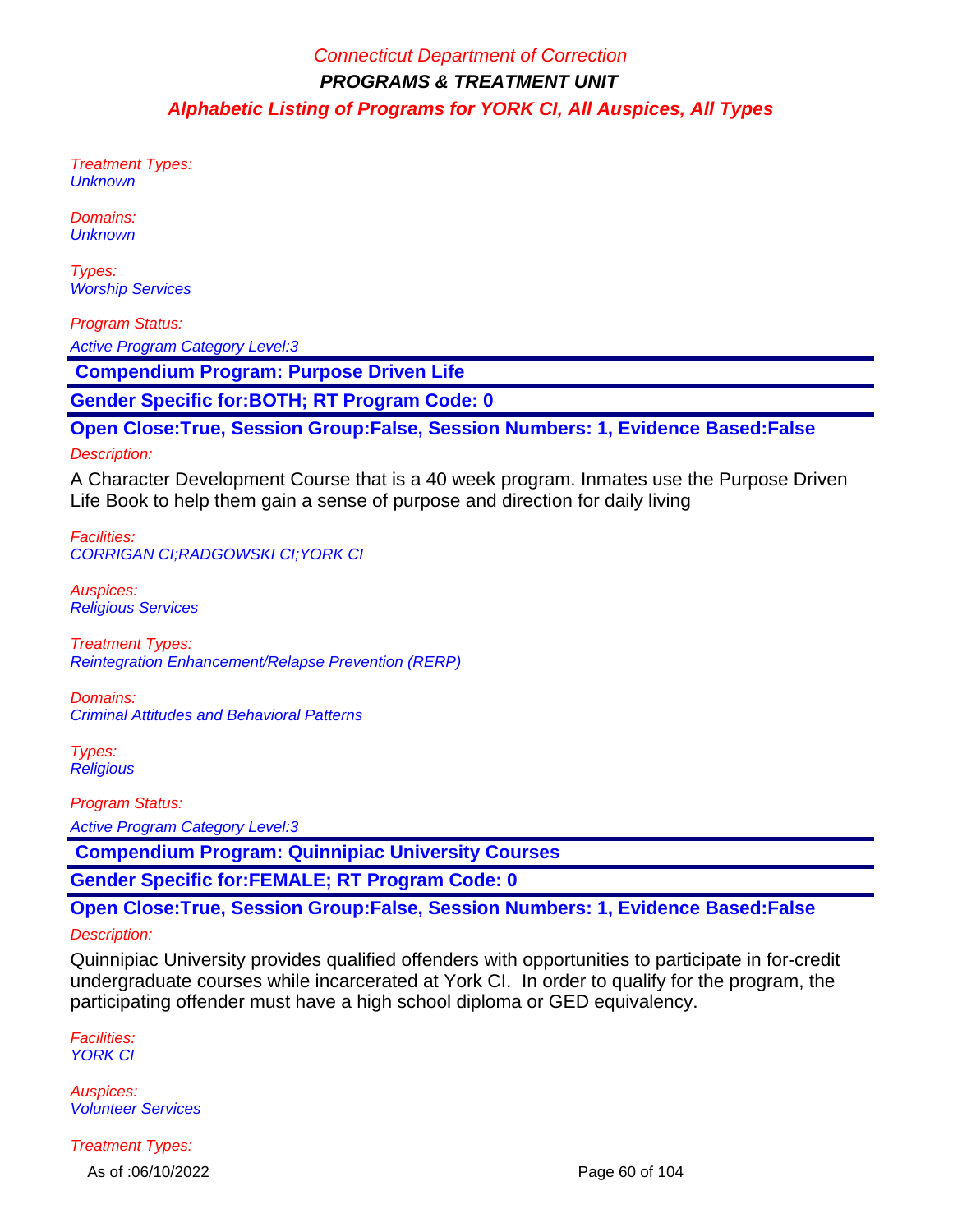Treatment Types: **Unknown** 

Domains: **Unknown** 

Types: **Worship Services** 

Program Status: Active Program Category Level:3

 **Compendium Program: Purpose Driven Life**

**Gender Specific for:BOTH; RT Program Code: 0**

**Open Close:True, Session Group:False, Session Numbers: 1, Evidence Based:False**

#### Description:

A Character Development Course that is a 40 week program. Inmates use the Purpose Driven Life Book to help them gain a sense of purpose and direction for daily living

Facilities: CORRIGAN CI;RADGOWSKI CI;YORK CI

Auspices: Religious Services

Treatment Types: Reintegration Enhancement/Relapse Prevention (RERP)

Domains: Criminal Attitudes and Behavioral Patterns

Types: **Religious** 

Program Status:

Active Program Category Level:3

 **Compendium Program: Quinnipiac University Courses**

**Gender Specific for:FEMALE; RT Program Code: 0**

**Open Close:True, Session Group:False, Session Numbers: 1, Evidence Based:False**

#### Description:

Quinnipiac University provides qualified offenders with opportunities to participate in for-credit undergraduate courses while incarcerated at York CI. In order to qualify for the program, the participating offender must have a high school diploma or GED equivalency.

Facilities: YORK CI

Auspices: Volunteer Services

Treatment Types:

As of :06/10/2022 Page 60 of 104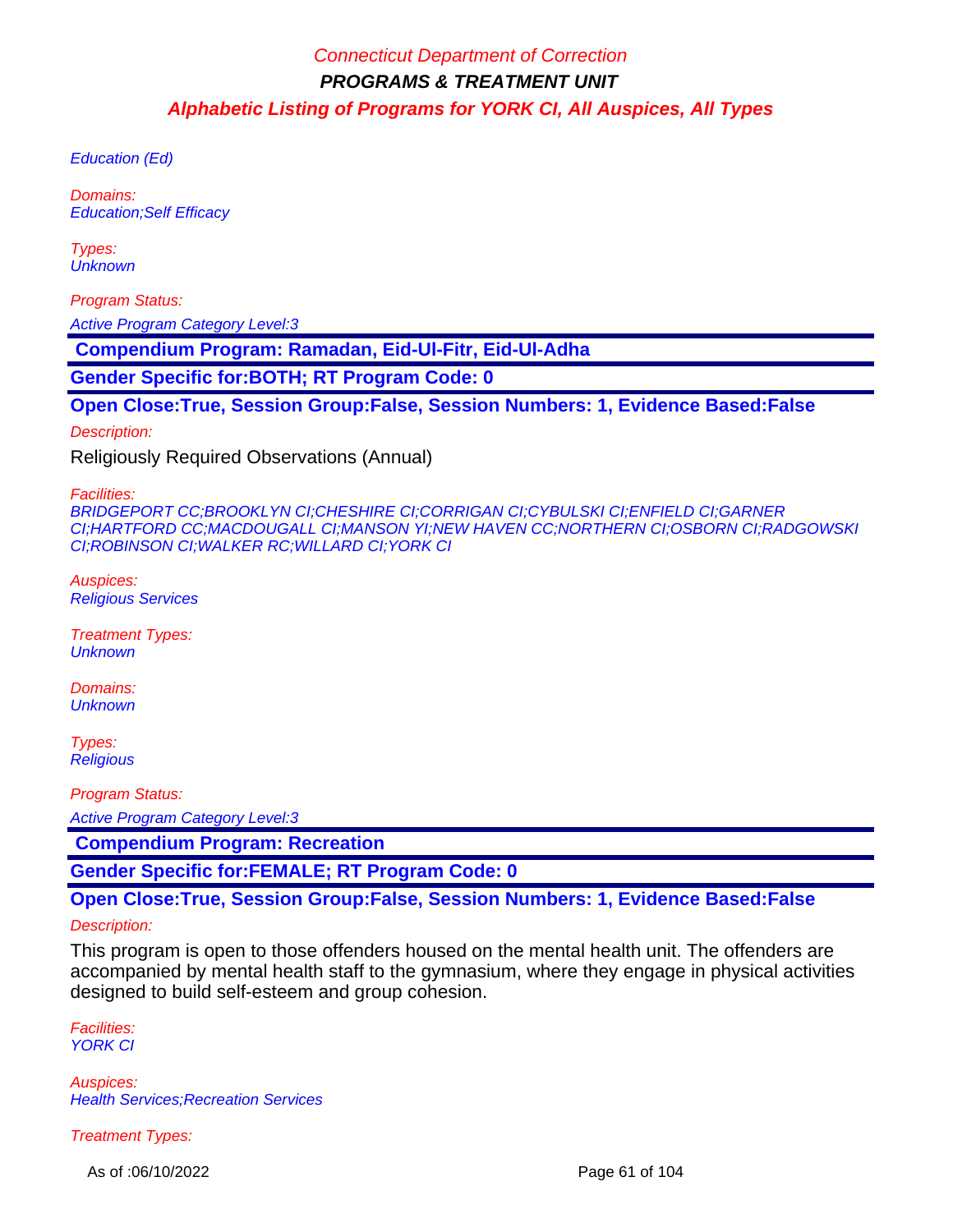Education (Ed)

Domains: Education;Self Efficacy

Types: **Unknown** 

Program Status:

Active Program Category Level:3

 **Compendium Program: Ramadan, Eid-Ul-Fitr, Eid-Ul-Adha**

**Gender Specific for:BOTH; RT Program Code: 0**

**Open Close:True, Session Group:False, Session Numbers: 1, Evidence Based:False**

Description:

Religiously Required Observations (Annual)

Facilities:

BRIDGEPORT CC;BROOKLYN CI;CHESHIRE CI;CORRIGAN CI;CYBULSKI CI;ENFIELD CI;GARNER CI;HARTFORD CC;MACDOUGALL CI;MANSON YI;NEW HAVEN CC;NORTHERN CI;OSBORN CI;RADGOWSKI CI;ROBINSON CI;WALKER RC;WILLARD CI;YORK CI

Auspices: Religious Services

Treatment Types: **Unknown** 

Domains: **Unknown** 

Types: **Religious** 

Program Status:

Active Program Category Level:3

 **Compendium Program: Recreation**

**Gender Specific for:FEMALE; RT Program Code: 0**

**Open Close:True, Session Group:False, Session Numbers: 1, Evidence Based:False**

#### Description:

This program is open to those offenders housed on the mental health unit. The offenders are accompanied by mental health staff to the gymnasium, where they engage in physical activities designed to build self-esteem and group cohesion.

Facilities: **YORK CI** 

Auspices: **Health Services; Recreation Services** 

Treatment Types:

As of :06/10/2022 Page 61 of 104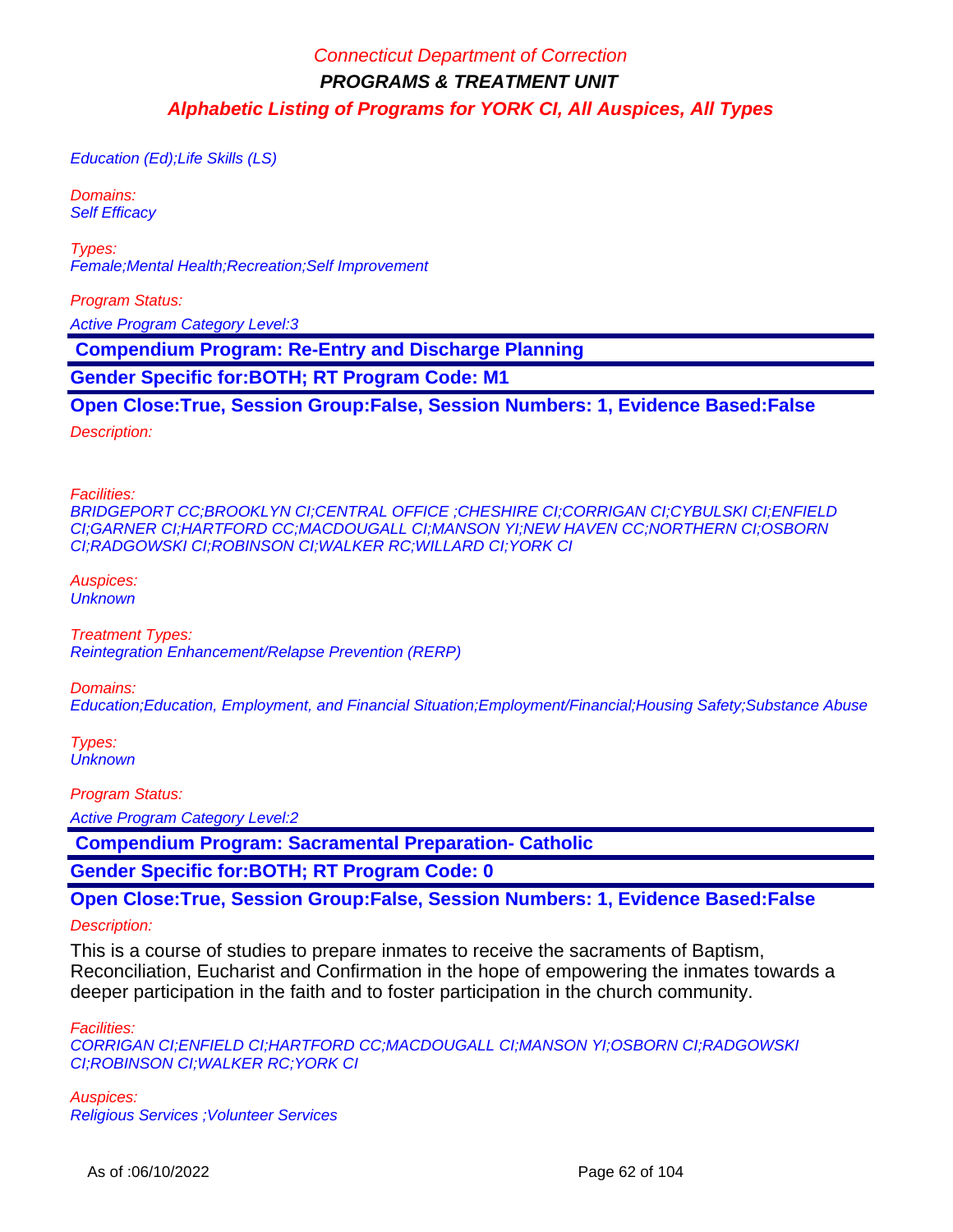Education (Ed);Life Skills (LS)

Domains: **Self Efficacy** 

Types: Female;Mental Health;Recreation;Self Improvement

Program Status:

Active Program Category Level:3

 **Compendium Program: Re-Entry and Discharge Planning**

**Gender Specific for:BOTH; RT Program Code: M1**

**Open Close:True, Session Group:False, Session Numbers: 1, Evidence Based:False**

Description:

Facilities:

BRIDGEPORT CC;BROOKLYN CI;CENTRAL OFFICE ;CHESHIRE CI;CORRIGAN CI;CYBULSKI CI;ENFIELD CI;GARNER CI;HARTFORD CC;MACDOUGALL CI;MANSON YI;NEW HAVEN CC;NORTHERN CI;OSBORN CI;RADGOWSKI CI;ROBINSON CI;WALKER RC;WILLARD CI;YORK CI

Auspices: **Unknown** 

Treatment Types: Reintegration Enhancement/Relapse Prevention (RERP)

Domains:

Education;Education, Employment, and Financial Situation;Employment/Financial;Housing Safety;Substance Abuse

Types: **Unknown** 

Program Status:

Active Program Category Level:2

 **Compendium Program: Sacramental Preparation- Catholic**

**Gender Specific for:BOTH; RT Program Code: 0**

**Open Close:True, Session Group:False, Session Numbers: 1, Evidence Based:False**

Description:

This is a course of studies to prepare inmates to receive the sacraments of Baptism, Reconciliation, Eucharist and Confirmation in the hope of empowering the inmates towards a deeper participation in the faith and to foster participation in the church community.

Facilities:

CORRIGAN CI;ENFIELD CI;HARTFORD CC;MACDOUGALL CI;MANSON YI;OSBORN CI;RADGOWSKI CI;ROBINSON CI;WALKER RC;YORK CI

Auspices: Religious Services ;Volunteer Services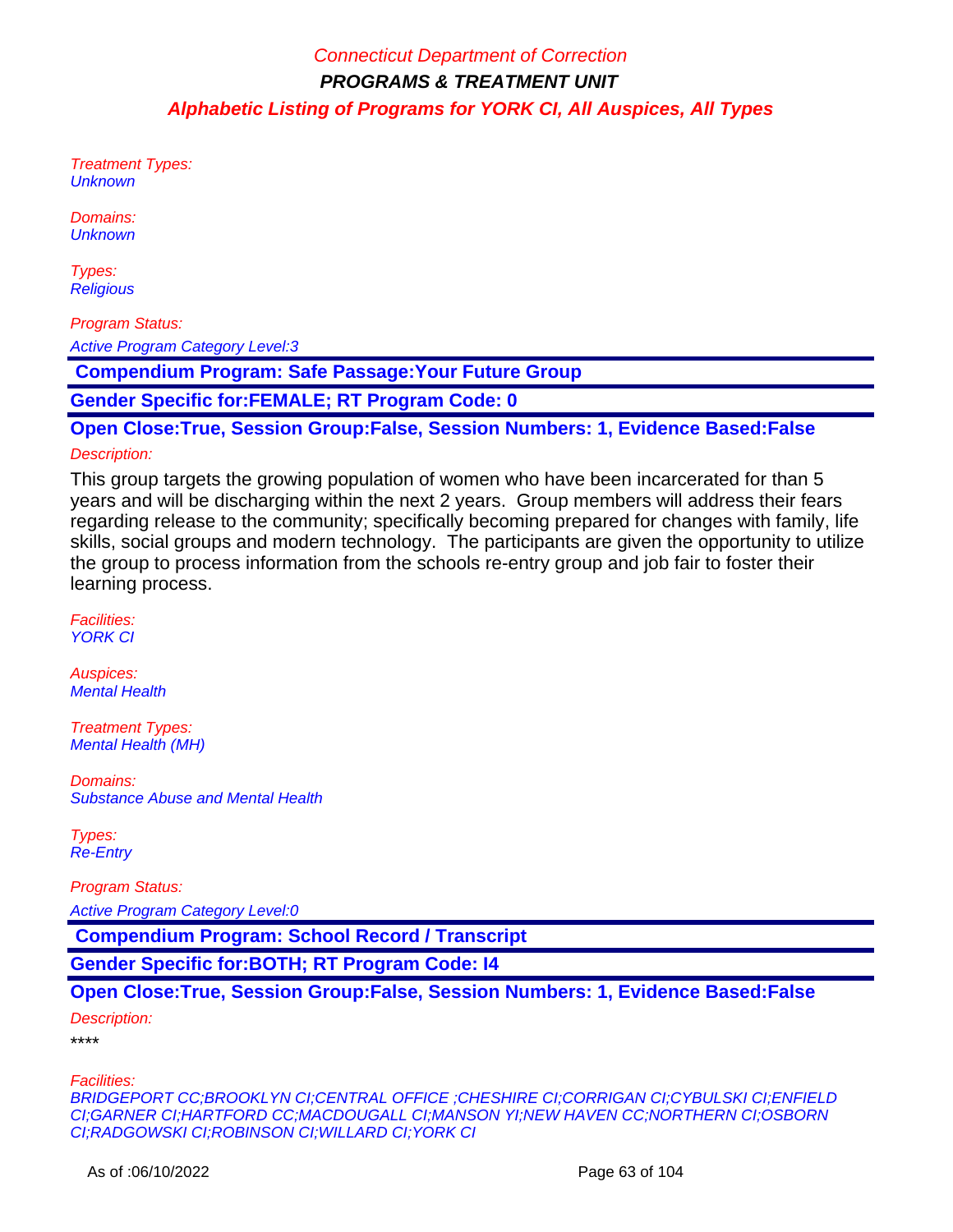Treatment Types: **Unknown** 

Domains: **Unknown** 

Types: **Religious** 

Program Status: Active Program Category Level:3

 **Compendium Program: Safe Passage:Your Future Group** 

**Gender Specific for:FEMALE; RT Program Code: 0**

**Open Close:True, Session Group:False, Session Numbers: 1, Evidence Based:False**

#### Description:

This group targets the growing population of women who have been incarcerated for than 5 years and will be discharging within the next 2 years. Group members will address their fears regarding release to the community; specifically becoming prepared for changes with family, life skills, social groups and modern technology. The participants are given the opportunity to utilize the group to process information from the schools re-entry group and job fair to foster their learning process.

Facilities: YORK CI

Auspices: Mental Health

Treatment Types: Mental Health (MH)

Domains: Substance Abuse and Mental Health

Types: Re-Entry

Program Status:

Active Program Category Level:0

 **Compendium Program: School Record / Transcript**

**Gender Specific for:BOTH; RT Program Code: I4**

**Open Close:True, Session Group:False, Session Numbers: 1, Evidence Based:False**

Description:

\*\*\*\*

Facilities:

BRIDGEPORT CC;BROOKLYN CI;CENTRAL OFFICE ;CHESHIRE CI;CORRIGAN CI;CYBULSKI CI;ENFIELD CI;GARNER CI;HARTFORD CC;MACDOUGALL CI;MANSON YI;NEW HAVEN CC;NORTHERN CI;OSBORN CI;RADGOWSKI CI;ROBINSON CI;WILLARD CI;YORK CI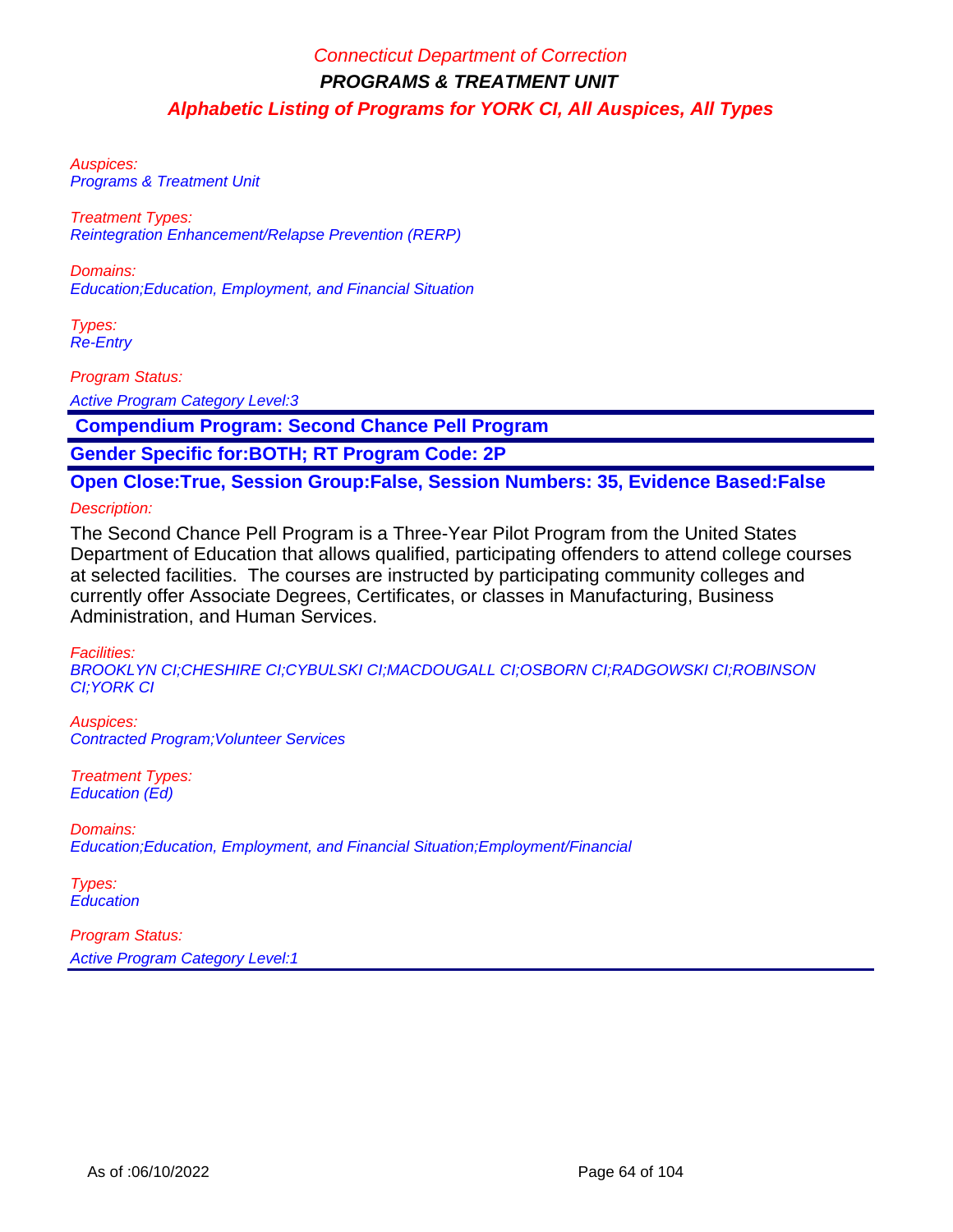Auspices: Programs & Treatment Unit

Treatment Types: Reintegration Enhancement/Relapse Prevention (RERP)

Domains: Education;Education, Employment, and Financial Situation

Types: Re-Entry

Program Status:

Active Program Category Level:3

 **Compendium Program: Second Chance Pell Program**

**Gender Specific for:BOTH; RT Program Code: 2P**

**Open Close:True, Session Group:False, Session Numbers: 35, Evidence Based:False**

Description:

The Second Chance Pell Program is a Three-Year Pilot Program from the United States Department of Education that allows qualified, participating offenders to attend college courses at selected facilities. The courses are instructed by participating community colleges and currently offer Associate Degrees, Certificates, or classes in Manufacturing, Business Administration, and Human Services.

Facilities:

BROOKLYN CI;CHESHIRE CI;CYBULSKI CI;MACDOUGALL CI;OSBORN CI;RADGOWSKI CI;ROBINSON CI;YORK CI

Auspices: Contracted Program;Volunteer Services

Treatment Types: Education (Ed)

Domains: Education;Education, Employment, and Financial Situation;Employment/Financial

Types: **Education**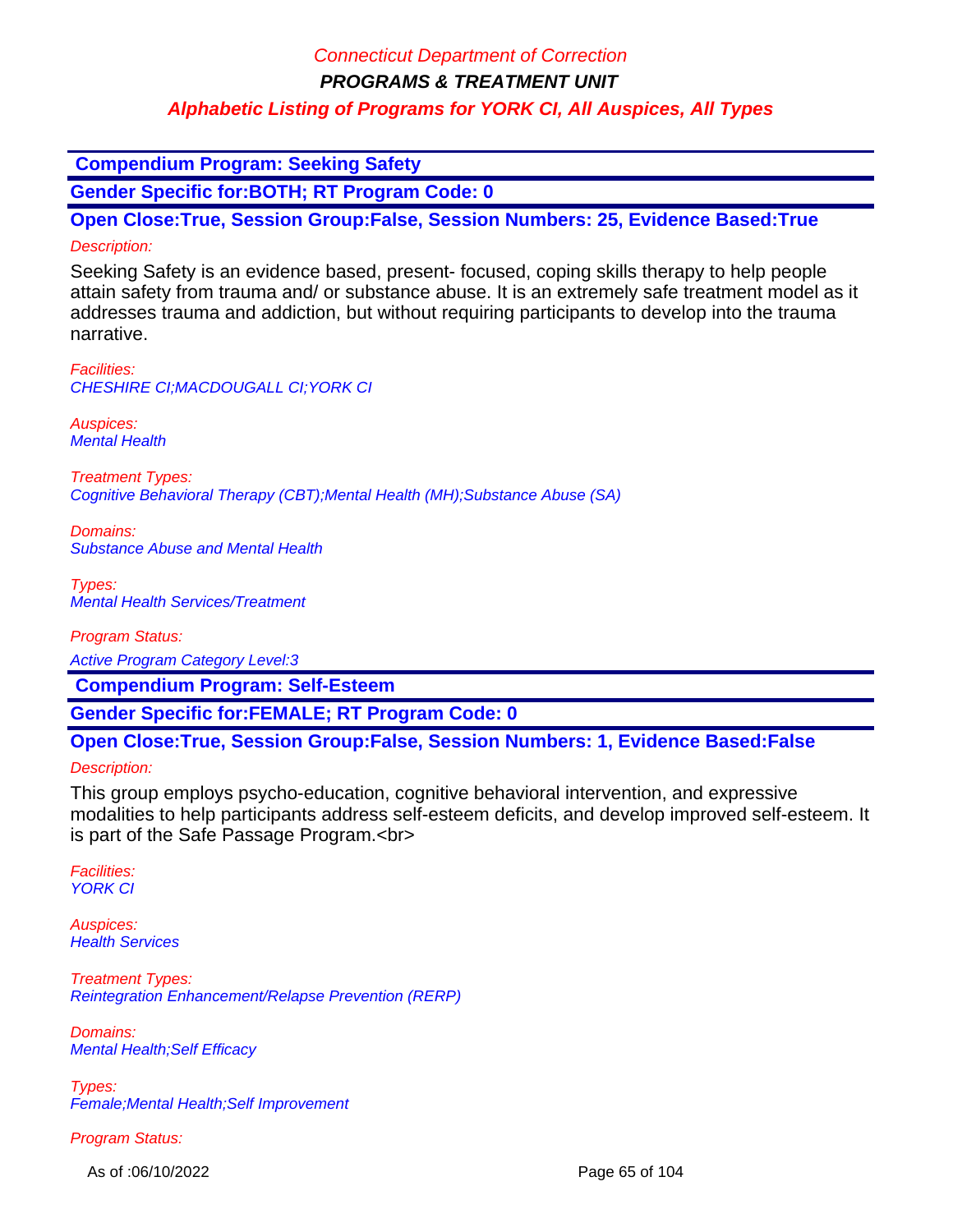### Connecticut Department of Correction

**PROGRAMS & TREATMENT UNIT**

### **Alphabetic Listing of Programs for YORK CI, All Auspices, All Types**

 **Compendium Program: Seeking Safety**

**Gender Specific for:BOTH; RT Program Code: 0**

**Open Close:True, Session Group:False, Session Numbers: 25, Evidence Based:True** Description:

Seeking Safety is an evidence based, present- focused, coping skills therapy to help people attain safety from trauma and/ or substance abuse. It is an extremely safe treatment model as it addresses trauma and addiction, but without requiring participants to develop into the trauma narrative.

Facilities: CHESHIRE CI;MACDOUGALL CI;YORK CI

Auspices: Mental Health

Treatment Types: Cognitive Behavioral Therapy (CBT);Mental Health (MH);Substance Abuse (SA)

Domains: Substance Abuse and Mental Health

Types: Mental Health Services/Treatment

Program Status:

Active Program Category Level:3

 **Compendium Program: Self-Esteem**

**Gender Specific for:FEMALE; RT Program Code: 0**

#### **Open Close:True, Session Group:False, Session Numbers: 1, Evidence Based:False**

Description:

This group employs psycho-education, cognitive behavioral intervention, and expressive modalities to help participants address self-esteem deficits, and develop improved self-esteem. It is part of the Safe Passage Program.<br>

Facilities: YORK CI

Auspices: **Health Services** 

Treatment Types: Reintegration Enhancement/Relapse Prevention (RERP)

Domains: Mental Health;Self Efficacy

Types: Female;Mental Health;Self Improvement

Program Status:

As of :06/10/2022 Page 65 of 104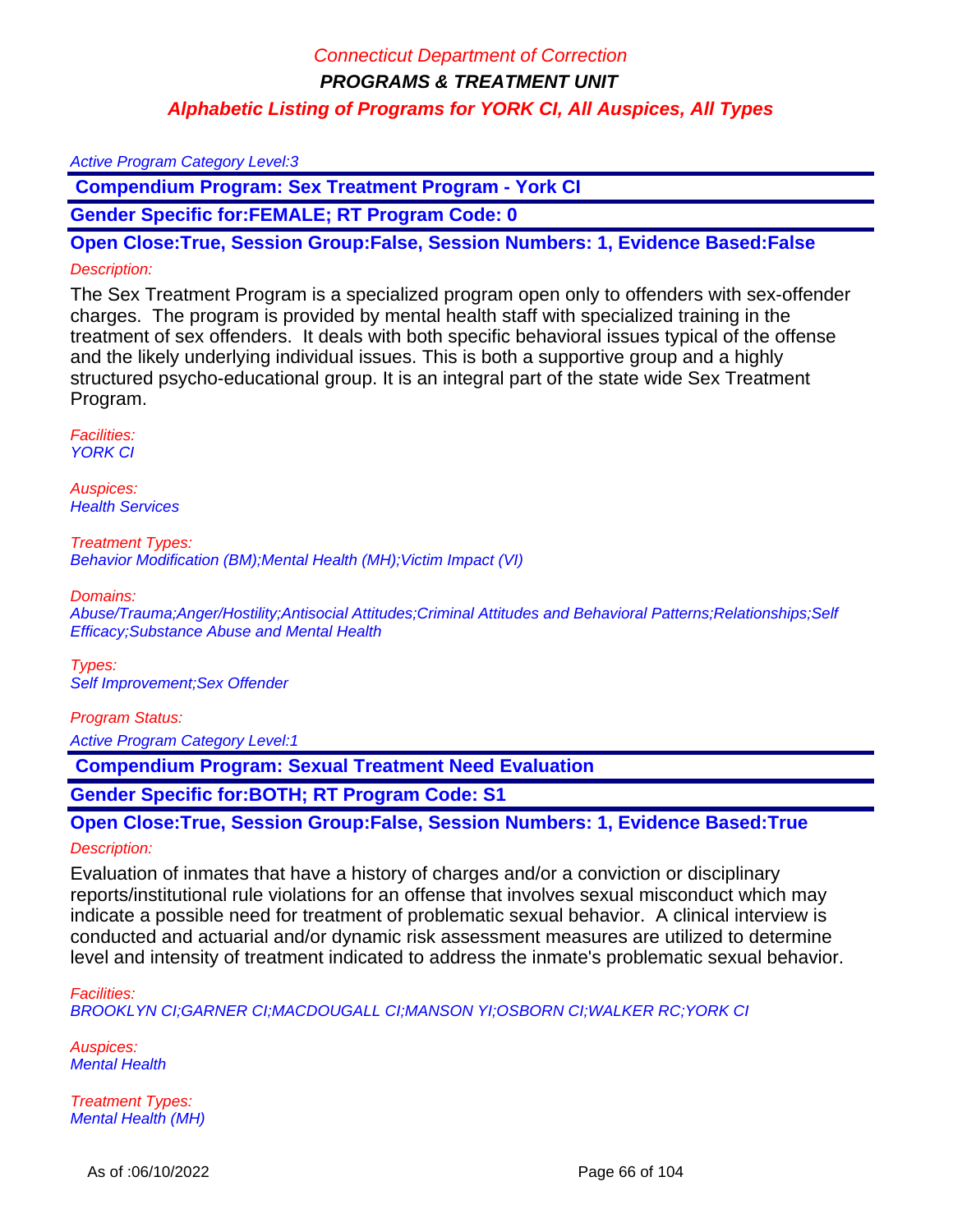#### Active Program Category Level:3

 **Compendium Program: Sex Treatment Program - York CI**

**Gender Specific for:FEMALE; RT Program Code: 0**

**Open Close:True, Session Group:False, Session Numbers: 1, Evidence Based:False**

#### Description:

The Sex Treatment Program is a specialized program open only to offenders with sex-offender charges. The program is provided by mental health staff with specialized training in the treatment of sex offenders. It deals with both specific behavioral issues typical of the offense and the likely underlying individual issues. This is both a supportive group and a highly structured psycho-educational group. It is an integral part of the state wide Sex Treatment Program.

Facilities: YORK CI

Auspices: **Health Services** 

Treatment Types: Behavior Modification (BM);Mental Health (MH);Victim Impact (VI)

Domains:

Abuse/Trauma;Anger/Hostility;Antisocial Attitudes;Criminal Attitudes and Behavioral Patterns;Relationships;Self Efficacy;Substance Abuse and Mental Health

Types: Self Improvement;Sex Offender

#### Program Status:

Active Program Category Level:1

 **Compendium Program: Sexual Treatment Need Evaluation** 

**Gender Specific for:BOTH; RT Program Code: S1**

**Open Close:True, Session Group:False, Session Numbers: 1, Evidence Based:True**

#### Description:

Evaluation of inmates that have a history of charges and/or a conviction or disciplinary reports/institutional rule violations for an offense that involves sexual misconduct which may indicate a possible need for treatment of problematic sexual behavior. A clinical interview is conducted and actuarial and/or dynamic risk assessment measures are utilized to determine level and intensity of treatment indicated to address the inmate's problematic sexual behavior.

#### Facilities:

BROOKLYN CI;GARNER CI;MACDOUGALL CI;MANSON YI;OSBORN CI;WALKER RC;YORK CI

Auspices: **Mental Health** 

Treatment Types: Mental Health (MH)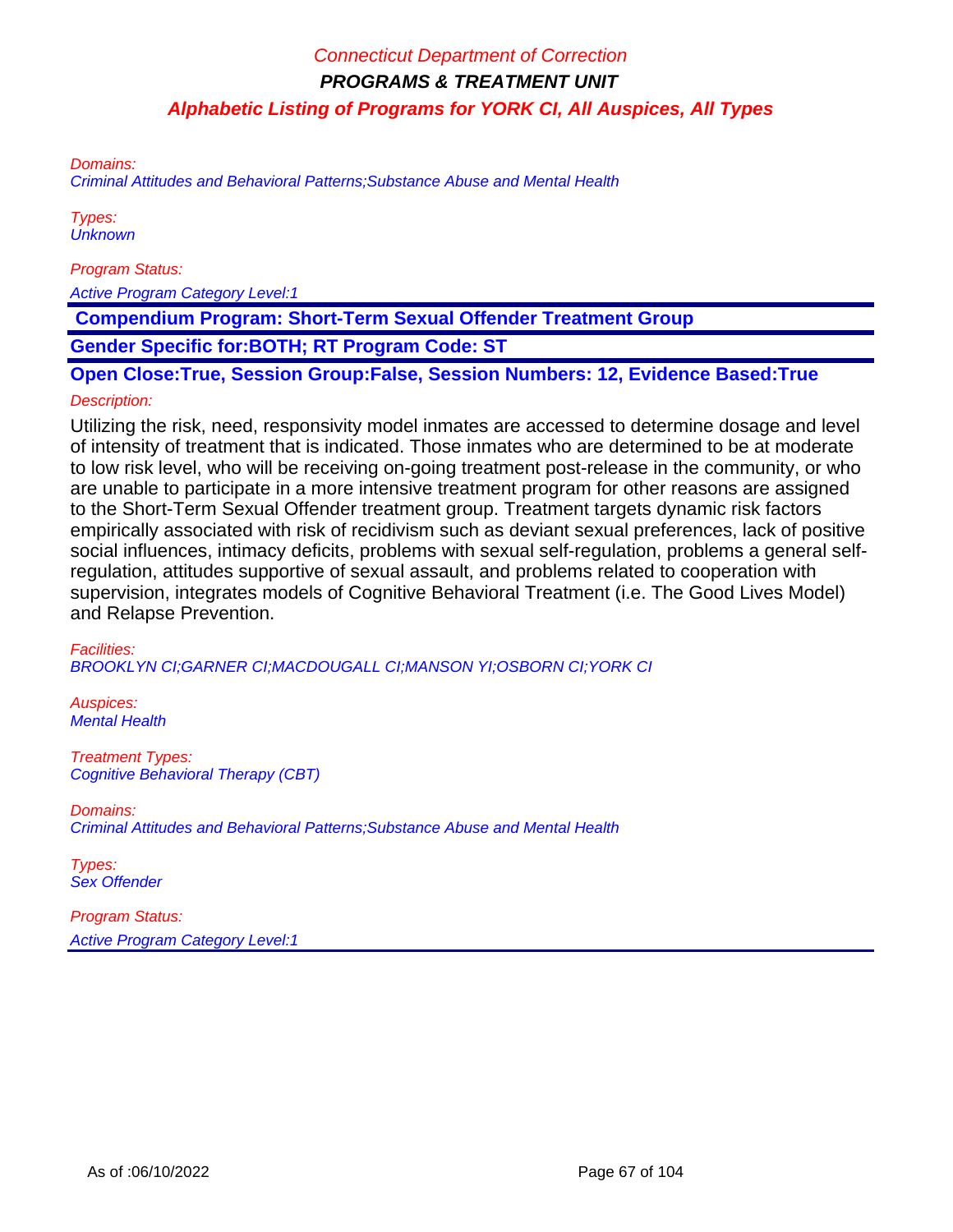Domains:

Criminal Attitudes and Behavioral Patterns;Substance Abuse and Mental Health

Types: **Unknown** 

Program Status:

Active Program Category Level:1

 **Compendium Program: Short-Term Sexual Offender Treatment Group**

**Gender Specific for:BOTH; RT Program Code: ST**

**Open Close:True, Session Group:False, Session Numbers: 12, Evidence Based:True**

#### Description:

Utilizing the risk, need, responsivity model inmates are accessed to determine dosage and level of intensity of treatment that is indicated. Those inmates who are determined to be at moderate to low risk level, who will be receiving on-going treatment post-release in the community, or who are unable to participate in a more intensive treatment program for other reasons are assigned to the Short-Term Sexual Offender treatment group. Treatment targets dynamic risk factors empirically associated with risk of recidivism such as deviant sexual preferences, lack of positive social influences, intimacy deficits, problems with sexual self-regulation, problems a general selfregulation, attitudes supportive of sexual assault, and problems related to cooperation with supervision, integrates models of Cognitive Behavioral Treatment (i.e. The Good Lives Model) and Relapse Prevention.

Facilities: BROOKLYN CI;GARNER CI;MACDOUGALL CI;MANSON YI;OSBORN CI;YORK CI

Auspices: Mental Health

Treatment Types: Cognitive Behavioral Therapy (CBT)

Domains: Criminal Attitudes and Behavioral Patterns;Substance Abuse and Mental Health

Types: Sex Offender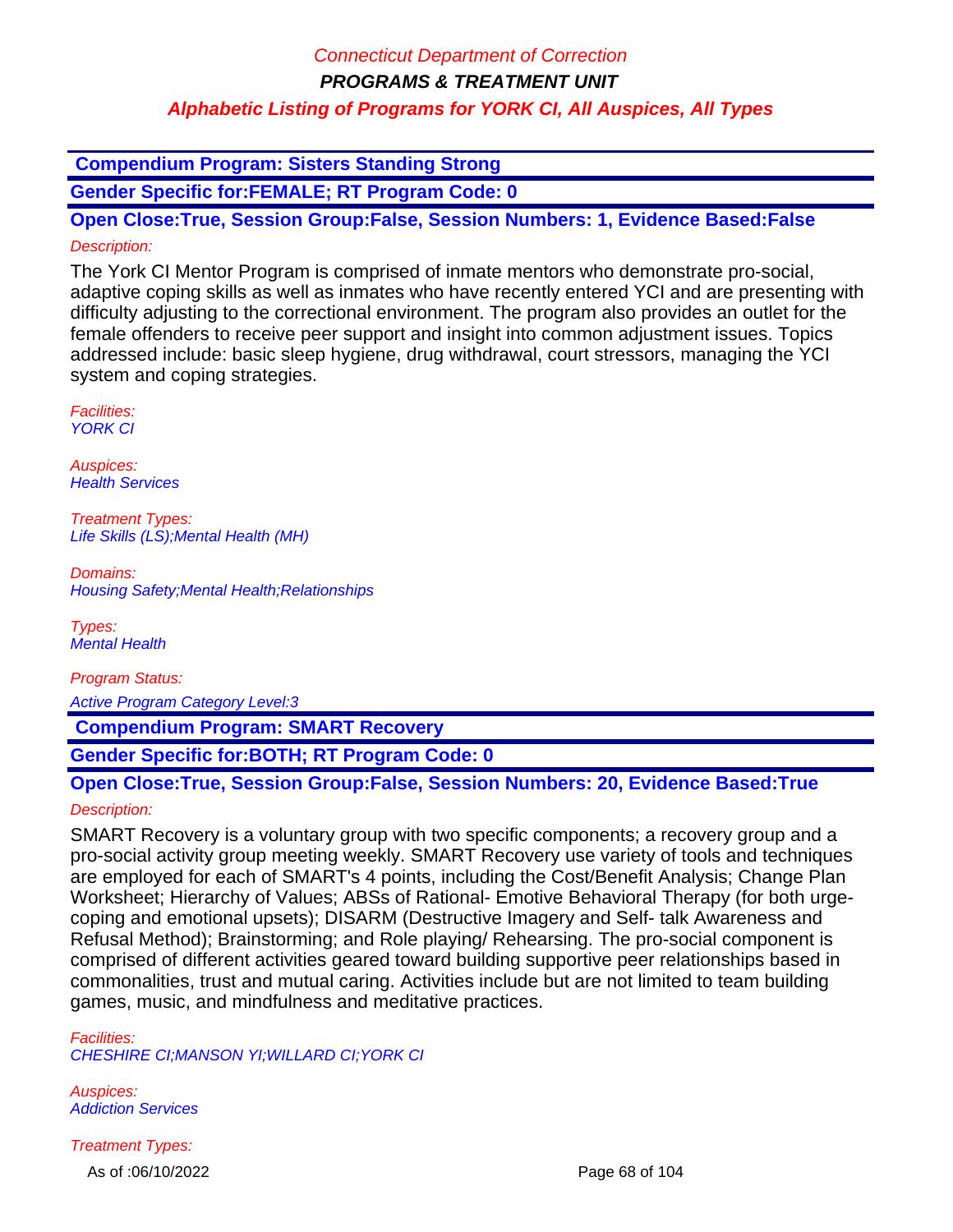**Compendium Program: Sisters Standing Strong**

**Gender Specific for:FEMALE; RT Program Code: 0**

**Open Close:True, Session Group:False, Session Numbers: 1, Evidence Based:False** Description:

The York CI Mentor Program is comprised of inmate mentors who demonstrate pro-social, adaptive coping skills as well as inmates who have recently entered YCI and are presenting with difficulty adjusting to the correctional environment. The program also provides an outlet for the female offenders to receive peer support and insight into common adjustment issues. Topics addressed include: basic sleep hygiene, drug withdrawal, court stressors, managing the YCI system and coping strategies.

Facilities: YORK CI

Auspices: **Health Services** 

Treatment Types: Life Skills (LS);Mental Health (MH)

Domains: Housing Safety;Mental Health;Relationships

Types: Mental Health

Program Status: Active Program Category Level:3

 **Compendium Program: SMART Recovery**

**Gender Specific for:BOTH; RT Program Code: 0**

### **Open Close:True, Session Group:False, Session Numbers: 20, Evidence Based:True**

#### Description:

SMART Recovery is a voluntary group with two specific components; a recovery group and a pro-social activity group meeting weekly. SMART Recovery use variety of tools and techniques are employed for each of SMART's 4 points, including the Cost/Benefit Analysis; Change Plan Worksheet; Hierarchy of Values; ABSs of Rational- Emotive Behavioral Therapy (for both urgecoping and emotional upsets); DISARM (Destructive Imagery and Self- talk Awareness and Refusal Method); Brainstorming; and Role playing/ Rehearsing. The pro-social component is comprised of different activities geared toward building supportive peer relationships based in commonalities, trust and mutual caring. Activities include but are not limited to team building games, music, and mindfulness and meditative practices.

Facilities: CHESHIRE CI;MANSON YI;WILLARD CI;YORK CI

Auspices: Addiction Services

Treatment Types: As of :06/10/2022 Page 68 of 104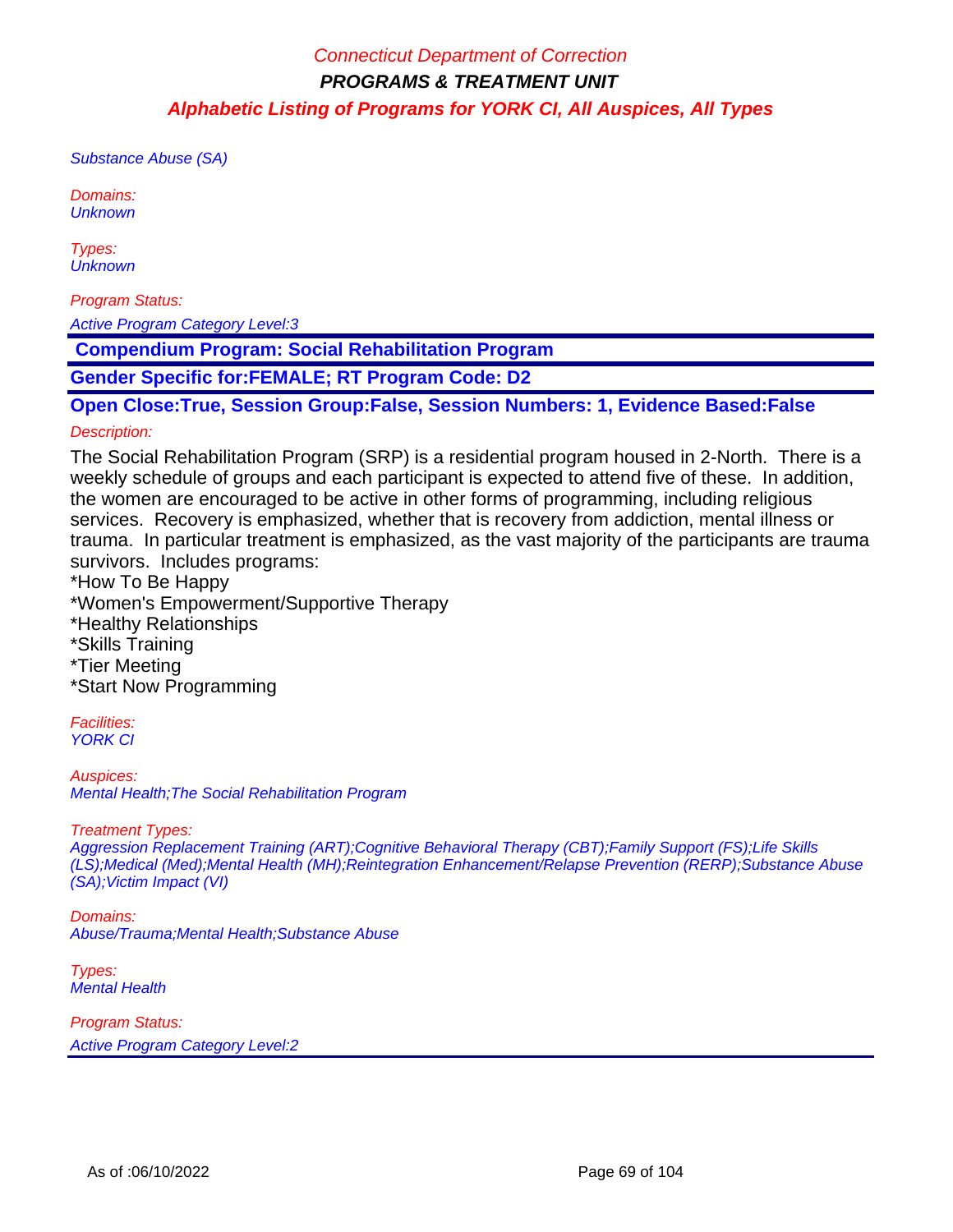Substance Abuse (SA)

Domains: **Unknown** 

Types: **Unknown** 

Program Status:

Active Program Category Level:3

 **Compendium Program: Social Rehabilitation Program** 

**Gender Specific for:FEMALE; RT Program Code: D2**

**Open Close:True, Session Group:False, Session Numbers: 1, Evidence Based:False**

#### Description:

The Social Rehabilitation Program (SRP) is a residential program housed in 2-North. There is a weekly schedule of groups and each participant is expected to attend five of these. In addition, the women are encouraged to be active in other forms of programming, including religious services. Recovery is emphasized, whether that is recovery from addiction, mental illness or trauma. In particular treatment is emphasized, as the vast majority of the participants are trauma survivors. Includes programs:

\*How To Be Happy

\*Women's Empowerment/Supportive Therapy

- \*Healthy Relationships
- \*Skills Training
- \*Tier Meeting

\*Start Now Programming

Facilities: YORK CI

Auspices: Mental Health;The Social Rehabilitation Program

Treatment Types:

Aggression Replacement Training (ART);Cognitive Behavioral Therapy (CBT);Family Support (FS);Life Skills (LS);Medical (Med);Mental Health (MH);Reintegration Enhancement/Relapse Prevention (RERP);Substance Abuse (SA);Victim Impact (VI)

Domains: Abuse/Trauma;Mental Health;Substance Abuse

Types: Mental Health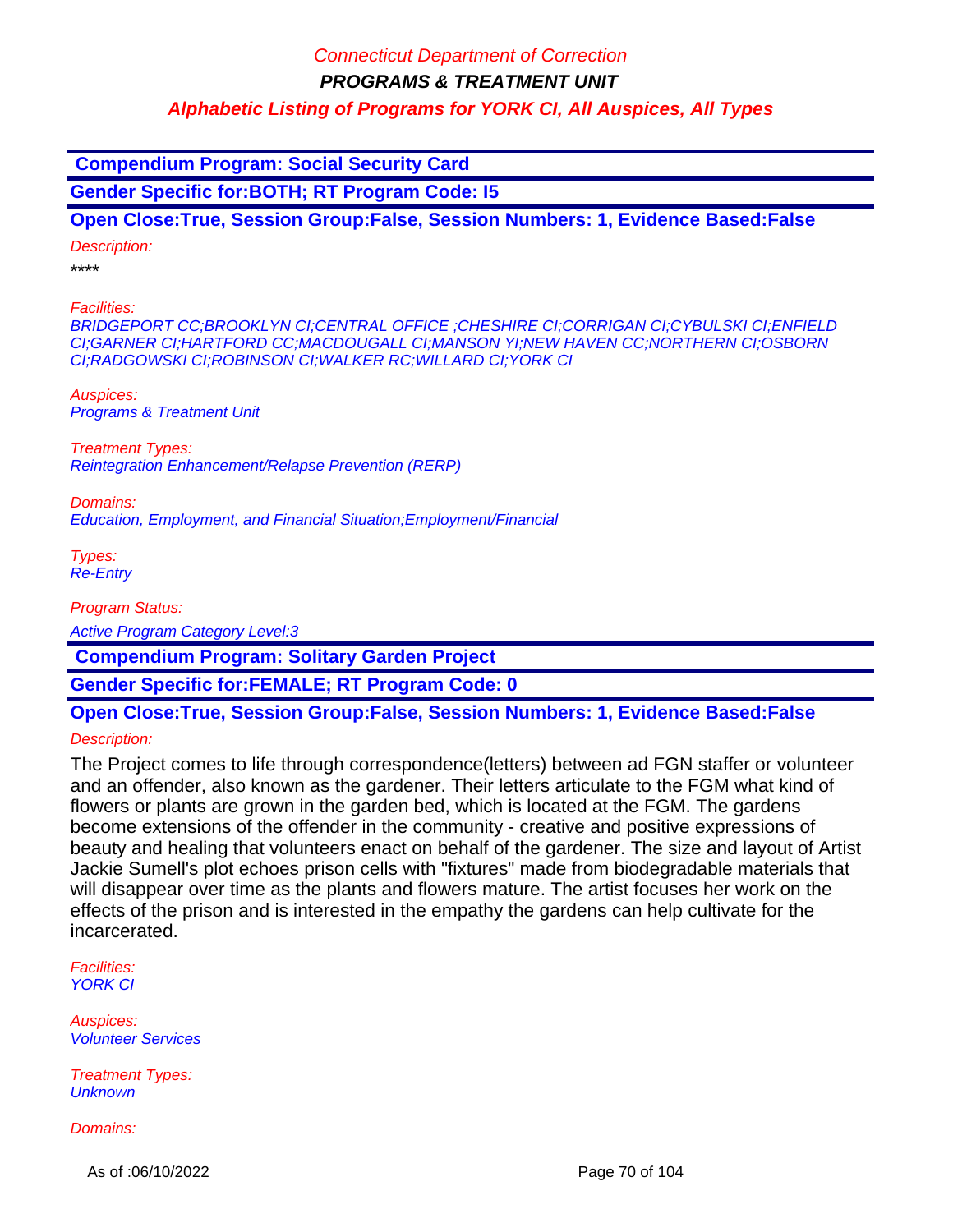**Compendium Program: Social Security Card Gender Specific for:BOTH; RT Program Code: I5 Open Close:True, Session Group:False, Session Numbers: 1, Evidence Based:False** Description: \*\*\*\* Facilities: BRIDGEPORT CC;BROOKLYN CI;CENTRAL OFFICE ;CHESHIRE CI;CORRIGAN CI;CYBULSKI CI;ENFIELD CI;GARNER CI;HARTFORD CC;MACDOUGALL CI;MANSON YI;NEW HAVEN CC;NORTHERN CI;OSBORN CI;RADGOWSKI CI;ROBINSON CI;WALKER RC;WILLARD CI;YORK CI Auspices: Programs & Treatment Unit Treatment Types: Reintegration Enhancement/Relapse Prevention (RERP) Domains: Education, Employment, and Financial Situation;Employment/Financial Types: Re-Entry Program Status:

Active Program Category Level:3

 **Compendium Program: Solitary Garden Project** 

**Gender Specific for:FEMALE; RT Program Code: 0**

# **Open Close:True, Session Group:False, Session Numbers: 1, Evidence Based:False**

Description:

The Project comes to life through correspondence(letters) between ad FGN staffer or volunteer and an offender, also known as the gardener. Their letters articulate to the FGM what kind of flowers or plants are grown in the garden bed, which is located at the FGM. The gardens become extensions of the offender in the community - creative and positive expressions of beauty and healing that volunteers enact on behalf of the gardener. The size and layout of Artist Jackie Sumell's plot echoes prison cells with "fixtures" made from biodegradable materials that will disappear over time as the plants and flowers mature. The artist focuses her work on the effects of the prison and is interested in the empathy the gardens can help cultivate for the incarcerated.

Facilities: YORK CI

Auspices: Volunteer Services

Treatment Types: **Unknown** 

Domains:

As of :06/10/2022 Page 70 of 104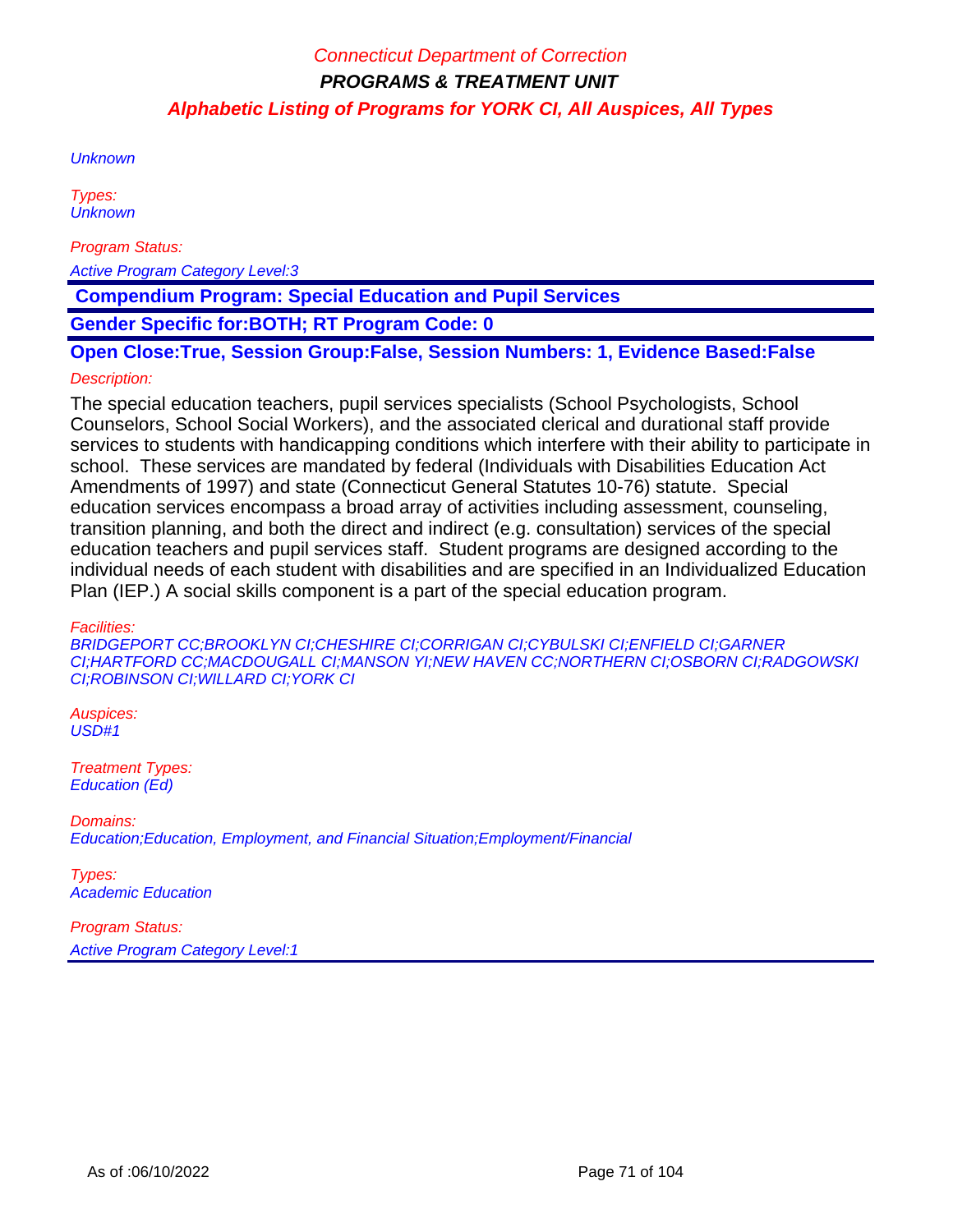**Unknown** 

Types: **Unknown** 

Program Status:

Active Program Category Level:3

 **Compendium Program: Special Education and Pupil Services**

**Gender Specific for:BOTH; RT Program Code: 0**

**Open Close:True, Session Group:False, Session Numbers: 1, Evidence Based:False**

#### Description:

The special education teachers, pupil services specialists (School Psychologists, School Counselors, School Social Workers), and the associated clerical and durational staff provide services to students with handicapping conditions which interfere with their ability to participate in school. These services are mandated by federal (Individuals with Disabilities Education Act Amendments of 1997) and state (Connecticut General Statutes 10-76) statute. Special education services encompass a broad array of activities including assessment, counseling, transition planning, and both the direct and indirect (e.g. consultation) services of the special education teachers and pupil services staff. Student programs are designed according to the individual needs of each student with disabilities and are specified in an Individualized Education Plan (IEP.) A social skills component is a part of the special education program.

Facilities:

BRIDGEPORT CC;BROOKLYN CI;CHESHIRE CI;CORRIGAN CI;CYBULSKI CI;ENFIELD CI;GARNER CI;HARTFORD CC;MACDOUGALL CI;MANSON YI;NEW HAVEN CC;NORTHERN CI;OSBORN CI;RADGOWSKI CI;ROBINSON CI;WILLARD CI;YORK CI

Auspices: USD#1

Treatment Types: Education (Ed)

Domains: Education;Education, Employment, and Financial Situation;Employment/Financial

Types: Academic Education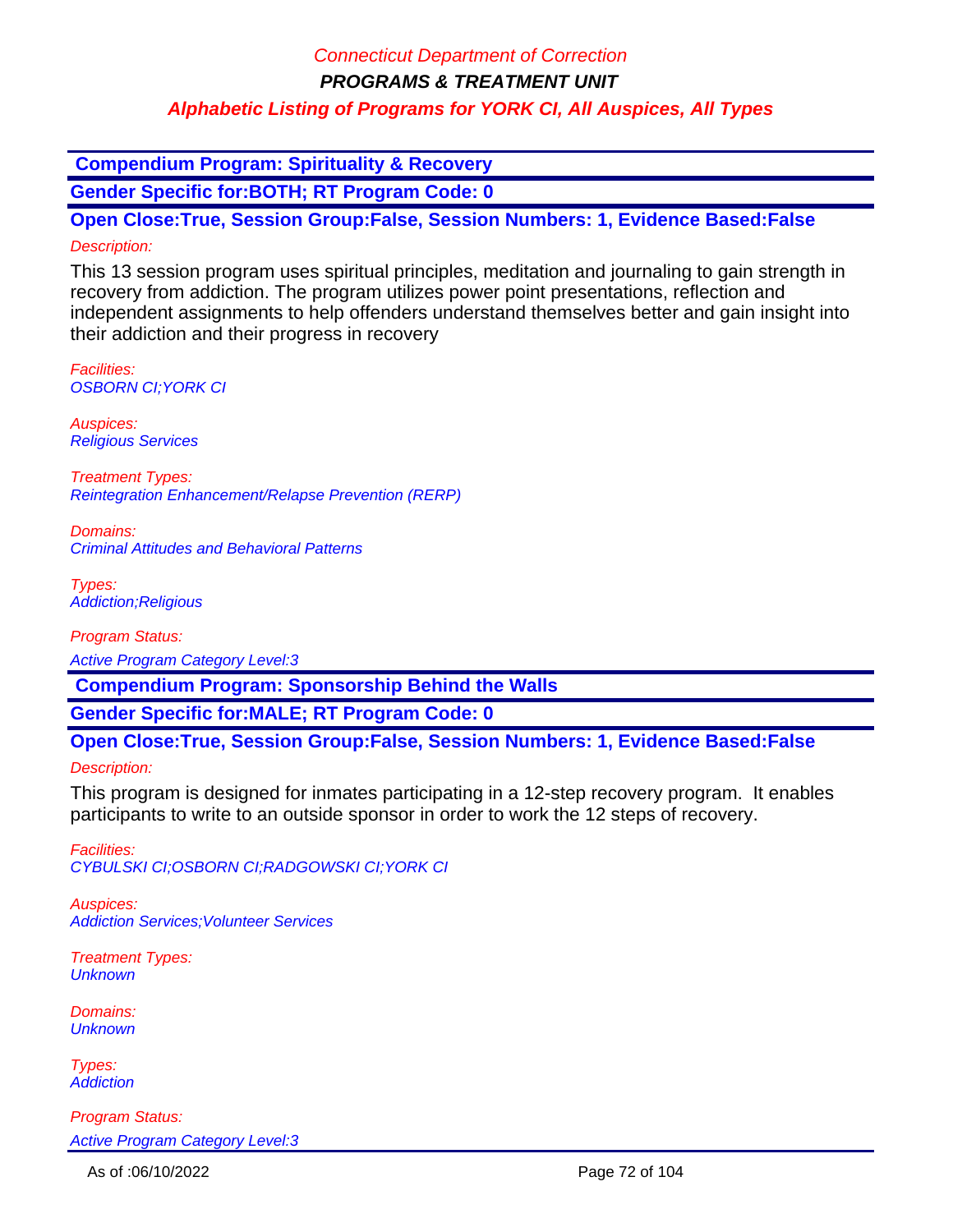### Connecticut Department of Correction

**PROGRAMS & TREATMENT UNIT**

### **Alphabetic Listing of Programs for YORK CI, All Auspices, All Types**

 **Compendium Program: Spirituality & Recovery**

**Gender Specific for:BOTH; RT Program Code: 0**

**Open Close:True, Session Group:False, Session Numbers: 1, Evidence Based:False** Description:

This 13 session program uses spiritual principles, meditation and journaling to gain strength in recovery from addiction. The program utilizes power point presentations, reflection and independent assignments to help offenders understand themselves better and gain insight into their addiction and their progress in recovery

Facilities: OSBORN CI;YORK CI

Auspices: Religious Services

Treatment Types: Reintegration Enhancement/Relapse Prevention (RERP)

Domains: Criminal Attitudes and Behavioral Patterns

Types: Addiction;Religious

Program Status:

Active Program Category Level:3

 **Compendium Program: Sponsorship Behind the Walls**

**Gender Specific for:MALE; RT Program Code: 0**

### **Open Close:True, Session Group:False, Session Numbers: 1, Evidence Based:False**

Description:

This program is designed for inmates participating in a 12-step recovery program. It enables participants to write to an outside sponsor in order to work the 12 steps of recovery.

Facilities: CYBULSKI CI;OSBORN CI;RADGOWSKI CI;YORK CI

Auspices: Addiction Services;Volunteer Services

Treatment Types: **Unknown** 

Domains: **Unknown** 

Types: **Addiction**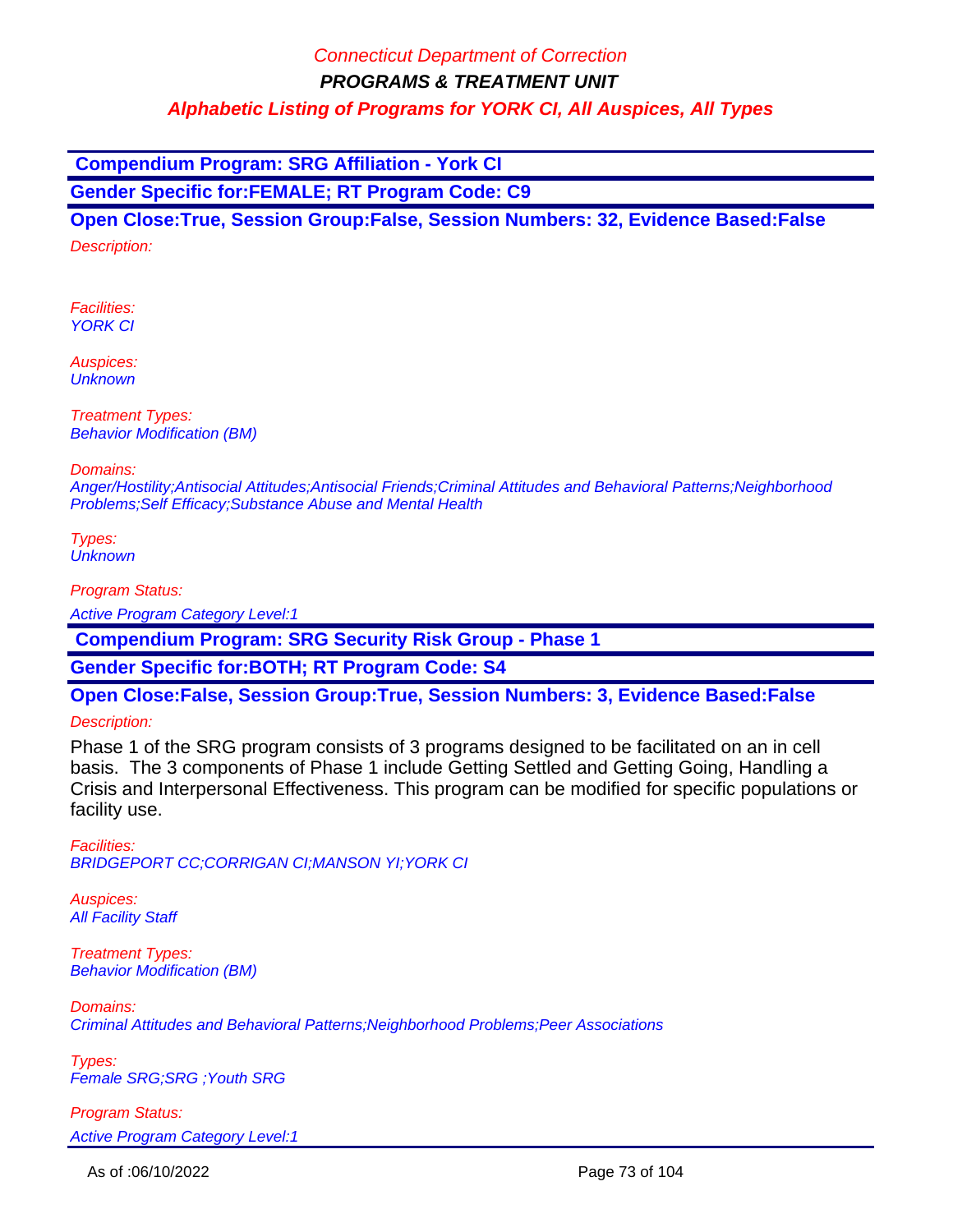**Compendium Program: SRG Affiliation - York CI**

**Gender Specific for:FEMALE; RT Program Code: C9**

**Open Close:True, Session Group:False, Session Numbers: 32, Evidence Based:False** Description:

Facilities: YORK CI

Auspices: **Unknown** 

Treatment Types: Behavior Modification (BM)

Domains:

Anger/Hostility;Antisocial Attitudes;Antisocial Friends;Criminal Attitudes and Behavioral Patterns;Neighborhood Problems;Self Efficacy;Substance Abuse and Mental Health

Types: **Unknown** 

Program Status:

Active Program Category Level:1

 **Compendium Program: SRG Security Risk Group - Phase 1** 

**Gender Specific for:BOTH; RT Program Code: S4**

**Open Close:False, Session Group:True, Session Numbers: 3, Evidence Based:False**

Description:

Phase 1 of the SRG program consists of 3 programs designed to be facilitated on an in cell basis. The 3 components of Phase 1 include Getting Settled and Getting Going, Handling a Crisis and Interpersonal Effectiveness. This program can be modified for specific populations or facility use.

Facilities: BRIDGEPORT CC;CORRIGAN CI;MANSON YI;YORK CI

Auspices: **All Facility Staff** 

Treatment Types: Behavior Modification (BM)

Domains: Criminal Attitudes and Behavioral Patterns;Neighborhood Problems;Peer Associations

Types: Female SRG;SRG ;Youth SRG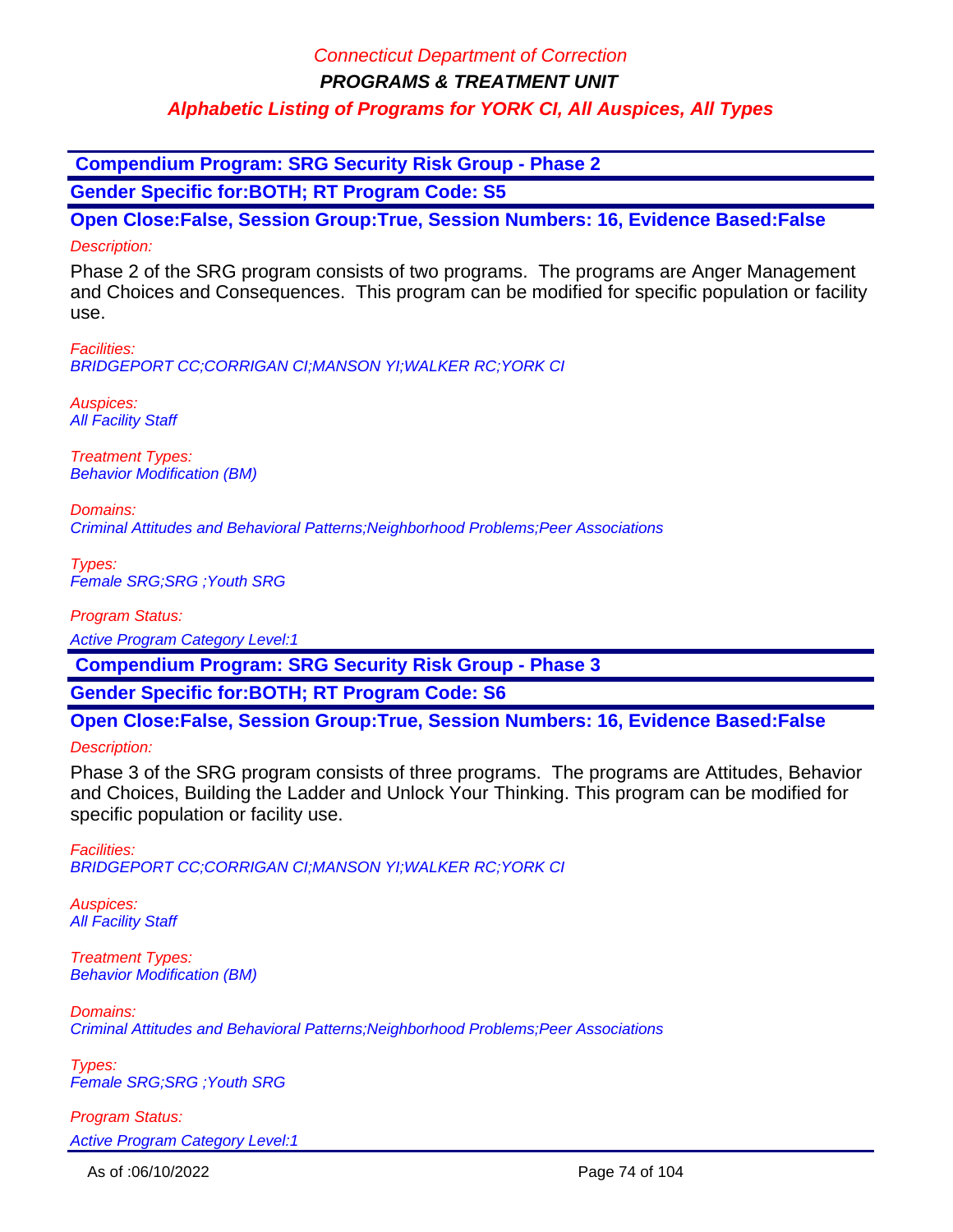### Connecticut Department of Correction

**PROGRAMS & TREATMENT UNIT**

### **Alphabetic Listing of Programs for YORK CI, All Auspices, All Types**

 **Compendium Program: SRG Security Risk Group - Phase 2**

**Gender Specific for:BOTH; RT Program Code: S5**

**Open Close:False, Session Group:True, Session Numbers: 16, Evidence Based:False** Description:

Phase 2 of the SRG program consists of two programs. The programs are Anger Management and Choices and Consequences. This program can be modified for specific population or facility use.

Facilities: BRIDGEPORT CC;CORRIGAN CI;MANSON YI;WALKER RC;YORK CI

Auspices: **All Facility Staff** 

Treatment Types: Behavior Modification (BM)

Domains: Criminal Attitudes and Behavioral Patterns;Neighborhood Problems;Peer Associations

Types: Female SRG;SRG ;Youth SRG

Program Status: Active Program Category Level:1

 **Compendium Program: SRG Security Risk Group - Phase 3**

**Gender Specific for:BOTH; RT Program Code: S6**

**Open Close:False, Session Group:True, Session Numbers: 16, Evidence Based:False**

Description:

Phase 3 of the SRG program consists of three programs. The programs are Attitudes, Behavior and Choices, Building the Ladder and Unlock Your Thinking. This program can be modified for specific population or facility use.

Facilities: BRIDGEPORT CC;CORRIGAN CI;MANSON YI;WALKER RC;YORK CI

Auspices: **All Facility Staff** 

Treatment Types: Behavior Modification (BM)

Domains: Criminal Attitudes and Behavioral Patterns;Neighborhood Problems;Peer Associations

Types: Female SRG;SRG ;Youth SRG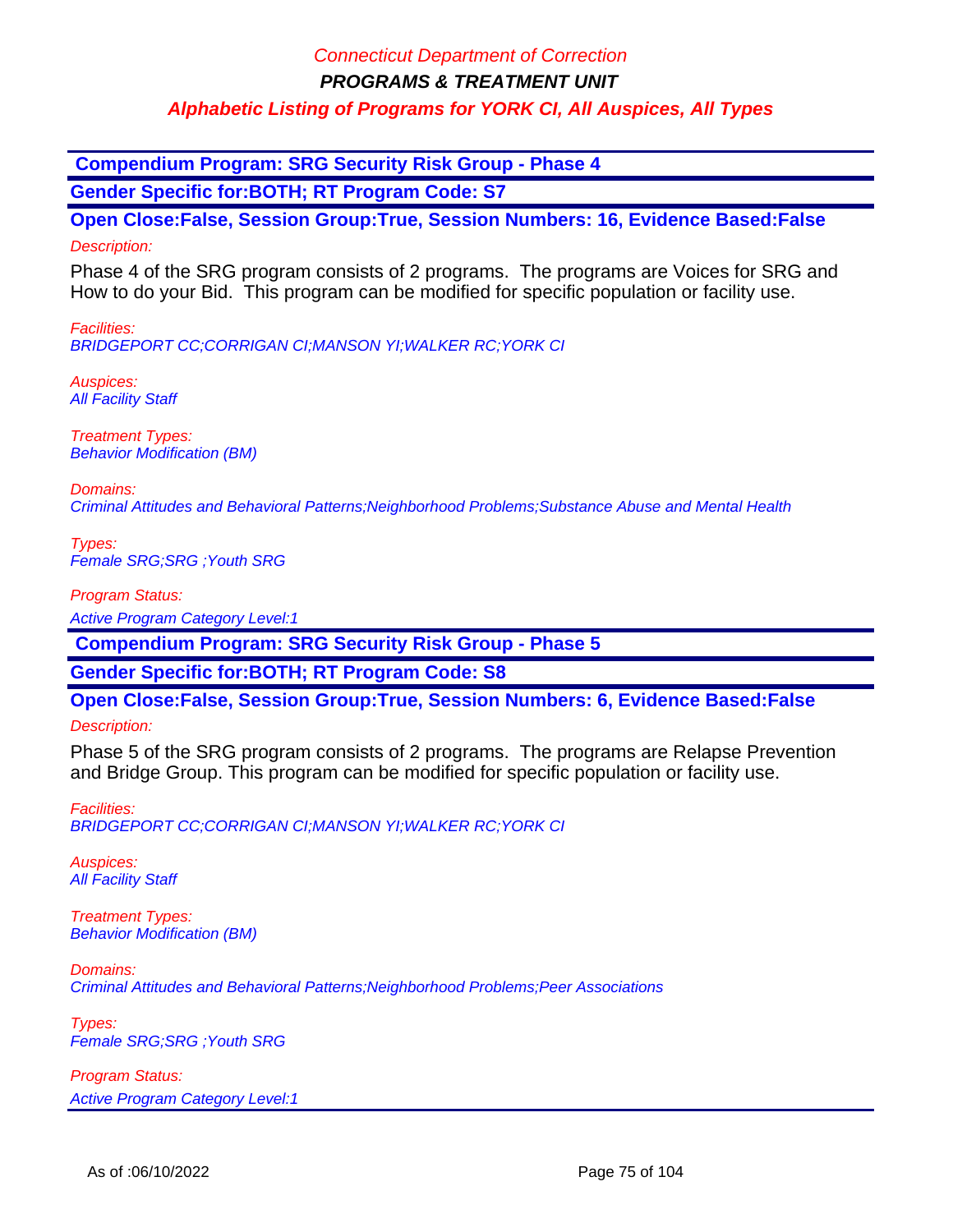**Compendium Program: SRG Security Risk Group - Phase 4**

**Gender Specific for:BOTH; RT Program Code: S7**

**Open Close:False, Session Group:True, Session Numbers: 16, Evidence Based:False** Description:

Phase 4 of the SRG program consists of 2 programs. The programs are Voices for SRG and How to do your Bid. This program can be modified for specific population or facility use.

Facilities: BRIDGEPORT CC;CORRIGAN CI;MANSON YI;WALKER RC;YORK CI

Auspices: **All Facility Staff** 

Treatment Types: Behavior Modification (BM)

Domains: Criminal Attitudes and Behavioral Patterns;Neighborhood Problems;Substance Abuse and Mental Health

Types: Female SRG;SRG ;Youth SRG

Program Status:

Active Program Category Level:1

 **Compendium Program: SRG Security Risk Group - Phase 5**

**Gender Specific for:BOTH; RT Program Code: S8**

**Open Close:False, Session Group:True, Session Numbers: 6, Evidence Based:False**

Description:

Phase 5 of the SRG program consists of 2 programs. The programs are Relapse Prevention and Bridge Group. This program can be modified for specific population or facility use.

Facilities: BRIDGEPORT CC;CORRIGAN CI;MANSON YI;WALKER RC;YORK CI

Auspices: **All Facility Staff** 

Treatment Types: Behavior Modification (BM)

Domains: Criminal Attitudes and Behavioral Patterns;Neighborhood Problems;Peer Associations

Types: Female SRG;SRG ;Youth SRG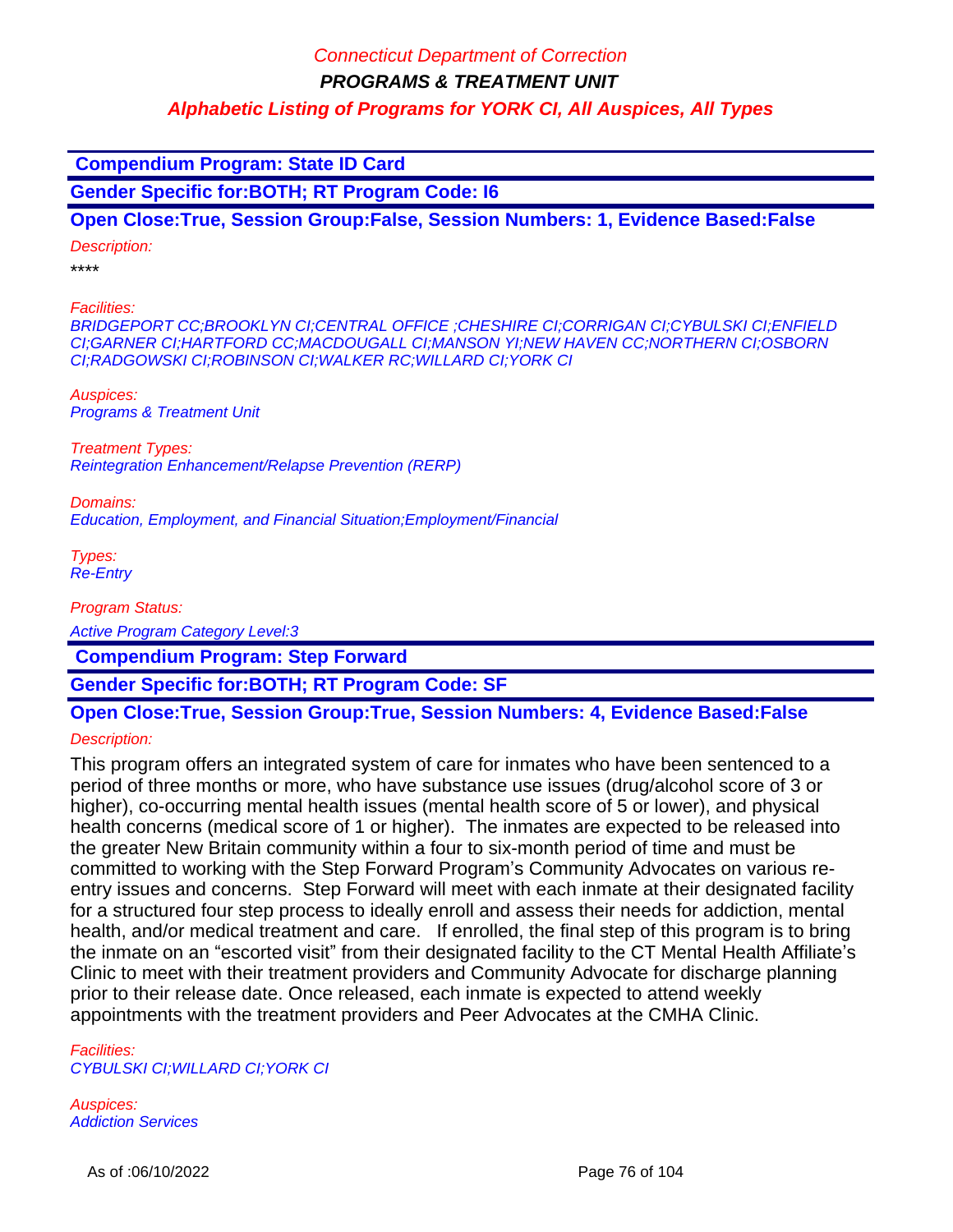**Compendium Program: State ID Card Gender Specific for:BOTH; RT Program Code: I6 Open Close:True, Session Group:False, Session Numbers: 1, Evidence Based:False** Description: \*\*\*\* Facilities: BRIDGEPORT CC;BROOKLYN CI;CENTRAL OFFICE ;CHESHIRE CI;CORRIGAN CI;CYBULSKI CI;ENFIELD CI;GARNER CI;HARTFORD CC;MACDOUGALL CI;MANSON YI;NEW HAVEN CC;NORTHERN CI;OSBORN CI;RADGOWSKI CI;ROBINSON CI;WALKER RC;WILLARD CI;YORK CI Auspices: Programs & Treatment Unit Treatment Types: Reintegration Enhancement/Relapse Prevention (RERP) Domains: Education, Employment, and Financial Situation;Employment/Financial Types: Re-Entry Program Status: Active Program Category Level:3  **Compendium Program: Step Forward**

**Gender Specific for:BOTH; RT Program Code: SF**

# **Open Close:True, Session Group:True, Session Numbers: 4, Evidence Based:False**

Description:

This program offers an integrated system of care for inmates who have been sentenced to a period of three months or more, who have substance use issues (drug/alcohol score of 3 or higher), co-occurring mental health issues (mental health score of 5 or lower), and physical health concerns (medical score of 1 or higher). The inmates are expected to be released into the greater New Britain community within a four to six-month period of time and must be committed to working with the Step Forward Program's Community Advocates on various reentry issues and concerns. Step Forward will meet with each inmate at their designated facility for a structured four step process to ideally enroll and assess their needs for addiction, mental health, and/or medical treatment and care. If enrolled, the final step of this program is to bring the inmate on an "escorted visit" from their designated facility to the CT Mental Health Affiliate's Clinic to meet with their treatment providers and Community Advocate for discharge planning prior to their release date. Once released, each inmate is expected to attend weekly appointments with the treatment providers and Peer Advocates at the CMHA Clinic.

Facilities: CYBULSKI CI;WILLARD CI;YORK CI

Auspices: Addiction Services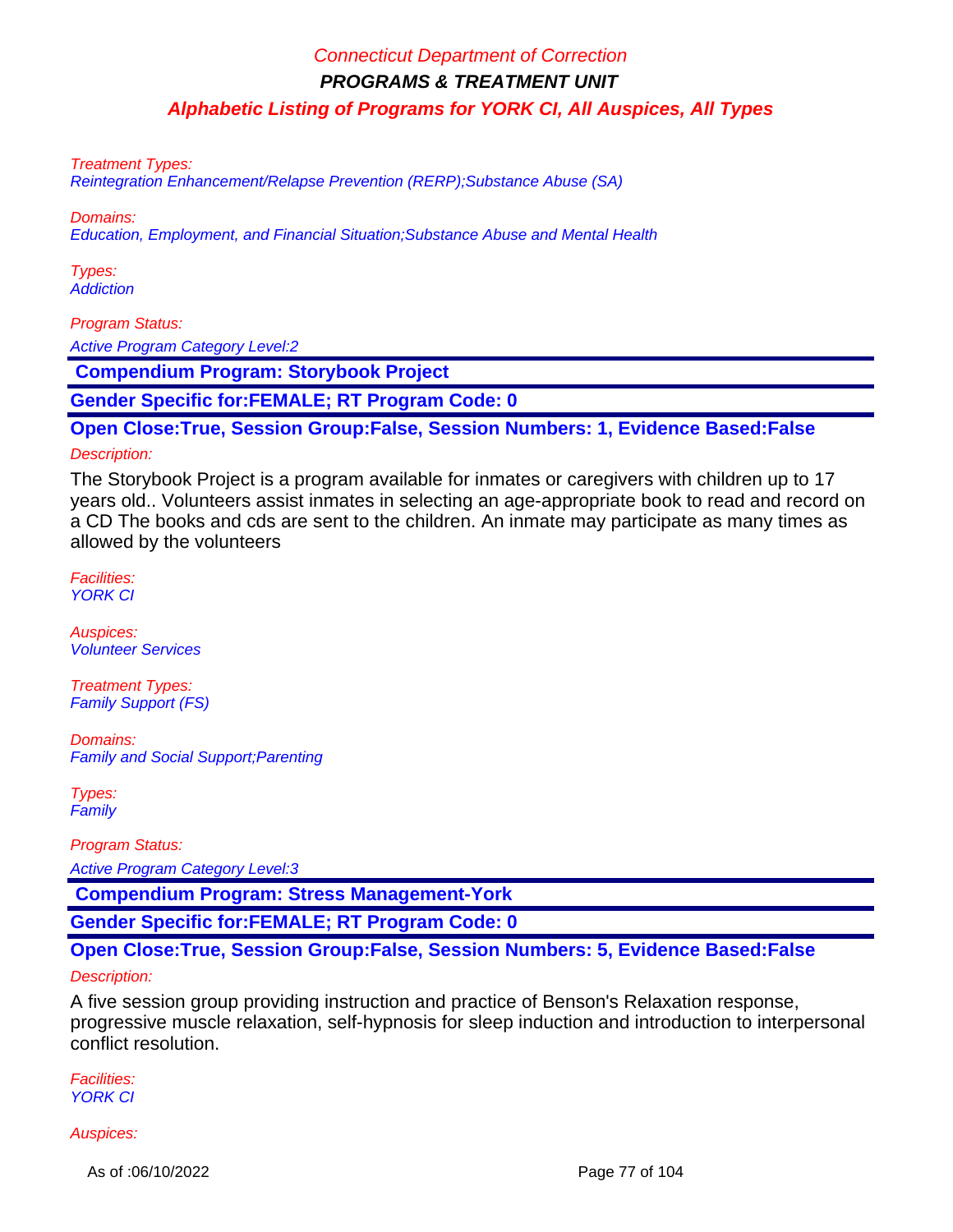Treatment Types:

Reintegration Enhancement/Relapse Prevention (RERP);Substance Abuse (SA)

Domains:

Education, Employment, and Financial Situation;Substance Abuse and Mental Health

Types: **Addiction** 

Program Status:

Active Program Category Level:2

 **Compendium Program: Storybook Project**

**Gender Specific for:FEMALE; RT Program Code: 0**

**Open Close:True, Session Group:False, Session Numbers: 1, Evidence Based:False**

#### Description:

The Storybook Project is a program available for inmates or caregivers with children up to 17 years old.. Volunteers assist inmates in selecting an age-appropriate book to read and record on a CD The books and cds are sent to the children. An inmate may participate as many times as allowed by the volunteers

Facilities: YORK CI

Auspices: Volunteer Services

Treatment Types: Family Support (FS)

Domains: Family and Social Support;Parenting

Types: **Family** 

Program Status:

Active Program Category Level:3

 **Compendium Program: Stress Management-York**

**Gender Specific for:FEMALE; RT Program Code: 0**

#### **Open Close:True, Session Group:False, Session Numbers: 5, Evidence Based:False**

#### Description:

A five session group providing instruction and practice of Benson's Relaxation response, progressive muscle relaxation, self-hypnosis for sleep induction and introduction to interpersonal conflict resolution.

Facilities: YORK CI

#### Auspices:

As of :06/10/2022 Page 77 of 104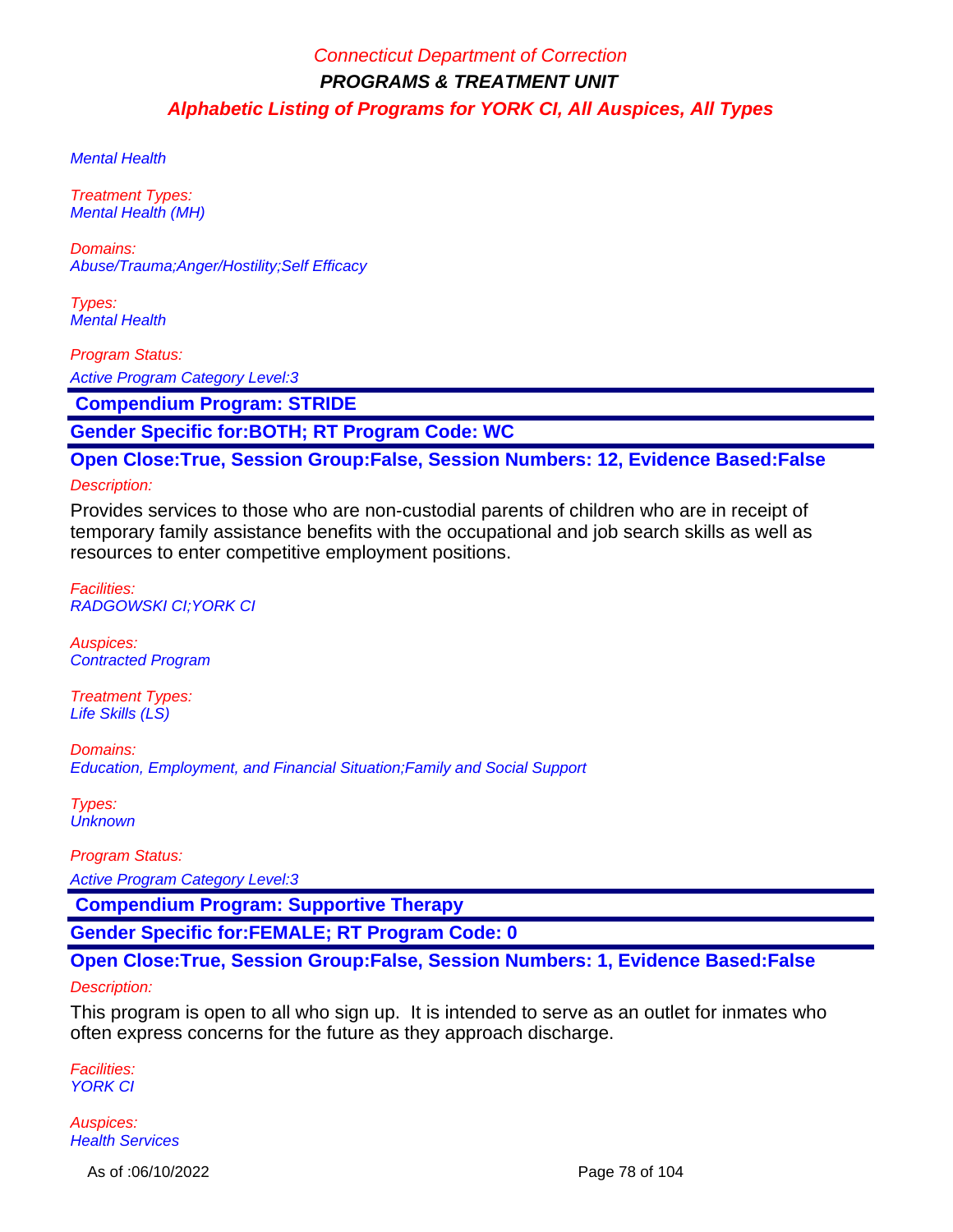Mental Health

Treatment Types: Mental Health (MH)

Domains: Abuse/Trauma;Anger/Hostility;Self Efficacy

Types: Mental Health

Program Status:

Active Program Category Level:3

 **Compendium Program: STRIDE**

**Gender Specific for:BOTH; RT Program Code: WC**

**Open Close:True, Session Group:False, Session Numbers: 12, Evidence Based:False**

#### Description:

Provides services to those who are non-custodial parents of children who are in receipt of temporary family assistance benefits with the occupational and job search skills as well as resources to enter competitive employment positions.

Facilities: RADGOWSKI CI;YORK CI

Auspices: Contracted Program

Treatment Types: Life Skills (LS)

Domains: Education, Employment, and Financial Situation;Family and Social Support

Types: **Unknown** 

Program Status:

Active Program Category Level:3

 **Compendium Program: Supportive Therapy**

**Gender Specific for:FEMALE; RT Program Code: 0**

### **Open Close:True, Session Group:False, Session Numbers: 1, Evidence Based:False**

#### Description:

This program is open to all who sign up. It is intended to serve as an outlet for inmates who often express concerns for the future as they approach discharge.

Facilities: **YORK CI** 

Auspices: **Health Services** 

As of :06/10/2022 Page 78 of 104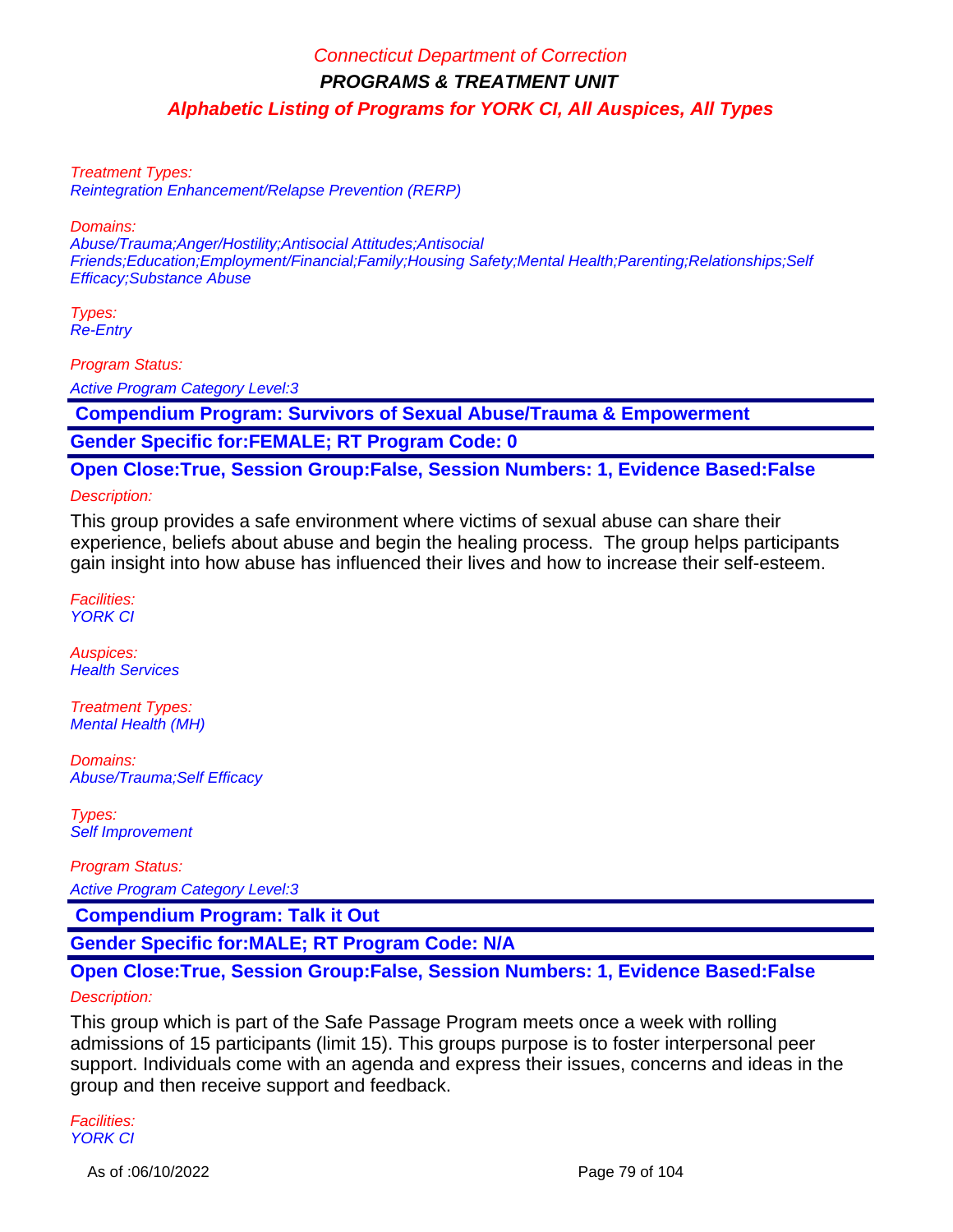Treatment Types:

Reintegration Enhancement/Relapse Prevention (RERP)

Domains:

Abuse/Trauma;Anger/Hostility;Antisocial Attitudes;Antisocial Friends;Education;Employment/Financial;Family;Housing Safety;Mental Health;Parenting;Relationships;Self Efficacy;Substance Abuse

Types: Re-Entry

Program Status:

Active Program Category Level:3

 **Compendium Program: Survivors of Sexual Abuse/Trauma & Empowerment**

**Gender Specific for:FEMALE; RT Program Code: 0**

**Open Close:True, Session Group:False, Session Numbers: 1, Evidence Based:False**

Description:

This group provides a safe environment where victims of sexual abuse can share their experience, beliefs about abuse and begin the healing process. The group helps participants gain insight into how abuse has influenced their lives and how to increase their self-esteem.

Facilities: YORK CI

Auspices: **Health Services** 

Treatment Types: Mental Health (MH)

Domains: Abuse/Trauma;Self Efficacy

Types: Self Improvement

Program Status: Active Program Category Level:3

 **Compendium Program: Talk it Out**

**Gender Specific for:MALE; RT Program Code: N/A**

### **Open Close:True, Session Group:False, Session Numbers: 1, Evidence Based:False** Description:

This group which is part of the Safe Passage Program meets once a week with rolling admissions of 15 participants (limit 15). This groups purpose is to foster interpersonal peer support. Individuals come with an agenda and express their issues, concerns and ideas in the group and then receive support and feedback.

Facilities: YORK CI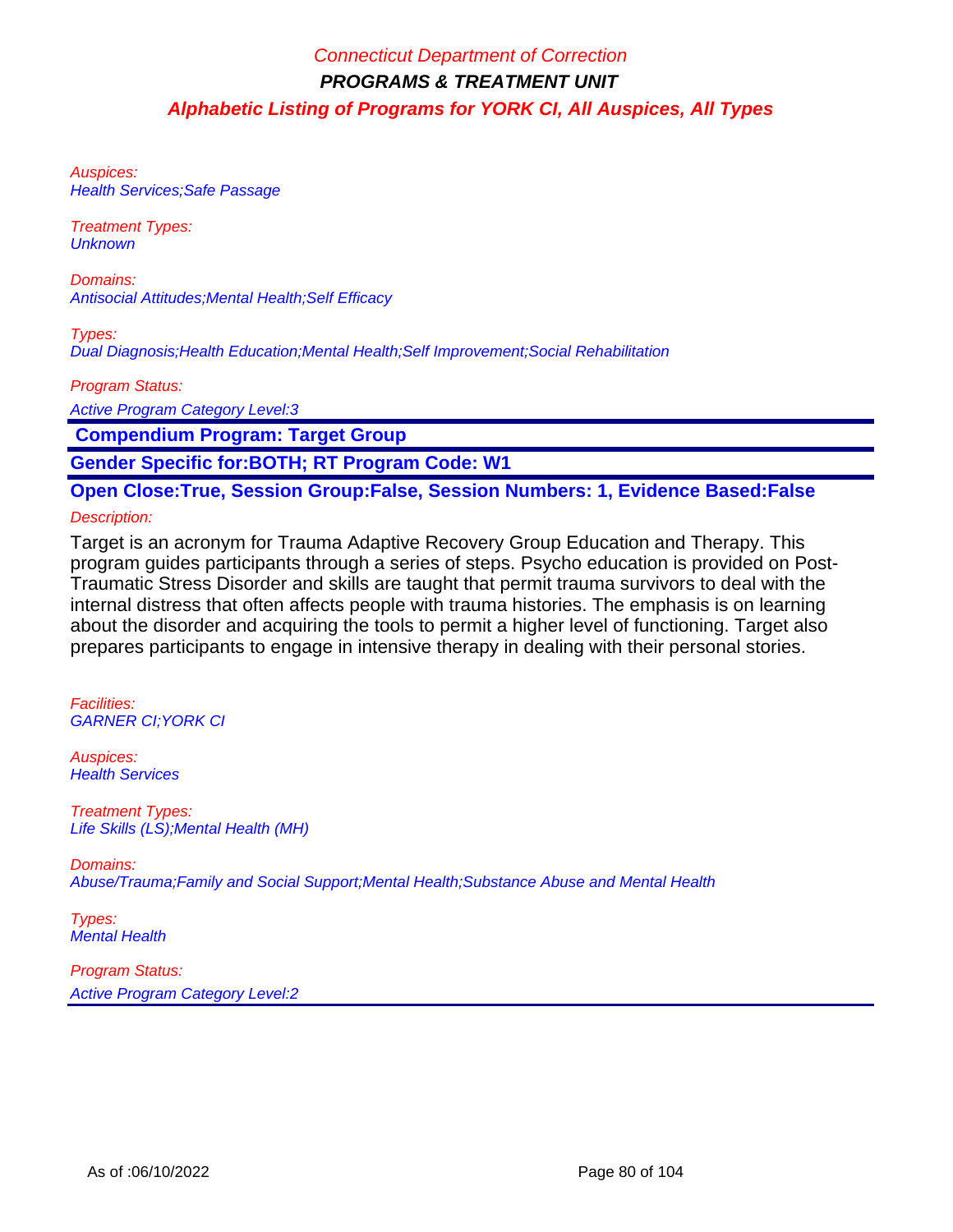Auspices: **Health Services; Safe Passage** 

Treatment Types: **Unknown** 

Domains: Antisocial Attitudes;Mental Health;Self Efficacy

Types: Dual Diagnosis;Health Education;Mental Health;Self Improvement;Social Rehabilitation

Program Status:

Active Program Category Level:3

 **Compendium Program: Target Group**

**Gender Specific for:BOTH; RT Program Code: W1**

**Open Close:True, Session Group:False, Session Numbers: 1, Evidence Based:False**

#### Description:

Target is an acronym for Trauma Adaptive Recovery Group Education and Therapy. This program guides participants through a series of steps. Psycho education is provided on Post-Traumatic Stress Disorder and skills are taught that permit trauma survivors to deal with the internal distress that often affects people with trauma histories. The emphasis is on learning about the disorder and acquiring the tools to permit a higher level of functioning. Target also prepares participants to engage in intensive therapy in dealing with their personal stories.

Facilities: GARNER CI;YORK CI

Auspices: **Health Services** 

Treatment Types: Life Skills (LS);Mental Health (MH)

Domains: Abuse/Trauma;Family and Social Support;Mental Health;Substance Abuse and Mental Health

Types: Mental Health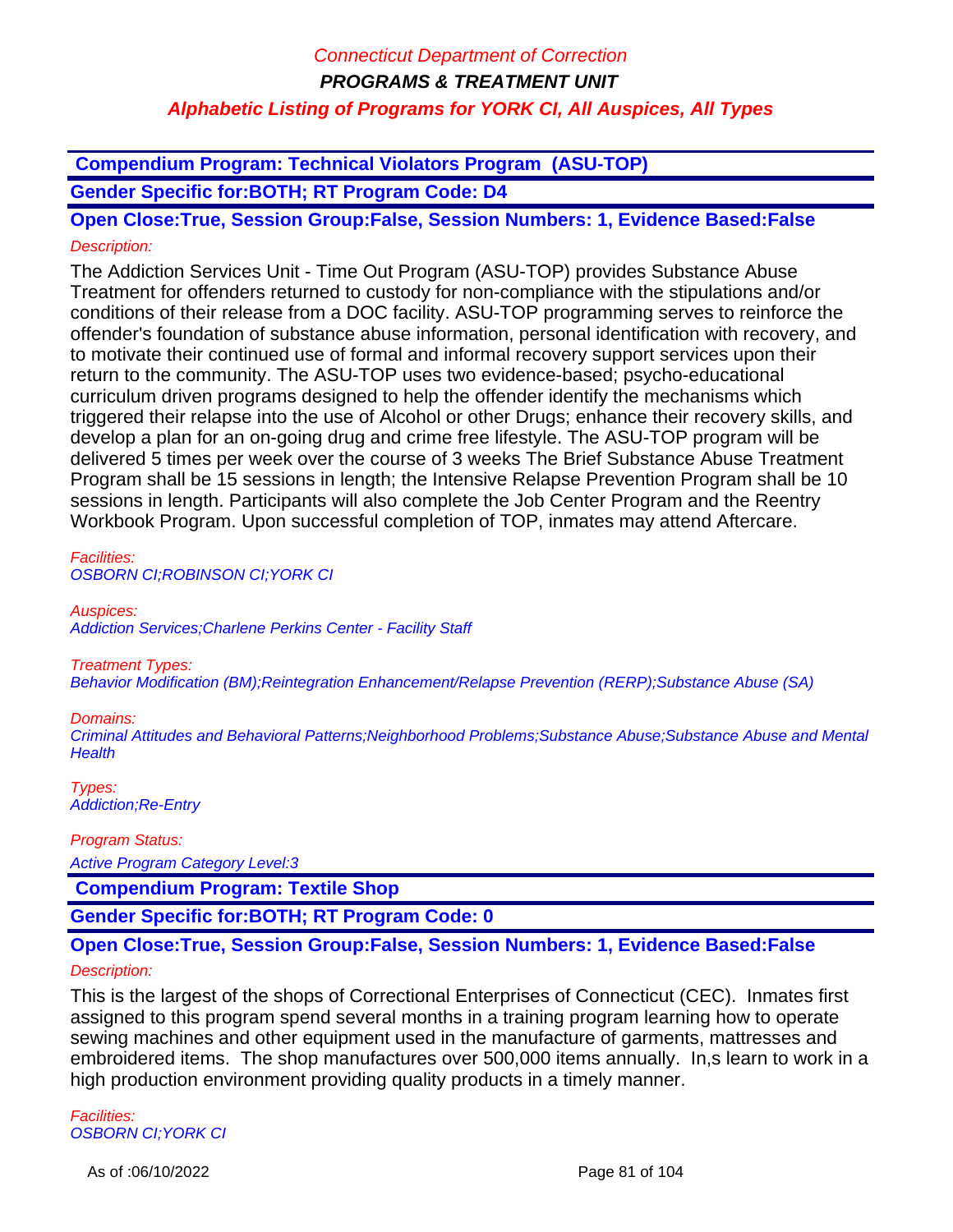**Compendium Program: Technical Violators Program (ASU-TOP)**

**Gender Specific for:BOTH; RT Program Code: D4**

**Open Close:True, Session Group:False, Session Numbers: 1, Evidence Based:False** Description:

The Addiction Services Unit - Time Out Program (ASU-TOP) provides Substance Abuse Treatment for offenders returned to custody for non-compliance with the stipulations and/or conditions of their release from a DOC facility. ASU-TOP programming serves to reinforce the offender's foundation of substance abuse information, personal identification with recovery, and to motivate their continued use of formal and informal recovery support services upon their return to the community. The ASU-TOP uses two evidence-based; psycho-educational curriculum driven programs designed to help the offender identify the mechanisms which triggered their relapse into the use of Alcohol or other Drugs; enhance their recovery skills, and develop a plan for an on-going drug and crime free lifestyle. The ASU-TOP program will be delivered 5 times per week over the course of 3 weeks The Brief Substance Abuse Treatment Program shall be 15 sessions in length; the Intensive Relapse Prevention Program shall be 10 sessions in length. Participants will also complete the Job Center Program and the Reentry Workbook Program. Upon successful completion of TOP, inmates may attend Aftercare.

Facilities: OSBORN CI;ROBINSON CI;YORK CI

Auspices:

Addiction Services;Charlene Perkins Center - Facility Staff

Treatment Types:

Behavior Modification (BM);Reintegration Enhancement/Relapse Prevention (RERP);Substance Abuse (SA)

#### Domains:

Criminal Attitudes and Behavioral Patterns;Neighborhood Problems;Substance Abuse;Substance Abuse and Mental **Health** 

Types: Addiction;Re-Entry

Program Status:

Active Program Category Level:3

 **Compendium Program: Textile Shop**

**Gender Specific for:BOTH; RT Program Code: 0**

### **Open Close:True, Session Group:False, Session Numbers: 1, Evidence Based:False**

#### Description:

This is the largest of the shops of Correctional Enterprises of Connecticut (CEC). Inmates first assigned to this program spend several months in a training program learning how to operate sewing machines and other equipment used in the manufacture of garments, mattresses and embroidered items. The shop manufactures over 500,000 items annually. In,s learn to work in a high production environment providing quality products in a timely manner.

Facilities: OSBORN CI;YORK CI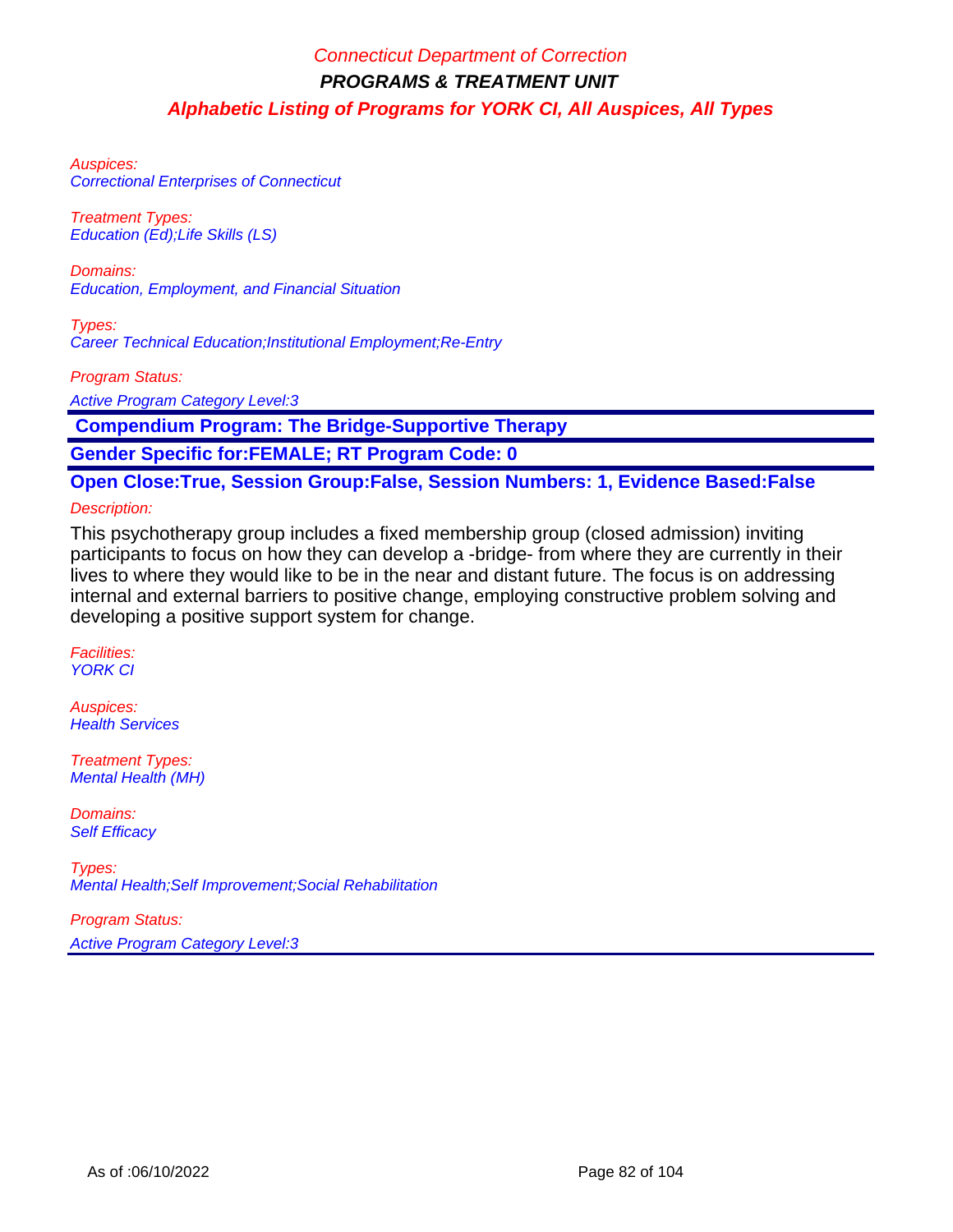Auspices: Correctional Enterprises of Connecticut

Treatment Types: Education (Ed);Life Skills (LS)

Domains: Education, Employment, and Financial Situation

Types: Career Technical Education;Institutional Employment;Re-Entry

Program Status:

Active Program Category Level:3

 **Compendium Program: The Bridge-Supportive Therapy**

**Gender Specific for:FEMALE; RT Program Code: 0**

**Open Close:True, Session Group:False, Session Numbers: 1, Evidence Based:False**

#### Description:

This psychotherapy group includes a fixed membership group (closed admission) inviting participants to focus on how they can develop a -bridge- from where they are currently in their lives to where they would like to be in the near and distant future. The focus is on addressing internal and external barriers to positive change, employing constructive problem solving and developing a positive support system for change.

Facilities: YORK CI

Auspices: **Health Services** 

Treatment Types: Mental Health (MH)

Domains: **Self Efficacy** 

Types: Mental Health;Self Improvement;Social Rehabilitation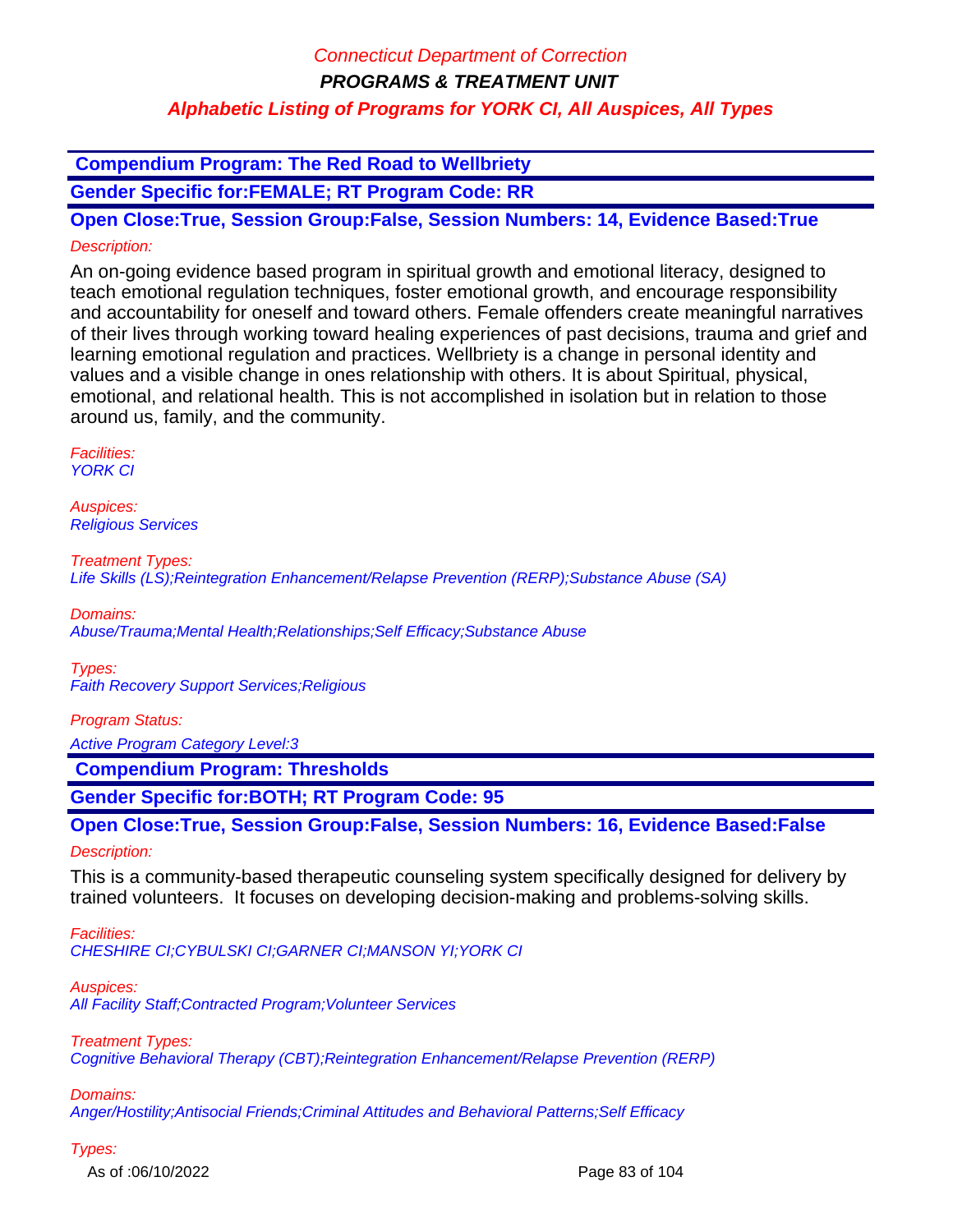### **Compendium Program: The Red Road to Wellbriety**

**Gender Specific for:FEMALE; RT Program Code: RR**

**Open Close:True, Session Group:False, Session Numbers: 14, Evidence Based:True** Description:

An on-going evidence based program in spiritual growth and emotional literacy, designed to teach emotional regulation techniques, foster emotional growth, and encourage responsibility and accountability for oneself and toward others. Female offenders create meaningful narratives of their lives through working toward healing experiences of past decisions, trauma and grief and learning emotional regulation and practices. Wellbriety is a change in personal identity and values and a visible change in ones relationship with others. It is about Spiritual, physical, emotional, and relational health. This is not accomplished in isolation but in relation to those around us, family, and the community.

Facilities: **YORK CI** 

Auspices: Religious Services

Treatment Types: Life Skills (LS);Reintegration Enhancement/Relapse Prevention (RERP);Substance Abuse (SA)

Domains: Abuse/Trauma;Mental Health;Relationships;Self Efficacy;Substance Abuse

Types: Faith Recovery Support Services;Religious

#### Program Status:

Active Program Category Level:3

 **Compendium Program: Thresholds**

**Gender Specific for:BOTH; RT Program Code: 95**

**Open Close:True, Session Group:False, Session Numbers: 16, Evidence Based:False**

Description:

This is a community-based therapeutic counseling system specifically designed for delivery by trained volunteers. It focuses on developing decision-making and problems-solving skills.

Facilities: CHESHIRE CI;CYBULSKI CI;GARNER CI;MANSON YI;YORK CI

Auspices:

All Facility Staff; Contracted Program; Volunteer Services

Treatment Types:

Cognitive Behavioral Therapy (CBT);Reintegration Enhancement/Relapse Prevention (RERP)

Domains:

Anger/Hostility;Antisocial Friends;Criminal Attitudes and Behavioral Patterns;Self Efficacy

Types:

As of :06/10/2022 Page 83 of 104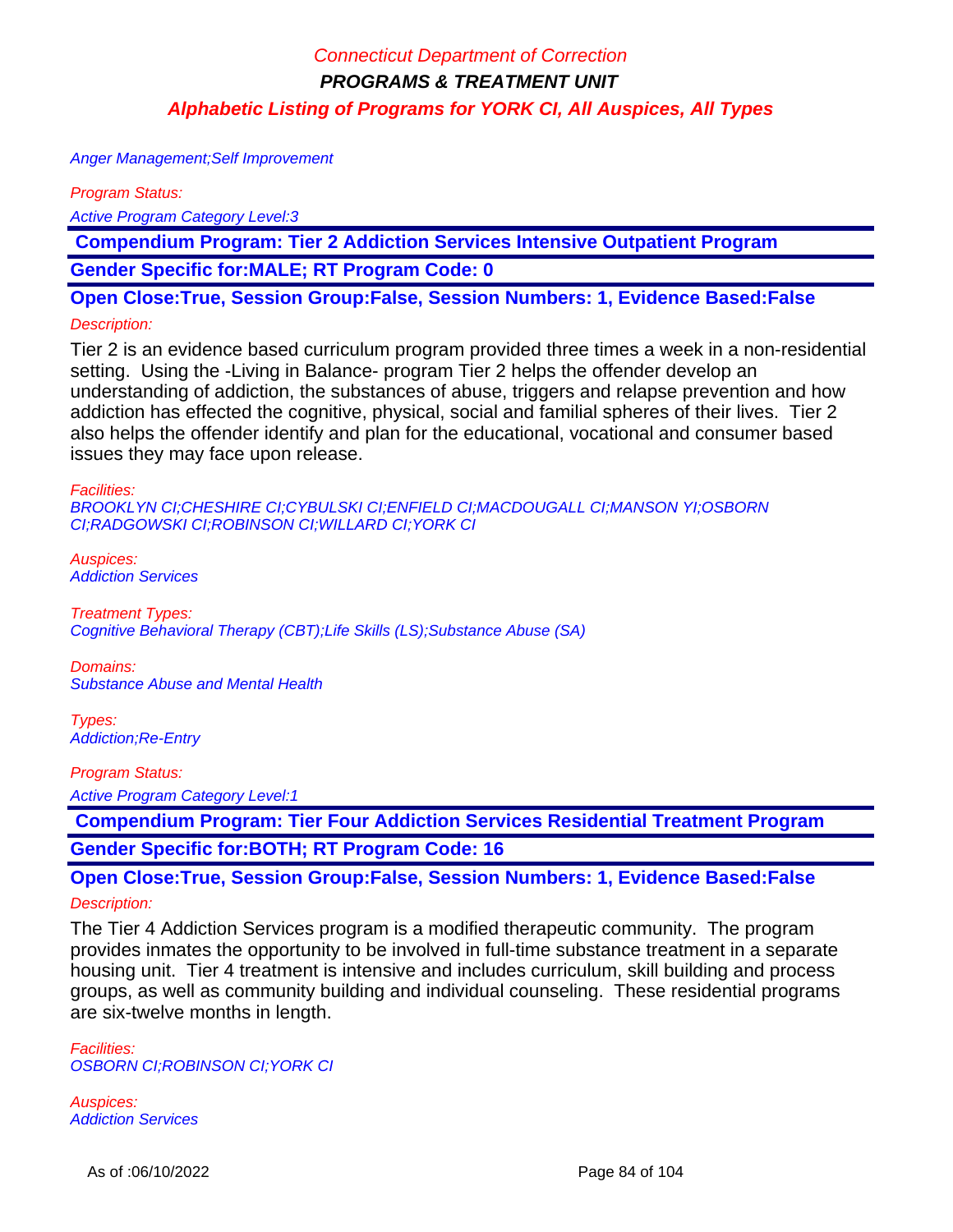Anger Management;Self Improvement

Program Status:

Active Program Category Level:3

 **Compendium Program: Tier 2 Addiction Services Intensive Outpatient Program**

**Gender Specific for:MALE; RT Program Code: 0**

**Open Close:True, Session Group:False, Session Numbers: 1, Evidence Based:False**

#### Description:

Tier 2 is an evidence based curriculum program provided three times a week in a non-residential setting. Using the -Living in Balance- program Tier 2 helps the offender develop an understanding of addiction, the substances of abuse, triggers and relapse prevention and how addiction has effected the cognitive, physical, social and familial spheres of their lives. Tier 2 also helps the offender identify and plan for the educational, vocational and consumer based issues they may face upon release.

Facilities:

BROOKLYN CI;CHESHIRE CI;CYBULSKI CI;ENFIELD CI;MACDOUGALL CI;MANSON YI;OSBORN CI;RADGOWSKI CI;ROBINSON CI;WILLARD CI;YORK CI

Auspices: Addiction Services

Treatment Types: Cognitive Behavioral Therapy (CBT);Life Skills (LS);Substance Abuse (SA)

Domains: Substance Abuse and Mental Health

Types: Addiction;Re-Entry

Program Status:

Active Program Category Level:1

 **Compendium Program: Tier Four Addiction Services Residential Treatment Program Gender Specific for:BOTH; RT Program Code: 16**

**Open Close:True, Session Group:False, Session Numbers: 1, Evidence Based:False** Description:

The Tier 4 Addiction Services program is a modified therapeutic community. The program provides inmates the opportunity to be involved in full-time substance treatment in a separate housing unit. Tier 4 treatment is intensive and includes curriculum, skill building and process groups, as well as community building and individual counseling. These residential programs are six-twelve months in length.

Facilities: OSBORN CI;ROBINSON CI;YORK CI

Auspices: Addiction Services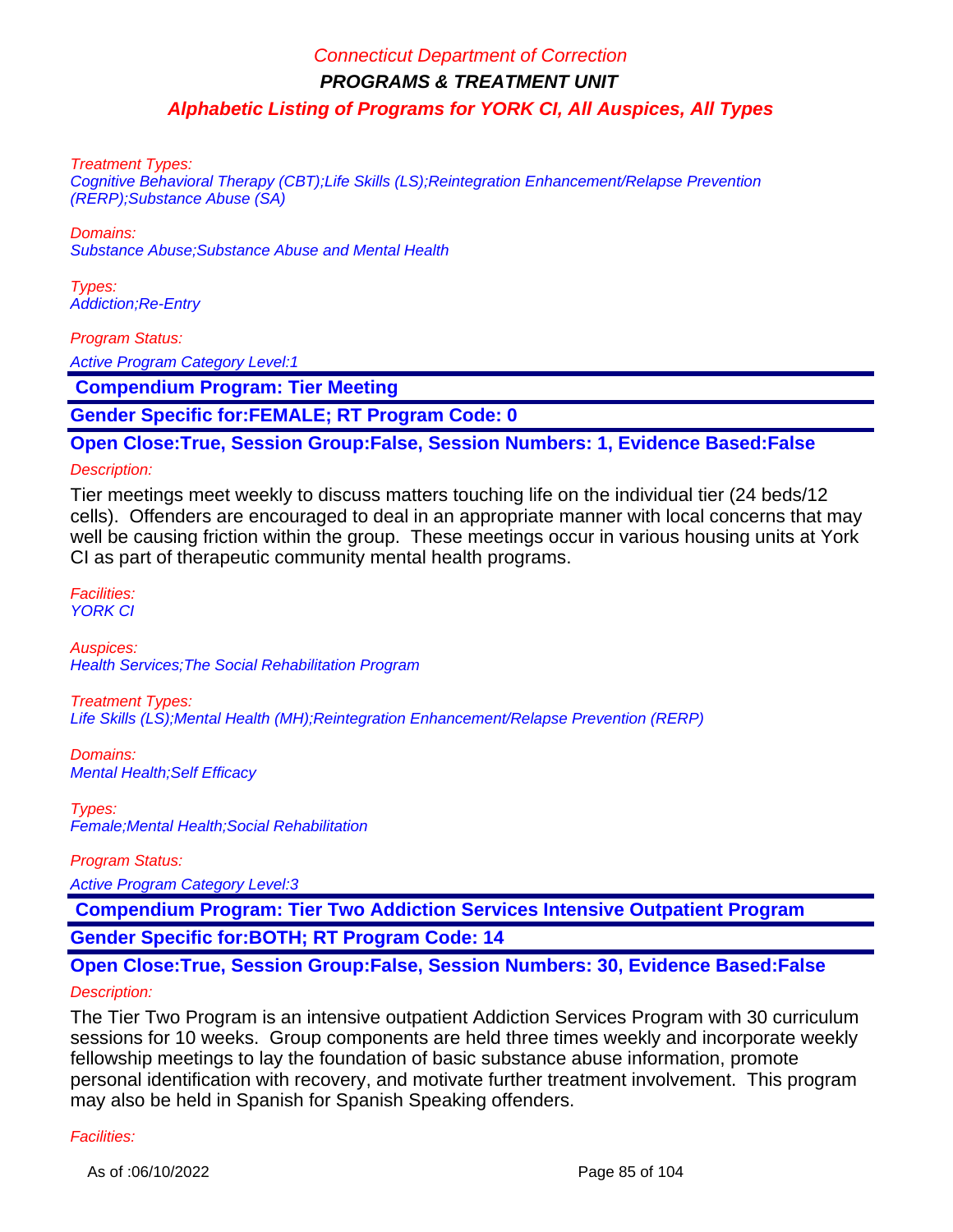Treatment Types:

Cognitive Behavioral Therapy (CBT);Life Skills (LS);Reintegration Enhancement/Relapse Prevention (RERP);Substance Abuse (SA)

Domains:

Substance Abuse;Substance Abuse and Mental Health

Types: Addiction;Re-Entry

Program Status:

Active Program Category Level:1

 **Compendium Program: Tier Meeting** 

**Gender Specific for:FEMALE; RT Program Code: 0**

### **Open Close:True, Session Group:False, Session Numbers: 1, Evidence Based:False**

#### Description:

Tier meetings meet weekly to discuss matters touching life on the individual tier (24 beds/12 cells). Offenders are encouraged to deal in an appropriate manner with local concerns that may well be causing friction within the group. These meetings occur in various housing units at York CI as part of therapeutic community mental health programs.

Facilities: YORK CI

Auspices: Health Services;The Social Rehabilitation Program

Treatment Types: Life Skills (LS);Mental Health (MH);Reintegration Enhancement/Relapse Prevention (RERP)

Domains: Mental Health;Self Efficacy

Types: Female;Mental Health;Social Rehabilitation

Program Status:

Active Program Category Level:3

 **Compendium Program: Tier Two Addiction Services Intensive Outpatient Program**

**Gender Specific for:BOTH; RT Program Code: 14**

# **Open Close:True, Session Group:False, Session Numbers: 30, Evidence Based:False**

#### Description:

The Tier Two Program is an intensive outpatient Addiction Services Program with 30 curriculum sessions for 10 weeks. Group components are held three times weekly and incorporate weekly fellowship meetings to lay the foundation of basic substance abuse information, promote personal identification with recovery, and motivate further treatment involvement. This program may also be held in Spanish for Spanish Speaking offenders.

#### Facilities: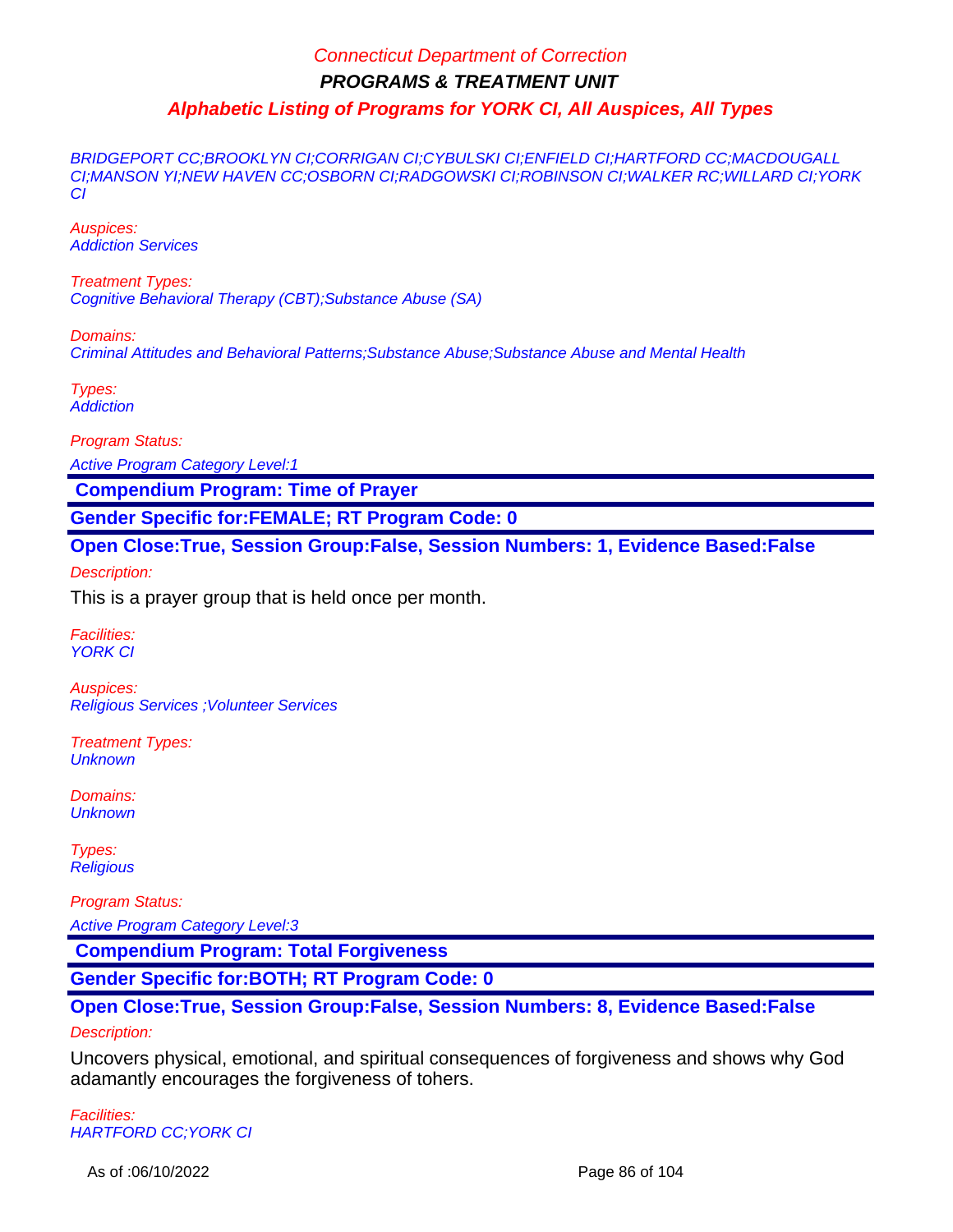BRIDGEPORT CC;BROOKLYN CI;CORRIGAN CI;CYBULSKI CI;ENFIELD CI;HARTFORD CC;MACDOUGALL CI;MANSON YI;NEW HAVEN CC;OSBORN CI;RADGOWSKI CI;ROBINSON CI;WALKER RC;WILLARD CI;YORK CI

Auspices: Addiction Services

Treatment Types: Cognitive Behavioral Therapy (CBT);Substance Abuse (SA)

Domains: Criminal Attitudes and Behavioral Patterns;Substance Abuse;Substance Abuse and Mental Health

Types: **Addiction** 

Program Status:

Active Program Category Level:1

 **Compendium Program: Time of Prayer**

**Gender Specific for:FEMALE; RT Program Code: 0**

**Open Close:True, Session Group:False, Session Numbers: 1, Evidence Based:False**

Description:

This is a prayer group that is held once per month.

Facilities: **YORK CI** 

Auspices: Religious Services ;Volunteer Services

Treatment Types: **Unknown** 

Domains: **Unknown** 

Types: **Religious** 

Program Status:

Active Program Category Level:3

 **Compendium Program: Total Forgiveness**

**Gender Specific for:BOTH; RT Program Code: 0**

# **Open Close:True, Session Group:False, Session Numbers: 8, Evidence Based:False**

#### Description:

Uncovers physical, emotional, and spiritual consequences of forgiveness and shows why God adamantly encourages the forgiveness of tohers.

Facilities: HARTFORD CC;YORK CI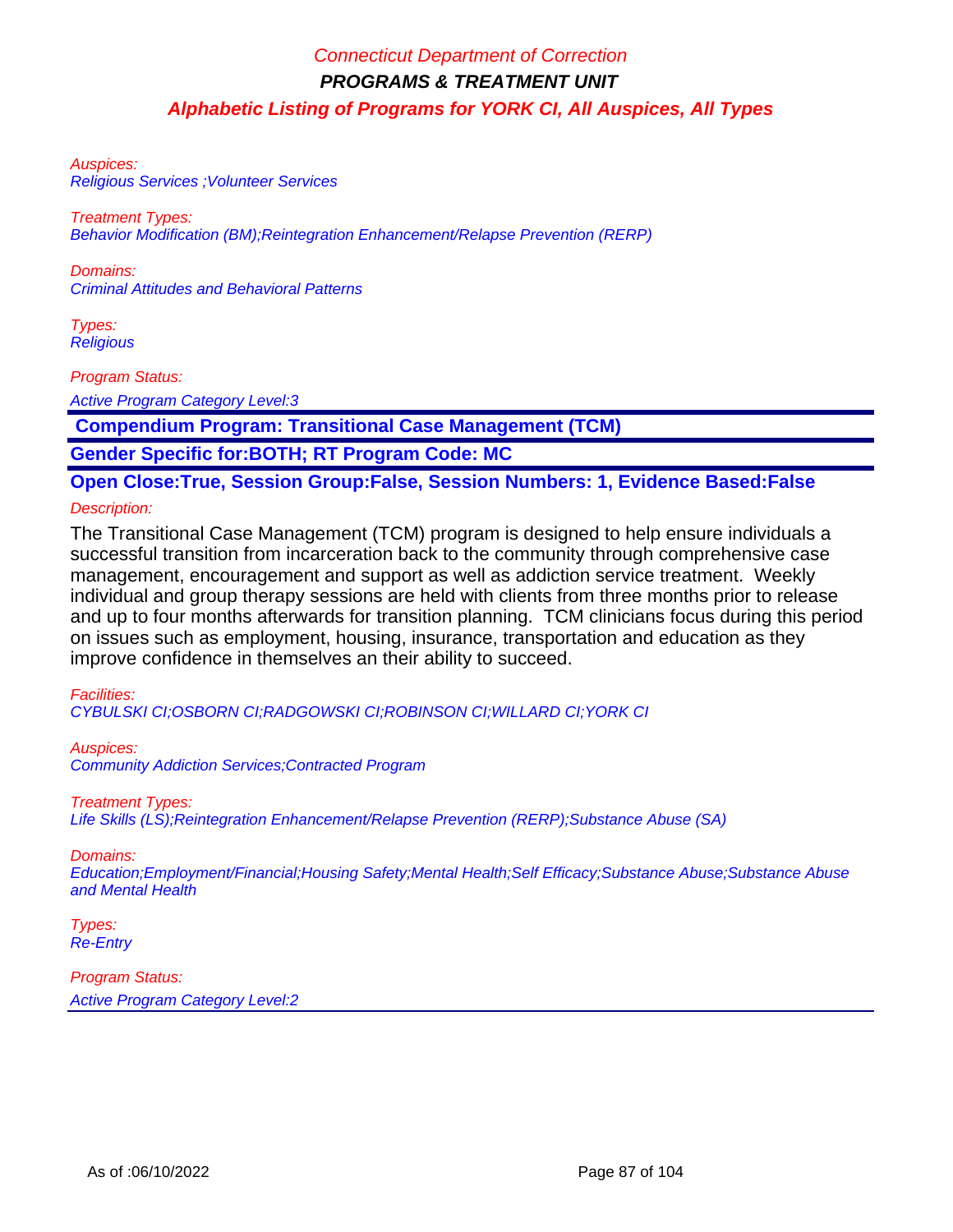Auspices: Religious Services ;Volunteer Services

Treatment Types: Behavior Modification (BM);Reintegration Enhancement/Relapse Prevention (RERP)

Domains: Criminal Attitudes and Behavioral Patterns

Types: **Religious** 

Program Status:

Active Program Category Level:3

 **Compendium Program: Transitional Case Management (TCM)**

**Gender Specific for:BOTH; RT Program Code: MC**

# **Open Close:True, Session Group:False, Session Numbers: 1, Evidence Based:False**

Description:

The Transitional Case Management (TCM) program is designed to help ensure individuals a successful transition from incarceration back to the community through comprehensive case management, encouragement and support as well as addiction service treatment. Weekly individual and group therapy sessions are held with clients from three months prior to release and up to four months afterwards for transition planning. TCM clinicians focus during this period on issues such as employment, housing, insurance, transportation and education as they improve confidence in themselves an their ability to succeed.

Facilities:

CYBULSKI CI;OSBORN CI;RADGOWSKI CI;ROBINSON CI;WILLARD CI;YORK CI

Auspices: Community Addiction Services;Contracted Program

Treatment Types:

Life Skills (LS);Reintegration Enhancement/Relapse Prevention (RERP);Substance Abuse (SA)

Domains:

Education;Employment/Financial;Housing Safety;Mental Health;Self Efficacy;Substance Abuse;Substance Abuse and Mental Health

Types: Re-Entry

Program Status:

Active Program Category Level:2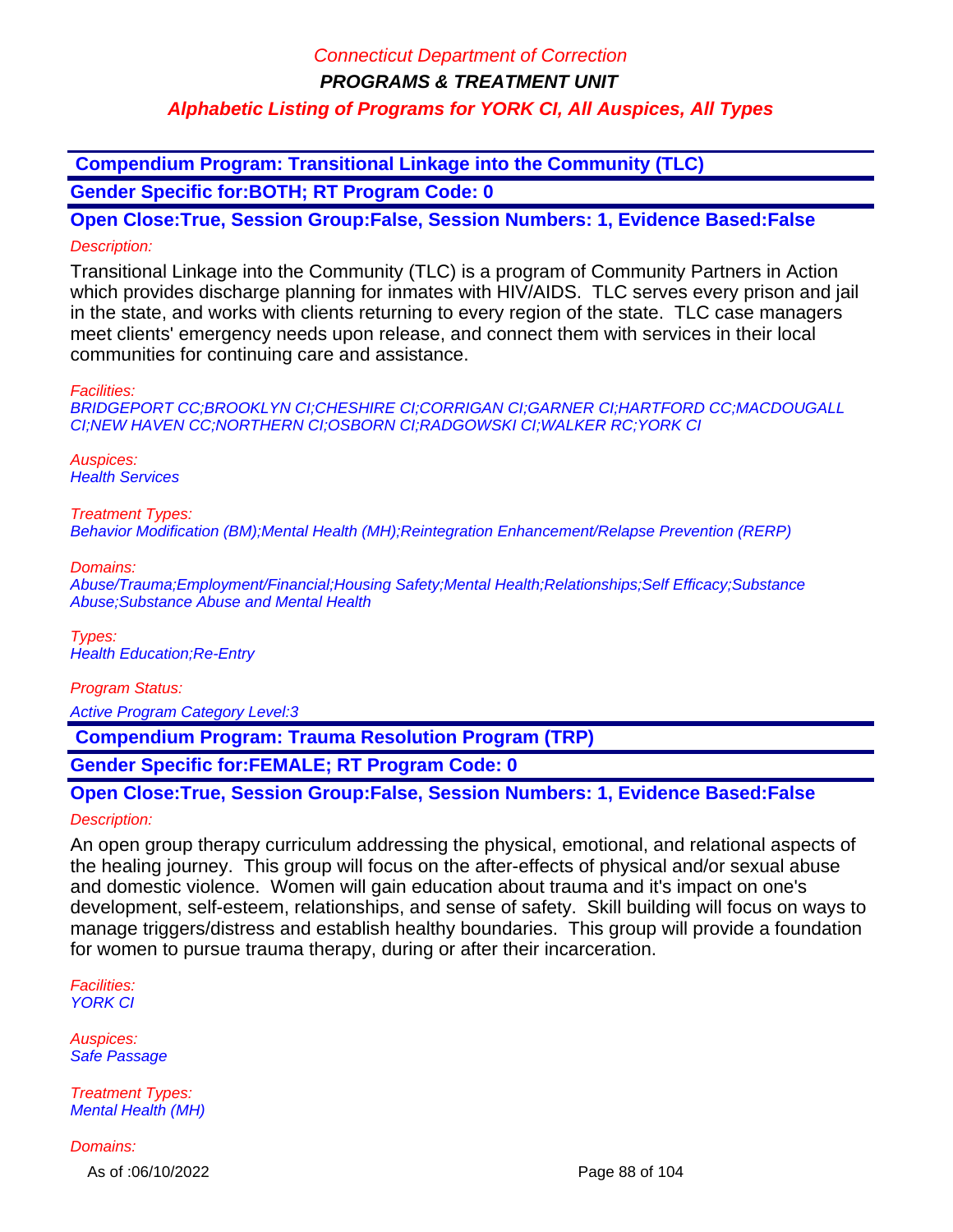**Compendium Program: Transitional Linkage into the Community (TLC)**

**Gender Specific for:BOTH; RT Program Code: 0**

**Open Close:True, Session Group:False, Session Numbers: 1, Evidence Based:False** Description:

Transitional Linkage into the Community (TLC) is a program of Community Partners in Action which provides discharge planning for inmates with HIV/AIDS. TLC serves every prison and jail in the state, and works with clients returning to every region of the state. TLC case managers meet clients' emergency needs upon release, and connect them with services in their local communities for continuing care and assistance.

Facilities:

BRIDGEPORT CC;BROOKLYN CI;CHESHIRE CI;CORRIGAN CI;GARNER CI;HARTFORD CC;MACDOUGALL CI;NEW HAVEN CC;NORTHERN CI;OSBORN CI;RADGOWSKI CI;WALKER RC;YORK CI

Auspices: **Health Services** 

Treatment Types:

Behavior Modification (BM);Mental Health (MH);Reintegration Enhancement/Relapse Prevention (RERP)

Domains:

Abuse/Trauma;Employment/Financial;Housing Safety;Mental Health;Relationships;Self Efficacy;Substance Abuse;Substance Abuse and Mental Health

Types: Health Education;Re-Entry

Program Status:

Active Program Category Level:3

 **Compendium Program: Trauma Resolution Program (TRP)**

**Gender Specific for:FEMALE; RT Program Code: 0**

### **Open Close:True, Session Group:False, Session Numbers: 1, Evidence Based:False** Description:

An open group therapy curriculum addressing the physical, emotional, and relational aspects of the healing journey. This group will focus on the after-effects of physical and/or sexual abuse and domestic violence. Women will gain education about trauma and it's impact on one's development, self-esteem, relationships, and sense of safety. Skill building will focus on ways to manage triggers/distress and establish healthy boundaries. This group will provide a foundation for women to pursue trauma therapy, during or after their incarceration.

Facilities: YORK CI

Auspices: Safe Passage

Treatment Types: Mental Health (MH)

Domains:

As of :06/10/2022 Page 88 of 104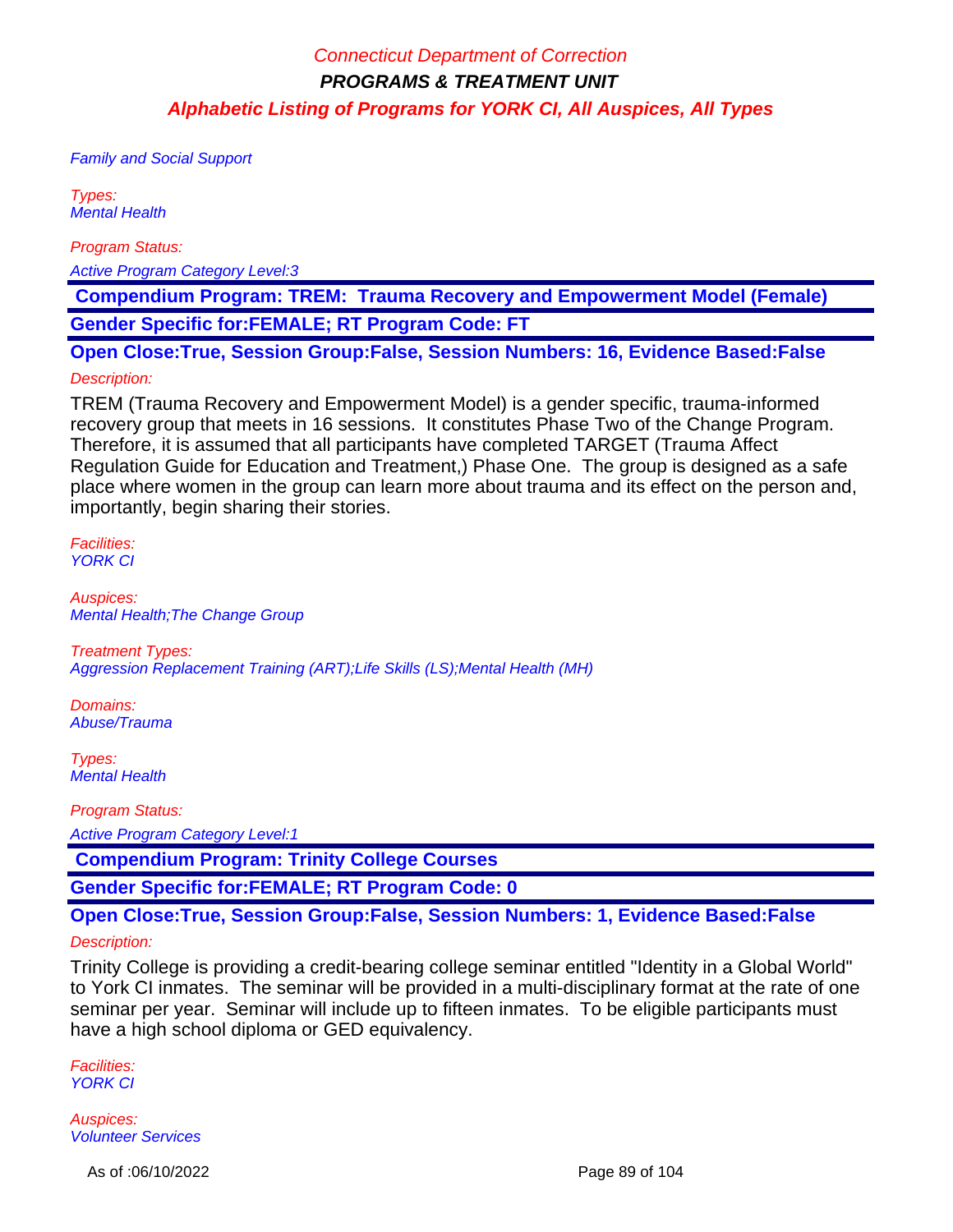Family and Social Support

Types: Mental Health

Program Status:

Active Program Category Level:3

 **Compendium Program: TREM: Trauma Recovery and Empowerment Model (Female) Gender Specific for:FEMALE; RT Program Code: FT**

**Open Close:True, Session Group:False, Session Numbers: 16, Evidence Based:False**

#### Description:

TREM (Trauma Recovery and Empowerment Model) is a gender specific, trauma-informed recovery group that meets in 16 sessions. It constitutes Phase Two of the Change Program. Therefore, it is assumed that all participants have completed TARGET (Trauma Affect Regulation Guide for Education and Treatment,) Phase One. The group is designed as a safe place where women in the group can learn more about trauma and its effect on the person and, importantly, begin sharing their stories.

Facilities: YORK CI

Auspices: Mental Health;The Change Group

Treatment Types: Aggression Replacement Training (ART);Life Skills (LS);Mental Health (MH)

Domains: Abuse/Trauma

Types: Mental Health

Program Status: Active Program Category Level:1

 **Compendium Program: Trinity College Courses**

**Gender Specific for:FEMALE; RT Program Code: 0**

### **Open Close:True, Session Group:False, Session Numbers: 1, Evidence Based:False**

#### Description:

Trinity College is providing a credit-bearing college seminar entitled "Identity in a Global World" to York CI inmates. The seminar will be provided in a multi-disciplinary format at the rate of one seminar per year. Seminar will include up to fifteen inmates. To be eligible participants must have a high school diploma or GED equivalency.

Facilities: YORK CI

Auspices: Volunteer Services

As of :06/10/2022 Page 89 of 104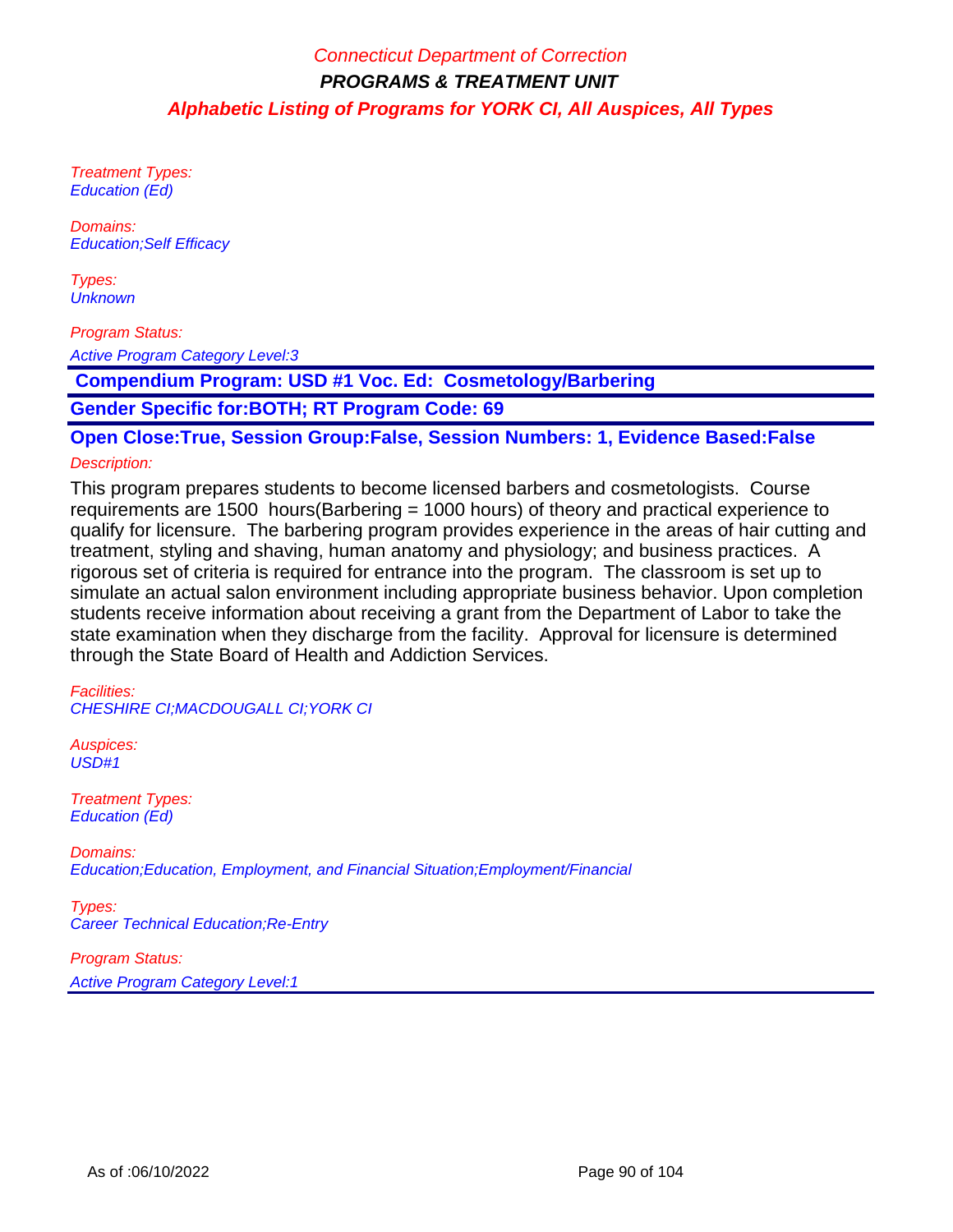Treatment Types: Education (Ed)

Domains: Education;Self Efficacy

Types: **Unknown** 

Program Status:

Active Program Category Level:3

 **Compendium Program: USD #1 Voc. Ed: Cosmetology/Barbering**

**Gender Specific for:BOTH; RT Program Code: 69**

**Open Close:True, Session Group:False, Session Numbers: 1, Evidence Based:False**

#### Description:

This program prepares students to become licensed barbers and cosmetologists. Course requirements are 1500 hours(Barbering = 1000 hours) of theory and practical experience to qualify for licensure. The barbering program provides experience in the areas of hair cutting and treatment, styling and shaving, human anatomy and physiology; and business practices. A rigorous set of criteria is required for entrance into the program. The classroom is set up to simulate an actual salon environment including appropriate business behavior. Upon completion students receive information about receiving a grant from the Department of Labor to take the state examination when they discharge from the facility. Approval for licensure is determined through the State Board of Health and Addiction Services.

Facilities: CHESHIRE CI;MACDOUGALL CI;YORK CI

Auspices:  $USD#1$ 

Treatment Types: Education (Ed)

Domains: Education;Education, Employment, and Financial Situation;Employment/Financial

Types: Career Technical Education;Re-Entry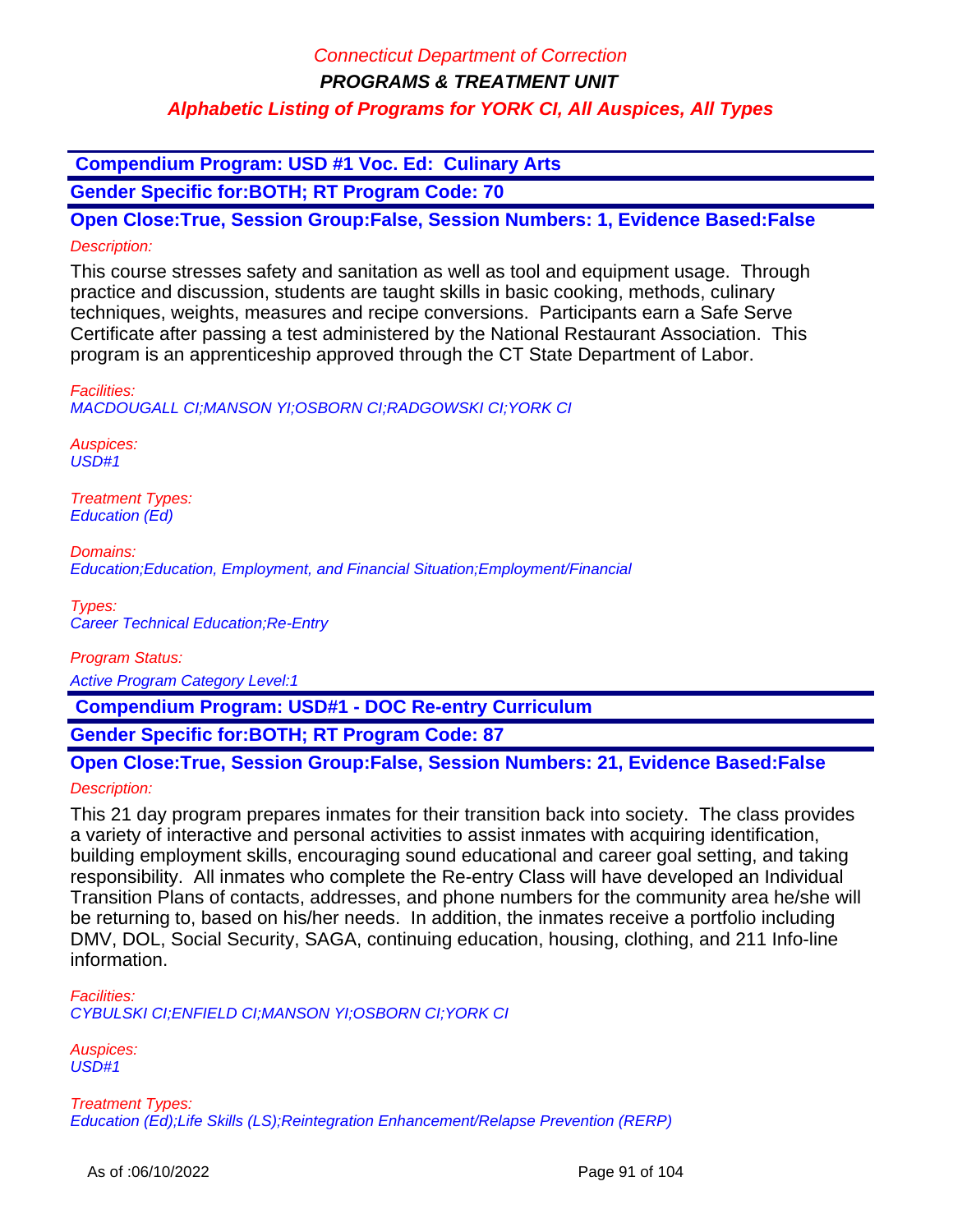**Compendium Program: USD #1 Voc. Ed: Culinary Arts**

**Gender Specific for:BOTH; RT Program Code: 70**

**Open Close:True, Session Group:False, Session Numbers: 1, Evidence Based:False** Description:

This course stresses safety and sanitation as well as tool and equipment usage. Through practice and discussion, students are taught skills in basic cooking, methods, culinary techniques, weights, measures and recipe conversions. Participants earn a Safe Serve Certificate after passing a test administered by the National Restaurant Association. This program is an apprenticeship approved through the CT State Department of Labor.

Facilities: MACDOUGALL CI;MANSON YI;OSBORN CI;RADGOWSKI CI;YORK CI

Auspices: USD#1

Treatment Types: Education (Ed)

Domains: Education;Education, Employment, and Financial Situation;Employment/Financial

Types: Career Technical Education;Re-Entry

Program Status:

Active Program Category Level:1

 **Compendium Program: USD#1 - DOC Re-entry Curriculum**

**Gender Specific for:BOTH; RT Program Code: 87**

**Open Close:True, Session Group:False, Session Numbers: 21, Evidence Based:False**

Description:

This 21 day program prepares inmates for their transition back into society. The class provides a variety of interactive and personal activities to assist inmates with acquiring identification, building employment skills, encouraging sound educational and career goal setting, and taking responsibility. All inmates who complete the Re-entry Class will have developed an Individual Transition Plans of contacts, addresses, and phone numbers for the community area he/she will be returning to, based on his/her needs. In addition, the inmates receive a portfolio including DMV, DOL, Social Security, SAGA, continuing education, housing, clothing, and 211 Info-line information.

Facilities: CYBULSKI CI;ENFIELD CI;MANSON YI;OSBORN CI;YORK CI

Auspices: USD#1

Treatment Types: Education (Ed);Life Skills (LS);Reintegration Enhancement/Relapse Prevention (RERP)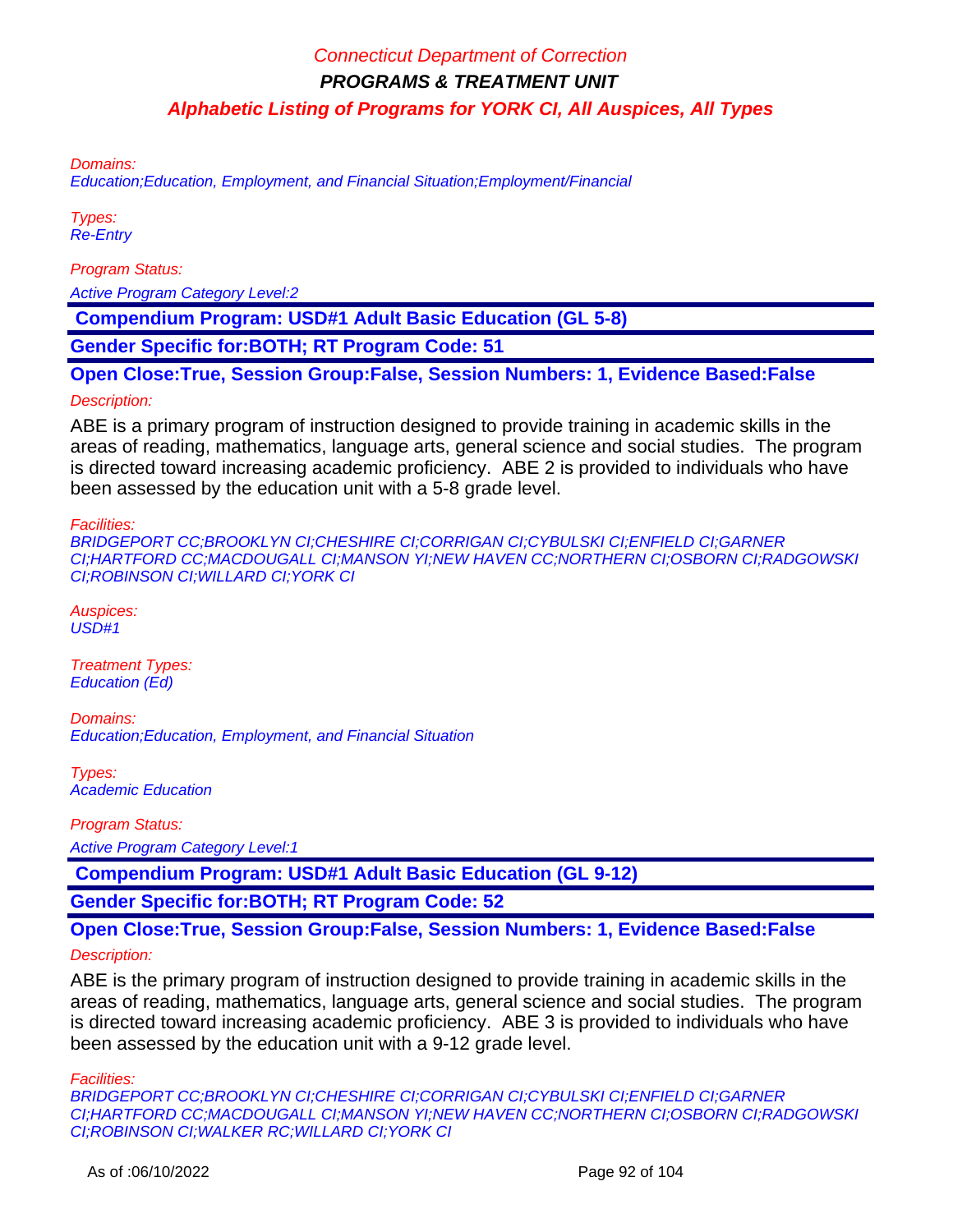Domains:

Education;Education, Employment, and Financial Situation;Employment/Financial

Types: Re-Entry

Program Status:

Active Program Category Level:2

 **Compendium Program: USD#1 Adult Basic Education (GL 5-8)**

**Gender Specific for:BOTH; RT Program Code: 51**

**Open Close:True, Session Group:False, Session Numbers: 1, Evidence Based:False**

#### Description:

ABE is a primary program of instruction designed to provide training in academic skills in the areas of reading, mathematics, language arts, general science and social studies. The program is directed toward increasing academic proficiency. ABE 2 is provided to individuals who have been assessed by the education unit with a 5-8 grade level.

#### Facilities:

BRIDGEPORT CC;BROOKLYN CI;CHESHIRE CI;CORRIGAN CI;CYBULSKI CI;ENFIELD CI;GARNER CI;HARTFORD CC;MACDOUGALL CI;MANSON YI;NEW HAVEN CC;NORTHERN CI;OSBORN CI;RADGOWSKI CI;ROBINSON CI;WILLARD CI;YORK CI

Auspices: USD#1

Treatment Types: Education (Ed)

Domains: Education;Education, Employment, and Financial Situation

Types: Academic Education

Program Status:

Active Program Category Level:1

 **Compendium Program: USD#1 Adult Basic Education (GL 9-12)**

**Gender Specific for:BOTH; RT Program Code: 52**

**Open Close:True, Session Group:False, Session Numbers: 1, Evidence Based:False**

#### Description:

ABE is the primary program of instruction designed to provide training in academic skills in the areas of reading, mathematics, language arts, general science and social studies. The program is directed toward increasing academic proficiency. ABE 3 is provided to individuals who have been assessed by the education unit with a 9-12 grade level.

Facilities:

BRIDGEPORT CC;BROOKLYN CI;CHESHIRE CI;CORRIGAN CI;CYBULSKI CI;ENFIELD CI;GARNER CI;HARTFORD CC;MACDOUGALL CI;MANSON YI;NEW HAVEN CC;NORTHERN CI;OSBORN CI;RADGOWSKI CI;ROBINSON CI;WALKER RC;WILLARD CI;YORK CI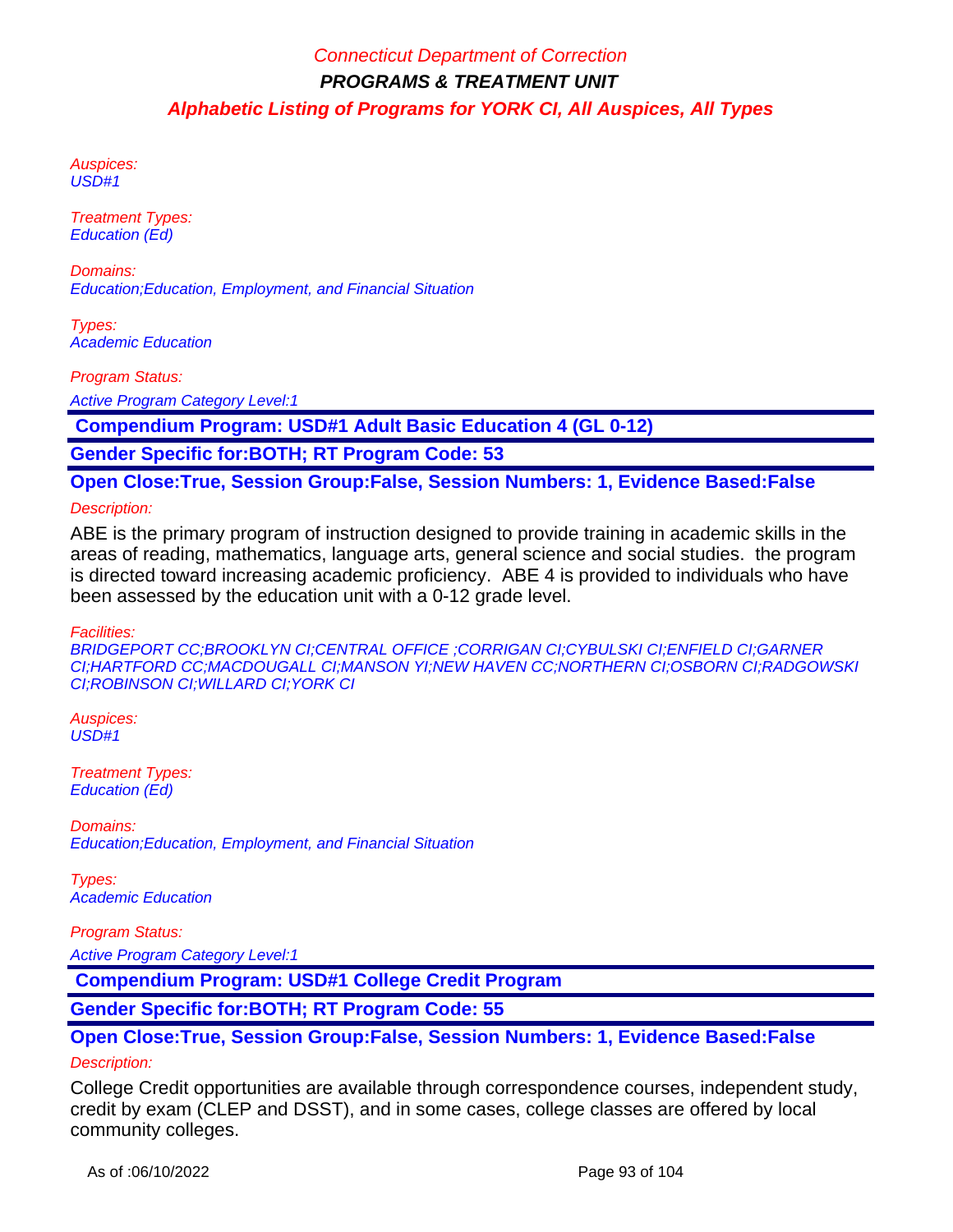Auspices: USD#1

Treatment Types: Education (Ed)

Domains: Education;Education, Employment, and Financial Situation

Types: Academic Education

Program Status:

Active Program Category Level:1

 **Compendium Program: USD#1 Adult Basic Education 4 (GL 0-12)**

**Gender Specific for:BOTH; RT Program Code: 53**

**Open Close:True, Session Group:False, Session Numbers: 1, Evidence Based:False**

#### Description:

ABE is the primary program of instruction designed to provide training in academic skills in the areas of reading, mathematics, language arts, general science and social studies. the program is directed toward increasing academic proficiency. ABE 4 is provided to individuals who have been assessed by the education unit with a 0-12 grade level.

#### Facilities:

BRIDGEPORT CC;BROOKLYN CI;CENTRAL OFFICE ;CORRIGAN CI;CYBULSKI CI;ENFIELD CI;GARNER CI;HARTFORD CC;MACDOUGALL CI;MANSON YI;NEW HAVEN CC;NORTHERN CI;OSBORN CI;RADGOWSKI CI;ROBINSON CI;WILLARD CI;YORK CI

Auspices: USD#1

Treatment Types: Education (Ed)

Domains: Education;Education, Employment, and Financial Situation

Types: Academic Education

#### Program Status:

Active Program Category Level:1

 **Compendium Program: USD#1 College Credit Program**

**Gender Specific for:BOTH; RT Program Code: 55**

#### **Open Close:True, Session Group:False, Session Numbers: 1, Evidence Based:False**

#### Description:

College Credit opportunities are available through correspondence courses, independent study, credit by exam (CLEP and DSST), and in some cases, college classes are offered by local community colleges.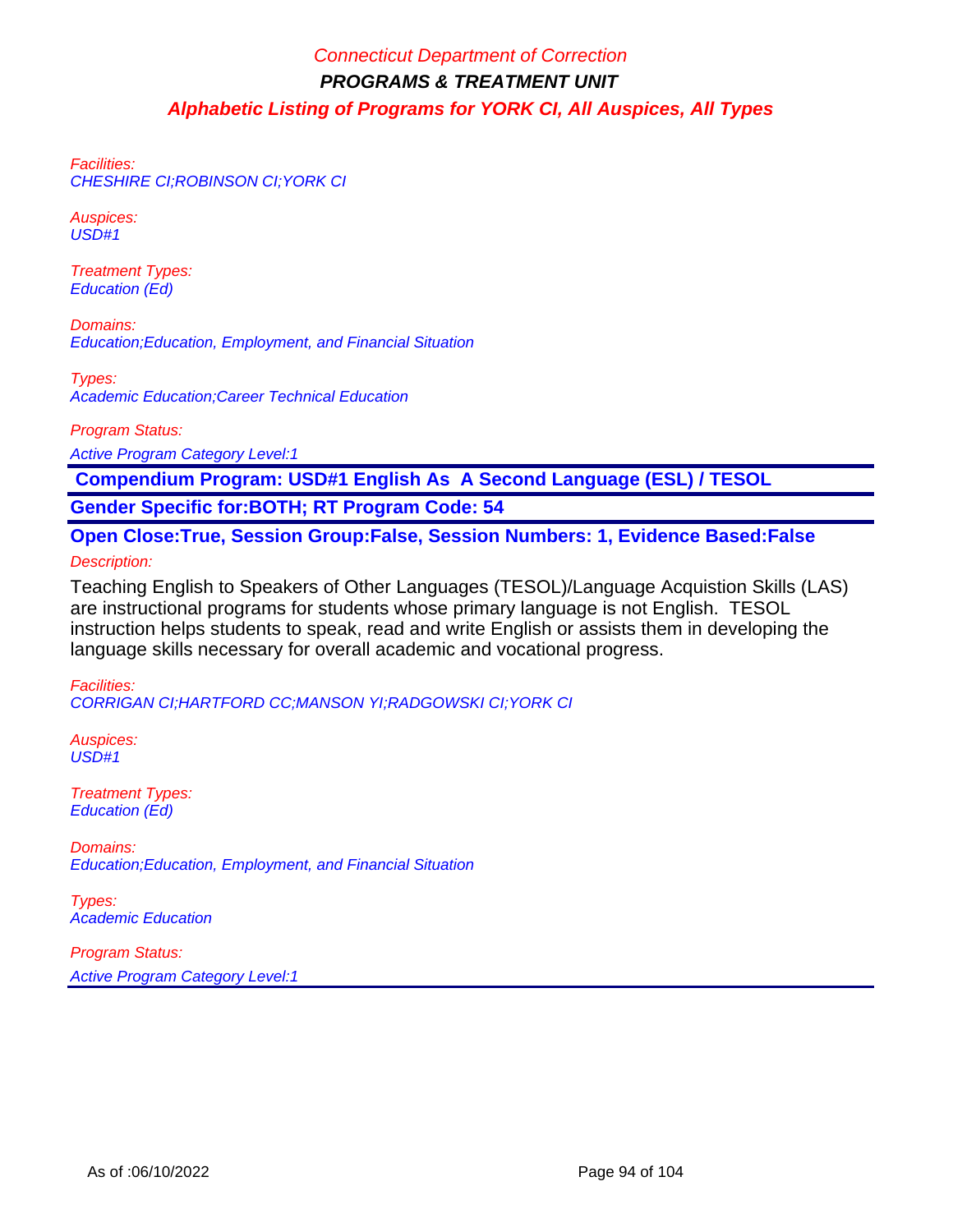Facilities: CHESHIRE CI;ROBINSON CI;YORK CI

Auspices: USD#1

Treatment Types: Education (Ed)

Domains: Education;Education, Employment, and Financial Situation

Types: Academic Education;Career Technical Education

Program Status:

Active Program Category Level:1

 **Compendium Program: USD#1 English As A Second Language (ESL) / TESOL**

**Gender Specific for:BOTH; RT Program Code: 54**

**Open Close:True, Session Group:False, Session Numbers: 1, Evidence Based:False** Description:

Teaching English to Speakers of Other Languages (TESOL)/Language Acquistion Skills (LAS) are instructional programs for students whose primary language is not English. TESOL instruction helps students to speak, read and write English or assists them in developing the language skills necessary for overall academic and vocational progress.

Facilities: CORRIGAN CI;HARTFORD CC;MANSON YI;RADGOWSKI CI;YORK CI

Auspices:  $\overline{USD}$ #1

Treatment Types: Education (Ed)

Domains: Education;Education, Employment, and Financial Situation

Types: Academic Education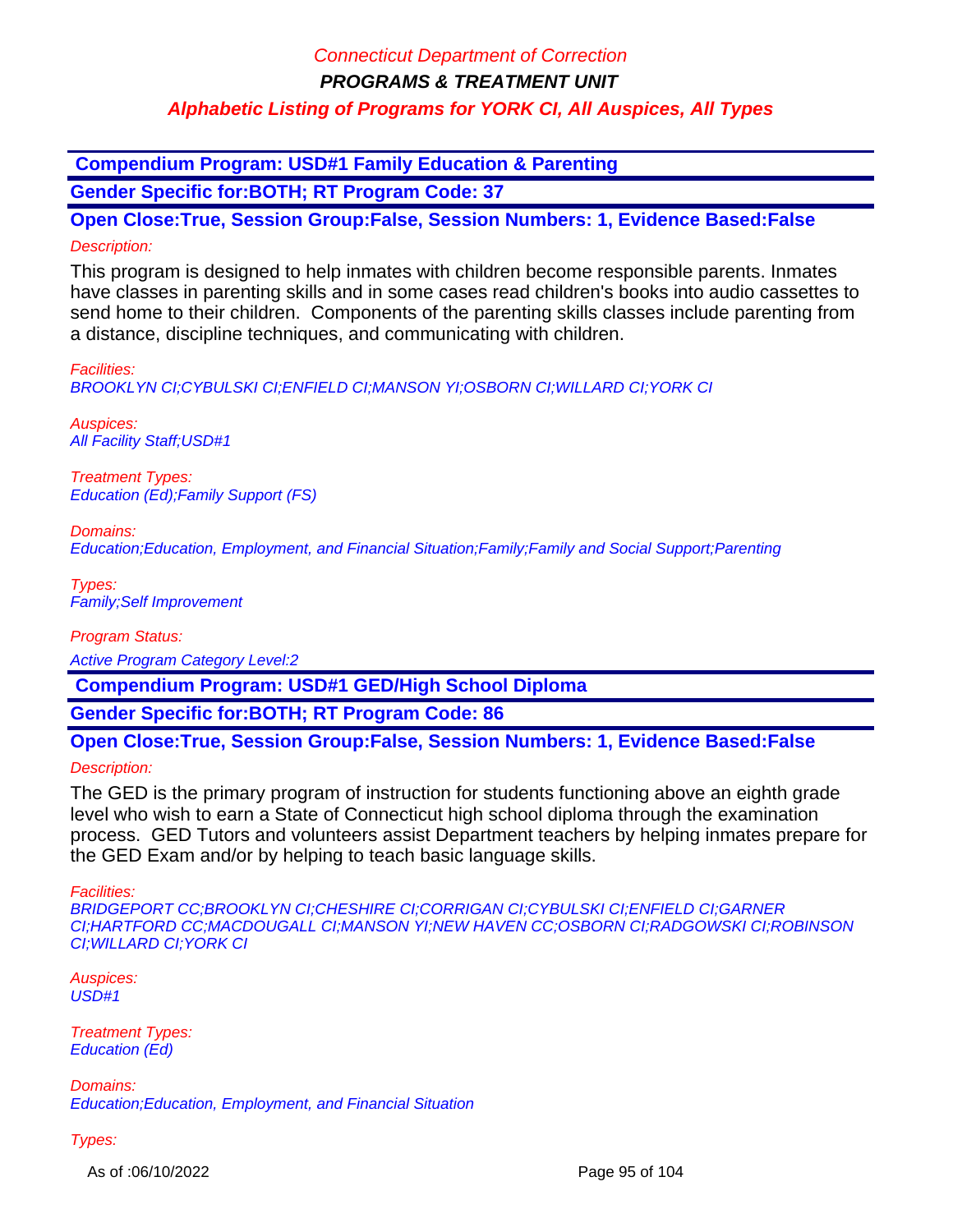**Compendium Program: USD#1 Family Education & Parenting**

**Gender Specific for:BOTH; RT Program Code: 37**

**Open Close:True, Session Group:False, Session Numbers: 1, Evidence Based:False** Description:

This program is designed to help inmates with children become responsible parents. Inmates have classes in parenting skills and in some cases read children's books into audio cassettes to send home to their children. Components of the parenting skills classes include parenting from a distance, discipline techniques, and communicating with children.

Facilities:

BROOKLYN CI;CYBULSKI CI;ENFIELD CI;MANSON YI;OSBORN CI;WILLARD CI;YORK CI

Auspices: **All Facility Staff; USD#1** 

Treatment Types: Education (Ed);Family Support (FS)

Domains:

Education;Education, Employment, and Financial Situation;Family;Family and Social Support;Parenting

Types: Family;Self Improvement

Program Status:

Active Program Category Level:2

 **Compendium Program: USD#1 GED/High School Diploma**

**Gender Specific for:BOTH; RT Program Code: 86**

**Open Close:True, Session Group:False, Session Numbers: 1, Evidence Based:False**

Description:

The GED is the primary program of instruction for students functioning above an eighth grade level who wish to earn a State of Connecticut high school diploma through the examination process. GED Tutors and volunteers assist Department teachers by helping inmates prepare for the GED Exam and/or by helping to teach basic language skills.

Facilities:

BRIDGEPORT CC;BROOKLYN CI;CHESHIRE CI;CORRIGAN CI;CYBULSKI CI;ENFIELD CI;GARNER CI;HARTFORD CC;MACDOUGALL CI;MANSON YI;NEW HAVEN CC;OSBORN CI;RADGOWSKI CI;ROBINSON CI;WILLARD CI;YORK CI

Auspices: USD#1

Treatment Types: Education (Ed)

Domains: Education;Education, Employment, and Financial Situation

Types:

As of :06/10/2022 Page 95 of 104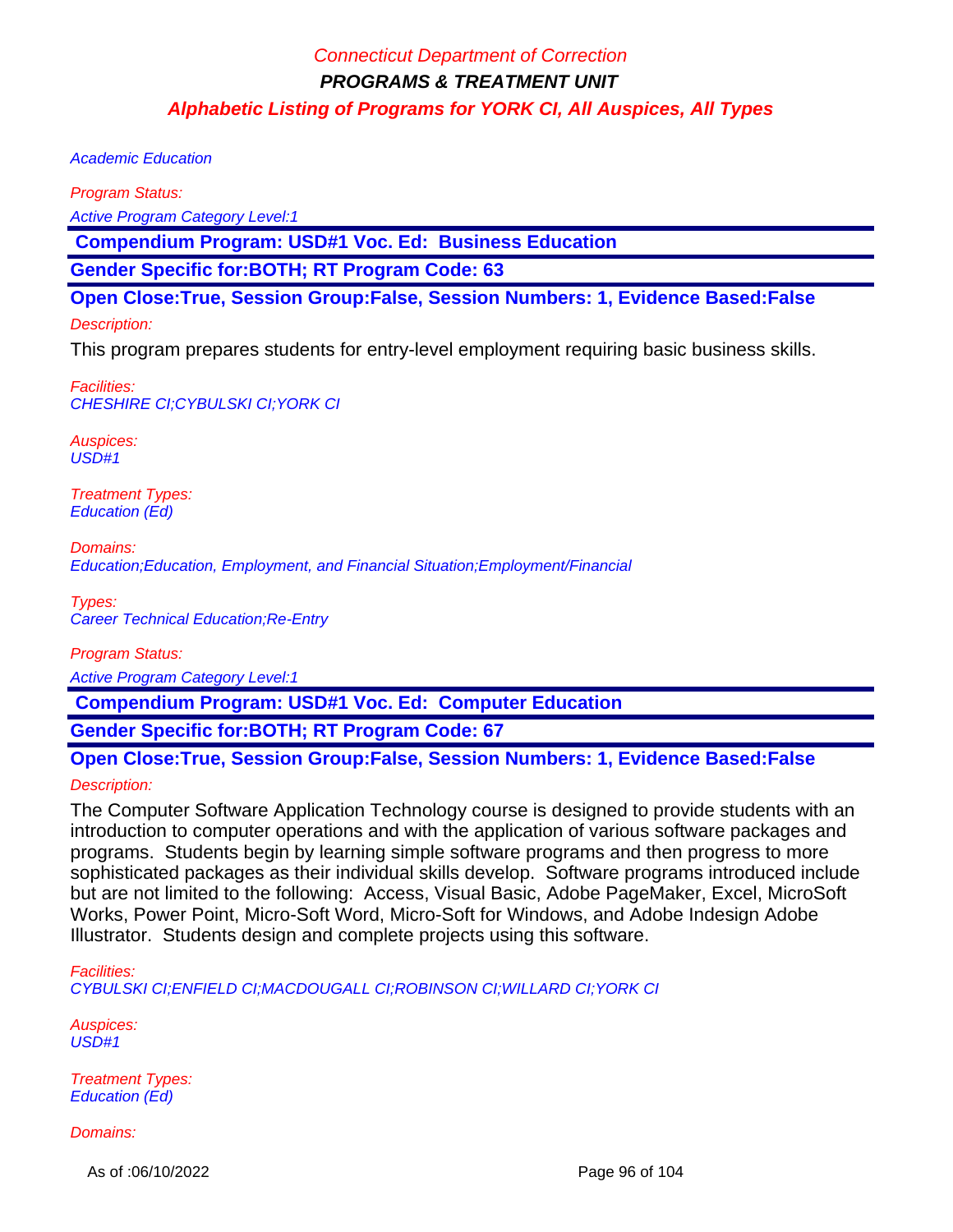Academic Education

Program Status:

Active Program Category Level:1

 **Compendium Program: USD#1 Voc. Ed: Business Education**

**Gender Specific for:BOTH; RT Program Code: 63**

**Open Close:True, Session Group:False, Session Numbers: 1, Evidence Based:False**

Description:

This program prepares students for entry-level employment requiring basic business skills.

Facilities: CHESHIRE CI;CYBULSKI CI;YORK CI

Auspices: USD#1

Treatment Types: Education (Ed)

Domains: Education;Education, Employment, and Financial Situation;Employment/Financial

Types: Career Technical Education;Re-Entry

Program Status:

Active Program Category Level:1

 **Compendium Program: USD#1 Voc. Ed: Computer Education**

**Gender Specific for:BOTH; RT Program Code: 67**

**Open Close:True, Session Group:False, Session Numbers: 1, Evidence Based:False**

Description:

The Computer Software Application Technology course is designed to provide students with an introduction to computer operations and with the application of various software packages and programs. Students begin by learning simple software programs and then progress to more sophisticated packages as their individual skills develop. Software programs introduced include but are not limited to the following: Access, Visual Basic, Adobe PageMaker, Excel, MicroSoft Works, Power Point, Micro-Soft Word, Micro-Soft for Windows, and Adobe Indesign Adobe Illustrator. Students design and complete projects using this software.

Facilities:

CYBULSKI CI;ENFIELD CI;MACDOUGALL CI;ROBINSON CI;WILLARD CI;YORK CI

Auspices: USD#1

Treatment Types: Education (Ed)

Domains:

As of :06/10/2022 Page 96 of 104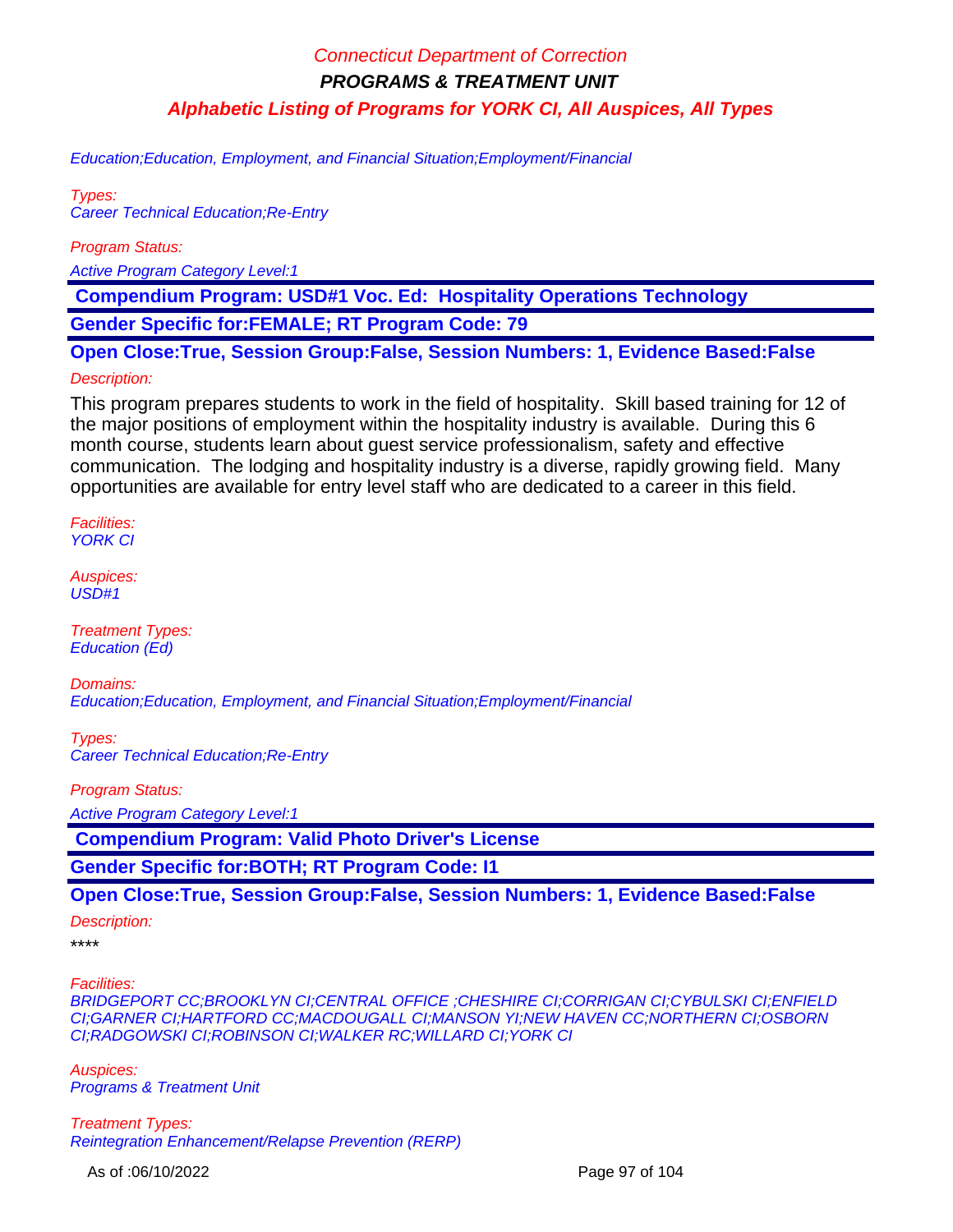Education;Education, Employment, and Financial Situation;Employment/Financial

Types: Career Technical Education;Re-Entry

Program Status:

Active Program Category Level:1

 **Compendium Program: USD#1 Voc. Ed: Hospitality Operations Technology Gender Specific for:FEMALE; RT Program Code: 79**

**Open Close:True, Session Group:False, Session Numbers: 1, Evidence Based:False**

#### Description:

This program prepares students to work in the field of hospitality. Skill based training for 12 of the major positions of employment within the hospitality industry is available. During this 6 month course, students learn about guest service professionalism, safety and effective communication. The lodging and hospitality industry is a diverse, rapidly growing field. Many opportunities are available for entry level staff who are dedicated to a career in this field.

Facilities: **YORK CI** 

Auspices: USD#1

Treatment Types: Education (Ed)

Domains: Education;Education, Employment, and Financial Situation;Employment/Financial

Types: Career Technical Education;Re-Entry

Program Status:

Active Program Category Level:1

 **Compendium Program: Valid Photo Driver's License**

**Gender Specific for:BOTH; RT Program Code: I1**

**Open Close:True, Session Group:False, Session Numbers: 1, Evidence Based:False**

Description:

\*\*\*\*

Facilities:

BRIDGEPORT CC;BROOKLYN CI;CENTRAL OFFICE ;CHESHIRE CI;CORRIGAN CI;CYBULSKI CI;ENFIELD CI;GARNER CI;HARTFORD CC;MACDOUGALL CI;MANSON YI;NEW HAVEN CC;NORTHERN CI;OSBORN CI;RADGOWSKI CI;ROBINSON CI;WALKER RC;WILLARD CI;YORK CI

Auspices: Programs & Treatment Unit

Treatment Types: Reintegration Enhancement/Relapse Prevention (RERP)

As of :06/10/2022 Page 97 of 104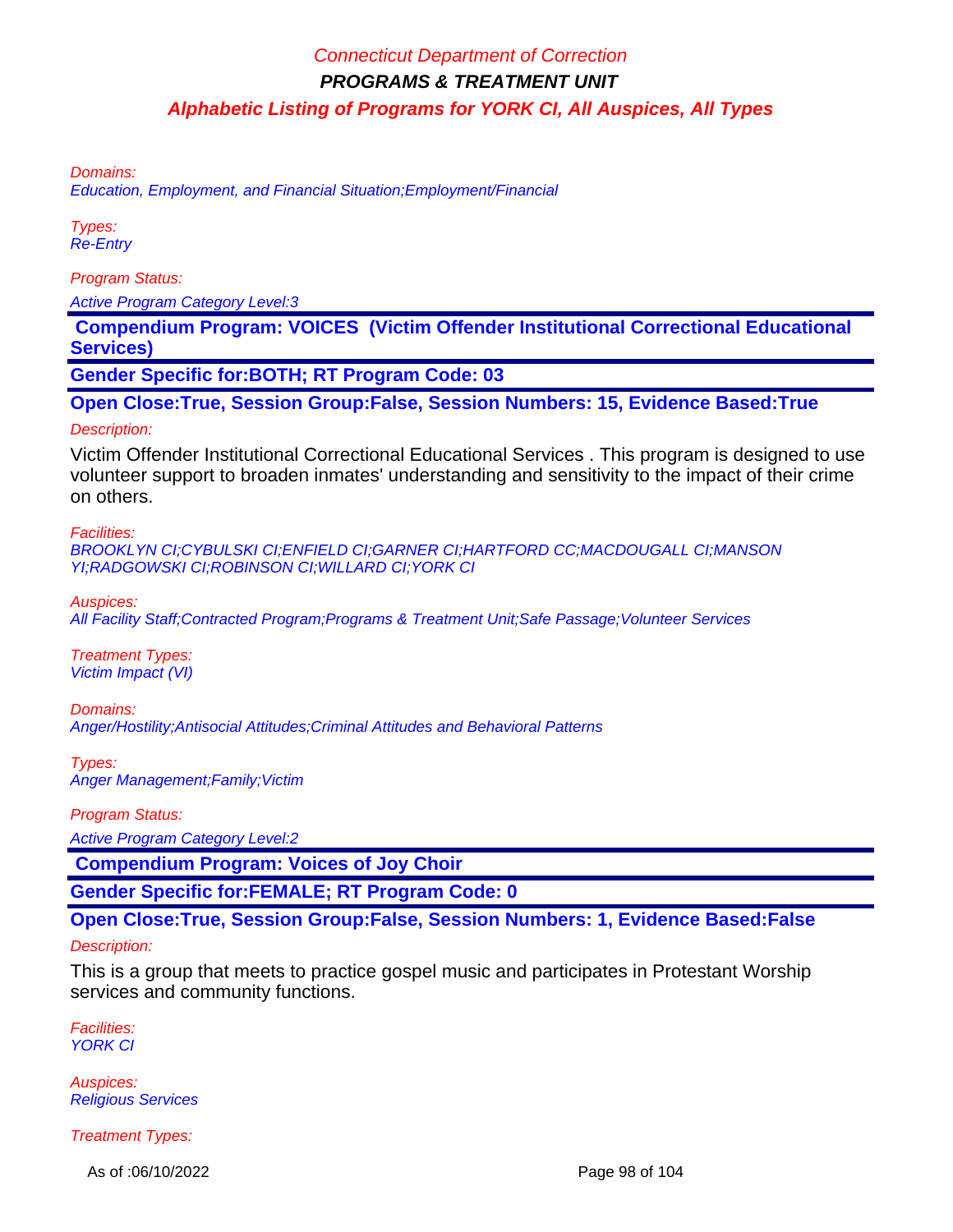Domains:

Education, Employment, and Financial Situation;Employment/Financial

Types: Re-Entry

Program Status:

Active Program Category Level:3

 **Compendium Program: VOICES (Victim Offender Institutional Correctional Educational Services)**

**Gender Specific for:BOTH; RT Program Code: 03**

**Open Close:True, Session Group:False, Session Numbers: 15, Evidence Based:True**

#### Description:

Victim Offender Institutional Correctional Educational Services . This program is designed to use volunteer support to broaden inmates' understanding and sensitivity to the impact of their crime on others.

Facilities:

BROOKLYN CI;CYBULSKI CI;ENFIELD CI;GARNER CI;HARTFORD CC;MACDOUGALL CI;MANSON YI;RADGOWSKI CI;ROBINSON CI;WILLARD CI;YORK CI

Auspices:

All Facility Staff;Contracted Program;Programs & Treatment Unit;Safe Passage;Volunteer Services

Treatment Types: Victim Impact (VI)

Domains: Anger/Hostility;Antisocial Attitudes;Criminal Attitudes and Behavioral Patterns

Types: Anger Management; Family; Victim

Program Status:

Active Program Category Level:2

 **Compendium Program: Voices of Joy Choir**

**Gender Specific for:FEMALE; RT Program Code: 0**

**Open Close:True, Session Group:False, Session Numbers: 1, Evidence Based:False**

Description:

This is a group that meets to practice gospel music and participates in Protestant Worship services and community functions.

Facilities: **YORK CI** 

Auspices: Religious Services

Treatment Types:

As of :06/10/2022 Page 98 of 104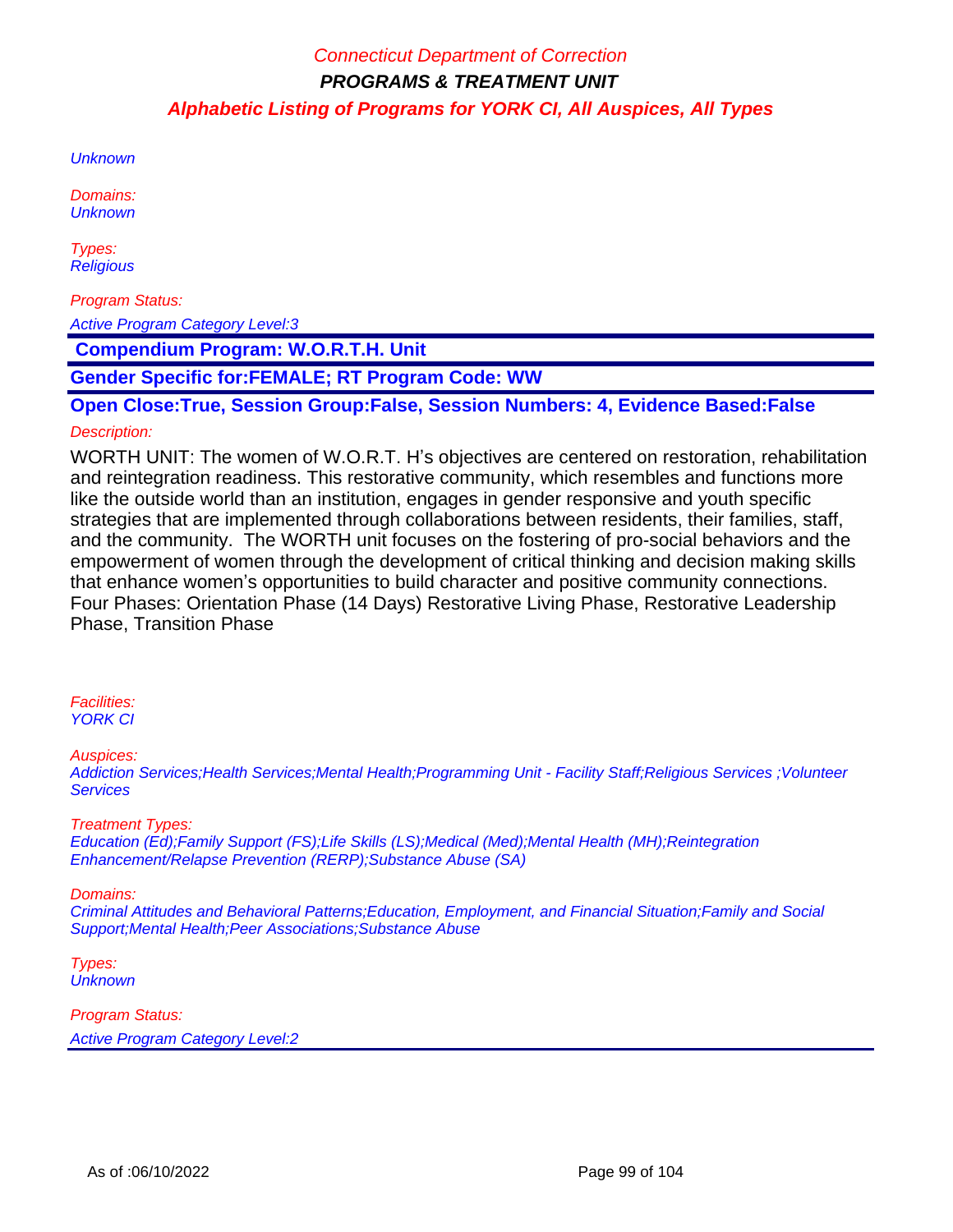**Unknown** 

Domains: **Unknown** 

Types: **Religious** 

Program Status:

Active Program Category Level:3

 **Compendium Program: W.O.R.T.H. Unit**

**Gender Specific for:FEMALE; RT Program Code: WW**

**Open Close:True, Session Group:False, Session Numbers: 4, Evidence Based:False**

#### Description:

WORTH UNIT: The women of W.O.R.T. H's objectives are centered on restoration, rehabilitation and reintegration readiness. This restorative community, which resembles and functions more like the outside world than an institution, engages in gender responsive and youth specific strategies that are implemented through collaborations between residents, their families, staff, and the community. The WORTH unit focuses on the fostering of pro-social behaviors and the empowerment of women through the development of critical thinking and decision making skills that enhance women's opportunities to build character and positive community connections. Four Phases: Orientation Phase (14 Days) Restorative Living Phase, Restorative Leadership Phase, Transition Phase

#### Facilities: YORK CI

Auspices:

Addiction Services;Health Services;Mental Health;Programming Unit - Facility Staff;Religious Services ;Volunteer **Services** 

Treatment Types: Education (Ed);Family Support (FS);Life Skills (LS);Medical (Med);Mental Health (MH);Reintegration Enhancement/Relapse Prevention (RERP);Substance Abuse (SA)

#### Domains:

Criminal Attitudes and Behavioral Patterns;Education, Employment, and Financial Situation;Family and Social Support;Mental Health;Peer Associations;Substance Abuse

Types: **Unknown**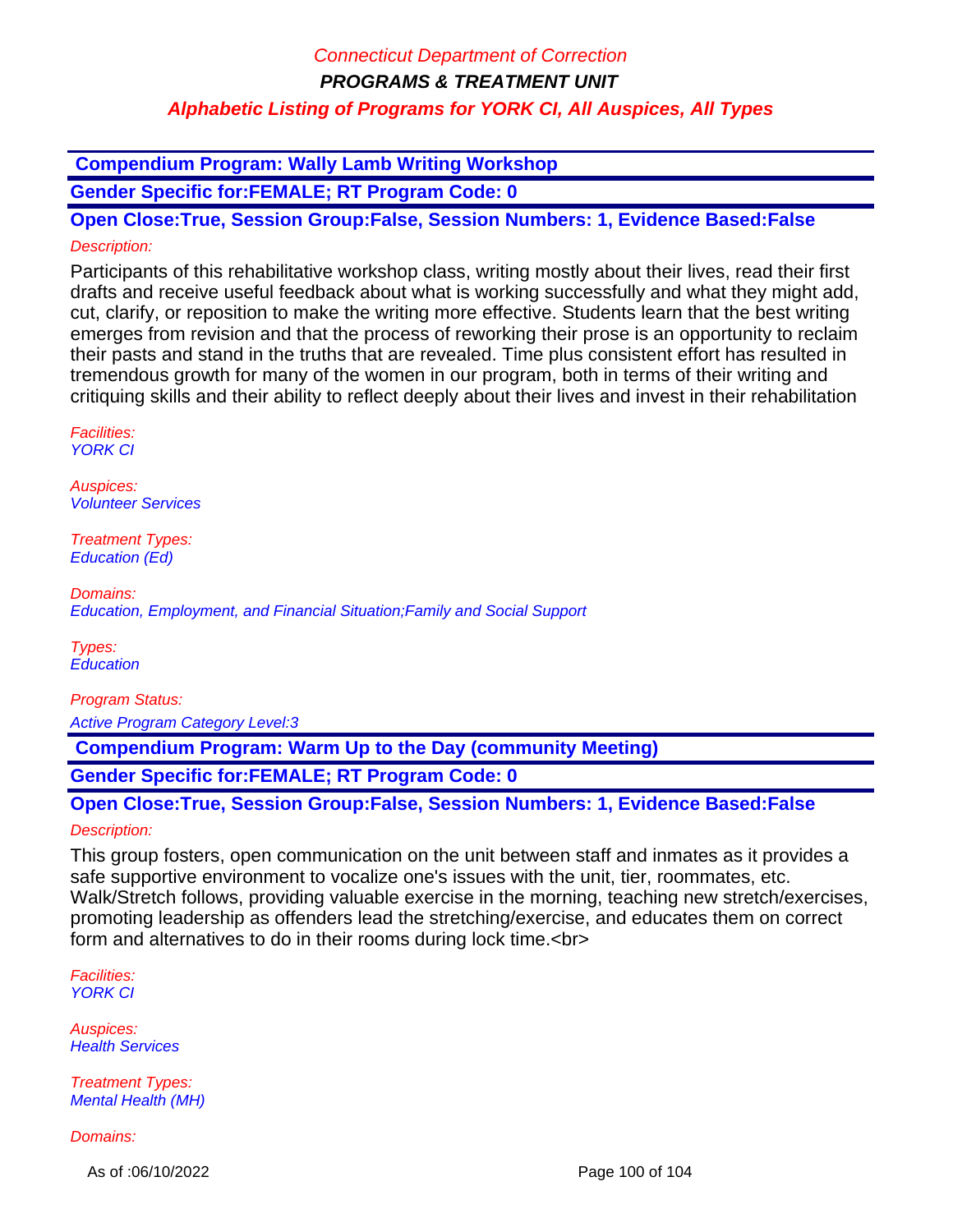### **Compendium Program: Wally Lamb Writing Workshop**

**Gender Specific for:FEMALE; RT Program Code: 0**

**Open Close:True, Session Group:False, Session Numbers: 1, Evidence Based:False** Description:

Participants of this rehabilitative workshop class, writing mostly about their lives, read their first drafts and receive useful feedback about what is working successfully and what they might add, cut, clarify, or reposition to make the writing more effective. Students learn that the best writing emerges from revision and that the process of reworking their prose is an opportunity to reclaim their pasts and stand in the truths that are revealed. Time plus consistent effort has resulted in tremendous growth for many of the women in our program, both in terms of their writing and critiquing skills and their ability to reflect deeply about their lives and invest in their rehabilitation

Facilities: YORK CI

Auspices: Volunteer Services

Treatment Types: Education (Ed)

Domains: Education, Employment, and Financial Situation;Family and Social Support

Types: **Education** 

Program Status:

Active Program Category Level:3

 **Compendium Program: Warm Up to the Day (community Meeting)**

**Gender Specific for:FEMALE; RT Program Code: 0**

### **Open Close:True, Session Group:False, Session Numbers: 1, Evidence Based:False** Description:

This group fosters, open communication on the unit between staff and inmates as it provides a safe supportive environment to vocalize one's issues with the unit, tier, roommates, etc. Walk/Stretch follows, providing valuable exercise in the morning, teaching new stretch/exercises, promoting leadership as offenders lead the stretching/exercise, and educates them on correct form and alternatives to do in their rooms during lock time.<br>

Facilities: YORK CI

Auspices: Health Services

Treatment Types: Mental Health (MH)

Domains:

As of :06/10/2022 **Page 100 of 104**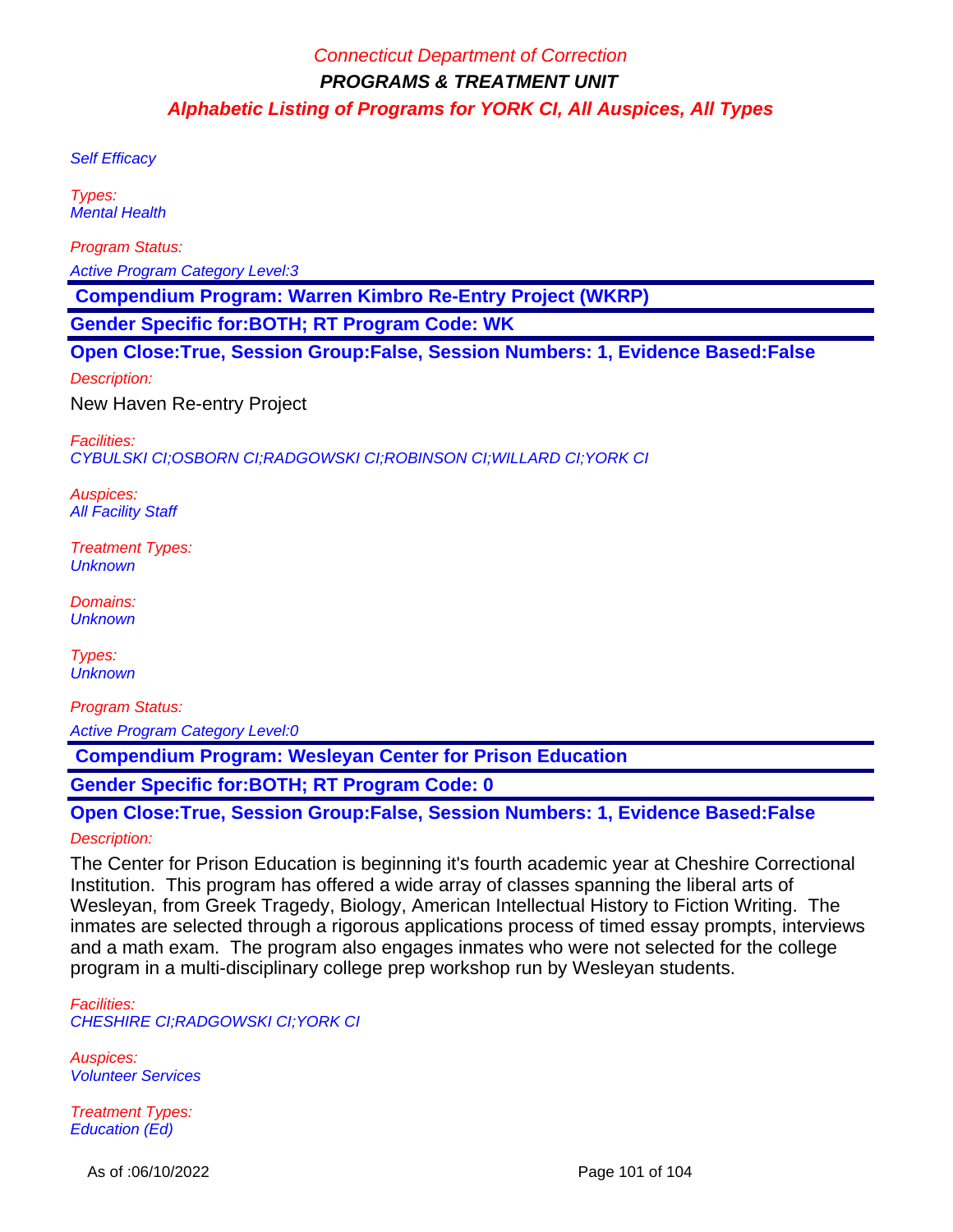Self Efficacy

Types: Mental Health

Program Status:

Active Program Category Level:3

 **Compendium Program: Warren Kimbro Re-Entry Project (WKRP)**

**Gender Specific for:BOTH; RT Program Code: WK**

**Open Close:True, Session Group:False, Session Numbers: 1, Evidence Based:False**

Description:

New Haven Re-entry Project

Facilities: CYBULSKI CI;OSBORN CI;RADGOWSKI CI;ROBINSON CI;WILLARD CI;YORK CI

Auspices: **All Facility Staff** 

Treatment Types: **Unknown** 

Domains: **Unknown** 

Types: **Unknown** 

Program Status: Active Program Category Level:0

 **Compendium Program: Wesleyan Center for Prison Education**

**Gender Specific for:BOTH; RT Program Code: 0**

**Open Close:True, Session Group:False, Session Numbers: 1, Evidence Based:False** Description:

The Center for Prison Education is beginning it's fourth academic year at Cheshire Correctional Institution. This program has offered a wide array of classes spanning the liberal arts of Wesleyan, from Greek Tragedy, Biology, American Intellectual History to Fiction Writing. The inmates are selected through a rigorous applications process of timed essay prompts, interviews and a math exam. The program also engages inmates who were not selected for the college program in a multi-disciplinary college prep workshop run by Wesleyan students.

Facilities: CHESHIRE CI;RADGOWSKI CI;YORK CI

Auspices: Volunteer Services

Treatment Types: Education (Ed)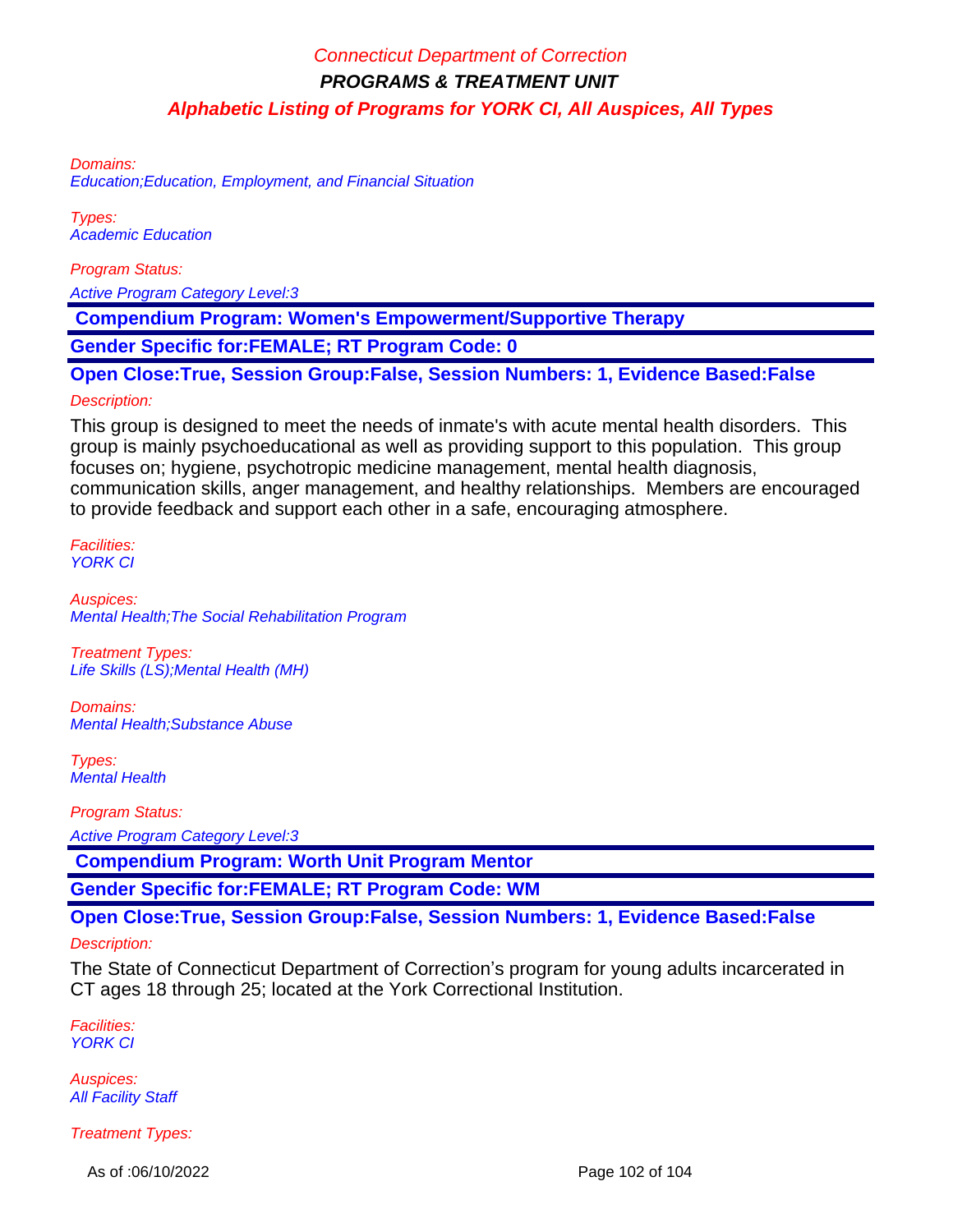Domains:

Education;Education, Employment, and Financial Situation

Types: Academic Education

Program Status:

Active Program Category Level:3

 **Compendium Program: Women's Empowerment/Supportive Therapy**

**Gender Specific for:FEMALE; RT Program Code: 0**

**Open Close:True, Session Group:False, Session Numbers: 1, Evidence Based:False**

#### Description:

This group is designed to meet the needs of inmate's with acute mental health disorders. This group is mainly psychoeducational as well as providing support to this population. This group focuses on; hygiene, psychotropic medicine management, mental health diagnosis, communication skills, anger management, and healthy relationships. Members are encouraged to provide feedback and support each other in a safe, encouraging atmosphere.

Facilities: YORK CI

Auspices: Mental Health;The Social Rehabilitation Program

Treatment Types: Life Skills (LS);Mental Health (MH)

Domains: Mental Health;Substance Abuse

Types: Mental Health

Program Status: Active Program Category Level:3

 **Compendium Program: Worth Unit Program Mentor**

**Gender Specific for:FEMALE; RT Program Code: WM**

### **Open Close:True, Session Group:False, Session Numbers: 1, Evidence Based:False**

#### Description:

The State of Connecticut Department of Correction's program for young adults incarcerated in CT ages 18 through 25; located at the York Correctional Institution.

Facilities: YORK CI

Auspices: **All Facility Staff** 

Treatment Types:

As of :06/10/2022 **Page 102 of 104**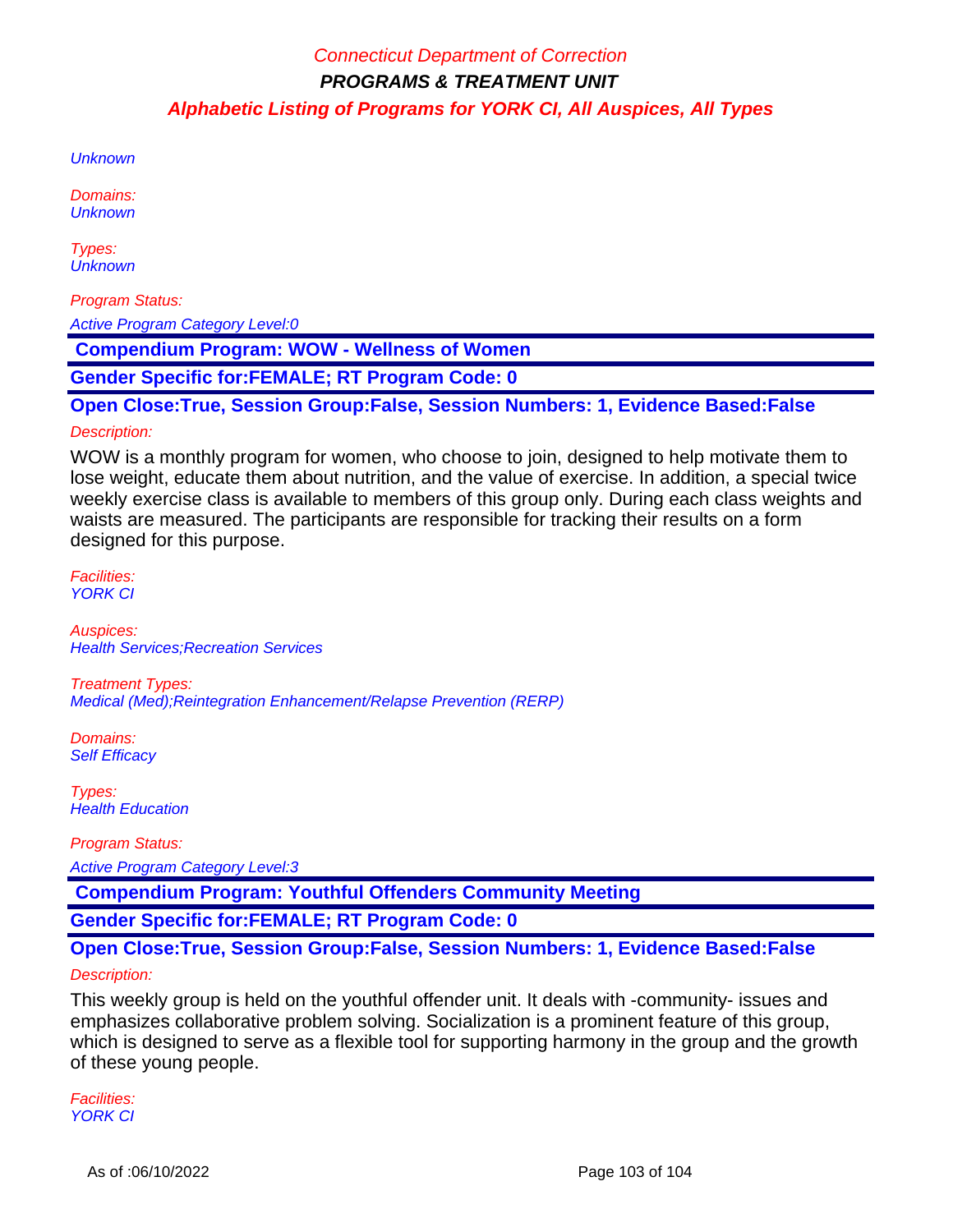**Unknown** 

Domains: **Unknown** 

Types: **Unknown** 

Program Status:

Active Program Category Level:0

 **Compendium Program: WOW - Wellness of Women**

**Gender Specific for:FEMALE; RT Program Code: 0**

**Open Close:True, Session Group:False, Session Numbers: 1, Evidence Based:False**

#### Description:

WOW is a monthly program for women, who choose to join, designed to help motivate them to lose weight, educate them about nutrition, and the value of exercise. In addition, a special twice weekly exercise class is available to members of this group only. During each class weights and waists are measured. The participants are responsible for tracking their results on a form designed for this purpose.

Facilities: YORK CI

Auspices: **Health Services; Recreation Services** 

Treatment Types: Medical (Med);Reintegration Enhancement/Relapse Prevention (RERP)

Domains: Self Efficacy

Types: **Health Education** 

Program Status:

Active Program Category Level:3

 **Compendium Program: Youthful Offenders Community Meeting**

**Gender Specific for:FEMALE; RT Program Code: 0**

**Open Close:True, Session Group:False, Session Numbers: 1, Evidence Based:False**

#### Description:

This weekly group is held on the youthful offender unit. It deals with -community- issues and emphasizes collaborative problem solving. Socialization is a prominent feature of this group, which is designed to serve as a flexible tool for supporting harmony in the group and the growth of these young people.

Facilities: YORK CI